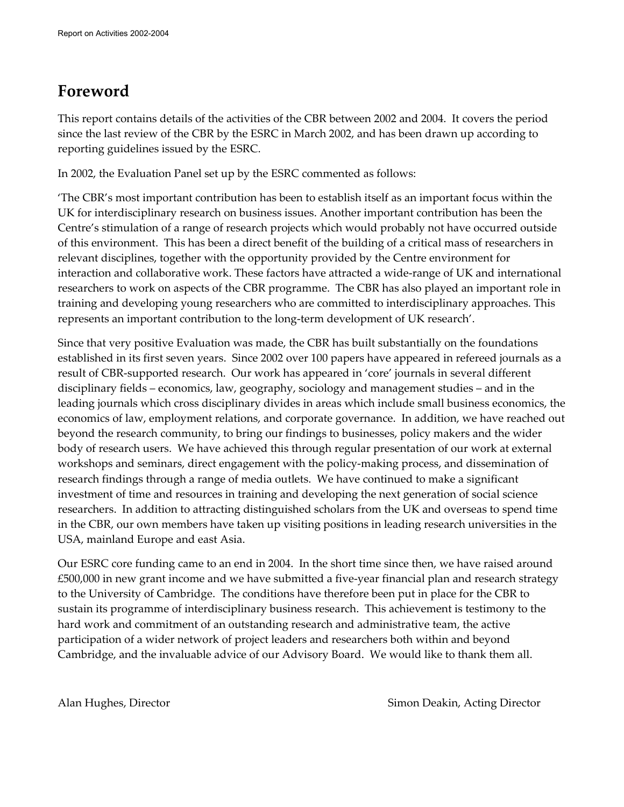# **Foreword**

This report contains details of the activities of the CBR between 2002 and 2004. It covers the period since the last review of the CBR by the ESRC in March 2002, and has been drawn up according to reporting guidelines issued by the ESRC.

In 2002, the Evaluation Panel set up by the ESRC commented as follows:

'The CBR's most important contribution has been to establish itself as an important focus within the UK for interdisciplinary research on business issues. Another important contribution has been the Centre's stimulation of a range of research projects which would probably not have occurred outside of this environment. This has been a direct benefit of the building of a critical mass of researchers in relevant disciplines, together with the opportunity provided by the Centre environment for interaction and collaborative work. These factors have attracted a wide-range of UK and international researchers to work on aspects of the CBR programme. The CBR has also played an important role in training and developing young researchers who are committed to interdisciplinary approaches. This represents an important contribution to the long-term development of UK research'.

Since that very positive Evaluation was made, the CBR has built substantially on the foundations established in its first seven years. Since 2002 over 100 papers have appeared in refereed journals as a result of CBR-supported research. Our work has appeared in 'core' journals in several different disciplinary fields – economics, law, geography, sociology and management studies – and in the leading journals which cross disciplinary divides in areas which include small business economics, the economics of law, employment relations, and corporate governance. In addition, we have reached out beyond the research community, to bring our findings to businesses, policy makers and the wider body of research users. We have achieved this through regular presentation of our work at external workshops and seminars, direct engagement with the policy-making process, and dissemination of research findings through a range of media outlets. We have continued to make a significant investment of time and resources in training and developing the next generation of social science researchers. In addition to attracting distinguished scholars from the UK and overseas to spend time in the CBR, our own members have taken up visiting positions in leading research universities in the USA, mainland Europe and east Asia.

Our ESRC core funding came to an end in 2004. In the short time since then, we have raised around £500,000 in new grant income and we have submitted a five-year financial plan and research strategy to the University of Cambridge. The conditions have therefore been put in place for the CBR to sustain its programme of interdisciplinary business research. This achievement is testimony to the hard work and commitment of an outstanding research and administrative team, the active participation of a wider network of project leaders and researchers both within and beyond Cambridge, and the invaluable advice of our Advisory Board. We would like to thank them all.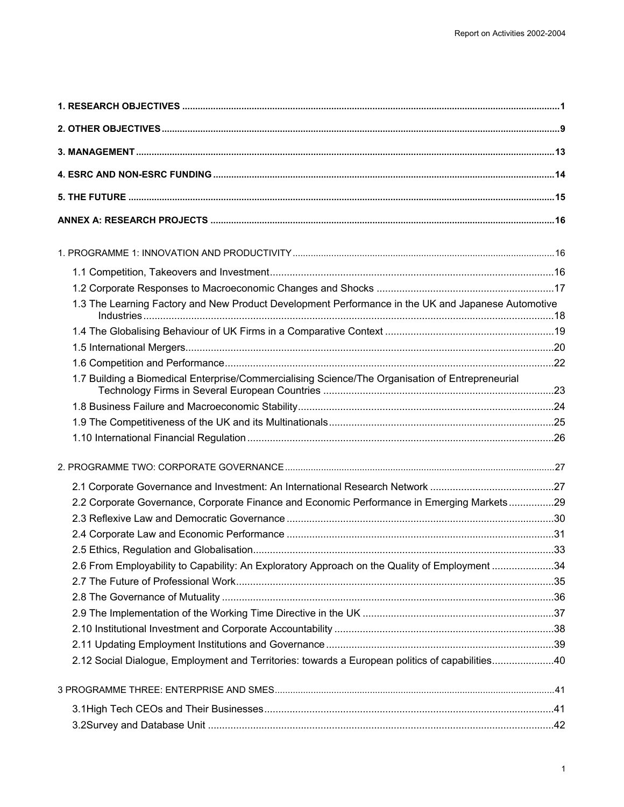| 1.3 The Learning Factory and New Product Development Performance in the UK and Japanese Automotive |  |
|----------------------------------------------------------------------------------------------------|--|
|                                                                                                    |  |
|                                                                                                    |  |
|                                                                                                    |  |
| 1.7 Building a Biomedical Enterprise/Commercialising Science/The Organisation of Entrepreneurial   |  |
|                                                                                                    |  |
|                                                                                                    |  |
|                                                                                                    |  |
|                                                                                                    |  |
|                                                                                                    |  |
| 2.2 Corporate Governance, Corporate Finance and Economic Performance in Emerging Markets29         |  |
|                                                                                                    |  |
|                                                                                                    |  |
|                                                                                                    |  |
| 2.6 From Employability to Capability: An Exploratory Approach on the Quality of Employment 34      |  |
|                                                                                                    |  |
|                                                                                                    |  |
|                                                                                                    |  |
|                                                                                                    |  |
|                                                                                                    |  |
| 2.12 Social Dialogue, Employment and Territories: towards a European politics of capabilities40    |  |
|                                                                                                    |  |
|                                                                                                    |  |
|                                                                                                    |  |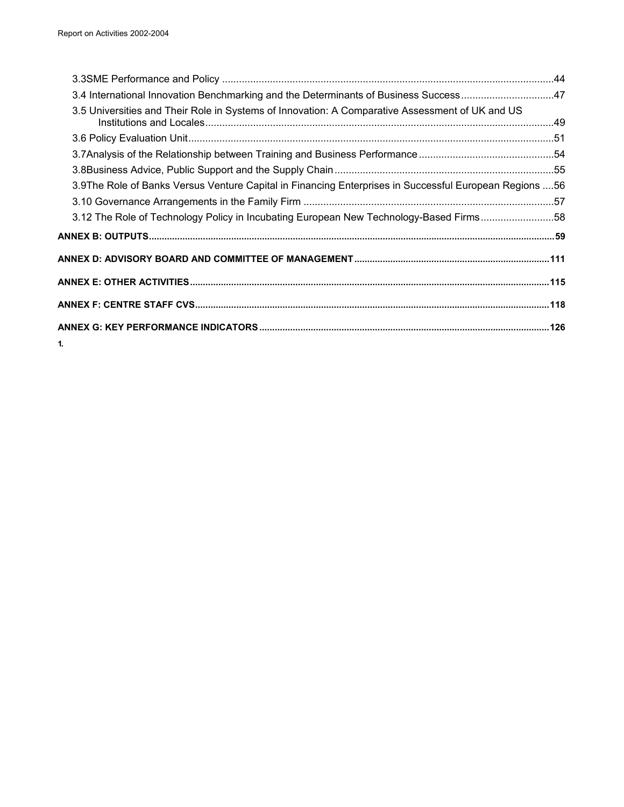| 3.4 International Innovation Benchmarking and the Determinants of Business Success47                     |  |
|----------------------------------------------------------------------------------------------------------|--|
| 3.5 Universities and Their Role in Systems of Innovation: A Comparative Assessment of UK and US          |  |
|                                                                                                          |  |
|                                                                                                          |  |
|                                                                                                          |  |
| 3.9 The Role of Banks Versus Venture Capital in Financing Enterprises in Successful European Regions  56 |  |
|                                                                                                          |  |
| 3.12 The Role of Technology Policy in Incubating European New Technology-Based Firms58                   |  |
|                                                                                                          |  |
|                                                                                                          |  |
|                                                                                                          |  |
|                                                                                                          |  |
|                                                                                                          |  |
| 1.                                                                                                       |  |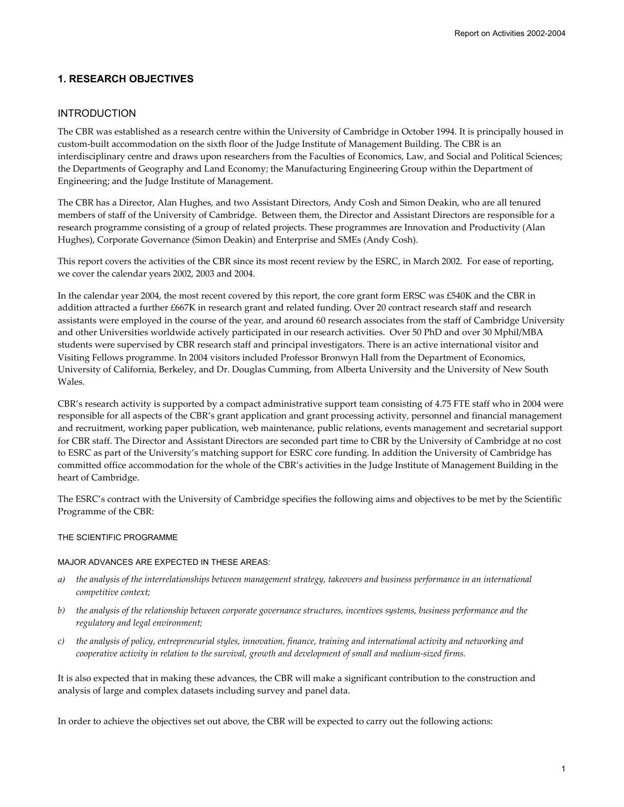## **1. RESEARCH OBJECTIVES**

### INTRODUCTION

The CBR was established as a research centre within the University of Cambridge in October 1994. It is principally housed in custom-built accommodation on the sixth floor of the Judge Institute of Management Building. The CBR is an interdisciplinary centre and draws upon researchers from the Faculties of Economics, Law, and Social and Political Sciences; the Departments of Geography and Land Economy; the Manufacturing Engineering Group within the Department of Engineering; and the Judge Institute of Management.

The CBR has a Director, Alan Hughes, and two Assistant Directors, Andy Cosh and Simon Deakin, who are all tenured members of staff of the University of Cambridge. Between them, the Director and Assistant Directors are responsible for a research programme consisting of a group of related projects. These programmes are Innovation and Productivity (Alan Hughes), Corporate Governance (Simon Deakin) and Enterprise and SMEs (Andy Cosh).

This report covers the activities of the CBR since its most recent review by the ESRC, in March 2002. For ease of reporting, we cover the calendar years 2002, 2003 and 2004.

In the calendar year 2004, the most recent covered by this report, the core grant form ERSC was £540K and the CBR in addition attracted a further £667K in research grant and related funding. Over 20 contract research staff and research assistants were employed in the course of the year, and around 60 research associates from the staff of Cambridge University and other Universities worldwide actively participated in our research activities. Over 50 PhD and over 30 Mphil/MBA students were supervised by CBR research staff and principal investigators. There is an active international visitor and Visiting Fellows programme. In 2004 visitors included Professor Bronwyn Hall from the Department of Economics, University of California, Berkeley, and Dr. Douglas Cumming, from Alberta University and the University of New South Wales.

CBR's research activity is supported by a compact administrative support team consisting of 4.75 FTE staff who in 2004 were responsible for all aspects of the CBR's grant application and grant processing activity, personnel and financial management and recruitment, working paper publication, web maintenance, public relations, events management and secretarial support for CBR staff. The Director and Assistant Directors are seconded part time to CBR by the University of Cambridge at no cost to ESRC as part of the University's matching support for ESRC core funding. In addition the University of Cambridge has committed office accommodation for the whole of the CBR's activities in the Judge Institute of Management Building in the heart of Cambridge.

The ESRC's contract with the University of Cambridge specifies the following aims and objectives to be met by the Scientific Programme of the CBR:

### THE SCIENTIFIC PROGRAMME

### MAJOR ADVANCES ARE EXPECTED IN THESE AREAS:

- *a) the analysis of the interrelationships between management strategy, takeovers and business performance in an international competitive context;*
- *b) the analysis of the relationship between corporate governance structures, incentives systems, business performance and the regulatory and legal environment;*
- *c) the analysis of policy, entrepreneurial styles, innovation, finance, training and international activity and networking and cooperative activity in relation to the survival, growth and development of small and medium-sized firms.*

It is also expected that in making these advances, the CBR will make a significant contribution to the construction and analysis of large and complex datasets including survey and panel data.

In order to achieve the objectives set out above, the CBR will be expected to carry out the following actions: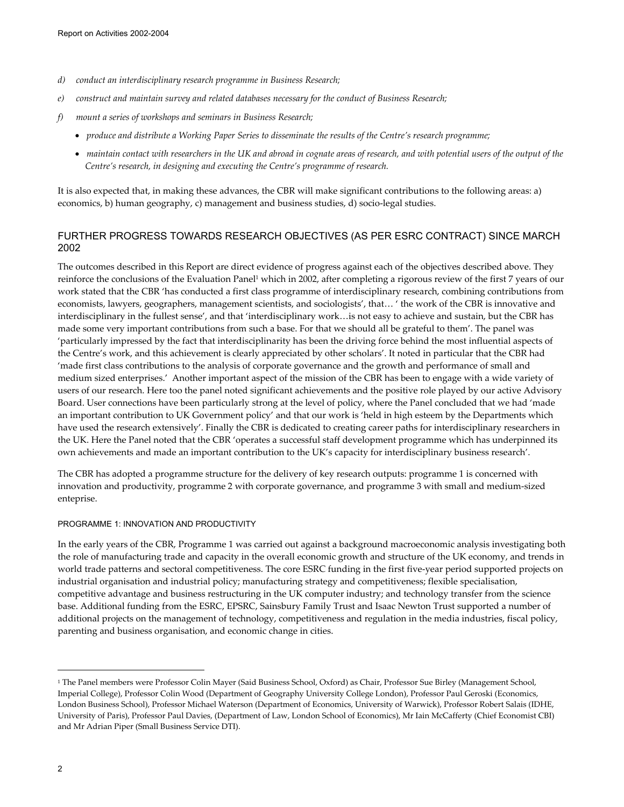- *d) conduct an interdisciplinary research programme in Business Research;*
- *e) construct and maintain survey and related databases necessary for the conduct of Business Research;*
- *f) mount a series of workshops and seminars in Business Research;* 
	- *produce and distribute a Working Paper Series to disseminate the results of the Centre's research programme;*
	- *maintain contact with researchers in the UK and abroad in cognate areas of research, and with potential users of the output of the Centre's research, in designing and executing the Centre's programme of research.*

It is also expected that, in making these advances, the CBR will make significant contributions to the following areas: a) economics, b) human geography, c) management and business studies, d) socio-legal studies.

## FURTHER PROGRESS TOWARDS RESEARCH OBJECTIVES (AS PER ESRC CONTRACT) SINCE MARCH 2002

The outcomes described in this Report are direct evidence of progress against each of the objectives described above. They reinforce the conclusions of the Evaluation Panel<sup>1</sup> which in 2002, after completing a rigorous review of the first 7 years of our work stated that the CBR 'has conducted a first class programme of interdisciplinary research, combining contributions from economists, lawyers, geographers, management scientists, and sociologists', that… ' the work of the CBR is innovative and interdisciplinary in the fullest sense', and that 'interdisciplinary work…is not easy to achieve and sustain, but the CBR has made some very important contributions from such a base. For that we should all be grateful to them'. The panel was 'particularly impressed by the fact that interdisciplinarity has been the driving force behind the most influential aspects of the Centre's work, and this achievement is clearly appreciated by other scholars'. It noted in particular that the CBR had 'made first class contributions to the analysis of corporate governance and the growth and performance of small and medium sized enterprises.' Another important aspect of the mission of the CBR has been to engage with a wide variety of users of our research. Here too the panel noted significant achievements and the positive role played by our active Advisory Board. User connections have been particularly strong at the level of policy, where the Panel concluded that we had 'made an important contribution to UK Government policy' and that our work is 'held in high esteem by the Departments which have used the research extensively'. Finally the CBR is dedicated to creating career paths for interdisciplinary researchers in the UK. Here the Panel noted that the CBR 'operates a successful staff development programme which has underpinned its own achievements and made an important contribution to the UK's capacity for interdisciplinary business research'.

The CBR has adopted a programme structure for the delivery of key research outputs: programme 1 is concerned with innovation and productivity, programme 2 with corporate governance, and programme 3 with small and medium-sized enteprise.

### PROGRAMME 1: INNOVATION AND PRODUCTIVITY

In the early years of the CBR, Programme 1 was carried out against a background macroeconomic analysis investigating both the role of manufacturing trade and capacity in the overall economic growth and structure of the UK economy, and trends in world trade patterns and sectoral competitiveness. The core ESRC funding in the first five-year period supported projects on industrial organisation and industrial policy; manufacturing strategy and competitiveness; flexible specialisation, competitive advantage and business restructuring in the UK computer industry; and technology transfer from the science base. Additional funding from the ESRC, EPSRC, Sainsbury Family Trust and Isaac Newton Trust supported a number of additional projects on the management of technology, competitiveness and regulation in the media industries, fiscal policy, parenting and business organisation, and economic change in cities.

 $\overline{a}$ 

<sup>1</sup> The Panel members were Professor Colin Mayer (Said Business School, Oxford) as Chair, Professor Sue Birley (Management School, Imperial College), Professor Colin Wood (Department of Geography University College London), Professor Paul Geroski (Economics, London Business School), Professor Michael Waterson (Department of Economics, University of Warwick), Professor Robert Salais (IDHE, University of Paris), Professor Paul Davies, (Department of Law, London School of Economics), Mr Iain McCafferty (Chief Economist CBI) and Mr Adrian Piper (Small Business Service DTI).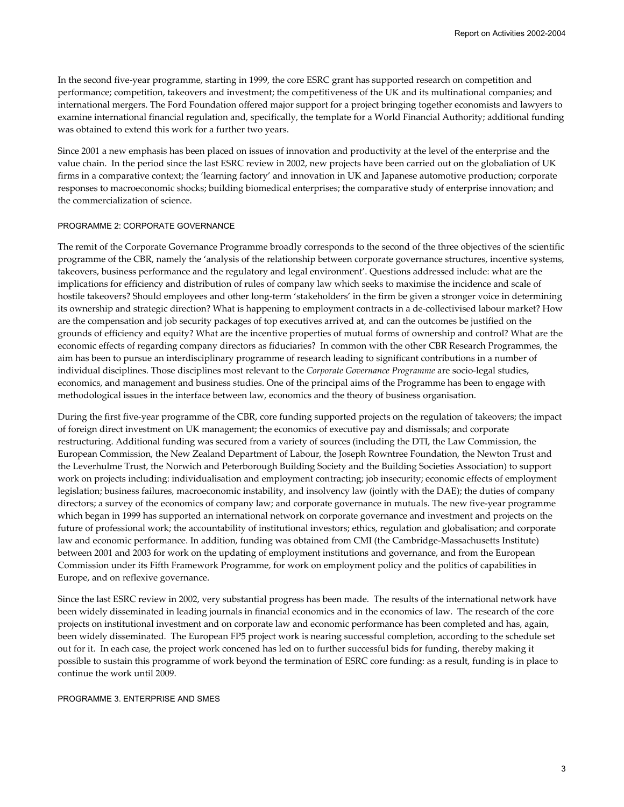In the second five-year programme, starting in 1999, the core ESRC grant has supported research on competition and performance; competition, takeovers and investment; the competitiveness of the UK and its multinational companies; and international mergers. The Ford Foundation offered major support for a project bringing together economists and lawyers to examine international financial regulation and, specifically, the template for a World Financial Authority; additional funding was obtained to extend this work for a further two years.

Since 2001 a new emphasis has been placed on issues of innovation and productivity at the level of the enterprise and the value chain. In the period since the last ESRC review in 2002, new projects have been carried out on the globaliation of UK firms in a comparative context; the 'learning factory' and innovation in UK and Japanese automotive production; corporate responses to macroeconomic shocks; building biomedical enterprises; the comparative study of enterprise innovation; and the commercialization of science.

### PROGRAMME 2: CORPORATE GOVERNANCE

The remit of the Corporate Governance Programme broadly corresponds to the second of the three objectives of the scientific programme of the CBR, namely the 'analysis of the relationship between corporate governance structures, incentive systems, takeovers, business performance and the regulatory and legal environment'. Questions addressed include: what are the implications for efficiency and distribution of rules of company law which seeks to maximise the incidence and scale of hostile takeovers? Should employees and other long-term 'stakeholders' in the firm be given a stronger voice in determining its ownership and strategic direction? What is happening to employment contracts in a de-collectivised labour market? How are the compensation and job security packages of top executives arrived at, and can the outcomes be justified on the grounds of efficiency and equity? What are the incentive properties of mutual forms of ownership and control? What are the economic effects of regarding company directors as fiduciaries? In common with the other CBR Research Programmes, the aim has been to pursue an interdisciplinary programme of research leading to significant contributions in a number of individual disciplines. Those disciplines most relevant to the *Corporate Governance Programme* are socio-legal studies, economics, and management and business studies. One of the principal aims of the Programme has been to engage with methodological issues in the interface between law, economics and the theory of business organisation.

During the first five-year programme of the CBR, core funding supported projects on the regulation of takeovers; the impact of foreign direct investment on UK management; the economics of executive pay and dismissals; and corporate restructuring. Additional funding was secured from a variety of sources (including the DTI, the Law Commission, the European Commission, the New Zealand Department of Labour, the Joseph Rowntree Foundation, the Newton Trust and the Leverhulme Trust, the Norwich and Peterborough Building Society and the Building Societies Association) to support work on projects including: individualisation and employment contracting; job insecurity; economic effects of employment legislation; business failures, macroeconomic instability, and insolvency law (jointly with the DAE); the duties of company directors; a survey of the economics of company law; and corporate governance in mutuals. The new five-year programme which began in 1999 has supported an international network on corporate governance and investment and projects on the future of professional work; the accountability of institutional investors; ethics, regulation and globalisation; and corporate law and economic performance. In addition, funding was obtained from CMI (the Cambridge-Massachusetts Institute) between 2001 and 2003 for work on the updating of employment institutions and governance, and from the European Commission under its Fifth Framework Programme, for work on employment policy and the politics of capabilities in Europe, and on reflexive governance.

Since the last ESRC review in 2002, very substantial progress has been made. The results of the international network have been widely disseminated in leading journals in financial economics and in the economics of law. The research of the core projects on institutional investment and on corporate law and economic performance has been completed and has, again, been widely disseminated. The European FP5 project work is nearing successful completion, according to the schedule set out for it. In each case, the project work concened has led on to further successful bids for funding, thereby making it possible to sustain this programme of work beyond the termination of ESRC core funding: as a result, funding is in place to continue the work until 2009.

### PROGRAMME 3. ENTERPRISE AND SMES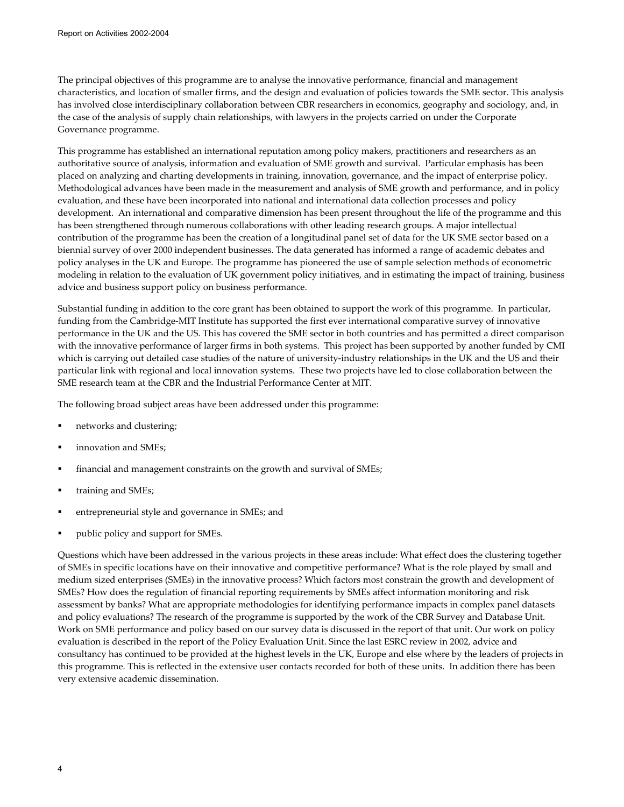The principal objectives of this programme are to analyse the innovative performance, financial and management characteristics, and location of smaller firms, and the design and evaluation of policies towards the SME sector. This analysis has involved close interdisciplinary collaboration between CBR researchers in economics, geography and sociology, and, in the case of the analysis of supply chain relationships, with lawyers in the projects carried on under the Corporate Governance programme.

This programme has established an international reputation among policy makers, practitioners and researchers as an authoritative source of analysis, information and evaluation of SME growth and survival. Particular emphasis has been placed on analyzing and charting developments in training, innovation, governance, and the impact of enterprise policy. Methodological advances have been made in the measurement and analysis of SME growth and performance, and in policy evaluation, and these have been incorporated into national and international data collection processes and policy development. An international and comparative dimension has been present throughout the life of the programme and this has been strengthened through numerous collaborations with other leading research groups. A major intellectual contribution of the programme has been the creation of a longitudinal panel set of data for the UK SME sector based on a biennial survey of over 2000 independent businesses. The data generated has informed a range of academic debates and policy analyses in the UK and Europe. The programme has pioneered the use of sample selection methods of econometric modeling in relation to the evaluation of UK government policy initiatives, and in estimating the impact of training, business advice and business support policy on business performance.

Substantial funding in addition to the core grant has been obtained to support the work of this programme. In particular, funding from the Cambridge-MIT Institute has supported the first ever international comparative survey of innovative performance in the UK and the US. This has covered the SME sector in both countries and has permitted a direct comparison with the innovative performance of larger firms in both systems. This project has been supported by another funded by CMI which is carrying out detailed case studies of the nature of university-industry relationships in the UK and the US and their particular link with regional and local innovation systems. These two projects have led to close collaboration between the SME research team at the CBR and the Industrial Performance Center at MIT.

The following broad subject areas have been addressed under this programme:

- networks and clustering;
- innovation and SMEs;
- financial and management constraints on the growth and survival of SMEs;
- training and SMEs;
- entrepreneurial style and governance in SMEs; and
- public policy and support for SMEs.

Questions which have been addressed in the various projects in these areas include: What effect does the clustering together of SMEs in specific locations have on their innovative and competitive performance? What is the role played by small and medium sized enterprises (SMEs) in the innovative process? Which factors most constrain the growth and development of SMEs? How does the regulation of financial reporting requirements by SMEs affect information monitoring and risk assessment by banks? What are appropriate methodologies for identifying performance impacts in complex panel datasets and policy evaluations? The research of the programme is supported by the work of the CBR Survey and Database Unit. Work on SME performance and policy based on our survey data is discussed in the report of that unit. Our work on policy evaluation is described in the report of the Policy Evaluation Unit. Since the last ESRC review in 2002, advice and consultancy has continued to be provided at the highest levels in the UK, Europe and else where by the leaders of projects in this programme. This is reflected in the extensive user contacts recorded for both of these units. In addition there has been very extensive academic dissemination.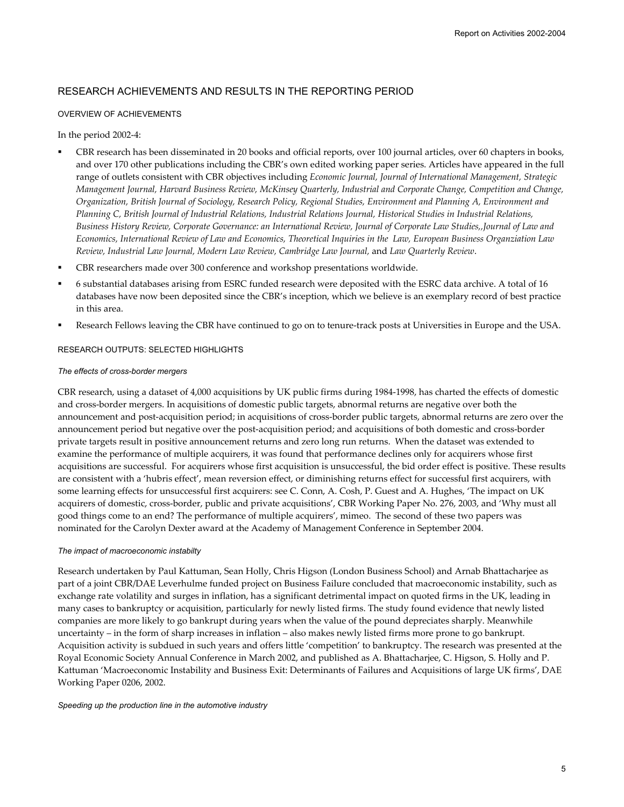## RESEARCH ACHIEVEMENTS AND RESULTS IN THE REPORTING PERIOD

### OVERVIEW OF ACHIEVEMENTS

### In the period 2002-4:

- CBR research has been disseminated in 20 books and official reports, over 100 journal articles, over 60 chapters in books, and over 170 other publications including the CBR's own edited working paper series. Articles have appeared in the full range of outlets consistent with CBR objectives including *Economic Journal, Journal of International Management, Strategic Management Journal, Harvard Business Review, McKinsey Quarterly, Industrial and Corporate Change, Competition and Change, Organization, British Journal of Sociology, Research Policy, Regional Studies, Environment and Planning A, Environment and Planning C, British Journal of Industrial Relations, Industrial Relations Journal, Historical Studies in Industrial Relations, Business History Review, Corporate Governance: an International Review, Journal of Corporate Law Studies,,Journal of Law and Economics, International Review of Law and Economics, Theoretical Inquiries in the Law, European Business Organziation Law Review, Industrial Law Journal, Modern Law Review, Cambridge Law Journal,* and *Law Quarterly Review*.
- CBR researchers made over 300 conference and workshop presentations worldwide.
- 6 substantial databases arising from ESRC funded research were deposited with the ESRC data archive. A total of 16 databases have now been deposited since the CBR's inception, which we believe is an exemplary record of best practice in this area.
- Research Fellows leaving the CBR have continued to go on to tenure-track posts at Universities in Europe and the USA.

### RESEARCH OUTPUTS: SELECTED HIGHLIGHTS

### *The effects of cross-border mergers*

CBR research, using a dataset of 4,000 acquisitions by UK public firms during 1984-1998, has charted the effects of domestic and cross-border mergers. In acquisitions of domestic public targets, abnormal returns are negative over both the announcement and post-acquisition period; in acquisitions of cross-border public targets, abnormal returns are zero over the announcement period but negative over the post-acquisition period; and acquisitions of both domestic and cross-border private targets result in positive announcement returns and zero long run returns. When the dataset was extended to examine the performance of multiple acquirers, it was found that performance declines only for acquirers whose first acquisitions are successful. For acquirers whose first acquisition is unsuccessful, the bid order effect is positive. These results are consistent with a 'hubris effect', mean reversion effect, or diminishing returns effect for successful first acquirers, with some learning effects for unsuccessful first acquirers: see C. Conn, A. Cosh, P. Guest and A. Hughes, 'The impact on UK acquirers of domestic, cross-border, public and private acquisitions', CBR Working Paper No. 276, 2003, and 'Why must all good things come to an end? The performance of multiple acquirers', mimeo. The second of these two papers was nominated for the Carolyn Dexter award at the Academy of Management Conference in September 2004.

### *The impact of macroeconomic instabilty*

Research undertaken by Paul Kattuman, Sean Holly, Chris Higson (London Business School) and Arnab Bhattacharjee as part of a joint CBR/DAE Leverhulme funded project on Business Failure concluded that macroeconomic instability, such as exchange rate volatility and surges in inflation, has a significant detrimental impact on quoted firms in the UK, leading in many cases to bankruptcy or acquisition, particularly for newly listed firms. The study found evidence that newly listed companies are more likely to go bankrupt during years when the value of the pound depreciates sharply. Meanwhile uncertainty – in the form of sharp increases in inflation – also makes newly listed firms more prone to go bankrupt. Acquisition activity is subdued in such years and offers little 'competition' to bankruptcy. The research was presented at the Royal Economic Society Annual Conference in March 2002, and published as A. Bhattacharjee, C. Higson, S. Holly and P. Kattuman 'Macroeconomic Instability and Business Exit: Determinants of Failures and Acquisitions of large UK firms', DAE Working Paper 0206, 2002.

#### *Speeding up the production line in the automotive industry*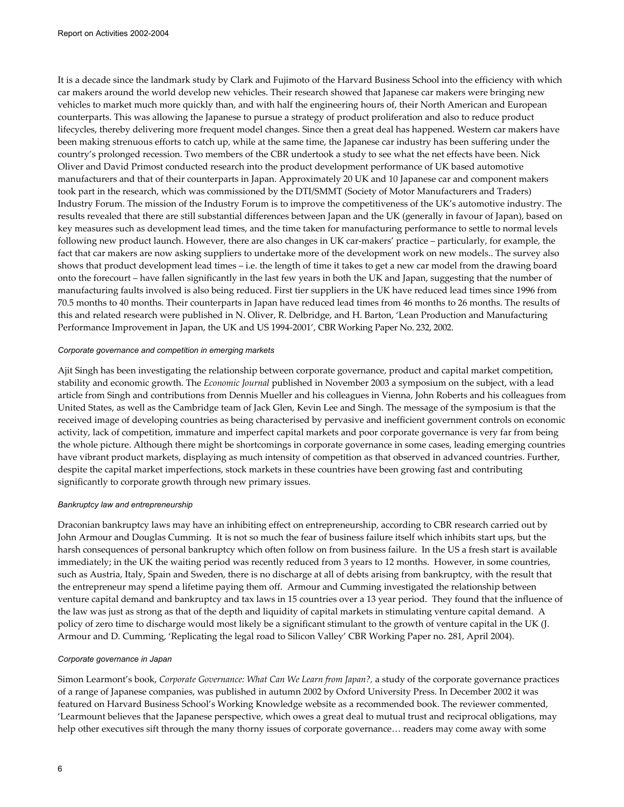It is a decade since the landmark study by Clark and Fujimoto of the Harvard Business School into the efficiency with which car makers around the world develop new vehicles. Their research showed that Japanese car makers were bringing new vehicles to market much more quickly than, and with half the engineering hours of, their North American and European counterparts. This was allowing the Japanese to pursue a strategy of product proliferation and also to reduce product lifecycles, thereby delivering more frequent model changes. Since then a great deal has happened. Western car makers have been making strenuous efforts to catch up, while at the same time, the Japanese car industry has been suffering under the country's prolonged recession. Two members of the CBR undertook a study to see what the net effects have been. Nick Oliver and David Primost conducted research into the product development performance of UK based automotive manufacturers and that of their counterparts in Japan. Approximately 20 UK and 10 Japanese car and component makers took part in the research, which was commissioned by the DTI/SMMT (Society of Motor Manufacturers and Traders) Industry Forum. The mission of the Industry Forum is to improve the competitiveness of the UK's automotive industry. The results revealed that there are still substantial differences between Japan and the UK (generally in favour of Japan), based on key measures such as development lead times, and the time taken for manufacturing performance to settle to normal levels following new product launch. However, there are also changes in UK car-makers' practice – particularly, for example, the fact that car makers are now asking suppliers to undertake more of the development work on new models.. The survey also shows that product development lead times – i.e. the length of time it takes to get a new car model from the drawing board onto the forecourt – have fallen significantly in the last few years in both the UK and Japan, suggesting that the number of manufacturing faults involved is also being reduced. First tier suppliers in the UK have reduced lead times since 1996 from 70.5 months to 40 months. Their counterparts in Japan have reduced lead times from 46 months to 26 months. The results of this and related research were published in N. Oliver, R. Delbridge, and H. Barton, 'Lean Production and Manufacturing Performance Improvement in Japan, the UK and US 1994-2001', CBR Working Paper No. 232, 2002.

### *Corporate governance and competition in emerging markets*

Ajit Singh has been investigating the relationship between corporate governance, product and capital market competition, stability and economic growth. The *Economic Journal* published in November 2003 a symposium on the subject, with a lead article from Singh and contributions from Dennis Mueller and his colleagues in Vienna, John Roberts and his colleagues from United States, as well as the Cambridge team of Jack Glen, Kevin Lee and Singh. The message of the symposium is that the received image of developing countries as being characterised by pervasive and inefficient government controls on economic activity, lack of competition, immature and imperfect capital markets and poor corporate governance is very far from being the whole picture. Although there might be shortcomings in corporate governance in some cases, leading emerging countries have vibrant product markets, displaying as much intensity of competition as that observed in advanced countries. Further, despite the capital market imperfections, stock markets in these countries have been growing fast and contributing significantly to corporate growth through new primary issues.

### *Bankruptcy law and entrepreneurship*

Draconian bankruptcy laws may have an inhibiting effect on entrepreneurship, according to CBR research carried out by John Armour and Douglas Cumming. It is not so much the fear of business failure itself which inhibits start ups, but the harsh consequences of personal bankruptcy which often follow on from business failure. In the US a fresh start is available immediately; in the UK the waiting period was recently reduced from 3 years to 12 months. However, in some countries, such as Austria, Italy, Spain and Sweden, there is no discharge at all of debts arising from bankruptcy, with the result that the entrepreneur may spend a lifetime paying them off. Armour and Cumming investigated the relationship between venture capital demand and bankruptcy and tax laws in 15 countries over a 13 year period. They found that the influence of the law was just as strong as that of the depth and liquidity of capital markets in stimulating venture capital demand. A policy of zero time to discharge would most likely be a significant stimulant to the growth of venture capital in the UK (J. Armour and D. Cumming, 'Replicating the legal road to Silicon Valley' CBR Working Paper no. 281, April 2004).

### *Corporate governance in Japan*

Simon Learmont's book, *Corporate Governance: What Can We Learn from Japan?,* a study of the corporate governance practices of a range of Japanese companies, was published in autumn 2002 by Oxford University Press. In December 2002 it was featured on Harvard Business School's Working Knowledge website as a recommended book. The reviewer commented, 'Learmount believes that the Japanese perspective, which owes a great deal to mutual trust and reciprocal obligations, may help other executives sift through the many thorny issues of corporate governance… readers may come away with some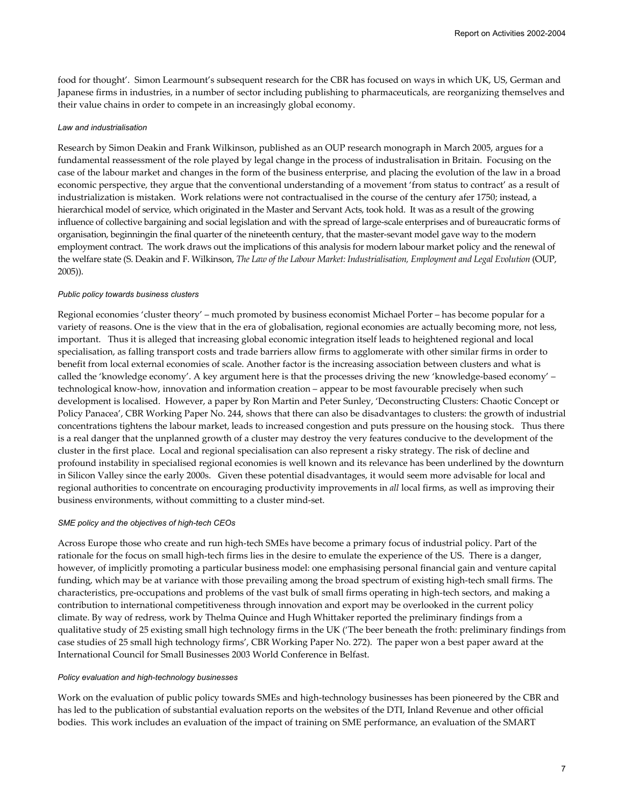food for thought'. Simon Learmount's subsequent research for the CBR has focused on ways in which UK, US, German and Japanese firms in industries, in a number of sector including publishing to pharmaceuticals, are reorganizing themselves and their value chains in order to compete in an increasingly global economy.

### *Law and industrialisation*

Research by Simon Deakin and Frank Wilkinson, published as an OUP research monograph in March 2005, argues for a fundamental reassessment of the role played by legal change in the process of industralisation in Britain. Focusing on the case of the labour market and changes in the form of the business enterprise, and placing the evolution of the law in a broad economic perspective, they argue that the conventional understanding of a movement 'from status to contract' as a result of industrialization is mistaken. Work relations were not contractualised in the course of the century afer 1750; instead, a hierarchical model of service, which originated in the Master and Servant Acts, took hold. It was as a result of the growing influence of collective bargaining and social legislation and with the spread of large-scale enterprises and of bureaucratic forms of organisation, beginningin the final quarter of the nineteenth century, that the master-sevant model gave way to the modern employment contract. The work draws out the implications of this analysis for modern labour market policy and the renewal of the welfare state (S. Deakin and F. Wilkinson, *The Law of the Labour Market: Industrialisation, Employment and Legal Evolution* (OUP, 2005)).

### *Public policy towards business clusters*

Regional economies 'cluster theory' – much promoted by business economist Michael Porter – has become popular for a variety of reasons. One is the view that in the era of globalisation, regional economies are actually becoming more, not less, important. Thus it is alleged that increasing global economic integration itself leads to heightened regional and local specialisation, as falling transport costs and trade barriers allow firms to agglomerate with other similar firms in order to benefit from local external economies of scale. Another factor is the increasing association between clusters and what is called the 'knowledge economy'. A key argument here is that the processes driving the new 'knowledge-based economy' – technological know-how, innovation and information creation – appear to be most favourable precisely when such development is localised. However, a paper by Ron Martin and Peter Sunley, 'Deconstructing Clusters: Chaotic Concept or Policy Panacea', CBR Working Paper No. 244, shows that there can also be disadvantages to clusters: the growth of industrial concentrations tightens the labour market, leads to increased congestion and puts pressure on the housing stock. Thus there is a real danger that the unplanned growth of a cluster may destroy the very features conducive to the development of the cluster in the first place. Local and regional specialisation can also represent a risky strategy. The risk of decline and profound instability in specialised regional economies is well known and its relevance has been underlined by the downturn in Silicon Valley since the early 2000s. Given these potential disadvantages, it would seem more advisable for local and regional authorities to concentrate on encouraging productivity improvements in *all* local firms, as well as improving their business environments, without committing to a cluster mind-set.

### *SME policy and the objectives of high-tech CEOs*

Across Europe those who create and run high-tech SMEs have become a primary focus of industrial policy. Part of the rationale for the focus on small high-tech firms lies in the desire to emulate the experience of the US. There is a danger, however, of implicitly promoting a particular business model: one emphasising personal financial gain and venture capital funding, which may be at variance with those prevailing among the broad spectrum of existing high-tech small firms. The characteristics, pre-occupations and problems of the vast bulk of small firms operating in high-tech sectors, and making a contribution to international competitiveness through innovation and export may be overlooked in the current policy climate. By way of redress, work by Thelma Quince and Hugh Whittaker reported the preliminary findings from a qualitative study of 25 existing small high technology firms in the UK ('The beer beneath the froth: preliminary findings from case studies of 25 small high technology firms', CBR Working Paper No. 272). The paper won a best paper award at the International Council for Small Businesses 2003 World Conference in Belfast.

### *Policy evaluation and high-technology businesses*

Work on the evaluation of public policy towards SMEs and high-technology businesses has been pioneered by the CBR and has led to the publication of substantial evaluation reports on the websites of the DTI, Inland Revenue and other official bodies. This work includes an evaluation of the impact of training on SME performance, an evaluation of the SMART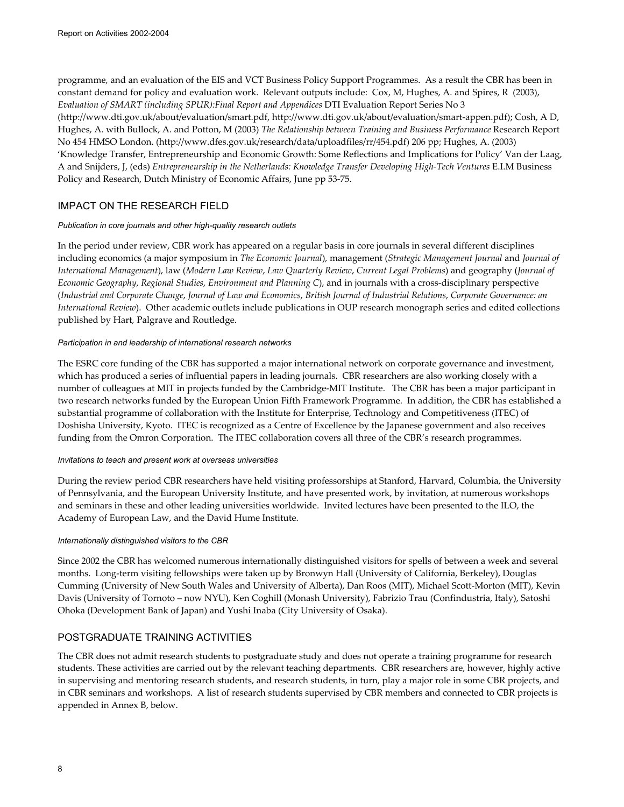programme, and an evaluation of the EIS and VCT Business Policy Support Programmes. As a result the CBR has been in constant demand for policy and evaluation work. Relevant outputs include: Cox, M, Hughes, A. and Spires, R (2003), *Evaluation of SMART (including SPUR):Final Report and Appendices* DTI Evaluation Report Series No 3 (http://www.dti.gov.uk/about/evaluation/smart.pdf, http://www.dti.gov.uk/about/evaluation/smart-appen.pdf); Cosh, A D, Hughes, A. with Bullock, A. and Potton, M (2003) *The Relationship between Training and Business Performance* Research Report No 454 HMSO London. (http://www.dfes.gov.uk/research/data/uploadfiles/rr/454.pdf) 206 pp; Hughes, A. (2003) 'Knowledge Transfer, Entrepreneurship and Economic Growth: Some Reflections and Implications for Policy' Van der Laag, A and Snijders, J, (eds) *Entrepreneurship in the Netherlands: Knowledge Transfer Developing High-Tech Ventures* E.I.M Business Policy and Research, Dutch Ministry of Economic Affairs, June pp 53-75.

## IMPACT ON THE RESEARCH FIELD

### *Publication in core journals and other high-quality research outlets*

In the period under review, CBR work has appeared on a regular basis in core journals in several different disciplines including economics (a major symposium in *The Economic Journal*), management (*Strategic Management Journal* and *Journal of International Management*), law (*Modern Law Review*, *Law Quarterly Review*, *Current Legal Problems*) and geography (*Journal of Economic Geography*, *Regional Studies*, *Environment and Planning C*), and in journals with a cross-disciplinary perspective (*Industrial and Corporate Change*, *Journal of Law and Economics*, *British Journal of Industrial Relations*, *Corporate Governance: an International Review*). Other academic outlets include publications in OUP research monograph series and edited collections published by Hart, Palgrave and Routledge.

### *Participation in and leadership of international research networks*

The ESRC core funding of the CBR has supported a major international network on corporate governance and investment, which has produced a series of influential papers in leading journals. CBR researchers are also working closely with a number of colleagues at MIT in projects funded by the Cambridge-MIT Institute. The CBR has been a major participant in two research networks funded by the European Union Fifth Framework Programme. In addition, the CBR has established a substantial programme of collaboration with the Institute for Enterprise, Technology and Competitiveness (ITEC) of Doshisha University, Kyoto. ITEC is recognized as a Centre of Excellence by the Japanese government and also receives funding from the Omron Corporation. The ITEC collaboration covers all three of the CBR's research programmes.

### *Invitations to teach and present work at overseas universities*

During the review period CBR researchers have held visiting professorships at Stanford, Harvard, Columbia, the University of Pennsylvania, and the European University Institute, and have presented work, by invitation, at numerous workshops and seminars in these and other leading universities worldwide. Invited lectures have been presented to the ILO, the Academy of European Law, and the David Hume Institute.

### *Internationally distinguished visitors to the CBR*

Since 2002 the CBR has welcomed numerous internationally distinguished visitors for spells of between a week and several months. Long-term visiting fellowships were taken up by Bronwyn Hall (University of California, Berkeley), Douglas Cumming (University of New South Wales and University of Alberta), Dan Roos (MIT), Michael Scott-Morton (MIT), Kevin Davis (University of Tornoto – now NYU), Ken Coghill (Monash University), Fabrizio Trau (Confindustria, Italy), Satoshi Ohoka (Development Bank of Japan) and Yushi Inaba (City University of Osaka).

## POSTGRADUATE TRAINING ACTIVITIES

The CBR does not admit research students to postgraduate study and does not operate a training programme for research students. These activities are carried out by the relevant teaching departments. CBR researchers are, however, highly active in supervising and mentoring research students, and research students, in turn, play a major role in some CBR projects, and in CBR seminars and workshops. A list of research students supervised by CBR members and connected to CBR projects is appended in Annex B, below.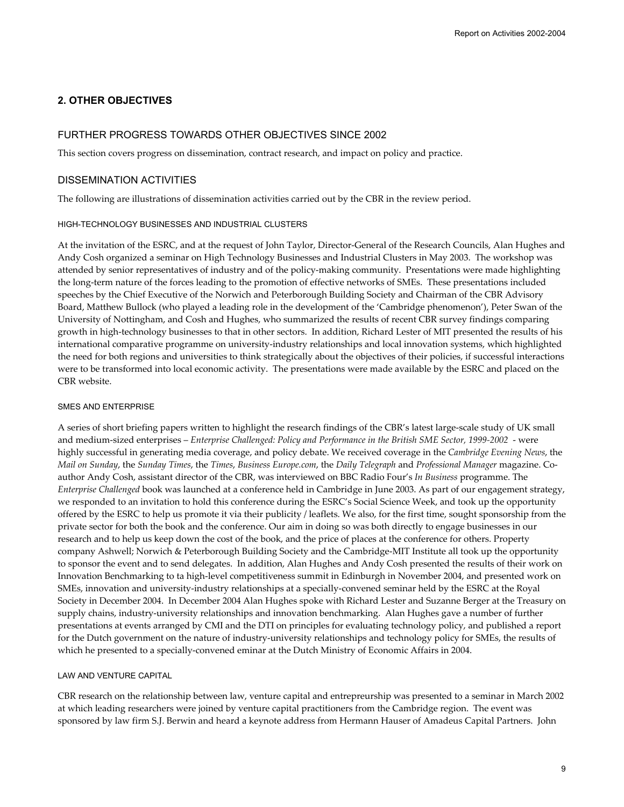## **2. OTHER OBJECTIVES**

### FURTHER PROGRESS TOWARDS OTHER OBJECTIVES SINCE 2002

This section covers progress on dissemination, contract research, and impact on policy and practice.

### DISSEMINATION ACTIVITIES

The following are illustrations of dissemination activities carried out by the CBR in the review period.

### HIGH-TECHNOLOGY BUSINESSES AND INDUSTRIAL CLUSTERS

At the invitation of the ESRC, and at the request of John Taylor, Director-General of the Research Councils, Alan Hughes and Andy Cosh organized a seminar on High Technology Businesses and Industrial Clusters in May 2003. The workshop was attended by senior representatives of industry and of the policy-making community. Presentations were made highlighting the long-term nature of the forces leading to the promotion of effective networks of SMEs. These presentations included speeches by the Chief Executive of the Norwich and Peterborough Building Society and Chairman of the CBR Advisory Board, Matthew Bullock (who played a leading role in the development of the 'Cambridge phenomenon'), Peter Swan of the University of Nottingham, and Cosh and Hughes, who summarized the results of recent CBR survey findings comparing growth in high-technology businesses to that in other sectors. In addition, Richard Lester of MIT presented the results of his international comparative programme on university-industry relationships and local innovation systems, which highlighted the need for both regions and universities to think strategically about the objectives of their policies, if successful interactions were to be transformed into local economic activity. The presentations were made available by the ESRC and placed on the CBR website.

### SMES AND ENTERPRISE

A series of short briefing papers written to highlight the research findings of the CBR's latest large-scale study of UK small and medium-sized enterprises – *Enterprise Challenged: Policy and Performance in the British SME Sector, 1999-2002* - were highly successful in generating media coverage, and policy debate. We received coverage in the *Cambridge Evening News*, the *Mail on Sunday*, the *Sunday Times*, the *Times*, *Business Europe.com*, the *Daily Telegraph* and *Professional Manager* magazine. Coauthor Andy Cosh, assistant director of the CBR, was interviewed on BBC Radio Four's *In Business* programme. The *Enterprise Challenged* book was launched at a conference held in Cambridge in June 2003. As part of our engagement strategy, we responded to an invitation to hold this conference during the ESRC's Social Science Week, and took up the opportunity offered by the ESRC to help us promote it via their publicity / leaflets. We also, for the first time, sought sponsorship from the private sector for both the book and the conference. Our aim in doing so was both directly to engage businesses in our research and to help us keep down the cost of the book, and the price of places at the conference for others. Property company Ashwell; Norwich & Peterborough Building Society and the Cambridge-MIT Institute all took up the opportunity to sponsor the event and to send delegates. In addition, Alan Hughes and Andy Cosh presented the results of their work on Innovation Benchmarking to ta high-level competitiveness summit in Edinburgh in November 2004, and presented work on SMEs, innovation and university-industry relationships at a specially-convened seminar held by the ESRC at the Royal Society in December 2004. In December 2004 Alan Hughes spoke with Richard Lester and Suzanne Berger at the Treasury on supply chains, industry-university relationships and innovation benchmarking. Alan Hughes gave a number of further presentations at events arranged by CMI and the DTI on principles for evaluating technology policy, and published a report for the Dutch government on the nature of industry-university relationships and technology policy for SMEs, the results of which he presented to a specially-convened eminar at the Dutch Ministry of Economic Affairs in 2004.

### LAW AND VENTURE CAPITAL

CBR research on the relationship between law, venture capital and entrepreurship was presented to a seminar in March 2002 at which leading researchers were joined by venture capital practitioners from the Cambridge region. The event was sponsored by law firm S.J. Berwin and heard a keynote address from Hermann Hauser of Amadeus Capital Partners. John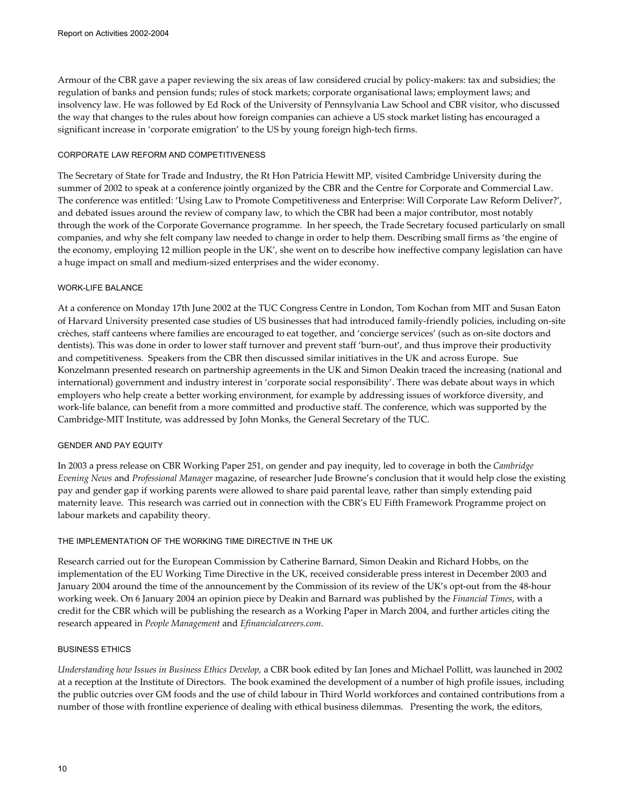Armour of the CBR gave a paper reviewing the six areas of law considered crucial by policy-makers: tax and subsidies; the regulation of banks and pension funds; rules of stock markets; corporate organisational laws; employment laws; and insolvency law. He was followed by Ed Rock of the University of Pennsylvania Law School and CBR visitor, who discussed the way that changes to the rules about how foreign companies can achieve a US stock market listing has encouraged a significant increase in 'corporate emigration' to the US by young foreign high-tech firms.

### CORPORATE LAW REFORM AND COMPETITIVENESS

The Secretary of State for Trade and Industry, the Rt Hon Patricia Hewitt MP, visited Cambridge University during the summer of 2002 to speak at a conference jointly organized by the CBR and the Centre for Corporate and Commercial Law. The conference was entitled: 'Using Law to Promote Competitiveness and Enterprise: Will Corporate Law Reform Deliver?', and debated issues around the review of company law, to which the CBR had been a major contributor, most notably through the work of the Corporate Governance programme. In her speech, the Trade Secretary focused particularly on small companies, and why she felt company law needed to change in order to help them. Describing small firms as 'the engine of the economy, employing 12 million people in the UK', she went on to describe how ineffective company legislation can have a huge impact on small and medium-sized enterprises and the wider economy.

### WORK-LIFE BALANCE

At a conference on Monday 17th June 2002 at the TUC Congress Centre in London, Tom Kochan from MIT and Susan Eaton of Harvard University presented case studies of US businesses that had introduced family-friendly policies, including on-site crèches, staff canteens where families are encouraged to eat together, and 'concierge services' (such as on-site doctors and dentists). This was done in order to lower staff turnover and prevent staff 'burn-out', and thus improve their productivity and competitiveness. Speakers from the CBR then discussed similar initiatives in the UK and across Europe. Sue Konzelmann presented research on partnership agreements in the UK and Simon Deakin traced the increasing (national and international) government and industry interest in 'corporate social responsibility'. There was debate about ways in which employers who help create a better working environment, for example by addressing issues of workforce diversity, and work-life balance, can benefit from a more committed and productive staff. The conference, which was supported by the Cambridge-MIT Institute, was addressed by John Monks, the General Secretary of the TUC.

### GENDER AND PAY EQUITY

In 2003 a press release on CBR Working Paper 251, on gender and pay inequity, led to coverage in both the *Cambridge Evening News* and *Professional Manager* magazine, of researcher Jude Browne's conclusion that it would help close the existing pay and gender gap if working parents were allowed to share paid parental leave, rather than simply extending paid maternity leave. This research was carried out in connection with the CBR's EU Fifth Framework Programme project on labour markets and capability theory.

### THE IMPLEMENTATION OF THE WORKING TIME DIRECTIVE IN THE UK

Research carried out for the European Commission by Catherine Barnard, Simon Deakin and Richard Hobbs, on the implementation of the EU Working Time Directive in the UK, received considerable press interest in December 2003 and January 2004 around the time of the announcement by the Commission of its review of the UK's opt-out from the 48-hour working week. On 6 January 2004 an opinion piece by Deakin and Barnard was published by the *Financial Times*, with a credit for the CBR which will be publishing the research as a Working Paper in March 2004, and further articles citing the research appeared in *People Management* and *Efinancialcareers.com*.

### BUSINESS ETHICS

*Understanding how Issues in Business Ethics Develop,* a CBR book edited by Ian Jones and Michael Pollitt, was launched in 2002 at a reception at the Institute of Directors. The book examined the development of a number of high profile issues, including the public outcries over GM foods and the use of child labour in Third World workforces and contained contributions from a number of those with frontline experience of dealing with ethical business dilemmas. Presenting the work, the editors,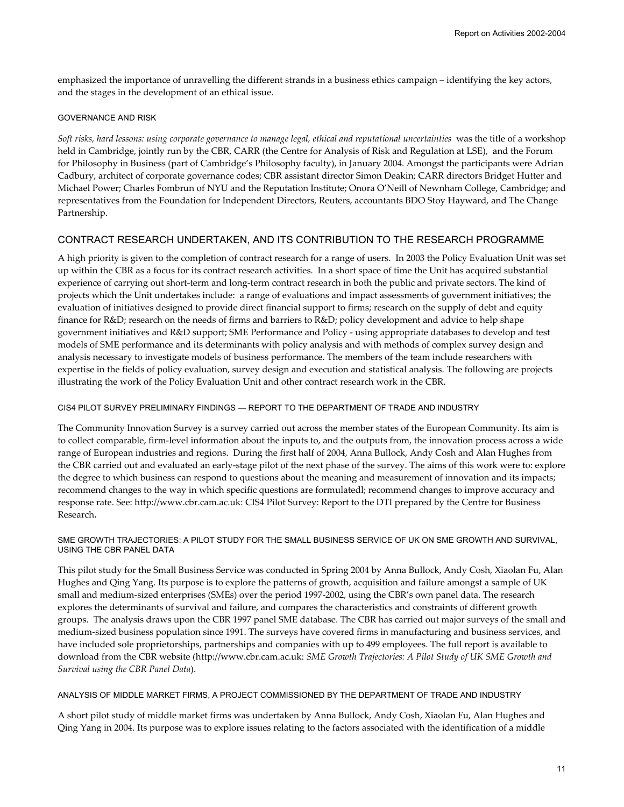emphasized the importance of unravelling the different strands in a business ethics campaign – identifying the key actors, and the stages in the development of an ethical issue.

### GOVERNANCE AND RISK

*Soft risks, hard lessons: using corporate governance to manage legal, ethical and reputational uncertainties* was the title of a workshop held in Cambridge, jointly run by the CBR, CARR (the Centre for Analysis of Risk and Regulation at LSE), and the Forum for Philosophy in Business (part of Cambridge's Philosophy faculty), in January 2004. Amongst the participants were Adrian Cadbury, architect of corporate governance codes; CBR assistant director Simon Deakin; CARR directors Bridget Hutter and Michael Power; Charles Fombrun of NYU and the Reputation Institute; Onora O'Neill of Newnham College, Cambridge; and representatives from the Foundation for Independent Directors, Reuters, accountants BDO Stoy Hayward, and The Change Partnership.

## CONTRACT RESEARCH UNDERTAKEN, AND ITS CONTRIBUTION TO THE RESEARCH PROGRAMME

A high priority is given to the completion of contract research for a range of users. In 2003 the Policy Evaluation Unit was set up within the CBR as a focus for its contract research activities. In a short space of time the Unit has acquired substantial experience of carrying out short-term and long-term contract research in both the public and private sectors. The kind of projects which the Unit undertakes include: a range of evaluations and impact assessments of government initiatives; the evaluation of initiatives designed to provide direct financial support to firms; research on the supply of debt and equity finance for R&D; research on the needs of firms and barriers to R&D; policy development and advice to help shape government initiatives and R&D support; SME Performance and Policy - using appropriate databases to develop and test models of SME performance and its determinants with policy analysis and with methods of complex survey design and analysis necessary to investigate models of business performance. The members of the team include researchers with expertise in the fields of policy evaluation, survey design and execution and statistical analysis. The following are projects illustrating the work of the Policy Evaluation Unit and other contract research work in the CBR.

### CIS4 PILOT SURVEY PRELIMINARY FINDINGS — REPORT TO THE DEPARTMENT OF TRADE AND INDUSTRY

The Community Innovation Survey is a survey carried out across the member states of the European Community. Its aim is to collect comparable, firm-level information about the inputs to, and the outputs from, the innovation process across a wide range of European industries and regions. During the first half of 2004, Anna Bullock, Andy Cosh and Alan Hughes from the CBR carried out and evaluated an early-stage pilot of the next phase of the survey. The aims of this work were to: explore the degree to which business can respond to questions about the meaning and measurement of innovation and its impacts; recommend changes to the way in which specific questions are formulatedl; recommend changes to improve accuracy and response rate. See: http://www.cbr.cam.ac.uk: CIS4 Pilot Survey: Report to the DTI prepared by the Centre for Business Research**.**

### SME GROWTH TRAJECTORIES: A PILOT STUDY FOR THE SMALL BUSINESS SERVICE OF UK ON SME GROWTH AND SURVIVAL, USING THE CBR PANEL DATA

This pilot study for the Small Business Service was conducted in Spring 2004 by Anna Bullock, Andy Cosh, Xiaolan Fu, Alan Hughes and Qing Yang. Its purpose is to explore the patterns of growth, acquisition and failure amongst a sample of UK small and medium-sized enterprises (SMEs) over the period 1997-2002, using the CBR's own panel data. The research explores the determinants of survival and failure, and compares the characteristics and constraints of different growth groups. The analysis draws upon the CBR 1997 panel SME database. The CBR has carried out major surveys of the small and medium-sized business population since 1991. The surveys have covered firms in manufacturing and business services, and have included sole proprietorships, partnerships and companies with up to 499 employees. The full report is available to download from the CBR website (http://www.cbr.cam.ac.uk: *SME Growth Trajectories: A Pilot Study of UK SME Growth and Survival using the CBR Panel Data*).

### ANALYSIS OF MIDDLE MARKET FIRMS, A PROJECT COMMISSIONED BY THE DEPARTMENT OF TRADE AND INDUSTRY

A short pilot study of middle market firms was undertaken by Anna Bullock, Andy Cosh, Xiaolan Fu, Alan Hughes and Qing Yang in 2004. Its purpose was to explore issues relating to the factors associated with the identification of a middle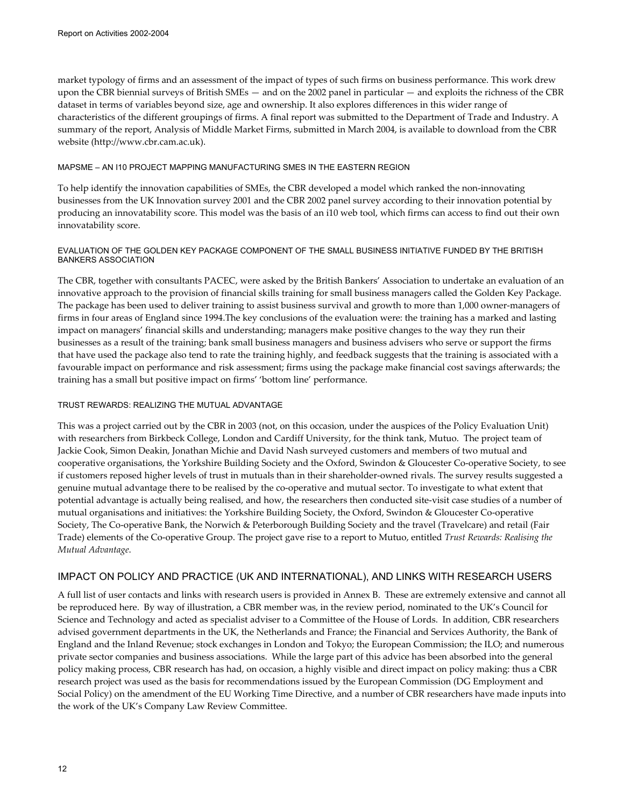market typology of firms and an assessment of the impact of types of such firms on business performance. This work drew upon the CBR biennial surveys of British SMEs — and on the 2002 panel in particular — and exploits the richness of the CBR dataset in terms of variables beyond size, age and ownership. It also explores differences in this wider range of characteristics of the different groupings of firms. A final report was submitted to the Department of Trade and Industry. A summary of the report, Analysis of Middle Market Firms, submitted in March 2004, is available to download from the CBR website (http://www.cbr.cam.ac.uk).

### MAPSME – AN I10 PROJECT MAPPING MANUFACTURING SMES IN THE EASTERN REGION

To help identify the innovation capabilities of SMEs, the CBR developed a model which ranked the non-innovating businesses from the UK Innovation survey 2001 and the CBR 2002 panel survey according to their innovation potential by producing an innovatability score. This model was the basis of an i10 web tool, which firms can access to find out their own innovatability score.

### EVALUATION OF THE GOLDEN KEY PACKAGE COMPONENT OF THE SMALL BUSINESS INITIATIVE FUNDED BY THE BRITISH BANKERS ASSOCIATION

The CBR, together with consultants PACEC, were asked by the British Bankers' Association to undertake an evaluation of an innovative approach to the provision of financial skills training for small business managers called the Golden Key Package. The package has been used to deliver training to assist business survival and growth to more than 1,000 owner-managers of firms in four areas of England since 1994.The key conclusions of the evaluation were: the training has a marked and lasting impact on managers' financial skills and understanding; managers make positive changes to the way they run their businesses as a result of the training; bank small business managers and business advisers who serve or support the firms that have used the package also tend to rate the training highly, and feedback suggests that the training is associated with a favourable impact on performance and risk assessment; firms using the package make financial cost savings afterwards; the training has a small but positive impact on firms' 'bottom line' performance.

## TRUST REWARDS: REALIZING THE MUTUAL ADVANTAGE

This was a project carried out by the CBR in 2003 (not, on this occasion, under the auspices of the Policy Evaluation Unit) with researchers from Birkbeck College, London and Cardiff University, for the think tank, Mutuo. The project team of Jackie Cook, Simon Deakin, Jonathan Michie and David Nash surveyed customers and members of two mutual and cooperative organisations, the Yorkshire Building Society and the Oxford, Swindon & Gloucester Co-operative Society, to see if customers reposed higher levels of trust in mutuals than in their shareholder-owned rivals. The survey results suggested a genuine mutual advantage there to be realised by the co-operative and mutual sector. To investigate to what extent that potential advantage is actually being realised, and how, the researchers then conducted site-visit case studies of a number of mutual organisations and initiatives: the Yorkshire Building Society, the Oxford, Swindon & Gloucester Co-operative Society, The Co-operative Bank, the Norwich & Peterborough Building Society and the travel (Travelcare) and retail (Fair Trade) elements of the Co-operative Group. The project gave rise to a report to Mutuo, entitled *Trust Rewards: Realising the Mutual Advantage*.

## IMPACT ON POLICY AND PRACTICE (UK AND INTERNATIONAL), AND LINKS WITH RESEARCH USERS

A full list of user contacts and links with research users is provided in Annex B. These are extremely extensive and cannot all be reproduced here. By way of illustration, a CBR member was, in the review period, nominated to the UK's Council for Science and Technology and acted as specialist adviser to a Committee of the House of Lords. In addition, CBR researchers advised government departments in the UK, the Netherlands and France; the Financial and Services Authority, the Bank of England and the Inland Revenue; stock exchanges in London and Tokyo; the European Commission; the ILO; and numerous private sector companies and business associations. While the large part of this advice has been absorbed into the general policy making process, CBR research has had, on occasion, a highly visible and direct impact on policy making: thus a CBR research project was used as the basis for recommendations issued by the European Commission (DG Employment and Social Policy) on the amendment of the EU Working Time Directive, and a number of CBR researchers have made inputs into the work of the UK's Company Law Review Committee.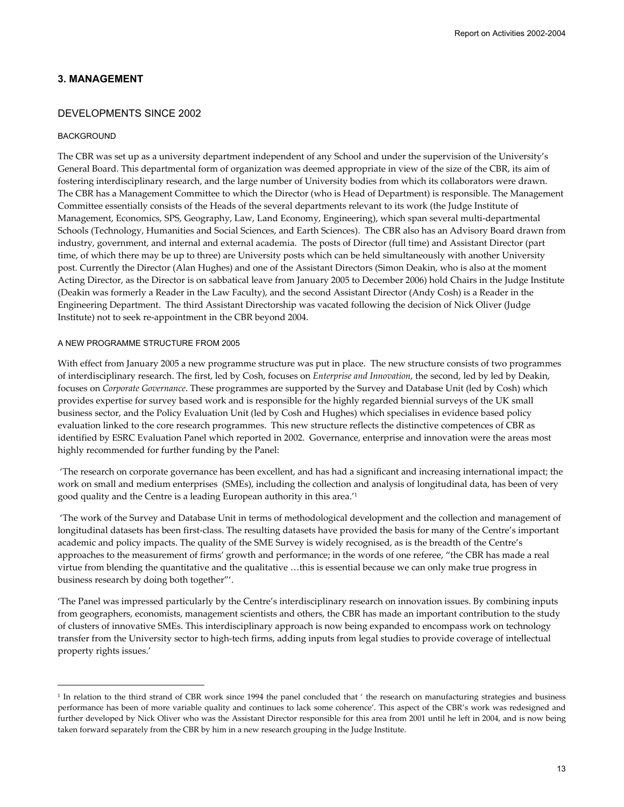## **3. MANAGEMENT**

### DEVELOPMENTS SINCE 2002

### BACKGROUND

 $\overline{a}$ 

The CBR was set up as a university department independent of any School and under the supervision of the University's General Board. This departmental form of organization was deemed appropriate in view of the size of the CBR, its aim of fostering interdisciplinary research, and the large number of University bodies from which its collaborators were drawn. The CBR has a Management Committee to which the Director (who is Head of Department) is responsible. The Management Committee essentially consists of the Heads of the several departments relevant to its work (the Judge Institute of Management, Economics, SPS, Geography, Law, Land Economy, Engineering), which span several multi-departmental Schools (Technology, Humanities and Social Sciences, and Earth Sciences). The CBR also has an Advisory Board drawn from industry, government, and internal and external academia. The posts of Director (full time) and Assistant Director (part time, of which there may be up to three) are University posts which can be held simultaneously with another University post. Currently the Director (Alan Hughes) and one of the Assistant Directors (Simon Deakin, who is also at the moment Acting Director, as the Director is on sabbatical leave from January 2005 to December 2006) hold Chairs in the Judge Institute (Deakin was formerly a Reader in the Law Faculty), and the second Assistant Director (Andy Cosh) is a Reader in the Engineering Department. The third Assistant Directorship was vacated following the decision of Nick Oliver (Judge Institute) not to seek re-appointment in the CBR beyond 2004.

### A NEW PROGRAMME STRUCTURE FROM 2005

With effect from January 2005 a new programme structure was put in place. The new structure consists of two programmes of interdisciplinary research. The first, led by Cosh, focuses on *Enterprise and Innovation*, the second, led by led by Deakin, focuses on *Corporate Governance*. These programmes are supported by the Survey and Database Unit (led by Cosh) which provides expertise for survey based work and is responsible for the highly regarded biennial surveys of the UK small business sector, and the Policy Evaluation Unit (led by Cosh and Hughes) which specialises in evidence based policy evaluation linked to the core research programmes. This new structure reflects the distinctive competences of CBR as identified by ESRC Evaluation Panel which reported in 2002. Governance, enterprise and innovation were the areas most highly recommended for further funding by the Panel:

 'The research on corporate governance has been excellent, and has had a significant and increasing international impact; the work on small and medium enterprises (SMEs), including the collection and analysis of longitudinal data, has been of very good quality and the Centre is a leading European authority in this area.'1

 'The work of the Survey and Database Unit in terms of methodological development and the collection and management of longitudinal datasets has been first-class. The resulting datasets have provided the basis for many of the Centre's important academic and policy impacts. The quality of the SME Survey is widely recognised, as is the breadth of the Centre's approaches to the measurement of firms' growth and performance; in the words of one referee, "the CBR has made a real virtue from blending the quantitative and the qualitative …this is essential because we can only make true progress in business research by doing both together"'.

'The Panel was impressed particularly by the Centre's interdisciplinary research on innovation issues. By combining inputs from geographers, economists, management scientists and others, the CBR has made an important contribution to the study of clusters of innovative SMEs. This interdisciplinary approach is now being expanded to encompass work on technology transfer from the University sector to high-tech firms, adding inputs from legal studies to provide coverage of intellectual property rights issues.'

<sup>&</sup>lt;sup>1</sup> In relation to the third strand of CBR work since 1994 the panel concluded that ' the research on manufacturing strategies and business performance has been of more variable quality and continues to lack some coherence'. This aspect of the CBR's work was redesigned and further developed by Nick Oliver who was the Assistant Director responsible for this area from 2001 until he left in 2004, and is now being taken forward separately from the CBR by him in a new research grouping in the Judge Institute.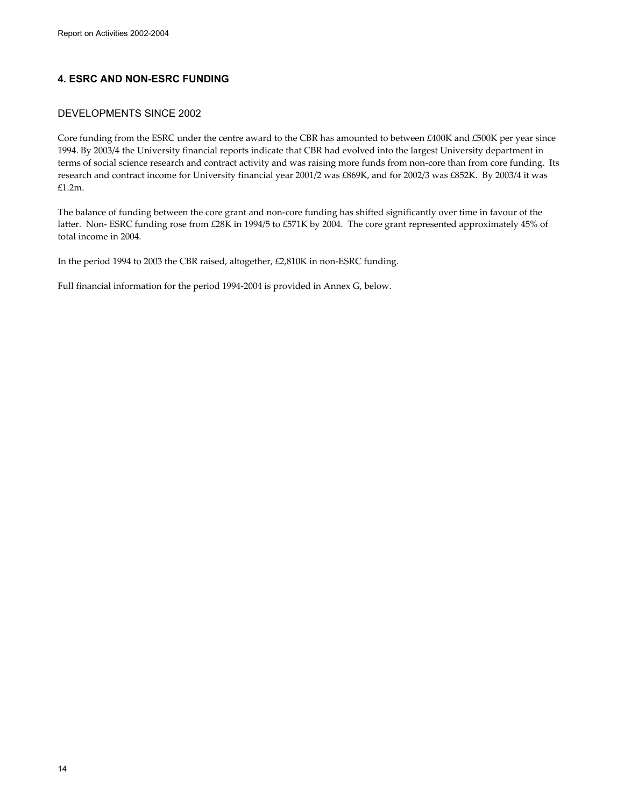## **4. ESRC AND NON-ESRC FUNDING**

## DEVELOPMENTS SINCE 2002

Core funding from the ESRC under the centre award to the CBR has amounted to between £400K and £500K per year since 1994. By 2003/4 the University financial reports indicate that CBR had evolved into the largest University department in terms of social science research and contract activity and was raising more funds from non-core than from core funding. Its research and contract income for University financial year 2001/2 was £869K, and for 2002/3 was £852K. By 2003/4 it was £1.2m.

The balance of funding between the core grant and non-core funding has shifted significantly over time in favour of the latter. Non- ESRC funding rose from £28K in 1994/5 to £571K by 2004. The core grant represented approximately 45% of total income in 2004.

In the period 1994 to 2003 the CBR raised, altogether, £2,810K in non-ESRC funding.

Full financial information for the period 1994-2004 is provided in Annex G, below.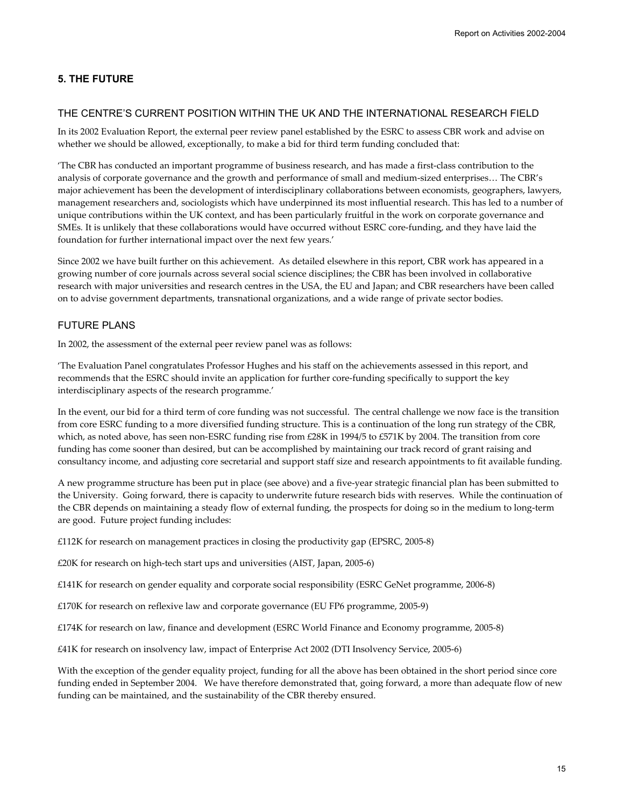## **5. THE FUTURE**

### THE CENTRE'S CURRENT POSITION WITHIN THE UK AND THE INTERNATIONAL RESEARCH FIELD

In its 2002 Evaluation Report, the external peer review panel established by the ESRC to assess CBR work and advise on whether we should be allowed, exceptionally, to make a bid for third term funding concluded that:

'The CBR has conducted an important programme of business research, and has made a first-class contribution to the analysis of corporate governance and the growth and performance of small and medium-sized enterprises… The CBR's major achievement has been the development of interdisciplinary collaborations between economists, geographers, lawyers, management researchers and, sociologists which have underpinned its most influential research. This has led to a number of unique contributions within the UK context, and has been particularly fruitful in the work on corporate governance and SMEs*.* It is unlikely that these collaborations would have occurred without ESRC core-funding, and they have laid the foundation for further international impact over the next few years.'

Since 2002 we have built further on this achievement. As detailed elsewhere in this report, CBR work has appeared in a growing number of core journals across several social science disciplines; the CBR has been involved in collaborative research with major universities and research centres in the USA, the EU and Japan; and CBR researchers have been called on to advise government departments, transnational organizations, and a wide range of private sector bodies.

## FUTURE PLANS

In 2002, the assessment of the external peer review panel was as follows:

'The Evaluation Panel congratulates Professor Hughes and his staff on the achievements assessed in this report, and recommends that the ESRC should invite an application for further core-funding specifically to support the key interdisciplinary aspects of the research programme.'

In the event, our bid for a third term of core funding was not successful. The central challenge we now face is the transition from core ESRC funding to a more diversified funding structure. This is a continuation of the long run strategy of the CBR, which, as noted above, has seen non-ESRC funding rise from £28K in 1994/5 to £571K by 2004. The transition from core funding has come sooner than desired, but can be accomplished by maintaining our track record of grant raising and consultancy income, and adjusting core secretarial and support staff size and research appointments to fit available funding.

A new programme structure has been put in place (see above) and a five-year strategic financial plan has been submitted to the University. Going forward, there is capacity to underwrite future research bids with reserves. While the continuation of the CBR depends on maintaining a steady flow of external funding, the prospects for doing so in the medium to long-term are good. Future project funding includes:

£112K for research on management practices in closing the productivity gap (EPSRC, 2005-8)

£20K for research on high-tech start ups and universities (AIST, Japan, 2005-6)

£141K for research on gender equality and corporate social responsibility (ESRC GeNet programme, 2006-8)

£170K for research on reflexive law and corporate governance (EU FP6 programme, 2005-9)

£174K for research on law, finance and development (ESRC World Finance and Economy programme, 2005-8)

£41K for research on insolvency law, impact of Enterprise Act 2002 (DTI Insolvency Service, 2005-6)

With the exception of the gender equality project, funding for all the above has been obtained in the short period since core funding ended in September 2004. We have therefore demonstrated that, going forward, a more than adequate flow of new funding can be maintained, and the sustainability of the CBR thereby ensured.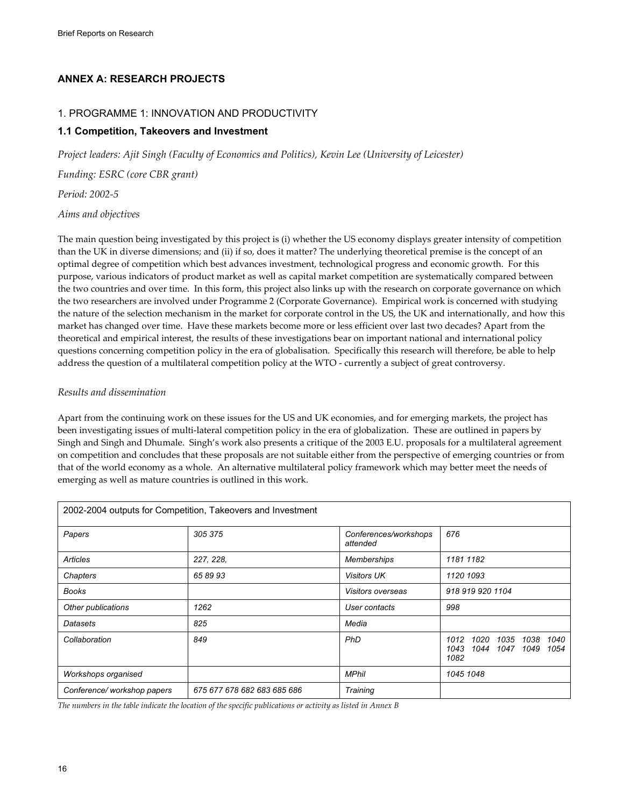## **ANNEX A: RESEARCH PROJECTS**

## 1. PROGRAMME 1: INNOVATION AND PRODUCTIVITY

## **1.1 Competition, Takeovers and Investment**

*Project leaders: Ajit Singh (Faculty of Economics and Politics), Kevin Lee (University of Leicester)* 

*Funding: ESRC (core CBR grant)* 

*Period: 2002-5* 

*Aims and objectives* 

The main question being investigated by this project is (i) whether the US economy displays greater intensity of competition than the UK in diverse dimensions; and (ii) if so, does it matter? The underlying theoretical premise is the concept of an optimal degree of competition which best advances investment, technological progress and economic growth. For this purpose, various indicators of product market as well as capital market competition are systematically compared between the two countries and over time. In this form, this project also links up with the research on corporate governance on which the two researchers are involved under Programme 2 (Corporate Governance). Empirical work is concerned with studying the nature of the selection mechanism in the market for corporate control in the US, the UK and internationally, and how this market has changed over time. Have these markets become more or less efficient over last two decades? Apart from the theoretical and empirical interest, the results of these investigations bear on important national and international policy questions concerning competition policy in the era of globalisation. Specifically this research will therefore, be able to help address the question of a multilateral competition policy at the WTO - currently a subject of great controversy.

## *Results and dissemination*

Apart from the continuing work on these issues for the US and UK economies, and for emerging markets, the project has been investigating issues of multi-lateral competition policy in the era of globalization. These are outlined in papers by Singh and Singh and Dhumale. Singh's work also presents a critique of the 2003 E.U. proposals for a multilateral agreement on competition and concludes that these proposals are not suitable either from the perspective of emerging countries or from that of the world economy as a whole. An alternative multilateral policy framework which may better meet the needs of emerging as well as mature countries is outlined in this work.

|                            | 2002-2004 outputs for Competition, Takeovers and Investment |                                   |                                                                                   |
|----------------------------|-------------------------------------------------------------|-----------------------------------|-----------------------------------------------------------------------------------|
| Papers                     | 305 375                                                     | Conferences/workshops<br>attended | 676                                                                               |
| Articles                   | 227, 228,                                                   | <b>Memberships</b>                | 1181 1182                                                                         |
| Chapters                   | 658993                                                      | <b>Visitors UK</b>                | 1120 1093                                                                         |
| <b>Books</b>               |                                                             | <i>Visitors overseas</i>          | 918 919 920 1104                                                                  |
| Other publications         | 1262                                                        | User contacts                     | 998                                                                               |
| Datasets                   | 825                                                         | Media                             |                                                                                   |
| Collaboration              | 849                                                         | PhD                               | 1012<br>1020<br>1035<br>1040<br>1038<br>1043<br>1044<br>1047 1049<br>1054<br>1082 |
| Workshops organised        |                                                             | <b>MPhil</b>                      | 1045 1048                                                                         |
| Conference/workshop papers | 675 677 678 682 683 685 686                                 | Training                          |                                                                                   |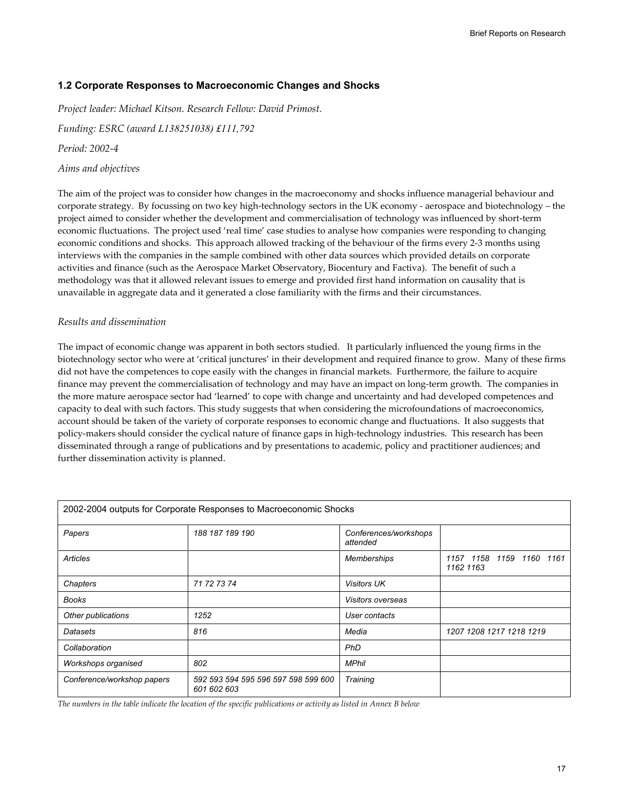## **1.2 Corporate Responses to Macroeconomic Changes and Shocks**

*Project leader: Michael Kitson. Research Fellow: David Primost.* 

*Funding: ESRC (award L138251038) £111,792*

*Period: 2002-4* 

### *Aims and objectives*

The aim of the project was to consider how changes in the macroeconomy and shocks influence managerial behaviour and corporate strategy. By focussing on two key high-technology sectors in the UK economy - aerospace and biotechnology – the project aimed to consider whether the development and commercialisation of technology was influenced by short-term economic fluctuations. The project used 'real time' case studies to analyse how companies were responding to changing economic conditions and shocks. This approach allowed tracking of the behaviour of the firms every 2-3 months using interviews with the companies in the sample combined with other data sources which provided details on corporate activities and finance (such as the Aerospace Market Observatory, Biocentury and Factiva). The benefit of such a methodology was that it allowed relevant issues to emerge and provided first hand information on causality that is unavailable in aggregate data and it generated a close familiarity with the firms and their circumstances.

### *Results and dissemination*

The impact of economic change was apparent in both sectors studied. It particularly influenced the young firms in the biotechnology sector who were at 'critical junctures' in their development and required finance to grow. Many of these firms did not have the competences to cope easily with the changes in financial markets. Furthermore, the failure to acquire finance may prevent the commercialisation of technology and may have an impact on long-term growth. The companies in the more mature aerospace sector had 'learned' to cope with change and uncertainty and had developed competences and capacity to deal with such factors. This study suggests that when considering the microfoundations of macroeconomics, account should be taken of the variety of corporate responses to economic change and fluctuations. It also suggests that policy-makers should consider the cyclical nature of finance gaps in high-technology industries. This research has been disseminated through a range of publications and by presentations to academic, policy and practitioner audiences; and further dissemination activity is planned.

|                            | 2002-2004 outputs for Corporate Responses to Macroeconomic Shocks |                                   |                                          |
|----------------------------|-------------------------------------------------------------------|-----------------------------------|------------------------------------------|
| Papers                     | 188 187 189 190                                                   | Conferences/workshops<br>attended |                                          |
| Articles                   |                                                                   | Memberships                       | 1157 1158 1159<br>1160 1161<br>1162 1163 |
| Chapters                   | 71 72 73 74                                                       | <b>Visitors UK</b>                |                                          |
| <b>Books</b>               |                                                                   | <i>Visitors overseas</i>          |                                          |
| Other publications         | 1252                                                              | User contacts                     |                                          |
| Datasets                   | 816                                                               | Media                             | 1207 1208 1217 1218 1219                 |
| Collaboration              |                                                                   | PhD                               |                                          |
| Workshops organised        | 802                                                               | <b>MPhil</b>                      |                                          |
| Conference/workshop papers | 592 593 594 595 596 597 598 599 600<br>601 602 603                | Training                          |                                          |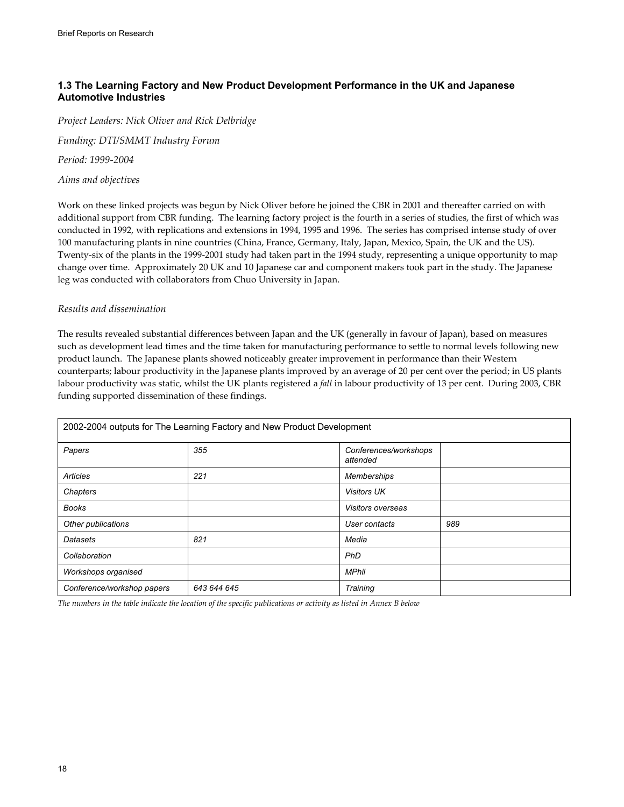## **1.3 The Learning Factory and New Product Development Performance in the UK and Japanese Automotive Industries**

*Project Leaders: Nick Oliver and Rick Delbridge* 

*Funding: DTI/SMMT Industry Forum* 

*Period: 1999-2004* 

*Aims and objectives* 

Work on these linked projects was begun by Nick Oliver before he joined the CBR in 2001 and thereafter carried on with additional support from CBR funding. The learning factory project is the fourth in a series of studies, the first of which was conducted in 1992, with replications and extensions in 1994, 1995 and 1996. The series has comprised intense study of over 100 manufacturing plants in nine countries (China, France, Germany, Italy, Japan, Mexico, Spain, the UK and the US). Twenty-six of the plants in the 1999-2001 study had taken part in the 1994 study, representing a unique opportunity to map change over time. Approximately 20 UK and 10 Japanese car and component makers took part in the study. The Japanese leg was conducted with collaborators from Chuo University in Japan.

### *Results and dissemination*

The results revealed substantial differences between Japan and the UK (generally in favour of Japan), based on measures such as development lead times and the time taken for manufacturing performance to settle to normal levels following new product launch. The Japanese plants showed noticeably greater improvement in performance than their Western counterparts; labour productivity in the Japanese plants improved by an average of 20 per cent over the period; in US plants labour productivity was static, whilst the UK plants registered a *fall* in labour productivity of 13 per cent. During 2003, CBR funding supported dissemination of these findings.

|                            | 2002-2004 outputs for The Learning Factory and New Product Development |                                   |     |
|----------------------------|------------------------------------------------------------------------|-----------------------------------|-----|
| Papers                     | 355                                                                    | Conferences/workshops<br>attended |     |
| Articles                   | 221                                                                    | <b>Memberships</b>                |     |
| Chapters                   |                                                                        | <b>Visitors UK</b>                |     |
| <b>Books</b>               |                                                                        | Visitors overseas                 |     |
| Other publications         |                                                                        | User contacts                     | 989 |
| Datasets                   | 821                                                                    | Media                             |     |
| Collaboration              |                                                                        | PhD                               |     |
| Workshops organised        |                                                                        | <b>MPhil</b>                      |     |
| Conference/workshop papers | 643 644 645                                                            | Training                          |     |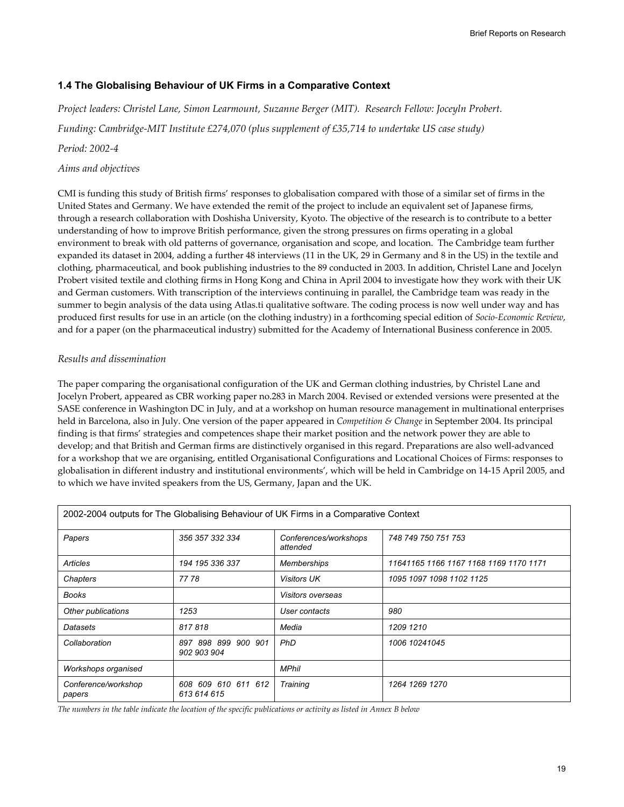## **1.4 The Globalising Behaviour of UK Firms in a Comparative Context**

*Project leaders: Christel Lane, Simon Learmount, Suzanne Berger (MIT). Research Fellow: Joceyln Probert.* 

*Funding: Cambridge-MIT Institute £274,070 (plus supplement of £35,714 to undertake US case study)* 

## *Period: 2002-4*

## *Aims and objectives*

CMI is funding this study of British firms' responses to globalisation compared with those of a similar set of firms in the United States and Germany. We have extended the remit of the project to include an equivalent set of Japanese firms, through a research collaboration with Doshisha University, Kyoto. The objective of the research is to contribute to a better understanding of how to improve British performance, given the strong pressures on firms operating in a global environment to break with old patterns of governance, organisation and scope, and location. The Cambridge team further expanded its dataset in 2004, adding a further 48 interviews (11 in the UK, 29 in Germany and 8 in the US) in the textile and clothing, pharmaceutical, and book publishing industries to the 89 conducted in 2003. In addition, Christel Lane and Jocelyn Probert visited textile and clothing firms in Hong Kong and China in April 2004 to investigate how they work with their UK and German customers. With transcription of the interviews continuing in parallel, the Cambridge team was ready in the summer to begin analysis of the data using Atlas.ti qualitative software. The coding process is now well under way and has produced first results for use in an article (on the clothing industry) in a forthcoming special edition of *Socio-Economic Review*, and for a paper (on the pharmaceutical industry) submitted for the Academy of International Business conference in 2005.

## *Results and dissemination*

The paper comparing the organisational configuration of the UK and German clothing industries, by Christel Lane and Jocelyn Probert, appeared as CBR working paper no.283 in March 2004. Revised or extended versions were presented at the SASE conference in Washington DC in July, and at a workshop on human resource management in multinational enterprises held in Barcelona, also in July. One version of the paper appeared in *Competition & Change* in September 2004. Its principal finding is that firms' strategies and competences shape their market position and the network power they are able to develop; and that British and German firms are distinctively organised in this regard. Preparations are also well-advanced for a workshop that we are organising, entitled Organisational Configurations and Locational Choices of Firms: responses to globalisation in different industry and institutional environments', which will be held in Cambridge on 14-15 April 2005, and to which we have invited speakers from the US, Germany, Japan and the UK.

| 2002-2004 outputs for The Globalising Behaviour of UK Firms in a Comparative Context |                                    |                                   |                                        |  |
|--------------------------------------------------------------------------------------|------------------------------------|-----------------------------------|----------------------------------------|--|
| Papers                                                                               | 356 357 332 334                    | Conferences/workshops<br>attended | 748 749 750 751 753                    |  |
| Articles                                                                             | 194 195 336 337                    | <b>Memberships</b>                | 11641165 1166 1167 1168 1169 1170 1171 |  |
| Chapters                                                                             | 7778                               | <b>Visitors UK</b>                | 1095 1097 1098 1102 1125               |  |
| <b>Books</b>                                                                         |                                    | <i>Visitors overseas</i>          |                                        |  |
| Other publications                                                                   | 1253                               | User contacts                     | 980                                    |  |
| Datasets                                                                             | 817818                             | Media                             | 1209 1210                              |  |
| Collaboration                                                                        | 897 898 899 900 901<br>902 903 904 | <b>PhD</b>                        | 1006 10241045                          |  |
| Workshops organised                                                                  |                                    | <b>MPhil</b>                      |                                        |  |
| Conference/workshop<br>papers                                                        | 608 609 610 611 612<br>613 614 615 | Training                          | 1264 1269 1270                         |  |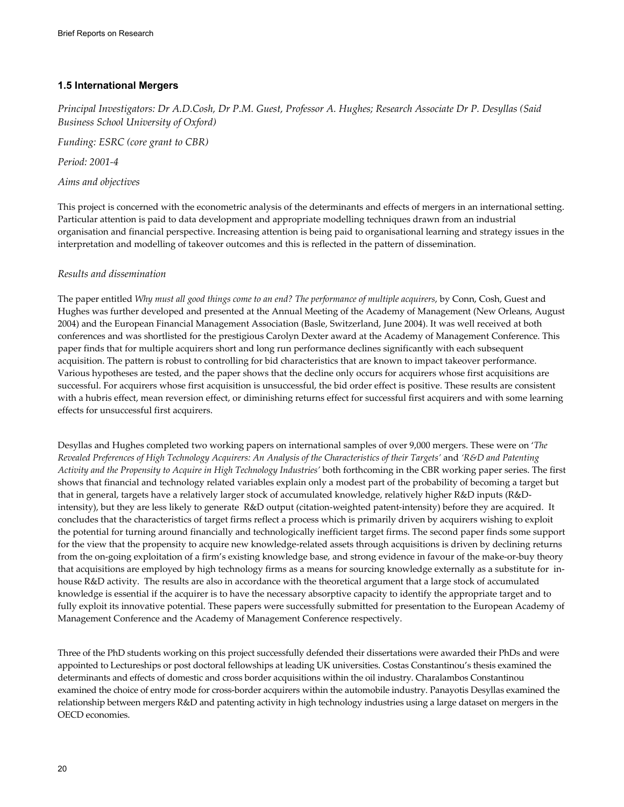## **1.5 International Mergers**

*Principal Investigators: Dr A.D.Cosh, Dr P.M. Guest, Professor A. Hughes; Research Associate Dr P. Desyllas (Said Business School University of Oxford)* 

*Funding: ESRC (core grant to CBR)* 

*Period: 2001-4* 

*Aims and objectives* 

This project is concerned with the econometric analysis of the determinants and effects of mergers in an international setting. Particular attention is paid to data development and appropriate modelling techniques drawn from an industrial organisation and financial perspective. Increasing attention is being paid to organisational learning and strategy issues in the interpretation and modelling of takeover outcomes and this is reflected in the pattern of dissemination.

## *Results and dissemination*

The paper entitled *Why must all good things come to an end? The performance of multiple acquirers*, by Conn, Cosh, Guest and Hughes was further developed and presented at the Annual Meeting of the Academy of Management (New Orleans, August 2004) and the European Financial Management Association (Basle, Switzerland, June 2004). It was well received at both conferences and was shortlisted for the prestigious Carolyn Dexter award at the Academy of Management Conference. This paper finds that for multiple acquirers short and long run performance declines significantly with each subsequent acquisition. The pattern is robust to controlling for bid characteristics that are known to impact takeover performance. Various hypotheses are tested, and the paper shows that the decline only occurs for acquirers whose first acquisitions are successful. For acquirers whose first acquisition is unsuccessful, the bid order effect is positive. These results are consistent with a hubris effect, mean reversion effect, or diminishing returns effect for successful first acquirers and with some learning effects for unsuccessful first acquirers.

Desyllas and Hughes completed two working papers on international samples of over 9,000 mergers. These were on '*The Revealed Preferences of High Technology Acquirers: An Analysis of the Characteristics of their Targets'* and *'R&D and Patenting Activity and the Propensity to Acquire in High Technology Industries'* both forthcoming in the CBR working paper series. The first shows that financial and technology related variables explain only a modest part of the probability of becoming a target but that in general, targets have a relatively larger stock of accumulated knowledge, relatively higher R&D inputs (R&Dintensity), but they are less likely to generate R&D output (citation-weighted patent-intensity) before they are acquired. It concludes that the characteristics of target firms reflect a process which is primarily driven by acquirers wishing to exploit the potential for turning around financially and technologically inefficient target firms. The second paper finds some support for the view that the propensity to acquire new knowledge-related assets through acquisitions is driven by declining returns from the on-going exploitation of a firm's existing knowledge base, and strong evidence in favour of the make-or-buy theory that acquisitions are employed by high technology firms as a means for sourcing knowledge externally as a substitute for inhouse R&D activity. The results are also in accordance with the theoretical argument that a large stock of accumulated knowledge is essential if the acquirer is to have the necessary absorptive capacity to identify the appropriate target and to fully exploit its innovative potential. These papers were successfully submitted for presentation to the European Academy of Management Conference and the Academy of Management Conference respectively.

Three of the PhD students working on this project successfully defended their dissertations were awarded their PhDs and were appointed to Lectureships or post doctoral fellowships at leading UK universities. Costas Constantinou's thesis examined the determinants and effects of domestic and cross border acquisitions within the oil industry. Charalambos Constantinou examined the choice of entry mode for cross-border acquirers within the automobile industry. Panayotis Desyllas examined the relationship between mergers R&D and patenting activity in high technology industries using a large dataset on mergers in the OECD economies.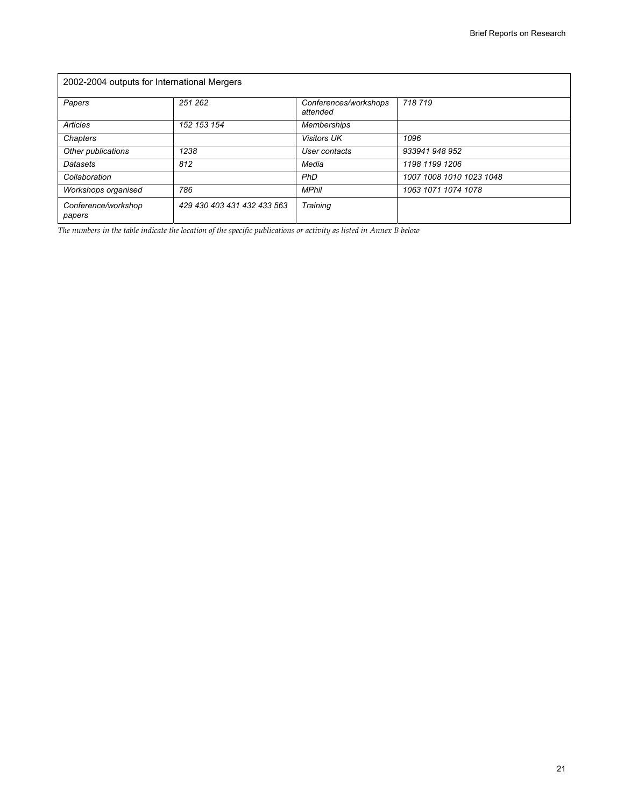| 2002-2004 outputs for International Mergers |                             |                                   |                          |  |
|---------------------------------------------|-----------------------------|-----------------------------------|--------------------------|--|
| Papers                                      | 251 262                     | Conferences/workshops<br>attended | 718719                   |  |
| <b>Articles</b>                             | 152 153 154                 | <b>Memberships</b>                |                          |  |
| Chapters                                    |                             | <b>Visitors UK</b>                | 1096                     |  |
| Other publications                          | 1238                        | User contacts                     | 933941 948 952           |  |
| Datasets                                    | 812                         | Media                             | 1198 1199 1206           |  |
| Collaboration                               |                             | PhD                               | 1007 1008 1010 1023 1048 |  |
| Workshops organised                         | 786                         | <b>MPhil</b>                      | 1063 1071 1074 1078      |  |
| Conference/workshop<br>papers               | 429 430 403 431 432 433 563 | Training                          |                          |  |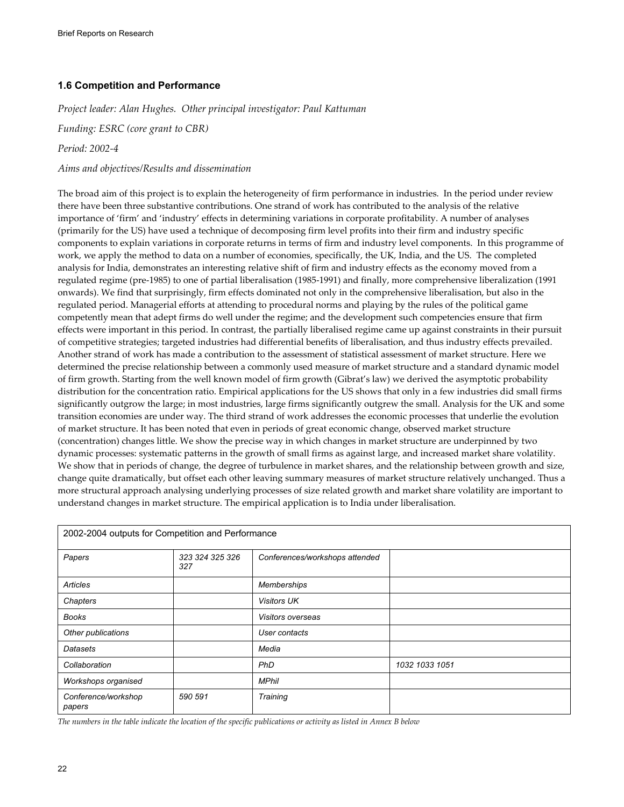## **1.6 Competition and Performance**

*Project leader: Alan Hughes. Other principal investigator: Paul Kattuman* 

*Funding: ESRC (core grant to CBR)* 

*Period: 2002-4* 

### *Aims and objectives/Results and dissemination*

The broad aim of this project is to explain the heterogeneity of firm performance in industries. In the period under review there have been three substantive contributions. One strand of work has contributed to the analysis of the relative importance of 'firm' and 'industry' effects in determining variations in corporate profitability. A number of analyses (primarily for the US) have used a technique of decomposing firm level profits into their firm and industry specific components to explain variations in corporate returns in terms of firm and industry level components. In this programme of work, we apply the method to data on a number of economies, specifically, the UK, India, and the US. The completed analysis for India, demonstrates an interesting relative shift of firm and industry effects as the economy moved from a regulated regime (pre-1985) to one of partial liberalisation (1985-1991) and finally, more comprehensive liberalization (1991 onwards). We find that surprisingly, firm effects dominated not only in the comprehensive liberalisation, but also in the regulated period. Managerial efforts at attending to procedural norms and playing by the rules of the political game competently mean that adept firms do well under the regime; and the development such competencies ensure that firm effects were important in this period. In contrast, the partially liberalised regime came up against constraints in their pursuit of competitive strategies; targeted industries had differential benefits of liberalisation, and thus industry effects prevailed. Another strand of work has made a contribution to the assessment of statistical assessment of market structure. Here we determined the precise relationship between a commonly used measure of market structure and a standard dynamic model of firm growth. Starting from the well known model of firm growth (Gibrat's law) we derived the asymptotic probability distribution for the concentration ratio. Empirical applications for the US shows that only in a few industries did small firms significantly outgrow the large; in most industries, large firms significantly outgrew the small. Analysis for the UK and some transition economies are under way. The third strand of work addresses the economic processes that underlie the evolution of market structure. It has been noted that even in periods of great economic change, observed market structure (concentration) changes little. We show the precise way in which changes in market structure are underpinned by two dynamic processes: systematic patterns in the growth of small firms as against large, and increased market share volatility. We show that in periods of change, the degree of turbulence in market shares, and the relationship between growth and size, change quite dramatically, but offset each other leaving summary measures of market structure relatively unchanged. Thus a more structural approach analysing underlying processes of size related growth and market share volatility are important to understand changes in market structure. The empirical application is to India under liberalisation.

| 2002-2004 outputs for Competition and Performance |                        |                                |                |  |
|---------------------------------------------------|------------------------|--------------------------------|----------------|--|
| Papers                                            | 323 324 325 326<br>327 | Conferences/workshops attended |                |  |
| Articles                                          |                        | <b>Memberships</b>             |                |  |
| Chapters                                          |                        | <b>Visitors UK</b>             |                |  |
| <b>Books</b>                                      |                        | Visitors overseas              |                |  |
| Other publications                                |                        | User contacts                  |                |  |
| Datasets                                          |                        | Media                          |                |  |
| Collaboration                                     |                        | PhD                            | 1032 1033 1051 |  |
| Workshops organised                               |                        | <b>MPhil</b>                   |                |  |
| Conference/workshop<br>papers                     | 590 591                | Training                       |                |  |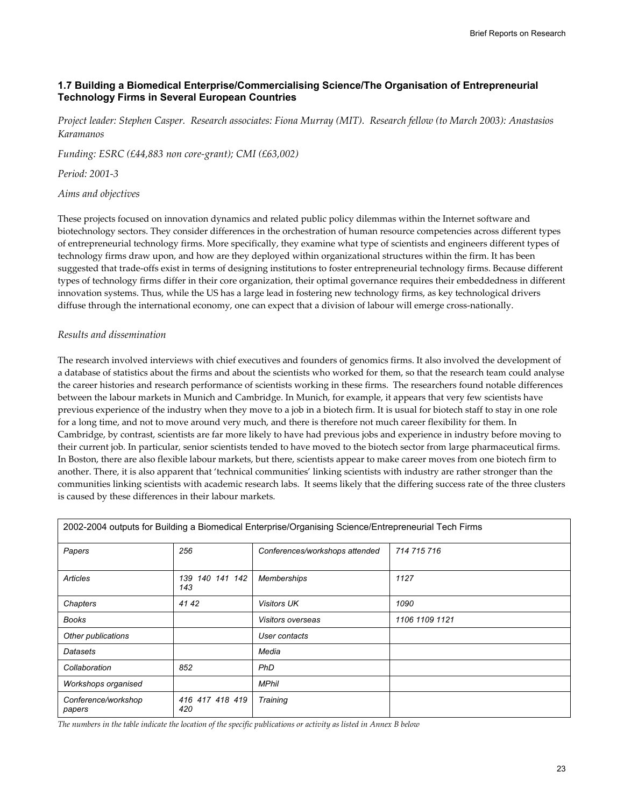## **1.7 Building a Biomedical Enterprise/Commercialising Science/The Organisation of Entrepreneurial Technology Firms in Several European Countries**

*Project leader: Stephen Casper. Research associates: Fiona Murray (MIT). Research fellow (to March 2003): Anastasios Karamanos* 

*Funding: ESRC (£44,883 non core-grant); CMI (£63,002)* 

*Period: 2001-3* 

*Aims and objectives* 

These projects focused on innovation dynamics and related public policy dilemmas within the Internet software and biotechnology sectors. They consider differences in the orchestration of human resource competencies across different types of entrepreneurial technology firms. More specifically, they examine what type of scientists and engineers different types of technology firms draw upon, and how are they deployed within organizational structures within the firm. It has been suggested that trade-offs exist in terms of designing institutions to foster entrepreneurial technology firms. Because different types of technology firms differ in their core organization, their optimal governance requires their embeddedness in different innovation systems. Thus, while the US has a large lead in fostering new technology firms, as key technological drivers diffuse through the international economy, one can expect that a division of labour will emerge cross-nationally.

### *Results and dissemination*

The research involved interviews with chief executives and founders of genomics firms. It also involved the development of a database of statistics about the firms and about the scientists who worked for them, so that the research team could analyse the career histories and research performance of scientists working in these firms. The researchers found notable differences between the labour markets in Munich and Cambridge. In Munich, for example, it appears that very few scientists have previous experience of the industry when they move to a job in a biotech firm. It is usual for biotech staff to stay in one role for a long time, and not to move around very much, and there is therefore not much career flexibility for them. In Cambridge, by contrast, scientists are far more likely to have had previous jobs and experience in industry before moving to their current job. In particular, senior scientists tended to have moved to the biotech sector from large pharmaceutical firms. In Boston, there are also flexible labour markets, but there, scientists appear to make career moves from one biotech firm to another. There, it is also apparent that 'technical communities' linking scientists with industry are rather stronger than the communities linking scientists with academic research labs. It seems likely that the differing success rate of the three clusters is caused by these differences in their labour markets.

|                               |                           | 2002-2004 Outputs for Building a Biomedical Enterprise/Organismy Science/Entrepreneurial Tech Firms |                |
|-------------------------------|---------------------------|-----------------------------------------------------------------------------------------------------|----------------|
| Papers                        | 256                       | Conferences/workshops attended                                                                      | 714 715 716    |
| Articles                      | 140 141 142<br>139<br>143 | <b>Memberships</b>                                                                                  | 1127           |
| Chapters                      | 41 42                     | <b>Visitors UK</b>                                                                                  | 1090           |
| <b>Books</b>                  |                           | Visitors overseas                                                                                   | 1106 1109 1121 |
| Other publications            |                           | User contacts                                                                                       |                |
| Datasets                      |                           | Media                                                                                               |                |
| Collaboration                 | 852                       | <b>PhD</b>                                                                                          |                |
| Workshops organised           |                           | <b>MPhil</b>                                                                                        |                |
| Conference/workshop<br>papers | 416 417 418 419<br>420    | Training                                                                                            |                |

2002-2004 outputs for Building a Biomedical Enterprise/Organising Science/Entrepreneurial Tech Firms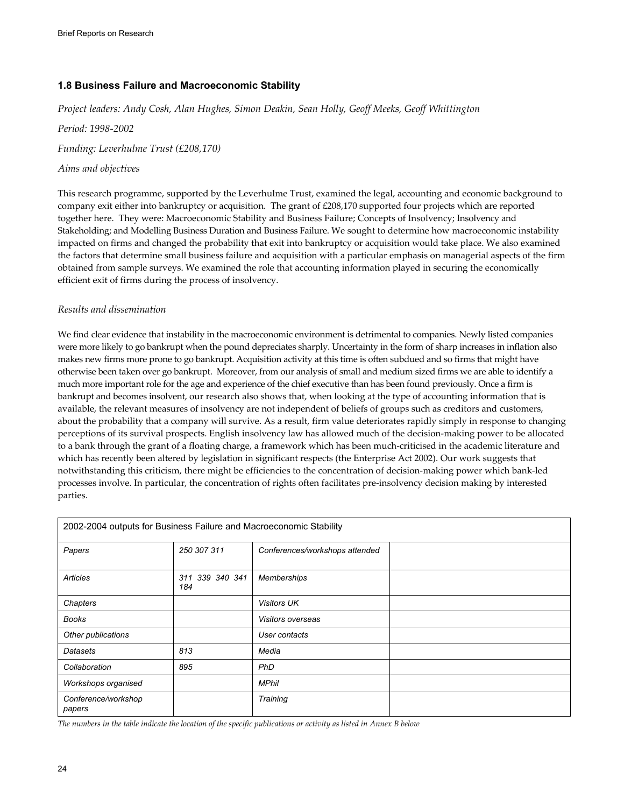## **1.8 Business Failure and Macroeconomic Stability**

*Project leaders: Andy Cosh, Alan Hughes, Simon Deakin, Sean Holly, Geoff Meeks, Geoff Whittington* 

*Period: 1998-2002* 

*Funding: Leverhulme Trust (£208,170)* 

## *Aims and objectives*

This research programme, supported by the Leverhulme Trust, examined the legal, accounting and economic background to company exit either into bankruptcy or acquisition. The grant of £208,170 supported four projects which are reported together here. They were: Macroeconomic Stability and Business Failure; Concepts of Insolvency; Insolvency and Stakeholding; and Modelling Business Duration and Business Failure. We sought to determine how macroeconomic instability impacted on firms and changed the probability that exit into bankruptcy or acquisition would take place. We also examined the factors that determine small business failure and acquisition with a particular emphasis on managerial aspects of the firm obtained from sample surveys. We examined the role that accounting information played in securing the economically efficient exit of firms during the process of insolvency.

### *Results and dissemination*

We find clear evidence that instability in the macroeconomic environment is detrimental to companies. Newly listed companies were more likely to go bankrupt when the pound depreciates sharply. Uncertainty in the form of sharp increases in inflation also makes new firms more prone to go bankrupt. Acquisition activity at this time is often subdued and so firms that might have otherwise been taken over go bankrupt. Moreover, from our analysis of small and medium sized firms we are able to identify a much more important role for the age and experience of the chief executive than has been found previously. Once a firm is bankrupt and becomes insolvent, our research also shows that, when looking at the type of accounting information that is available, the relevant measures of insolvency are not independent of beliefs of groups such as creditors and customers, about the probability that a company will survive. As a result, firm value deteriorates rapidly simply in response to changing perceptions of its survival prospects. English insolvency law has allowed much of the decision-making power to be allocated to a bank through the grant of a floating charge, a framework which has been much-criticised in the academic literature and which has recently been altered by legislation in significant respects (the Enterprise Act 2002). Our work suggests that notwithstanding this criticism, there might be efficiencies to the concentration of decision-making power which bank-led processes involve. In particular, the concentration of rights often facilitates pre-insolvency decision making by interested parties.

| 2002-2004 outputs for Business Failure and Macroeconomic Stability |                           |                                |  |
|--------------------------------------------------------------------|---------------------------|--------------------------------|--|
| Papers                                                             | 250 307 311               | Conferences/workshops attended |  |
| <b>Articles</b>                                                    | 339 340 341<br>311<br>184 | <b>Memberships</b>             |  |
| Chapters                                                           |                           | <b>Visitors UK</b>             |  |
| Books                                                              |                           | Visitors overseas              |  |
| Other publications                                                 |                           | User contacts                  |  |
| Datasets                                                           | 813                       | Media                          |  |
| Collaboration                                                      | 895                       | PhD                            |  |
| Workshops organised                                                |                           | <b>MPhil</b>                   |  |
| Conference/workshop<br>papers                                      |                           | Training                       |  |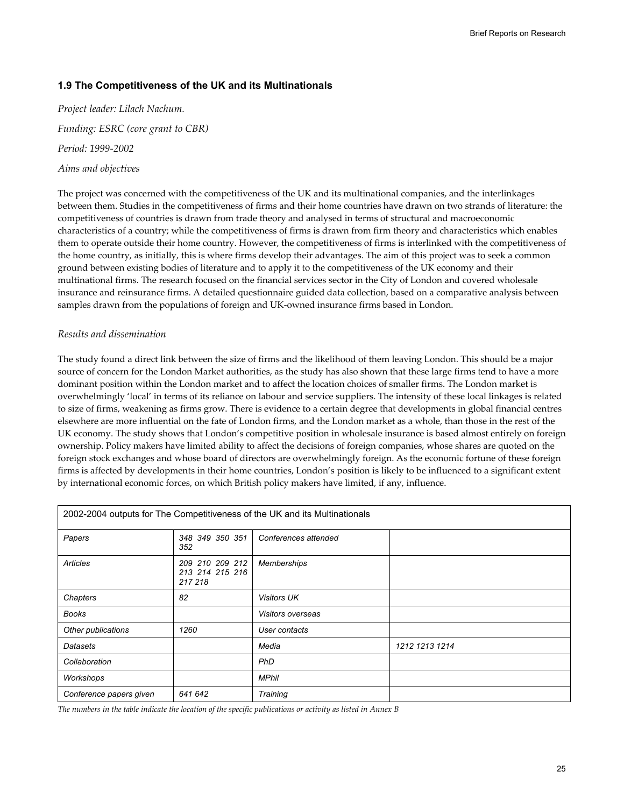## **1.9 The Competitiveness of the UK and its Multinationals**

*Project leader: Lilach Nachum. Funding: ESRC (core grant to CBR) Period: 1999-2002 Aims and objectives* 

The project was concerned with the competitiveness of the UK and its multinational companies, and the interlinkages between them. Studies in the competitiveness of firms and their home countries have drawn on two strands of literature: the competitiveness of countries is drawn from trade theory and analysed in terms of structural and macroeconomic characteristics of a country; while the competitiveness of firms is drawn from firm theory and characteristics which enables them to operate outside their home country. However, the competitiveness of firms is interlinked with the competitiveness of the home country, as initially, this is where firms develop their advantages. The aim of this project was to seek a common ground between existing bodies of literature and to apply it to the competitiveness of the UK economy and their multinational firms. The research focused on the financial services sector in the City of London and covered wholesale insurance and reinsurance firms. A detailed questionnaire guided data collection, based on a comparative analysis between samples drawn from the populations of foreign and UK-owned insurance firms based in London.

### *Results and dissemination*

The study found a direct link between the size of firms and the likelihood of them leaving London. This should be a major source of concern for the London Market authorities, as the study has also shown that these large firms tend to have a more dominant position within the London market and to affect the location choices of smaller firms. The London market is overwhelmingly 'local' in terms of its reliance on labour and service suppliers. The intensity of these local linkages is related to size of firms, weakening as firms grow. There is evidence to a certain degree that developments in global financial centres elsewhere are more influential on the fate of London firms, and the London market as a whole, than those in the rest of the UK economy. The study shows that London's competitive position in wholesale insurance is based almost entirely on foreign ownership. Policy makers have limited ability to affect the decisions of foreign companies, whose shares are quoted on the foreign stock exchanges and whose board of directors are overwhelmingly foreign. As the economic fortune of these foreign firms is affected by developments in their home countries, London's position is likely to be influenced to a significant extent by international economic forces, on which British policy makers have limited, if any, influence.

| 2002-2004 outputs for The Competitiveness of the UK and its Multinationals |                                               |                      |                |  |
|----------------------------------------------------------------------------|-----------------------------------------------|----------------------|----------------|--|
| Papers                                                                     | 348 349 350 351<br>352                        | Conferences attended |                |  |
| Articles                                                                   | 209 210 209 212<br>213 214 215 216<br>217 218 | <b>Memberships</b>   |                |  |
| Chapters                                                                   | 82                                            | <b>Visitors UK</b>   |                |  |
| <b>Books</b>                                                               |                                               | Visitors overseas    |                |  |
| Other publications                                                         | 1260                                          | User contacts        |                |  |
| Datasets                                                                   |                                               | Media                | 1212 1213 1214 |  |
| Collaboration                                                              |                                               | PhD                  |                |  |
| Workshops                                                                  |                                               | <b>MPhil</b>         |                |  |
| Conference papers given                                                    | 641 642                                       | Training             |                |  |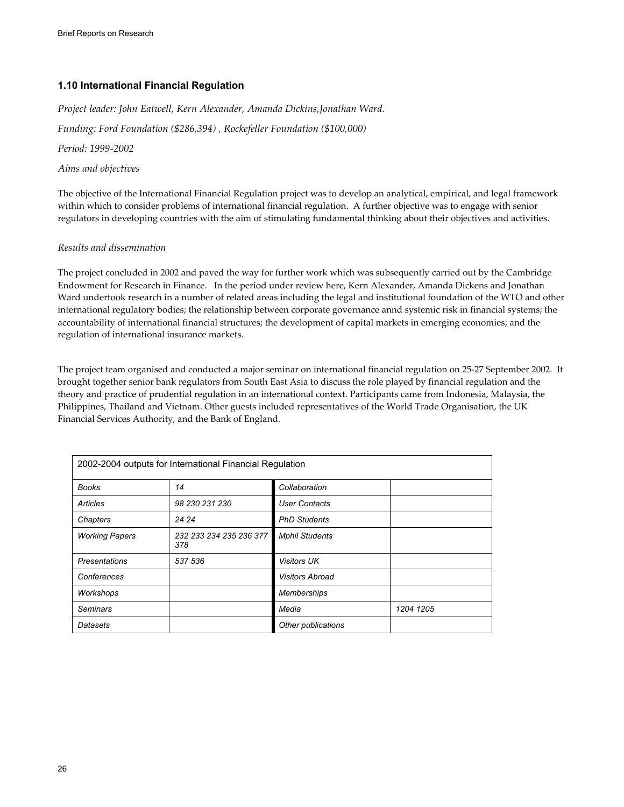## **1.10 International Financial Regulation**

*Project leader: John Eatwell, Kern Alexander, Amanda Dickins,Jonathan Ward. Funding: Ford Foundation (\$286,394) , Rockefeller Foundation (\$100,000) Period: 1999-2002 Aims and objectives* 

The objective of the International Financial Regulation project was to develop an analytical, empirical, and legal framework within which to consider problems of international financial regulation. A further objective was to engage with senior regulators in developing countries with the aim of stimulating fundamental thinking about their objectives and activities.

### *Results and dissemination*

The project concluded in 2002 and paved the way for further work which was subsequently carried out by the Cambridge Endowment for Research in Finance. In the period under review here, Kern Alexander, Amanda Dickens and Jonathan Ward undertook research in a number of related areas including the legal and institutional foundation of the WTO and other international regulatory bodies; the relationship between corporate governance annd systemic risk in financial systems; the accountability of international financial structures; the development of capital markets in emerging economies; and the regulation of international insurance markets.

The project team organised and conducted a major seminar on international financial regulation on 25-27 September 2002. It brought together senior bank regulators from South East Asia to discuss the role played by financial regulation and the theory and practice of prudential regulation in an international context. Participants came from Indonesia, Malaysia, the Philippines, Thailand and Vietnam. Other guests included representatives of the World Trade Organisation, the UK Financial Services Authority, and the Bank of England.

| 2002-2004 outputs for International Financial Regulation |                                |                        |           |  |
|----------------------------------------------------------|--------------------------------|------------------------|-----------|--|
| <b>Books</b>                                             | 14                             | Collaboration          |           |  |
| <b>Articles</b>                                          | 98 230 231 230                 | <b>User Contacts</b>   |           |  |
| Chapters                                                 | 24 24                          | <b>PhD Students</b>    |           |  |
| <b>Working Papers</b>                                    | 232 233 234 235 236 377<br>378 | <b>Mphil Students</b>  |           |  |
| <b>Presentations</b>                                     | 537 536                        | <b>Visitors UK</b>     |           |  |
| Conferences                                              |                                | <b>Visitors Abroad</b> |           |  |
| Workshops                                                |                                | <b>Memberships</b>     |           |  |
| <b>Seminars</b>                                          |                                | Media                  | 1204 1205 |  |
| Datasets                                                 |                                | Other publications     |           |  |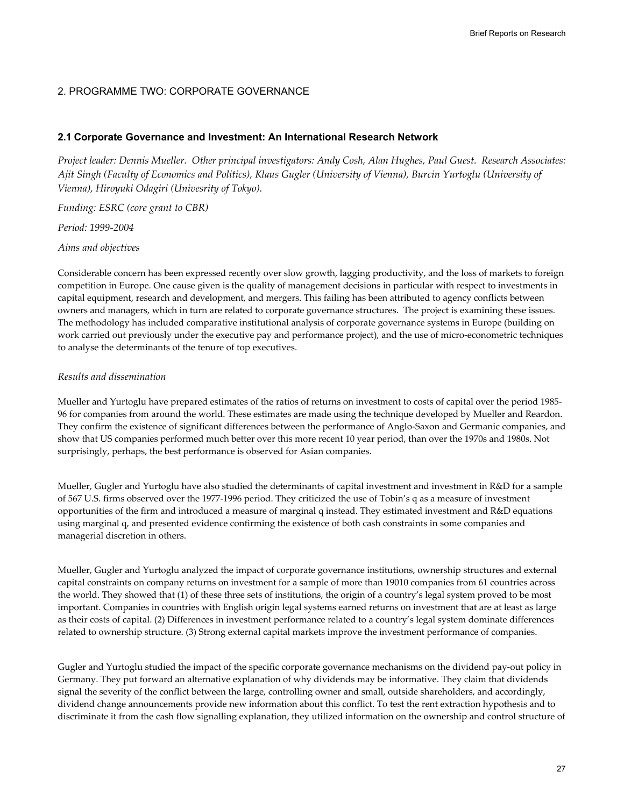## 2. PROGRAMME TWO: CORPORATE GOVERNANCE

### **2.1 Corporate Governance and Investment: An International Research Network**

*Project leader: Dennis Mueller. Other principal investigators: Andy Cosh, Alan Hughes, Paul Guest. Research Associates: Ajit Singh (Faculty of Economics and Politics), Klaus Gugler (University of Vienna), Burcin Yurtoglu (University of Vienna), Hiroyuki Odagiri (Univesrity of Tokyo).* 

*Funding: ESRC (core grant to CBR)* 

*Period: 1999-2004* 

*Aims and objectives* 

Considerable concern has been expressed recently over slow growth, lagging productivity, and the loss of markets to foreign competition in Europe. One cause given is the quality of management decisions in particular with respect to investments in capital equipment, research and development, and mergers. This failing has been attributed to agency conflicts between owners and managers, which in turn are related to corporate governance structures. The project is examining these issues. The methodology has included comparative institutional analysis of corporate governance systems in Europe (building on work carried out previously under the executive pay and performance project), and the use of micro-econometric techniques to analyse the determinants of the tenure of top executives.

### *Results and dissemination*

Mueller and Yurtoglu have prepared estimates of the ratios of returns on investment to costs of capital over the period 1985- 96 for companies from around the world. These estimates are made using the technique developed by Mueller and Reardon. They confirm the existence of significant differences between the performance of Anglo-Saxon and Germanic companies, and show that US companies performed much better over this more recent 10 year period, than over the 1970s and 1980s. Not surprisingly, perhaps, the best performance is observed for Asian companies.

Mueller, Gugler and Yurtoglu have also studied the determinants of capital investment and investment in R&D for a sample of 567 U.S. firms observed over the 1977-1996 period. They criticized the use of Tobin's q as a measure of investment opportunities of the firm and introduced a measure of marginal q instead. They estimated investment and R&D equations using marginal q, and presented evidence confirming the existence of both cash constraints in some companies and managerial discretion in others.

Mueller, Gugler and Yurtoglu analyzed the impact of corporate governance institutions, ownership structures and external capital constraints on company returns on investment for a sample of more than 19010 companies from 61 countries across the world. They showed that (1) of these three sets of institutions, the origin of a country's legal system proved to be most important. Companies in countries with English origin legal systems earned returns on investment that are at least as large as their costs of capital. (2) Differences in investment performance related to a country's legal system dominate differences related to ownership structure. (3) Strong external capital markets improve the investment performance of companies.

Gugler and Yurtoglu studied the impact of the specific corporate governance mechanisms on the dividend pay-out policy in Germany. They put forward an alternative explanation of why dividends may be informative. They claim that dividends signal the severity of the conflict between the large, controlling owner and small, outside shareholders, and accordingly, dividend change announcements provide new information about this conflict. To test the rent extraction hypothesis and to discriminate it from the cash flow signalling explanation, they utilized information on the ownership and control structure of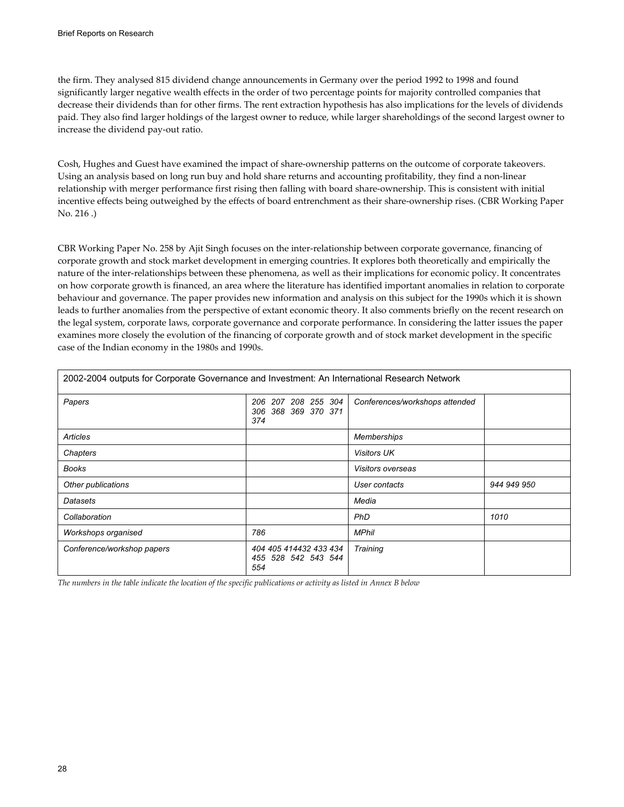the firm. They analysed 815 dividend change announcements in Germany over the period 1992 to 1998 and found significantly larger negative wealth effects in the order of two percentage points for majority controlled companies that decrease their dividends than for other firms. The rent extraction hypothesis has also implications for the levels of dividends paid. They also find larger holdings of the largest owner to reduce, while larger shareholdings of the second largest owner to increase the dividend pay-out ratio.

Cosh, Hughes and Guest have examined the impact of share-ownership patterns on the outcome of corporate takeovers. Using an analysis based on long run buy and hold share returns and accounting profitability, they find a non-linear relationship with merger performance first rising then falling with board share-ownership. This is consistent with initial incentive effects being outweighed by the effects of board entrenchment as their share-ownership rises. (CBR Working Paper No. 216 .)

CBR Working Paper No. 258 by Ajit Singh focuses on the inter-relationship between corporate governance, financing of corporate growth and stock market development in emerging countries. It explores both theoretically and empirically the nature of the inter-relationships between these phenomena, as well as their implications for economic policy. It concentrates on how corporate growth is financed, an area where the literature has identified important anomalies in relation to corporate behaviour and governance. The paper provides new information and analysis on this subject for the 1990s which it is shown leads to further anomalies from the perspective of extant economic theory. It also comments briefly on the recent research on the legal system, corporate laws, corporate governance and corporate performance. In considering the latter issues the paper examines more closely the evolution of the financing of corporate growth and of stock market development in the specific case of the Indian economy in the 1980s and 1990s.

| Papers                     | 206 207 208 255 304<br>306 368 369 370 371<br>374    | Conferences/workshops attended |             |
|----------------------------|------------------------------------------------------|--------------------------------|-------------|
| Articles                   |                                                      | Memberships                    |             |
| Chapters                   |                                                      | <b>Visitors UK</b>             |             |
| Books                      |                                                      | Visitors overseas              |             |
| Other publications         |                                                      | User contacts                  | 944 949 950 |
| Datasets                   |                                                      | Media                          |             |
| Collaboration              |                                                      | PhD                            | 1010        |
| Workshops organised        | 786                                                  | <b>MPhil</b>                   |             |
| Conference/workshop papers | 404 405 414432 433 434<br>455 528 542 543 544<br>554 | Training                       |             |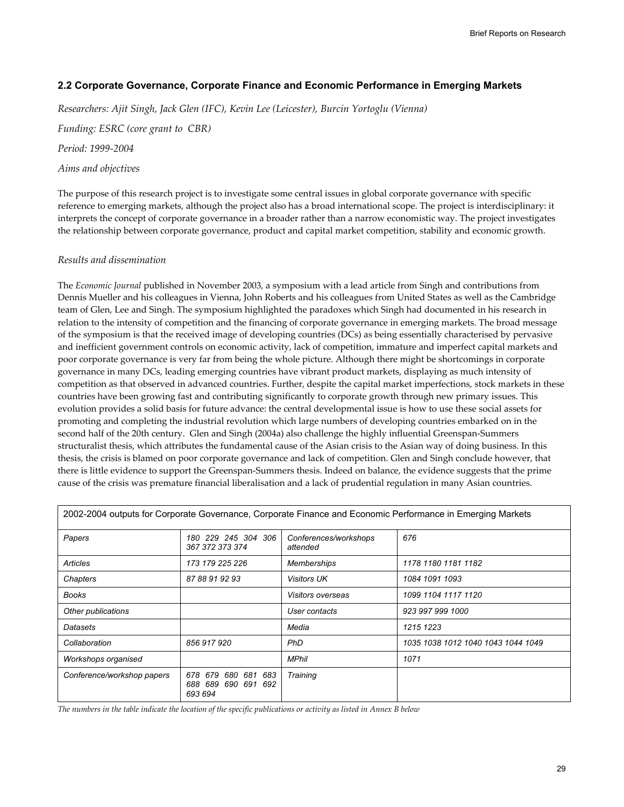## **2.2 Corporate Governance, Corporate Finance and Economic Performance in Emerging Markets**

*Researchers: Ajit Singh, Jack Glen (IFC), Kevin Lee (Leicester), Burcin Yortoglu (Vienna)* 

*Funding: ESRC (core grant to CBR)* 

*Period: 1999-2004* 

### *Aims and objectives*

The purpose of this research project is to investigate some central issues in global corporate governance with specific reference to emerging markets, although the project also has a broad international scope. The project is interdisciplinary: it interprets the concept of corporate governance in a broader rather than a narrow economistic way. The project investigates the relationship between corporate governance, product and capital market competition, stability and economic growth.

### *Results and dissemination*

The *Economic Journal* published in November 2003, a symposium with a lead article from Singh and contributions from Dennis Mueller and his colleagues in Vienna, John Roberts and his colleagues from United States as well as the Cambridge team of Glen, Lee and Singh. The symposium highlighted the paradoxes which Singh had documented in his research in relation to the intensity of competition and the financing of corporate governance in emerging markets. The broad message of the symposium is that the received image of developing countries (DCs) as being essentially characterised by pervasive and inefficient government controls on economic activity, lack of competition, immature and imperfect capital markets and poor corporate governance is very far from being the whole picture. Although there might be shortcomings in corporate governance in many DCs, leading emerging countries have vibrant product markets, displaying as much intensity of competition as that observed in advanced countries. Further, despite the capital market imperfections, stock markets in these countries have been growing fast and contributing significantly to corporate growth through new primary issues. This evolution provides a solid basis for future advance: the central developmental issue is how to use these social assets for promoting and completing the industrial revolution which large numbers of developing countries embarked on in the second half of the 20th century. Glen and Singh (2004a) also challenge the highly influential Greenspan-Summers structuralist thesis, which attributes the fundamental cause of the Asian crisis to the Asian way of doing business. In this thesis, the crisis is blamed on poor corporate governance and lack of competition. Glen and Singh conclude however, that there is little evidence to support the Greenspan-Summers thesis. Indeed on balance, the evidence suggests that the prime cause of the crisis was premature financial liberalisation and a lack of prudential regulation in many Asian countries.

|                            |                                                                |                                   | 2002-2004 outputs for Corporate Governance, Corporate Finance and Economic Performance in Emerging Markets |
|----------------------------|----------------------------------------------------------------|-----------------------------------|------------------------------------------------------------------------------------------------------------|
| Papers                     | 180 229 245 304 306<br>367 372 373 374                         | Conferences/workshops<br>attended | 676                                                                                                        |
| Articles                   | 173 179 225 226                                                | <b>Memberships</b>                | 1178 1180 1181 1182                                                                                        |
| Chapters                   | 87 88 91 92 93                                                 | <b>Visitors UK</b>                | 1084 1091 1093                                                                                             |
| Books                      |                                                                | <i>Visitors overseas</i>          | 1099 1104 1117 1120                                                                                        |
| Other publications         |                                                                | User contacts                     | 923 997 999 1000                                                                                           |
| Datasets                   |                                                                | Media                             | 1215 1223                                                                                                  |
| Collaboration              | 856 917 920                                                    | <b>PhD</b>                        | 1035 1038 1012 1040 1043 1044 1049                                                                         |
| Workshops organised        |                                                                | <b>MPhil</b>                      | 1071                                                                                                       |
| Conference/workshop papers | 678 679<br>680 681<br>683<br>688 689<br>690 691 692<br>693 694 | Training                          |                                                                                                            |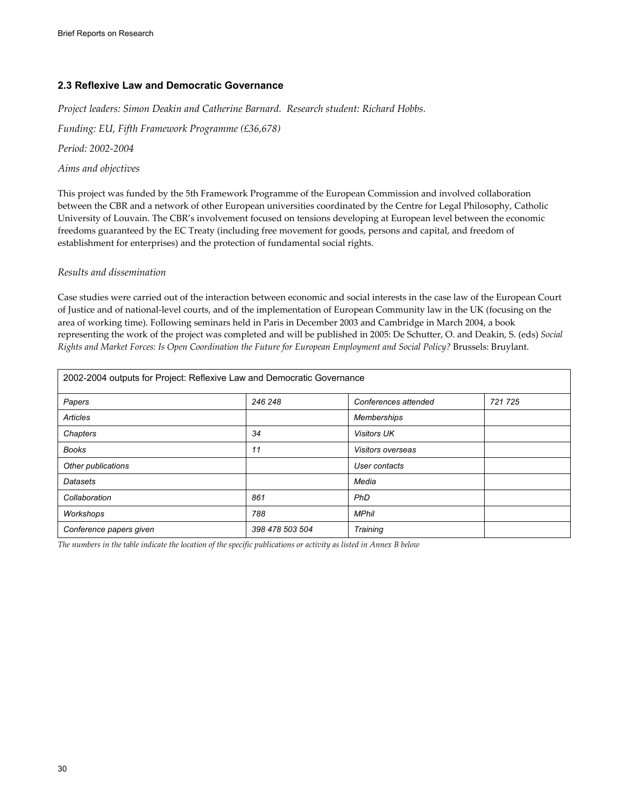## **2.3 Reflexive Law and Democratic Governance**

*Project leaders: Simon Deakin and Catherine Barnard. Research student: Richard Hobbs.* 

*Funding: EU, Fifth Framework Programme (£36,678)* 

*Period: 2002-2004* 

### *Aims and objectives*

This project was funded by the 5th Framework Programme of the European Commission and involved collaboration between the CBR and a network of other European universities coordinated by the Centre for Legal Philosophy, Catholic University of Louvain. The CBR's involvement focused on tensions developing at European level between the economic freedoms guaranteed by the EC Treaty (including free movement for goods, persons and capital, and freedom of establishment for enterprises) and the protection of fundamental social rights.

### *Results and dissemination*

Case studies were carried out of the interaction between economic and social interests in the case law of the European Court of Justice and of national-level courts, and of the implementation of European Community law in the UK (focusing on the area of working time). Following seminars held in Paris in December 2003 and Cambridge in March 2004, a book representing the work of the project was completed and will be published in 2005: De Schutter, O. and Deakin, S. (eds) *Social Rights and Market Forces: Is Open Coordination the Future for European Employment and Social Policy?* Brussels: Bruylant.

| 2002-2004 outputs for Project: Reflexive Law and Democratic Governance |                 |                      |         |
|------------------------------------------------------------------------|-----------------|----------------------|---------|
| Papers                                                                 | 246 248         | Conferences attended | 721 725 |
| Articles                                                               |                 | Memberships          |         |
| Chapters                                                               | 34              | <b>Visitors UK</b>   |         |
| <b>Books</b>                                                           | 11              | Visitors overseas    |         |
| Other publications                                                     |                 | User contacts        |         |
| Datasets                                                               |                 | Media                |         |
| Collaboration                                                          | 861             | PhD                  |         |
| Workshops                                                              | 788             | <b>MPhil</b>         |         |
| Conference papers given                                                | 398 478 503 504 | Training             |         |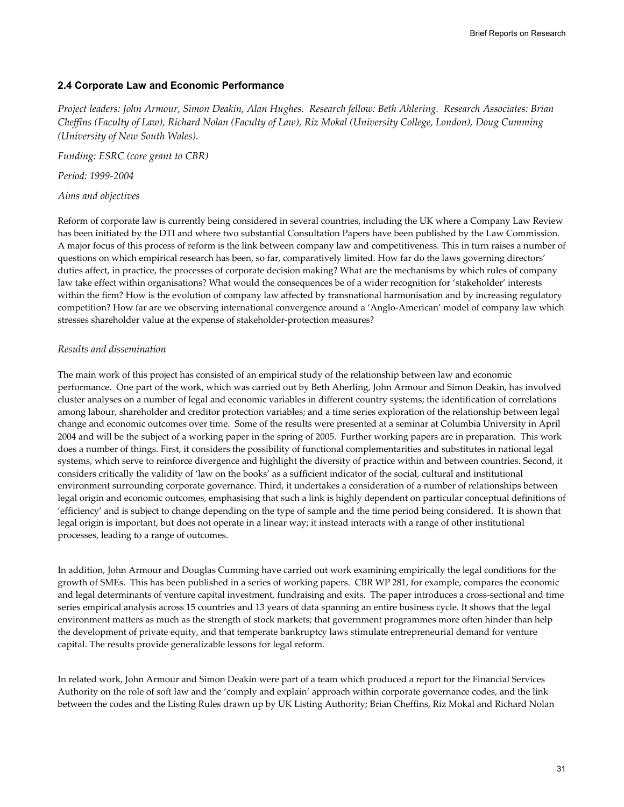### **2.4 Corporate Law and Economic Performance**

*Project leaders: John Armour, Simon Deakin, Alan Hughes. Research fellow: Beth Ahlering. Research Associates: Brian Cheffins (Faculty of Law), Richard Nolan (Faculty of Law), Riz Mokal (University College, London), Doug Cumming (University of New South Wales).* 

*Funding: ESRC (core grant to CBR)* 

*Period: 1999-2004* 

*Aims and objectives* 

Reform of corporate law is currently being considered in several countries, including the UK where a Company Law Review has been initiated by the DTI and where two substantial Consultation Papers have been published by the Law Commission. A major focus of this process of reform is the link between company law and competitiveness. This in turn raises a number of questions on which empirical research has been, so far, comparatively limited. How far do the laws governing directors' duties affect, in practice, the processes of corporate decision making? What are the mechanisms by which rules of company law take effect within organisations? What would the consequences be of a wider recognition for 'stakeholder' interests within the firm? How is the evolution of company law affected by transnational harmonisation and by increasing regulatory competition? How far are we observing international convergence around a 'Anglo-American' model of company law which stresses shareholder value at the expense of stakeholder-protection measures?

### *Results and dissemination*

The main work of this project has consisted of an empirical study of the relationship between law and economic performance. One part of the work, which was carried out by Beth Aherling, John Armour and Simon Deakin, has involved cluster analyses on a number of legal and economic variables in different country systems; the identification of correlations among labour, shareholder and creditor protection variables; and a time series exploration of the relationship between legal change and economic outcomes over time. Some of the results were presented at a seminar at Columbia University in April 2004 and will be the subject of a working paper in the spring of 2005. Further working papers are in preparation. This work does a number of things. First, it considers the possibility of functional complementarities and substitutes in national legal systems, which serve to reinforce divergence and highlight the diversity of practice within and between countries. Second, it considers critically the validity of 'law on the books' as a sufficient indicator of the social, cultural and institutional environment surrounding corporate governance. Third, it undertakes a consideration of a number of relationships between legal origin and economic outcomes, emphasising that such a link is highly dependent on particular conceptual definitions of 'efficiency' and is subject to change depending on the type of sample and the time period being considered. It is shown that legal origin is important, but does not operate in a linear way; it instead interacts with a range of other institutional processes, leading to a range of outcomes.

In addition, John Armour and Douglas Cumming have carried out work examining empirically the legal conditions for the growth of SMEs. This has been published in a series of working papers. CBR WP 281, for example, compares the economic and legal determinants of venture capital investment, fundraising and exits. The paper introduces a cross-sectional and time series empirical analysis across 15 countries and 13 years of data spanning an entire business cycle. It shows that the legal environment matters as much as the strength of stock markets; that government programmes more often hinder than help the development of private equity, and that temperate bankruptcy laws stimulate entrepreneurial demand for venture capital. The results provide generalizable lessons for legal reform.

In related work, John Armour and Simon Deakin were part of a team which produced a report for the Financial Services Authority on the role of soft law and the 'comply and explain' approach within corporate governance codes, and the link between the codes and the Listing Rules drawn up by UK Listing Authority; Brian Cheffins, Riz Mokal and Richard Nolan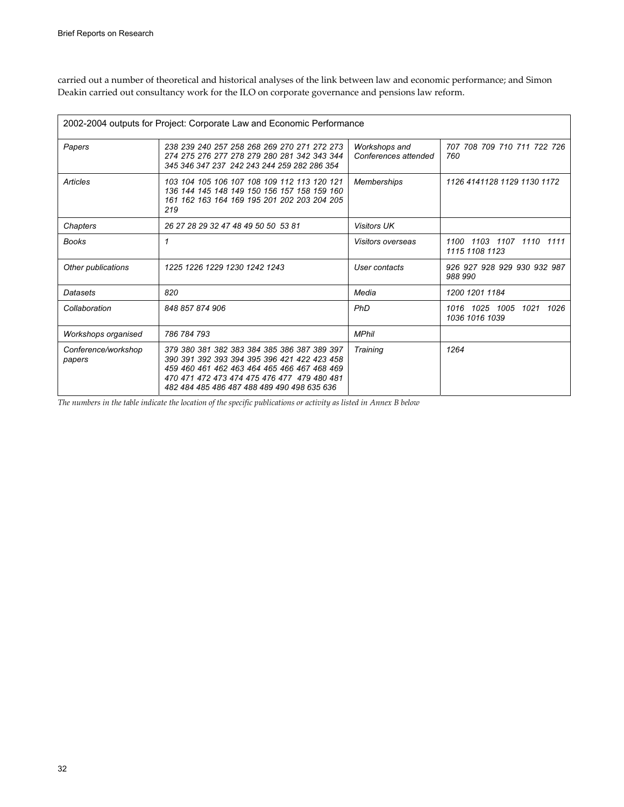carried out a number of theoretical and historical analyses of the link between law and economic performance; and Simon Deakin carried out consultancy work for the ILO on corporate governance and pensions law reform.

|                               | 2002-2004 outputs for Project: Corporate Law and Economic Performance                                                                                                                                                                   |                                       |                                               |
|-------------------------------|-----------------------------------------------------------------------------------------------------------------------------------------------------------------------------------------------------------------------------------------|---------------------------------------|-----------------------------------------------|
| Papers                        | 238 239 240 257 258 268 269 270 271 272 273<br>274 275 276 277 278 279 280 281 342 343 344<br>345 346 347 237 242 243 244 259 282 286 354                                                                                               | Workshops and<br>Conferences attended | 707 708 709 710 711 722 726<br>760            |
| Articles                      | 103 104 105 106 107 108 109 112 113 120 121<br>136 144 145 148 149 150 156 157 158 159 160<br>161 162 163 164 169 195 201 202 203 204 205<br>219                                                                                        | Memberships                           | 1126 4141128 1129 1130 1172                   |
| Chapters                      | 26 27 28 29 32 47 48 49 50 50 53 81                                                                                                                                                                                                     | <b>Visitors UK</b>                    |                                               |
| <b>Books</b>                  | 1                                                                                                                                                                                                                                       | <i>Visitors overseas</i>              | 1100 1103 1107 1110 1111<br>1115 1108 1123    |
| Other publications            | 1225 1226 1229 1230 1242 1243                                                                                                                                                                                                           | User contacts                         | 926 927 928 929 930 932 987<br>988 990        |
| Datasets                      | 820                                                                                                                                                                                                                                     | Media                                 | 1200 1201 1184                                |
| Collaboration                 | 848 857 874 906                                                                                                                                                                                                                         | <b>PhD</b>                            | 1016 1025 1005<br>1021 1026<br>1036 1016 1039 |
| Workshops organised           | 786 784 793                                                                                                                                                                                                                             | <b>MPhil</b>                          |                                               |
| Conference/workshop<br>papers | 379 380 381 382 383 384 385 386 387 389 397<br>390 391 392 393 394 395 396 421 422 423 458<br>459 460 461 462 463 464 465 466 467 468 469<br>470 471 472 473 474 475 476 477 479 480 481<br>482 484 485 486 487 488 489 490 498 635 636 | Training                              | 1264                                          |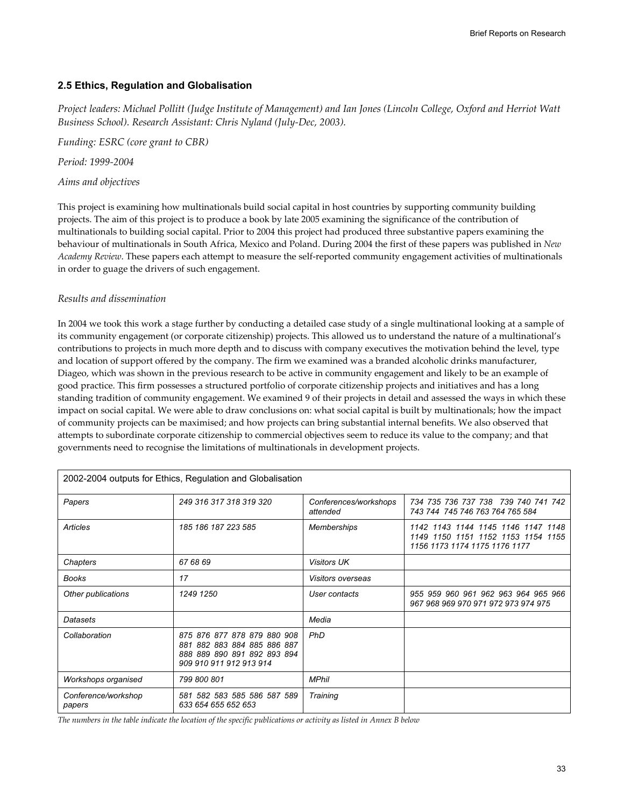## **2.5 Ethics, Regulation and Globalisation**

*Project leaders: Michael Pollitt (Judge Institute of Management) and Ian Jones (Lincoln College, Oxford and Herriot Watt Business School). Research Assistant: Chris Nyland (July-Dec, 2003).* 

*Funding: ESRC (core grant to CBR)* 

*Period: 1999-2004* 

## *Aims and objectives*

This project is examining how multinationals build social capital in host countries by supporting community building projects. The aim of this project is to produce a book by late 2005 examining the significance of the contribution of multinationals to building social capital. Prior to 2004 this project had produced three substantive papers examining the behaviour of multinationals in South Africa, Mexico and Poland. During 2004 the first of these papers was published in *New Academy Review*. These papers each attempt to measure the self-reported community engagement activities of multinationals in order to guage the drivers of such engagement.

### *Results and dissemination*

In 2004 we took this work a stage further by conducting a detailed case study of a single multinational looking at a sample of its community engagement (or corporate citizenship) projects. This allowed us to understand the nature of a multinational's contributions to projects in much more depth and to discuss with company executives the motivation behind the level, type and location of support offered by the company. The firm we examined was a branded alcoholic drinks manufacturer, Diageo, which was shown in the previous research to be active in community engagement and likely to be an example of good practice. This firm possesses a structured portfolio of corporate citizenship projects and initiatives and has a long standing tradition of community engagement. We examined 9 of their projects in detail and assessed the ways in which these impact on social capital. We were able to draw conclusions on: what social capital is built by multinationals; how the impact of community projects can be maximised; and how projects can bring substantial internal benefits. We also observed that attempts to subordinate corporate citizenship to commercial objectives seem to reduce its value to the company; and that governments need to recognise the limitations of multinationals in development projects.

|                               | 2002-2004 outputs for Ethics, Regulation and Globalisation                                                           |                                   |                                                                                                           |
|-------------------------------|----------------------------------------------------------------------------------------------------------------------|-----------------------------------|-----------------------------------------------------------------------------------------------------------|
| Papers                        | 249 316 317 318 319 320                                                                                              | Conferences/workshops<br>attended | 734 735 736 737 738 739 740 741 742<br>743 744 745 746 763 764 765 584                                    |
| <b>Articles</b>               | 185 186 187 223 585                                                                                                  | <b>Memberships</b>                | 1142 1143 1144 1145 1146 1147 1148<br>1149 1150 1151 1152 1153 1154 1155<br>1156 1173 1174 1175 1176 1177 |
| Chapters                      | 67 68 69                                                                                                             | <b>Visitors UK</b>                |                                                                                                           |
| Books                         | 17                                                                                                                   | Visitors overseas                 |                                                                                                           |
| Other publications            | 1249 1250                                                                                                            | User contacts                     | 955 959 960 961 962 963 964 965 966<br>967 968 969 970 971 972 973 974 975                                |
| Datasets                      |                                                                                                                      | Media                             |                                                                                                           |
| Collaboration                 | 875 876 877 878 879 880 908<br>881 882 883 884 885 886 887<br>888 889 890 891 892 893 894<br>909 910 911 912 913 914 | <b>PhD</b>                        |                                                                                                           |
| Workshops organised           | 799 800 801                                                                                                          | <b>MPhil</b>                      |                                                                                                           |
| Conference/workshop<br>papers | 581 582 583 585 586 587 589<br>633 654 655 652 653                                                                   | Training                          |                                                                                                           |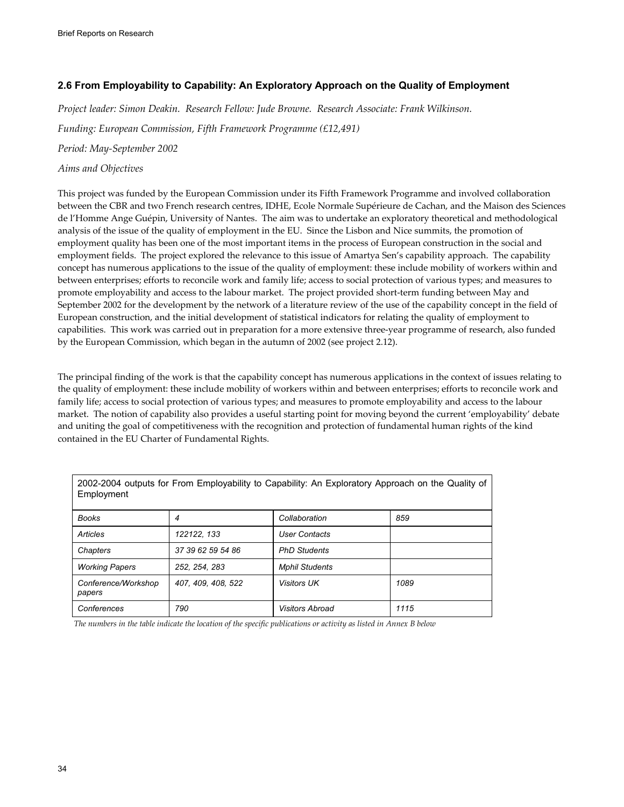# **2.6 From Employability to Capability: An Exploratory Approach on the Quality of Employment**

*Project leader: Simon Deakin. Research Fellow: Jude Browne. Research Associate: Frank Wilkinson.* 

*Funding: European Commission, Fifth Framework Programme (£12,491)* 

*Period: May-September 2002* 

### *Aims and Objectives*

This project was funded by the European Commission under its Fifth Framework Programme and involved collaboration between the CBR and two French research centres, IDHE, Ecole Normale Supérieure de Cachan, and the Maison des Sciences de l'Homme Ange Guépin, University of Nantes. The aim was to undertake an exploratory theoretical and methodological analysis of the issue of the quality of employment in the EU. Since the Lisbon and Nice summits, the promotion of employment quality has been one of the most important items in the process of European construction in the social and employment fields. The project explored the relevance to this issue of Amartya Sen's capability approach. The capability concept has numerous applications to the issue of the quality of employment: these include mobility of workers within and between enterprises; efforts to reconcile work and family life; access to social protection of various types; and measures to promote employability and access to the labour market. The project provided short-term funding between May and September 2002 for the development by the network of a literature review of the use of the capability concept in the field of European construction, and the initial development of statistical indicators for relating the quality of employment to capabilities. This work was carried out in preparation for a more extensive three-year programme of research, also funded by the European Commission, which began in the autumn of 2002 (see project 2.12).

The principal finding of the work is that the capability concept has numerous applications in the context of issues relating to the quality of employment: these include mobility of workers within and between enterprises; efforts to reconcile work and family life; access to social protection of various types; and measures to promote employability and access to the labour market. The notion of capability also provides a useful starting point for moving beyond the current 'employability' debate and uniting the goal of competitiveness with the recognition and protection of fundamental human rights of the kind contained in the EU Charter of Fundamental Rights.

| 2002-2004 outputs for From Employability to Capability: An Exploratory Approach on the Quality of<br>Employment |                    |                        |      |  |
|-----------------------------------------------------------------------------------------------------------------|--------------------|------------------------|------|--|
| <b>Books</b>                                                                                                    | 4                  | Collaboration          | 859  |  |
| Articles                                                                                                        | 122122, 133        | <b>User Contacts</b>   |      |  |
| Chapters                                                                                                        | 37 39 62 59 54 86  | <b>PhD Students</b>    |      |  |
| <b>Working Papers</b>                                                                                           | 252, 254, 283      | <b>Mphil Students</b>  |      |  |
| Conference/Workshop<br>papers                                                                                   | 407, 409, 408, 522 | <b>Visitors UK</b>     | 1089 |  |
| Conferences                                                                                                     | 790                | <b>Visitors Abroad</b> | 1115 |  |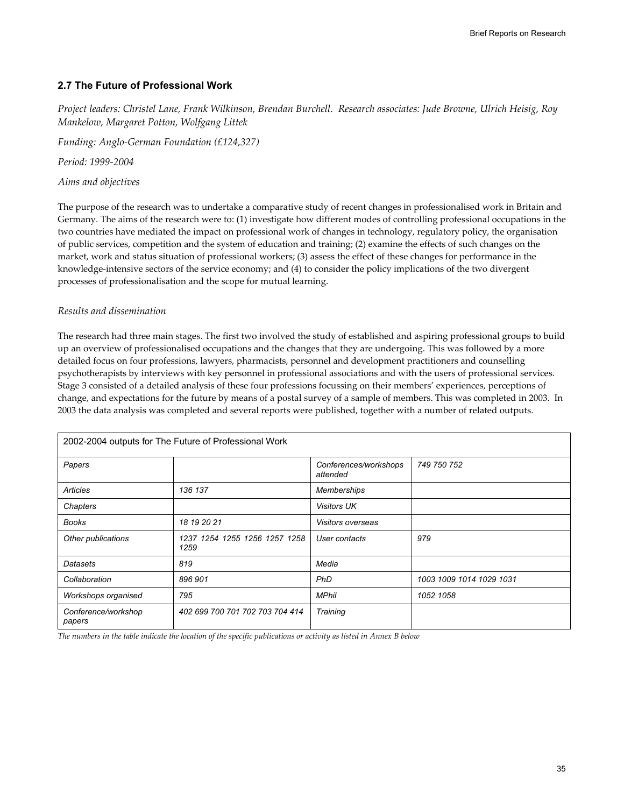## **2.7 The Future of Professional Work**

*Project leaders: Christel Lane, Frank Wilkinson, Brendan Burchell. Research associates: Jude Browne, Ulrich Heisig, Roy Mankelow, Margaret Potton, Wolfgang Littek* 

*Funding: Anglo-German Foundation (£124,327)* 

*Period: 1999-2004* 

*Aims and objectives* 

The purpose of the research was to undertake a comparative study of recent changes in professionalised work in Britain and Germany. The aims of the research were to: (1) investigate how different modes of controlling professional occupations in the two countries have mediated the impact on professional work of changes in technology, regulatory policy, the organisation of public services, competition and the system of education and training; (2) examine the effects of such changes on the market, work and status situation of professional workers; (3) assess the effect of these changes for performance in the knowledge-intensive sectors of the service economy; and (4) to consider the policy implications of the two divergent processes of professionalisation and the scope for mutual learning.

### *Results and dissemination*

The research had three main stages. The first two involved the study of established and aspiring professional groups to build up an overview of professionalised occupations and the changes that they are undergoing. This was followed by a more detailed focus on four professions, lawyers, pharmacists, personnel and development practitioners and counselling psychotherapists by interviews with key personnel in professional associations and with the users of professional services. Stage 3 consisted of a detailed analysis of these four professions focussing on their members' experiences, perceptions of change, and expectations for the future by means of a postal survey of a sample of members. This was completed in 2003. In 2003 the data analysis was completed and several reports were published, together with a number of related outputs.

| 2002-2004 outputs for The Future of Professional Work |                                       |                                   |                          |  |
|-------------------------------------------------------|---------------------------------------|-----------------------------------|--------------------------|--|
| Papers                                                |                                       | Conferences/workshops<br>attended | 749 750 752              |  |
| Articles                                              | 136 137                               | Memberships                       |                          |  |
| Chapters                                              |                                       | <b>Visitors UK</b>                |                          |  |
| <b>Books</b>                                          | 18 19 20 21                           | Visitors overseas                 |                          |  |
| Other publications                                    | 1237 1254 1255 1256 1257 1258<br>1259 | User contacts                     | 979                      |  |
| Datasets                                              | 819                                   | Media                             |                          |  |
| Collaboration                                         | 896 901                               | <b>PhD</b>                        | 1003 1009 1014 1029 1031 |  |
| Workshops organised                                   | 795                                   | <b>MPhil</b>                      | 1052 1058                |  |
| Conference/workshop<br>papers                         | 402 699 700 701 702 703 704 414       | Training                          |                          |  |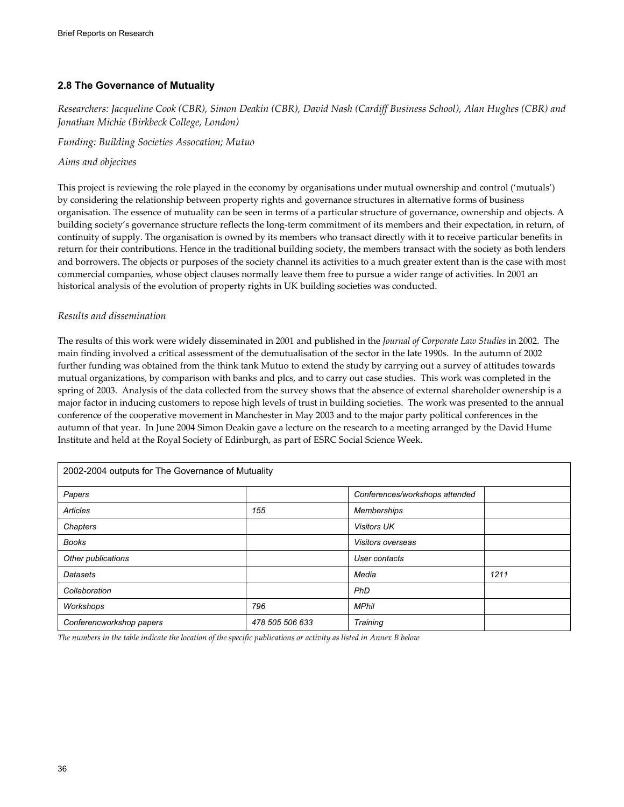## **2.8 The Governance of Mutuality**

*Researchers: Jacqueline Cook (CBR), Simon Deakin (CBR), David Nash (Cardiff Business School), Alan Hughes (CBR) and Jonathan Michie (Birkbeck College, London)* 

*Funding: Building Societies Assocation; Mutuo* 

*Aims and objecives* 

This project is reviewing the role played in the economy by organisations under mutual ownership and control ('mutuals') by considering the relationship between property rights and governance structures in alternative forms of business organisation. The essence of mutuality can be seen in terms of a particular structure of governance, ownership and objects. A building society's governance structure reflects the long-term commitment of its members and their expectation, in return, of continuity of supply. The organisation is owned by its members who transact directly with it to receive particular benefits in return for their contributions. Hence in the traditional building society, the members transact with the society as both lenders and borrowers. The objects or purposes of the society channel its activities to a much greater extent than is the case with most commercial companies, whose object clauses normally leave them free to pursue a wider range of activities. In 2001 an historical analysis of the evolution of property rights in UK building societies was conducted.

### *Results and dissemination*

The results of this work were widely disseminated in 2001 and published in the *Journal of Corporate Law Studies* in 2002. The main finding involved a critical assessment of the demutualisation of the sector in the late 1990s. In the autumn of 2002 further funding was obtained from the think tank Mutuo to extend the study by carrying out a survey of attitudes towards mutual organizations, by comparison with banks and plcs, and to carry out case studies. This work was completed in the spring of 2003. Analysis of the data collected from the survey shows that the absence of external shareholder ownership is a major factor in inducing customers to repose high levels of trust in building societies. The work was presented to the annual conference of the cooperative movement in Manchester in May 2003 and to the major party political conferences in the autumn of that year. In June 2004 Simon Deakin gave a lecture on the research to a meeting arranged by the David Hume Institute and held at the Royal Society of Edinburgh, as part of ESRC Social Science Week.

| 2002-2004 outputs for The Governance of Mutuality |                 |                                |      |  |
|---------------------------------------------------|-----------------|--------------------------------|------|--|
| Papers                                            |                 | Conferences/workshops attended |      |  |
| Articles                                          | 155             | <b>Memberships</b>             |      |  |
| Chapters                                          |                 | <b>Visitors UK</b>             |      |  |
| <b>Books</b>                                      |                 | Visitors overseas              |      |  |
| Other publications                                |                 | User contacts                  |      |  |
| Datasets                                          |                 | Media                          | 1211 |  |
| Collaboration                                     |                 | PhD                            |      |  |
| Workshops                                         | 796             | <b>MPhil</b>                   |      |  |
| Conferencworkshop papers                          | 478 505 506 633 | Training                       |      |  |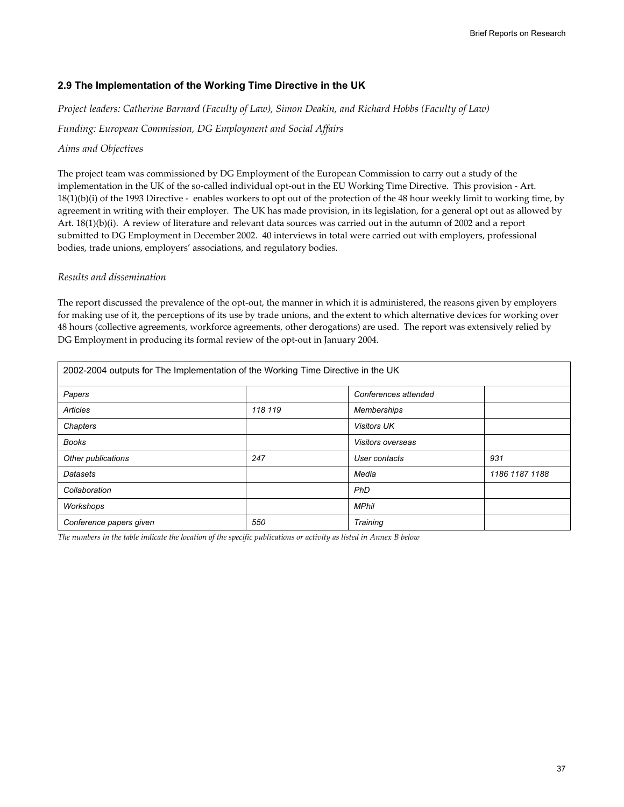## **2.9 The Implementation of the Working Time Directive in the UK**

*Project leaders: Catherine Barnard (Faculty of Law), Simon Deakin, and Richard Hobbs (Faculty of Law)* 

*Funding: European Commission, DG Employment and Social Affairs* 

### *Aims and Objectives*

The project team was commissioned by DG Employment of the European Commission to carry out a study of the implementation in the UK of the so-called individual opt-out in the EU Working Time Directive. This provision - Art. 18(1)(b)(i) of the 1993 Directive - enables workers to opt out of the protection of the 48 hour weekly limit to working time, by agreement in writing with their employer. The UK has made provision, in its legislation, for a general opt out as allowed by Art. 18(1)(b)(i). A review of literature and relevant data sources was carried out in the autumn of 2002 and a report submitted to DG Employment in December 2002. 40 interviews in total were carried out with employers, professional bodies, trade unions, employers' associations, and regulatory bodies.

### *Results and dissemination*

The report discussed the prevalence of the opt-out, the manner in which it is administered, the reasons given by employers for making use of it, the perceptions of its use by trade unions, and the extent to which alternative devices for working over 48 hours (collective agreements, workforce agreements, other derogations) are used. The report was extensively relied by DG Employment in producing its formal review of the opt-out in January 2004.

| 2002-2004 outputs for The Implementation of the Working Time Directive in the UK |         |                      |                |  |
|----------------------------------------------------------------------------------|---------|----------------------|----------------|--|
| Papers                                                                           |         | Conferences attended |                |  |
| <b>Articles</b>                                                                  | 118 119 | <b>Memberships</b>   |                |  |
| Chapters                                                                         |         | <b>Visitors UK</b>   |                |  |
| <b>Books</b>                                                                     |         | Visitors overseas    |                |  |
| Other publications                                                               | 247     | User contacts        | 931            |  |
| <b>Datasets</b>                                                                  |         | Media                | 1186 1187 1188 |  |
| Collaboration                                                                    |         | PhD                  |                |  |
| Workshops                                                                        |         | <b>MPhil</b>         |                |  |
| Conference papers given                                                          | 550     | Training             |                |  |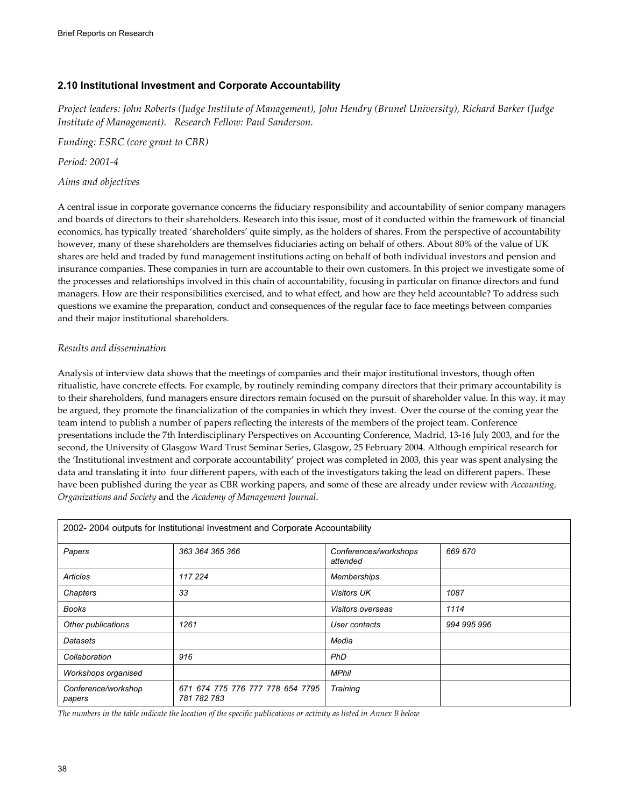# **2.10 Institutional Investment and Corporate Accountability**

*Project leaders: John Roberts (Judge Institute of Management), John Hendry (Brunel University), Richard Barker (Judge Institute of Management). Research Fellow: Paul Sanderson.* 

*Funding: ESRC (core grant to CBR)* 

*Period: 2001-4* 

## *Aims and objectives*

A central issue in corporate governance concerns the fiduciary responsibility and accountability of senior company managers and boards of directors to their shareholders. Research into this issue, most of it conducted within the framework of financial economics, has typically treated 'shareholders' quite simply, as the holders of shares. From the perspective of accountability however, many of these shareholders are themselves fiduciaries acting on behalf of others. About 80% of the value of UK shares are held and traded by fund management institutions acting on behalf of both individual investors and pension and insurance companies. These companies in turn are accountable to their own customers. In this project we investigate some of the processes and relationships involved in this chain of accountability, focusing in particular on finance directors and fund managers. How are their responsibilities exercised, and to what effect, and how are they held accountable? To address such questions we examine the preparation, conduct and consequences of the regular face to face meetings between companies and their major institutional shareholders.

## *Results and dissemination*

Analysis of interview data shows that the meetings of companies and their major institutional investors, though often ritualistic, have concrete effects. For example, by routinely reminding company directors that their primary accountability is to their shareholders, fund managers ensure directors remain focused on the pursuit of shareholder value. In this way, it may be argued, they promote the financialization of the companies in which they invest. Over the course of the coming year the team intend to publish a number of papers reflecting the interests of the members of the project team. Conference presentations include the 7th Interdisciplinary Perspectives on Accounting Conference, Madrid, 13-16 July 2003, and for the second, the University of Glasgow Ward Trust Seminar Series, Glasgow, 25 February 2004. Although empirical research for the 'Institutional investment and corporate accountability' project was completed in 2003, this year was spent analysing the data and translating it into four different papers, with each of the investigators taking the lead on different papers. These have been published during the year as CBR working papers, and some of these are already under review with *Accounting, Organizations and Society* and the *Academy of Management Journal*.

| 2002-2004 outputs for Institutional Investment and Corporate Accountability |                                                 |                                   |             |  |
|-----------------------------------------------------------------------------|-------------------------------------------------|-----------------------------------|-------------|--|
| Papers                                                                      | 363 364 365 366                                 | Conferences/workshops<br>attended | 669 670     |  |
| Articles                                                                    | 117 224                                         | <b>Memberships</b>                |             |  |
| Chapters                                                                    | 33                                              | <b>Visitors UK</b>                | 1087        |  |
| <b>Books</b>                                                                |                                                 | Visitors overseas                 | 1114        |  |
| Other publications                                                          | 1261                                            | User contacts                     | 994 995 996 |  |
| Datasets                                                                    |                                                 | Media                             |             |  |
| Collaboration                                                               | 916                                             | PhD                               |             |  |
| Workshops organised                                                         |                                                 | <b>MPhil</b>                      |             |  |
| Conference/workshop<br>papers                                               | 671 674 775 776 777 778 654 7795<br>781 782 783 | Training                          |             |  |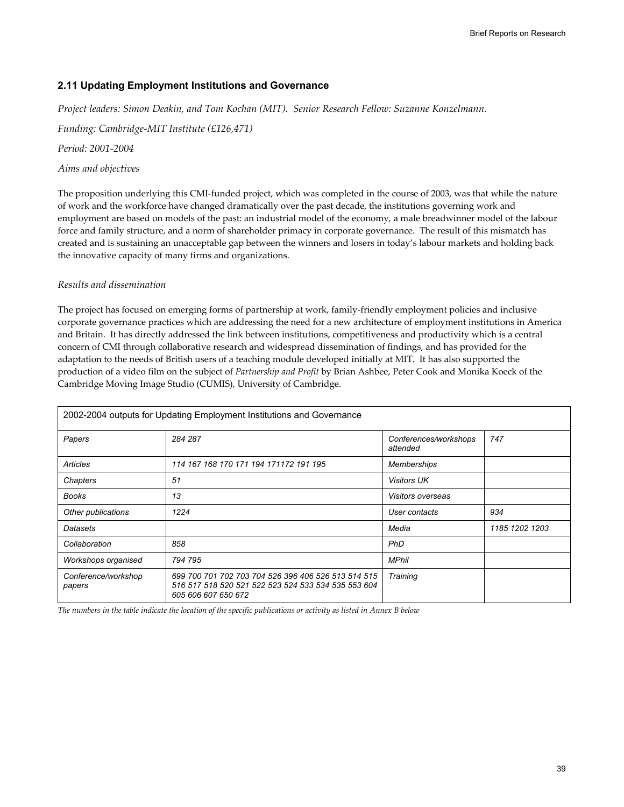## **2.11 Updating Employment Institutions and Governance**

*Project leaders: Simon Deakin, and Tom Kochan (MIT). Senior Research Fellow: Suzanne Konzelmann.* 

*Funding: Cambridge-MIT Institute (£126,471)* 

*Period: 2001-2004* 

### *Aims and objectives*

The proposition underlying this CMI-funded project, which was completed in the course of 2003, was that while the nature of work and the workforce have changed dramatically over the past decade, the institutions governing work and employment are based on models of the past: an industrial model of the economy, a male breadwinner model of the labour force and family structure, and a norm of shareholder primacy in corporate governance. The result of this mismatch has created and is sustaining an unacceptable gap between the winners and losers in today's labour markets and holding back the innovative capacity of many firms and organizations.

### *Results and dissemination*

The project has focused on emerging forms of partnership at work, family-friendly employment policies and inclusive corporate governance practices which are addressing the need for a new architecture of employment institutions in America and Britain. It has directly addressed the link between institutions, competitiveness and productivity which is a central concern of CMI through collaborative research and widespread dissemination of findings, and has provided for the adaptation to the needs of British users of a teaching module developed initially at MIT. It has also supported the production of a video film on the subject of *Partnership and Profit* by Brian Ashbee, Peter Cook and Monika Koeck of the Cambridge Moving Image Studio (CUMIS), University of Cambridge.

| 2002-2004 outputs for Updating Employment Institutions and Governance |                                                                                                                                   |                                   |                |  |
|-----------------------------------------------------------------------|-----------------------------------------------------------------------------------------------------------------------------------|-----------------------------------|----------------|--|
| Papers                                                                | 284 287                                                                                                                           | Conferences/workshops<br>attended | 747            |  |
| Articles                                                              | 114 167 168 170 171 194 171172 191 195                                                                                            | <b>Memberships</b>                |                |  |
| Chapters                                                              | 51                                                                                                                                | <b>Visitors UK</b>                |                |  |
| <b>Books</b>                                                          | 13                                                                                                                                | Visitors overseas                 |                |  |
| Other publications                                                    | 1224                                                                                                                              | User contacts                     | 934            |  |
| Datasets                                                              |                                                                                                                                   | Media                             | 1185 1202 1203 |  |
| Collaboration                                                         | 858                                                                                                                               | <b>PhD</b>                        |                |  |
| Workshops organised                                                   | 794 795                                                                                                                           | <b>MPhil</b>                      |                |  |
| Conference/workshop<br>papers                                         | 699 700 701 702 703 704 526 396 406 526 513 514 515<br>516 517 518 520 521 522 523 524 533 534 535 553 604<br>605 606 607 650 672 | Training                          |                |  |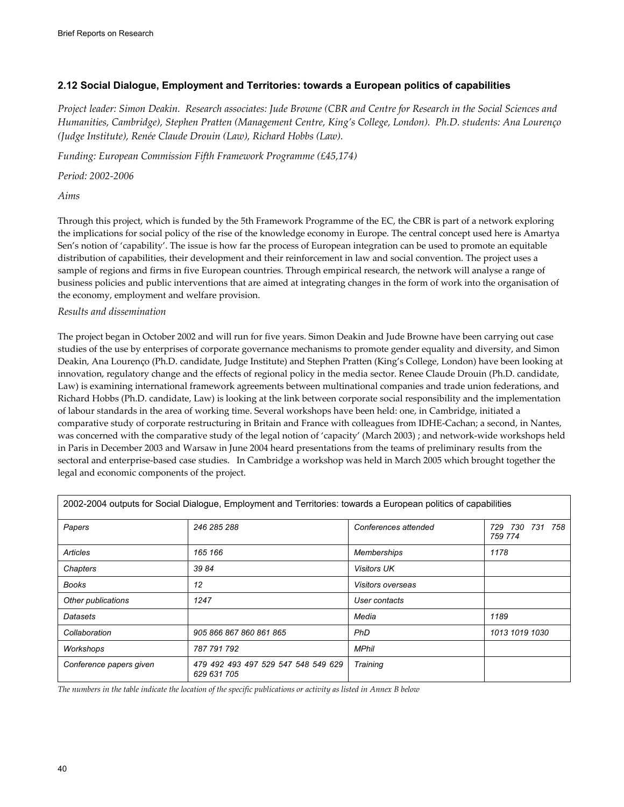# **2.12 Social Dialogue, Employment and Territories: towards a European politics of capabilities**

*Project leader: Simon Deakin. Research associates: Jude Browne (CBR and Centre for Research in the Social Sciences and Humanities, Cambridge), Stephen Pratten (Management Centre, King's College, London). Ph.D. students: Ana Lourenço (Judge Institute), Renée Claude Drouin (Law), Richard Hobbs (Law).* 

*Funding: European Commission Fifth Framework Programme (£45,174)* 

*Period: 2002-2006* 

*Aims* 

Through this project, which is funded by the 5th Framework Programme of the EC, the CBR is part of a network exploring the implications for social policy of the rise of the knowledge economy in Europe. The central concept used here is Amartya Sen's notion of 'capability'. The issue is how far the process of European integration can be used to promote an equitable distribution of capabilities, their development and their reinforcement in law and social convention. The project uses a sample of regions and firms in five European countries. Through empirical research, the network will analyse a range of business policies and public interventions that are aimed at integrating changes in the form of work into the organisation of the economy, employment and welfare provision.

## *Results and dissemination*

The project began in October 2002 and will run for five years. Simon Deakin and Jude Browne have been carrying out case studies of the use by enterprises of corporate governance mechanisms to promote gender equality and diversity, and Simon Deakin, Ana Lourenço (Ph.D. candidate, Judge Institute) and Stephen Pratten (King's College, London) have been looking at innovation, regulatory change and the effects of regional policy in the media sector. Renee Claude Drouin (Ph.D. candidate, Law) is examining international framework agreements between multinational companies and trade union federations, and Richard Hobbs (Ph.D. candidate, Law) is looking at the link between corporate social responsibility and the implementation of labour standards in the area of working time. Several workshops have been held: one, in Cambridge, initiated a comparative study of corporate restructuring in Britain and France with colleagues from IDHE-Cachan; a second, in Nantes, was concerned with the comparative study of the legal notion of 'capacity' (March 2003) ; and network-wide workshops held in Paris in December 2003 and Warsaw in June 2004 heard presentations from the teams of preliminary results from the sectoral and enterprise-based case studies. In Cambridge a workshop was held in March 2005 which brought together the legal and economic components of the project.

|                         | 2002-2004 outputs for Social Dialogue, Employment and Territories: towards a European politics of capabilities |                          |                               |
|-------------------------|----------------------------------------------------------------------------------------------------------------|--------------------------|-------------------------------|
| Papers                  | 246 285 288                                                                                                    | Conferences attended     | 729 730<br>731 758<br>759 774 |
| Articles                | 165 166                                                                                                        | <b>Memberships</b>       | 1178                          |
| Chapters                | 3984                                                                                                           | <b>Visitors UK</b>       |                               |
| Books                   | 12                                                                                                             | <i>Visitors overseas</i> |                               |
| Other publications      | 1247                                                                                                           | User contacts            |                               |
| Datasets                |                                                                                                                | Media                    | 1189                          |
| Collaboration           | 905 866 867 860 861 865                                                                                        | <b>PhD</b>               | 1013 1019 1030                |
| Workshops               | 787 791 792                                                                                                    | <b>MPhil</b>             |                               |
| Conference papers given | 479 492 493 497 529 547 548 549 629<br>629 631 705                                                             | Training                 |                               |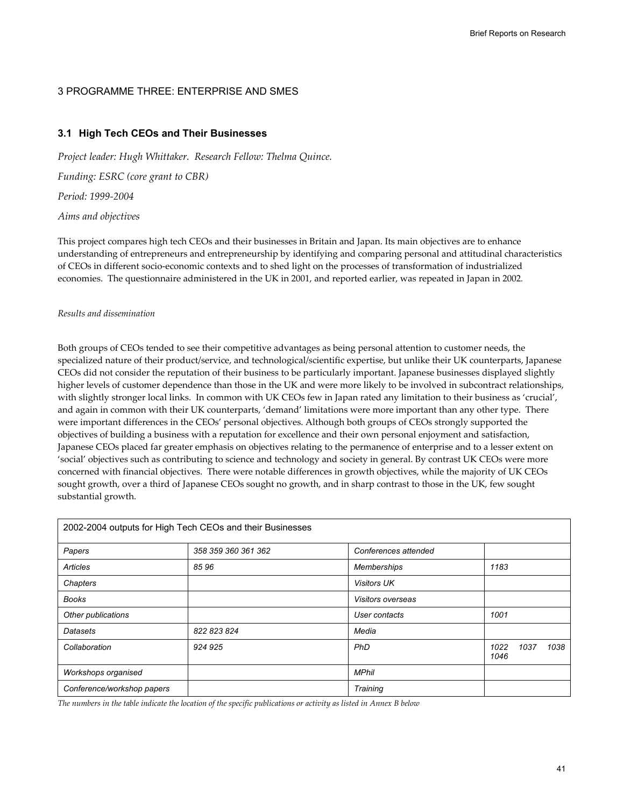### 3 PROGRAMME THREE: ENTERPRISE AND SMES

### **3.1 High Tech CEOs and Their Businesses**

*Project leader: Hugh Whittaker. Research Fellow: Thelma Quince. Funding: ESRC (core grant to CBR) Period: 1999-2004 Aims and objectives* 

This project compares high tech CEOs and their businesses in Britain and Japan. Its main objectives are to enhance understanding of entrepreneurs and entrepreneurship by identifying and comparing personal and attitudinal characteristics of CEOs in different socio-economic contexts and to shed light on the processes of transformation of industrialized economies. The questionnaire administered in the UK in 2001, and reported earlier, was repeated in Japan in 2002*.* 

#### *Results and dissemination*

Both groups of CEOs tended to see their competitive advantages as being personal attention to customer needs, the specialized nature of their product/service, and technological/scientific expertise, but unlike their UK counterparts, Japanese CEOs did not consider the reputation of their business to be particularly important. Japanese businesses displayed slightly higher levels of customer dependence than those in the UK and were more likely to be involved in subcontract relationships, with slightly stronger local links. In common with UK CEOs few in Japan rated any limitation to their business as 'crucial', and again in common with their UK counterparts, 'demand' limitations were more important than any other type. There were important differences in the CEOs' personal objectives. Although both groups of CEOs strongly supported the objectives of building a business with a reputation for excellence and their own personal enjoyment and satisfaction, Japanese CEOs placed far greater emphasis on objectives relating to the permanence of enterprise and to a lesser extent on 'social' objectives such as contributing to science and technology and society in general. By contrast UK CEOs were more concerned with financial objectives. There were notable differences in growth objectives, while the majority of UK CEOs sought growth, over a third of Japanese CEOs sought no growth, and in sharp contrast to those in the UK, few sought substantial growth.

|                            | 2002-2004 outputs for High Tech CEOs and their Businesses |                      |                              |
|----------------------------|-----------------------------------------------------------|----------------------|------------------------------|
| Papers                     | 358 359 360 361 362                                       | Conferences attended |                              |
| Articles                   | 8596                                                      | Memberships          | 1183                         |
| Chapters                   |                                                           | <b>Visitors UK</b>   |                              |
| <b>Books</b>               |                                                           | Visitors overseas    |                              |
| Other publications         |                                                           | User contacts        | 1001                         |
| Datasets                   | 822 823 824                                               | Media                |                              |
| Collaboration              | 924 925                                                   | PhD                  | 1022<br>1037<br>1038<br>1046 |
| Workshops organised        |                                                           | <b>MPhil</b>         |                              |
| Conference/workshop papers |                                                           | Training             |                              |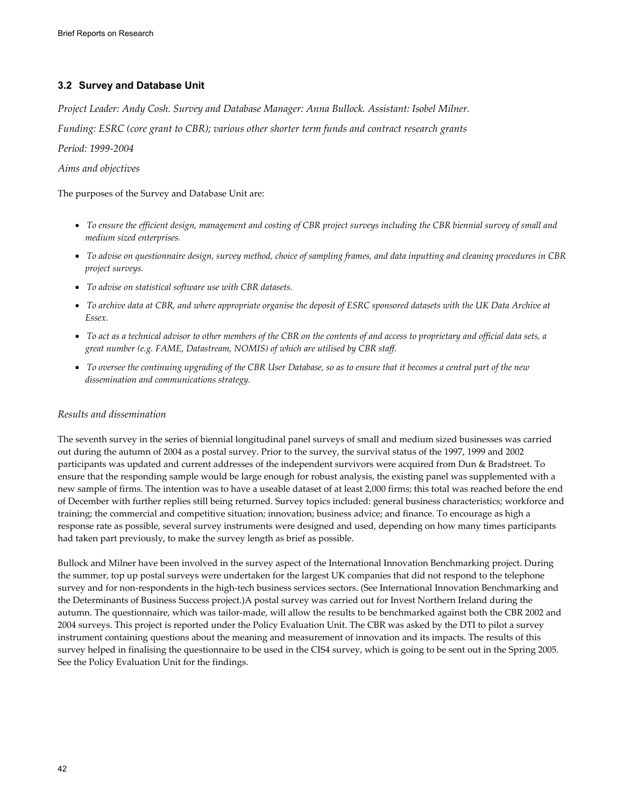# **3.2 Survey and Database Unit**

*Project Leader: Andy Cosh. Survey and Database Manager: Anna Bullock. Assistant: Isobel Milner.* 

*Funding: ESRC (core grant to CBR); various other shorter term funds and contract research grants* 

### *Period: 1999-2004*

### *Aims and objectives*

The purposes of the Survey and Database Unit are:

- *To ensure the efficient design, management and costing of CBR project surveys including the CBR biennial survey of small and medium sized enterprises.*
- *To advise on questionnaire design, survey method, choice of sampling frames, and data inputting and cleaning procedures in CBR project surveys.*
- *To advise on statistical software use with CBR datasets.*
- *To archive data at CBR, and where appropriate organise the deposit of ESRC sponsored datasets with the UK Data Archive at Essex.*
- *To act as a technical advisor to other members of the CBR on the contents of and access to proprietary and official data sets, a great number (e.g. FAME, Datastream, NOMIS) of which are utilised by CBR staff.*
- *To oversee the continuing upgrading of the CBR User Database, so as to ensure that it becomes a central part of the new dissemination and communications strategy.*

### *Results and dissemination*

The seventh survey in the series of biennial longitudinal panel surveys of small and medium sized businesses was carried out during the autumn of 2004 as a postal survey. Prior to the survey, the survival status of the 1997, 1999 and 2002 participants was updated and current addresses of the independent survivors were acquired from Dun & Bradstreet. To ensure that the responding sample would be large enough for robust analysis, the existing panel was supplemented with a new sample of firms. The intention was to have a useable dataset of at least 2,000 firms; this total was reached before the end of December with further replies still being returned. Survey topics included: general business characteristics; workforce and training; the commercial and competitive situation; innovation; business advice; and finance. To encourage as high a response rate as possible, several survey instruments were designed and used, depending on how many times participants had taken part previously, to make the survey length as brief as possible.

Bullock and Milner have been involved in the survey aspect of the International Innovation Benchmarking project. During the summer, top up postal surveys were undertaken for the largest UK companies that did not respond to the telephone survey and for non-respondents in the high-tech business services sectors. (See International Innovation Benchmarking and the Determinants of Business Success project.)A postal survey was carried out for Invest Northern Ireland during the autumn. The questionnaire, which was tailor-made, will allow the results to be benchmarked against both the CBR 2002 and 2004 surveys. This project is reported under the Policy Evaluation Unit. The CBR was asked by the DTI to pilot a survey instrument containing questions about the meaning and measurement of innovation and its impacts. The results of this survey helped in finalising the questionnaire to be used in the CIS4 survey, which is going to be sent out in the Spring 2005. See the Policy Evaluation Unit for the findings.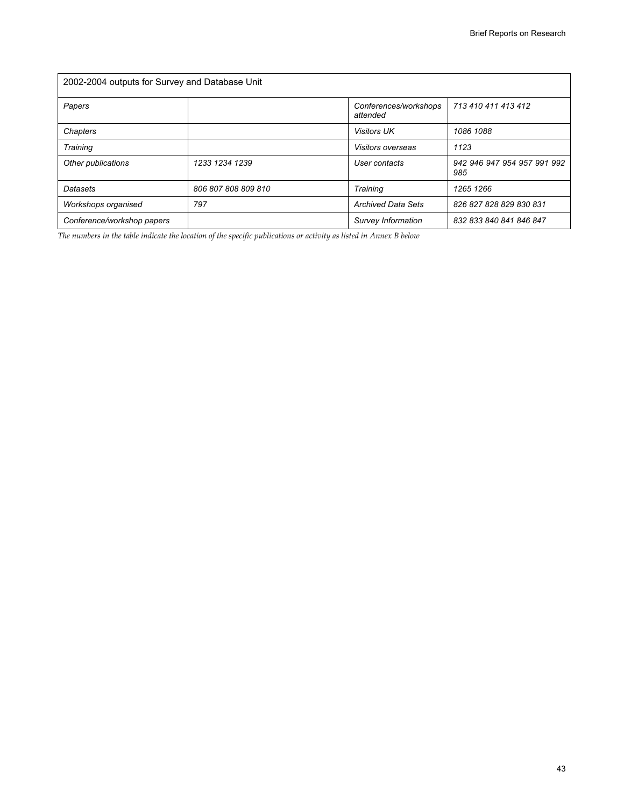| 2002-2004 outputs for Survey and Database Unit |                     |                                   |                                    |  |
|------------------------------------------------|---------------------|-----------------------------------|------------------------------------|--|
| Papers                                         |                     | Conferences/workshops<br>attended | 713 410 411 413 412                |  |
| Chapters                                       |                     | <b>Visitors UK</b>                | 1086 1088                          |  |
| Training                                       |                     | Visitors overseas                 | 1123                               |  |
| Other publications                             | 1233 1234 1239      | User contacts                     | 942 946 947 954 957 991 992<br>985 |  |
| Datasets                                       | 806 807 808 809 810 | Training                          | 1265 1266                          |  |
| Workshops organised                            | 797                 | <b>Archived Data Sets</b>         | 826 827 828 829 830 831            |  |
| Conference/workshop papers                     |                     | Survey Information                | 832 833 840 841 846 847            |  |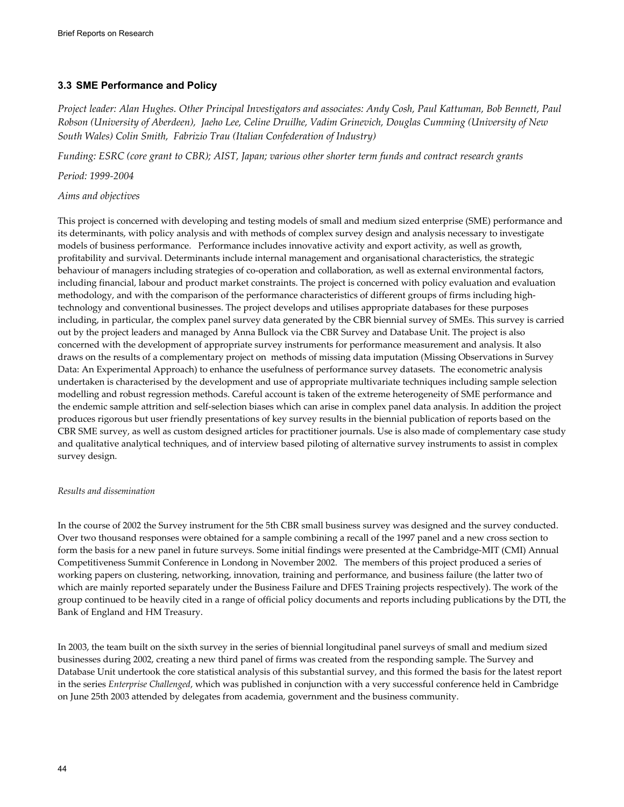## **3.3 SME Performance and Policy**

*Project leader: Alan Hughes. Other Principal Investigators and associates: Andy Cosh, Paul Kattuman, Bob Bennett, Paul Robson (University of Aberdeen), Jaeho Lee, Celine Druilhe, Vadim Grinevich, Douglas Cumming (University of New South Wales) Colin Smith, Fabrizio Trau (Italian Confederation of Industry)* 

*Funding: ESRC (core grant to CBR); AIST, Japan; various other shorter term funds and contract research grants* 

*Period: 1999-2004* 

### *Aims and objectives*

This project is concerned with developing and testing models of small and medium sized enterprise (SME) performance and its determinants, with policy analysis and with methods of complex survey design and analysis necessary to investigate models of business performance. Performance includes innovative activity and export activity, as well as growth, profitability and survival. Determinants include internal management and organisational characteristics, the strategic behaviour of managers including strategies of co-operation and collaboration, as well as external environmental factors, including financial, labour and product market constraints. The project is concerned with policy evaluation and evaluation methodology, and with the comparison of the performance characteristics of different groups of firms including hightechnology and conventional businesses. The project develops and utilises appropriate databases for these purposes including, in particular, the complex panel survey data generated by the CBR biennial survey of SMEs. This survey is carried out by the project leaders and managed by Anna Bullock via the CBR Survey and Database Unit. The project is also concerned with the development of appropriate survey instruments for performance measurement and analysis. It also draws on the results of a complementary project on methods of missing data imputation (Missing Observations in Survey Data: An Experimental Approach) to enhance the usefulness of performance survey datasets. The econometric analysis undertaken is characterised by the development and use of appropriate multivariate techniques including sample selection modelling and robust regression methods. Careful account is taken of the extreme heterogeneity of SME performance and the endemic sample attrition and self-selection biases which can arise in complex panel data analysis. In addition the project produces rigorous but user friendly presentations of key survey results in the biennial publication of reports based on the CBR SME survey, as well as custom designed articles for practitioner journals. Use is also made of complementary case study and qualitative analytical techniques, and of interview based piloting of alternative survey instruments to assist in complex survey design.

#### *Results and dissemination*

In the course of 2002 the Survey instrument for the 5th CBR small business survey was designed and the survey conducted. Over two thousand responses were obtained for a sample combining a recall of the 1997 panel and a new cross section to form the basis for a new panel in future surveys. Some initial findings were presented at the Cambridge-MIT (CMI) Annual Competitiveness Summit Conference in Londong in November 2002. The members of this project produced a series of working papers on clustering, networking, innovation, training and performance, and business failure (the latter two of which are mainly reported separately under the Business Failure and DFES Training projects respectively). The work of the group continued to be heavily cited in a range of official policy documents and reports including publications by the DTI, the Bank of England and HM Treasury.

In 2003, the team built on the sixth survey in the series of biennial longitudinal panel surveys of small and medium sized businesses during 2002, creating a new third panel of firms was created from the responding sample. The Survey and Database Unit undertook the core statistical analysis of this substantial survey, and this formed the basis for the latest report in the series *Enterprise Challenged*, which was published in conjunction with a very successful conference held in Cambridge on June 25th 2003 attended by delegates from academia, government and the business community.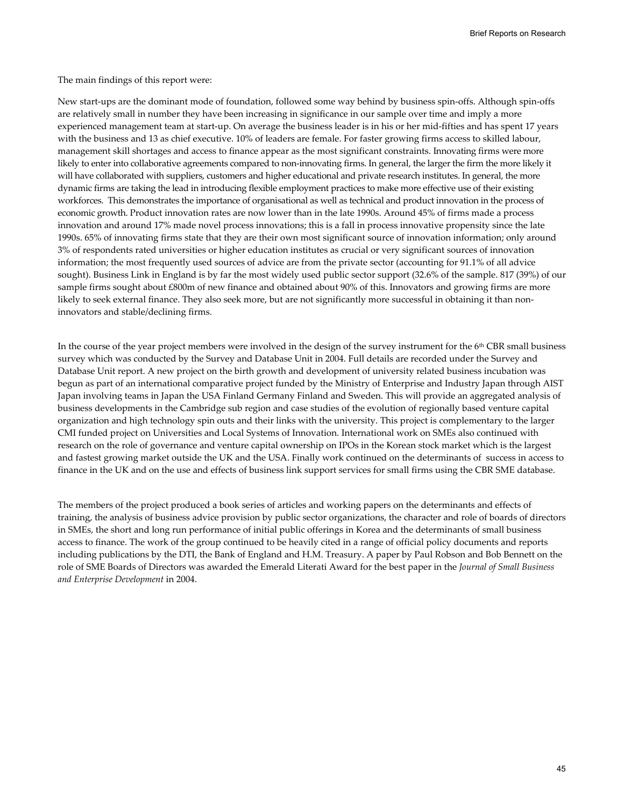Brief Reports on Research

The main findings of this report were:

New start-ups are the dominant mode of foundation, followed some way behind by business spin-offs. Although spin-offs are relatively small in number they have been increasing in significance in our sample over time and imply a more experienced management team at start-up. On average the business leader is in his or her mid-fifties and has spent 17 years with the business and 13 as chief executive. 10% of leaders are female. For faster growing firms access to skilled labour, management skill shortages and access to finance appear as the most significant constraints. Innovating firms were more likely to enter into collaborative agreements compared to non-innovating firms. In general, the larger the firm the more likely it will have collaborated with suppliers, customers and higher educational and private research institutes. In general, the more dynamic firms are taking the lead in introducing flexible employment practices to make more effective use of their existing workforces. This demonstrates the importance of organisational as well as technical and product innovation in the process of economic growth. Product innovation rates are now lower than in the late 1990s. Around 45% of firms made a process innovation and around 17% made novel process innovations; this is a fall in process innovative propensity since the late 1990s. 65% of innovating firms state that they are their own most significant source of innovation information; only around 3% of respondents rated universities or higher education institutes as crucial or very significant sources of innovation information; the most frequently used sources of advice are from the private sector (accounting for 91.1% of all advice sought). Business Link in England is by far the most widely used public sector support (32.6% of the sample. 817 (39%) of our sample firms sought about £800m of new finance and obtained about 90% of this. Innovators and growing firms are more likely to seek external finance. They also seek more, but are not significantly more successful in obtaining it than noninnovators and stable/declining firms.

In the course of the year project members were involved in the design of the survey instrument for the  $6<sup>th</sup>$  CBR small business survey which was conducted by the Survey and Database Unit in 2004. Full details are recorded under the Survey and Database Unit report. A new project on the birth growth and development of university related business incubation was begun as part of an international comparative project funded by the Ministry of Enterprise and Industry Japan through AIST Japan involving teams in Japan the USA Finland Germany Finland and Sweden. This will provide an aggregated analysis of business developments in the Cambridge sub region and case studies of the evolution of regionally based venture capital organization and high technology spin outs and their links with the university. This project is complementary to the larger CMI funded project on Universities and Local Systems of Innovation. International work on SMEs also continued with research on the role of governance and venture capital ownership on IPOs in the Korean stock market which is the largest and fastest growing market outside the UK and the USA. Finally work continued on the determinants of success in access to finance in the UK and on the use and effects of business link support services for small firms using the CBR SME database.

The members of the project produced a book series of articles and working papers on the determinants and effects of training, the analysis of business advice provision by public sector organizations, the character and role of boards of directors in SMEs, the short and long run performance of initial public offerings in Korea and the determinants of small business access to finance. The work of the group continued to be heavily cited in a range of official policy documents and reports including publications by the DTI, the Bank of England and H.M. Treasury. A paper by Paul Robson and Bob Bennett on the role of SME Boards of Directors was awarded the Emerald Literati Award for the best paper in the *Journal of Small Business and Enterprise Development* in 2004.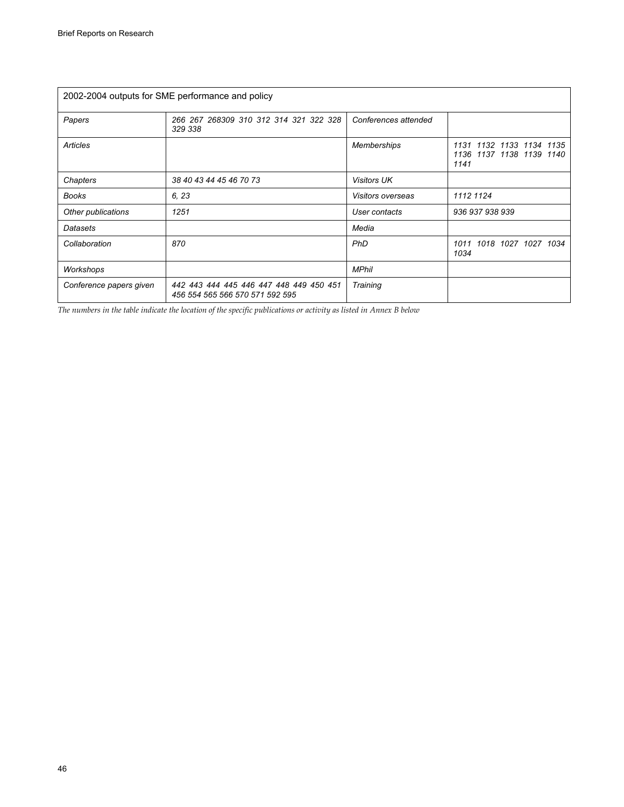| 2002-2004 outputs for SME performance and policy |                                                                            |                      |                                                                 |  |
|--------------------------------------------------|----------------------------------------------------------------------------|----------------------|-----------------------------------------------------------------|--|
| Papers                                           | 266 267 268309 310 312 314 321 322 328<br>329 338                          | Conferences attended |                                                                 |  |
| Articles                                         |                                                                            | <b>Memberships</b>   | 1132 1133 1134 1135<br>1131<br>1136 1137 1138 1139 1140<br>1141 |  |
| Chapters                                         | 38 40 43 44 45 46 70 73                                                    | <b>Visitors UK</b>   |                                                                 |  |
| <b>Books</b>                                     | 6, 23                                                                      | Visitors overseas    | 1112 1124                                                       |  |
| Other publications                               | 1251                                                                       | User contacts        | 936 937 938 939                                                 |  |
| Datasets                                         |                                                                            | Media                |                                                                 |  |
| Collaboration                                    | 870                                                                        | <b>PhD</b>           | 1011 1018 1027 1027 1034<br>1034                                |  |
| Workshops                                        |                                                                            | <b>MPhil</b>         |                                                                 |  |
| Conference papers given                          | 442 443 444 445 446 447 448 449 450 451<br>456 554 565 566 570 571 592 595 | Training             |                                                                 |  |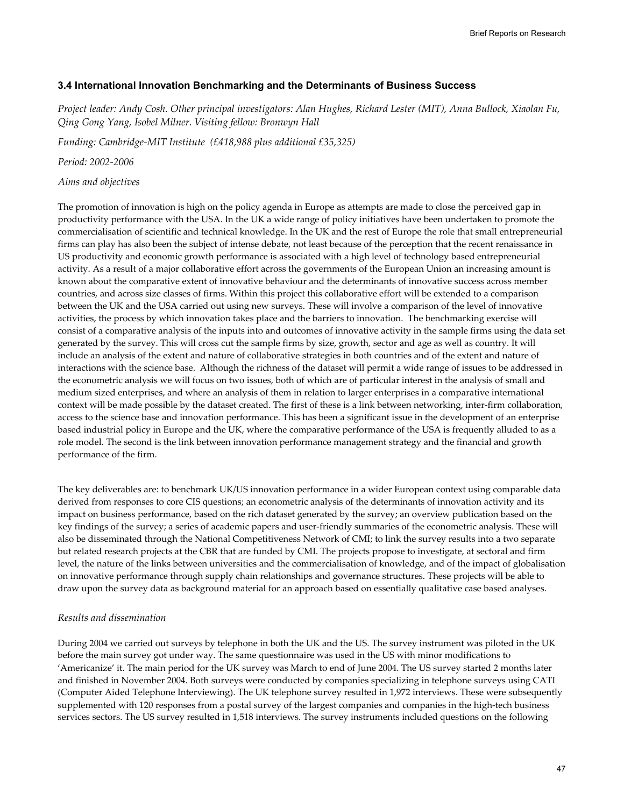### **3.4 International Innovation Benchmarking and the Determinants of Business Success**

*Project leader: Andy Cosh. Other principal investigators: Alan Hughes, Richard Lester (MIT), Anna Bullock, Xiaolan Fu, Qing Gong Yang, Isobel Milner. Visiting fellow: Bronwyn Hall* 

*Funding: Cambridge-MIT Institute (£418,988 plus additional £35,325)* 

*Period: 2002-2006* 

#### *Aims and objectives*

The promotion of innovation is high on the policy agenda in Europe as attempts are made to close the perceived gap in productivity performance with the USA. In the UK a wide range of policy initiatives have been undertaken to promote the commercialisation of scientific and technical knowledge. In the UK and the rest of Europe the role that small entrepreneurial firms can play has also been the subject of intense debate, not least because of the perception that the recent renaissance in US productivity and economic growth performance is associated with a high level of technology based entrepreneurial activity. As a result of a major collaborative effort across the governments of the European Union an increasing amount is known about the comparative extent of innovative behaviour and the determinants of innovative success across member countries, and across size classes of firms. Within this project this collaborative effort will be extended to a comparison between the UK and the USA carried out using new surveys. These will involve a comparison of the level of innovative activities, the process by which innovation takes place and the barriers to innovation. The benchmarking exercise will consist of a comparative analysis of the inputs into and outcomes of innovative activity in the sample firms using the data set generated by the survey. This will cross cut the sample firms by size, growth, sector and age as well as country. It will include an analysis of the extent and nature of collaborative strategies in both countries and of the extent and nature of interactions with the science base. Although the richness of the dataset will permit a wide range of issues to be addressed in the econometric analysis we will focus on two issues, both of which are of particular interest in the analysis of small and medium sized enterprises, and where an analysis of them in relation to larger enterprises in a comparative international context will be made possible by the dataset created. The first of these is a link between networking, inter-firm collaboration, access to the science base and innovation performance. This has been a significant issue in the development of an enterprise based industrial policy in Europe and the UK, where the comparative performance of the USA is frequently alluded to as a role model. The second is the link between innovation performance management strategy and the financial and growth performance of the firm.

The key deliverables are: to benchmark UK/US innovation performance in a wider European context using comparable data derived from responses to core CIS questions; an econometric analysis of the determinants of innovation activity and its impact on business performance, based on the rich dataset generated by the survey; an overview publication based on the key findings of the survey; a series of academic papers and user-friendly summaries of the econometric analysis. These will also be disseminated through the National Competitiveness Network of CMI; to link the survey results into a two separate but related research projects at the CBR that are funded by CMI. The projects propose to investigate, at sectoral and firm level, the nature of the links between universities and the commercialisation of knowledge, and of the impact of globalisation on innovative performance through supply chain relationships and governance structures. These projects will be able to draw upon the survey data as background material for an approach based on essentially qualitative case based analyses.

#### *Results and dissemination*

During 2004 we carried out surveys by telephone in both the UK and the US. The survey instrument was piloted in the UK before the main survey got under way. The same questionnaire was used in the US with minor modifications to 'Americanize' it. The main period for the UK survey was March to end of June 2004. The US survey started 2 months later and finished in November 2004. Both surveys were conducted by companies specializing in telephone surveys using CATI (Computer Aided Telephone Interviewing). The UK telephone survey resulted in 1,972 interviews. These were subsequently supplemented with 120 responses from a postal survey of the largest companies and companies in the high-tech business services sectors. The US survey resulted in 1,518 interviews. The survey instruments included questions on the following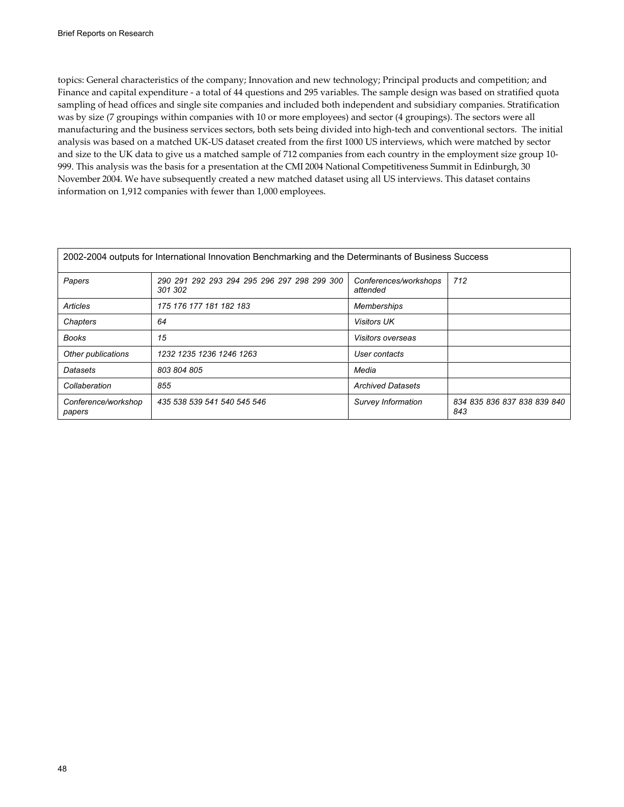topics: General characteristics of the company; Innovation and new technology; Principal products and competition; and Finance and capital expenditure - a total of 44 questions and 295 variables. The sample design was based on stratified quota sampling of head offices and single site companies and included both independent and subsidiary companies. Stratification was by size (7 groupings within companies with 10 or more employees) and sector (4 groupings). The sectors were all manufacturing and the business services sectors, both sets being divided into high-tech and conventional sectors. The initial analysis was based on a matched UK-US dataset created from the first 1000 US interviews, which were matched by sector and size to the UK data to give us a matched sample of 712 companies from each country in the employment size group 10- 999. This analysis was the basis for a presentation at the CMI 2004 National Competitiveness Summit in Edinburgh, 30 November 2004. We have subsequently created a new matched dataset using all US interviews. This dataset contains information on 1,912 companies with fewer than 1,000 employees.

| 2002-2004 outputs for International Innovation Benchmarking and the Determinants of Business Success |                                                        |                                   |                                    |  |
|------------------------------------------------------------------------------------------------------|--------------------------------------------------------|-----------------------------------|------------------------------------|--|
| Papers                                                                                               | 290 291 292 293 294 295 296 297 298 299 300<br>301 302 | Conferences/workshops<br>attended | 712                                |  |
| Articles                                                                                             | 175 176 177 181 182 183                                | <b>Memberships</b>                |                                    |  |
| Chapters                                                                                             | 64                                                     | <b>Visitors UK</b>                |                                    |  |
| <b>Books</b>                                                                                         | 15                                                     | <i>Visitors overseas</i>          |                                    |  |
| Other publications                                                                                   | 1232 1235 1236 1246 1263                               | User contacts                     |                                    |  |
| <b>Datasets</b>                                                                                      | 803 804 805                                            | Media                             |                                    |  |
| Collaberation                                                                                        | 855                                                    | <b>Archived Datasets</b>          |                                    |  |
| Conference/workshop<br>papers                                                                        | 435 538 539 541 540 545 546                            | Survey Information                | 834 835 836 837 838 839 840<br>843 |  |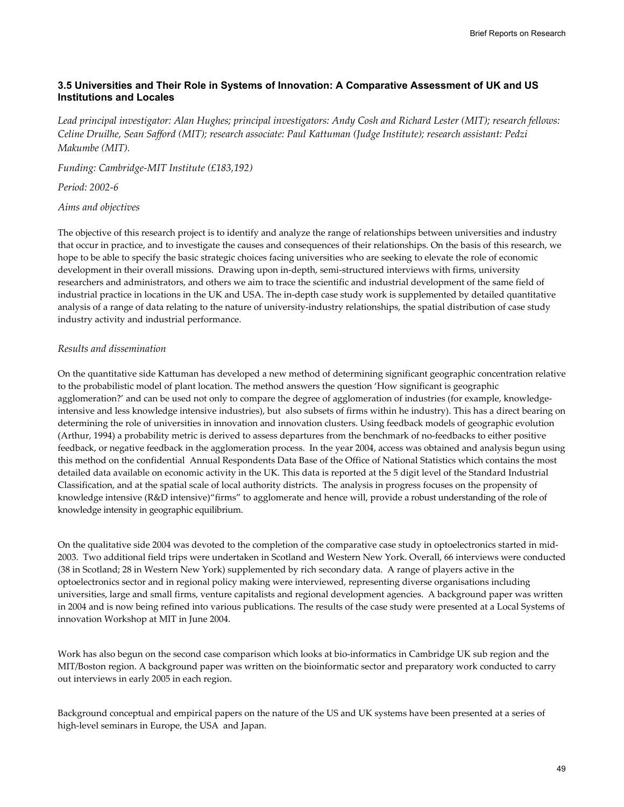## **3.5 Universities and Their Role in Systems of Innovation: A Comparative Assessment of UK and US Institutions and Locales**

*Lead principal investigator: Alan Hughes; principal investigators: Andy Cosh and Richard Lester (MIT); research fellows: Celine Druilhe, Sean Safford (MIT); research associate: Paul Kattuman (Judge Institute); research assistant: Pedzi Makumbe (MIT).* 

*Funding: Cambridge-MIT Institute (£183,192)* 

*Period: 2002-6* 

*Aims and objectives* 

The objective of this research project is to identify and analyze the range of relationships between universities and industry that occur in practice, and to investigate the causes and consequences of their relationships. On the basis of this research, we hope to be able to specify the basic strategic choices facing universities who are seeking to elevate the role of economic development in their overall missions. Drawing upon in-depth, semi-structured interviews with firms, university researchers and administrators, and others we aim to trace the scientific and industrial development of the same field of industrial practice in locations in the UK and USA. The in-depth case study work is supplemented by detailed quantitative analysis of a range of data relating to the nature of university-industry relationships, the spatial distribution of case study industry activity and industrial performance.

#### *Results and dissemination*

On the quantitative side Kattuman has developed a new method of determining significant geographic concentration relative to the probabilistic model of plant location. The method answers the question 'How significant is geographic agglomeration?' and can be used not only to compare the degree of agglomeration of industries (for example, knowledgeintensive and less knowledge intensive industries), but also subsets of firms within he industry). This has a direct bearing on determining the role of universities in innovation and innovation clusters. Using feedback models of geographic evolution (Arthur, 1994) a probability metric is derived to assess departures from the benchmark of no-feedbacks to either positive feedback, or negative feedback in the agglomeration process. In the year 2004, access was obtained and analysis begun using this method on the confidential Annual Respondents Data Base of the Office of National Statistics which contains the most detailed data available on economic activity in the UK. This data is reported at the 5 digit level of the Standard Industrial Classification, and at the spatial scale of local authority districts. The analysis in progress focuses on the propensity of knowledge intensive (R&D intensive)"firms" to agglomerate and hence will, provide a robust understanding of the role of knowledge intensity in geographic equilibrium.

On the qualitative side 2004 was devoted to the completion of the comparative case study in optoelectronics started in mid-2003. Two additional field trips were undertaken in Scotland and Western New York. Overall, 66 interviews were conducted (38 in Scotland; 28 in Western New York) supplemented by rich secondary data. A range of players active in the optoelectronics sector and in regional policy making were interviewed, representing diverse organisations including universities, large and small firms, venture capitalists and regional development agencies. A background paper was written in 2004 and is now being refined into various publications. The results of the case study were presented at a Local Systems of innovation Workshop at MIT in June 2004.

Work has also begun on the second case comparison which looks at bio-informatics in Cambridge UK sub region and the MIT/Boston region. A background paper was written on the bioinformatic sector and preparatory work conducted to carry out interviews in early 2005 in each region.

Background conceptual and empirical papers on the nature of the US and UK systems have been presented at a series of high-level seminars in Europe, the USA and Japan.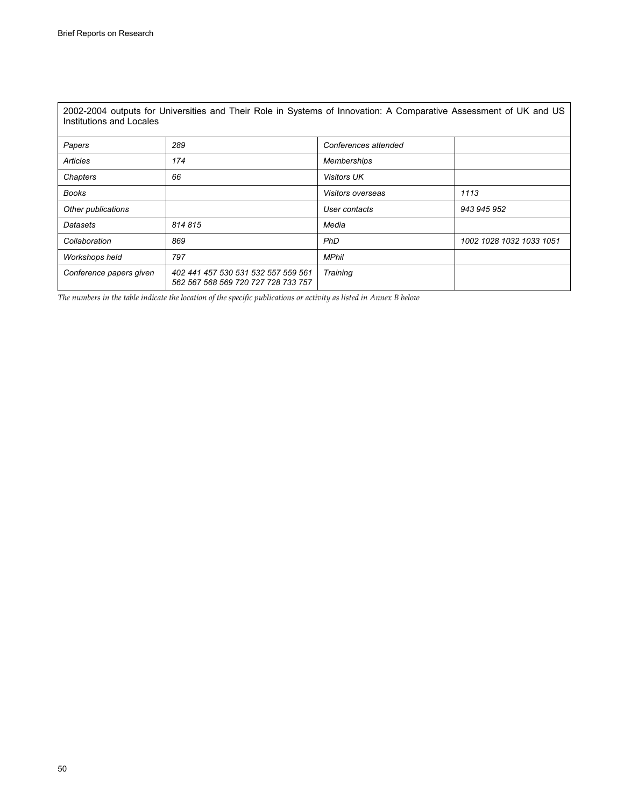| 2002-2004 outputs for Universities and Their Role in Systems of Innovation: A Comparative Assessment of UK and US<br>Institutions and Locales |                                                                            |                          |                          |  |
|-----------------------------------------------------------------------------------------------------------------------------------------------|----------------------------------------------------------------------------|--------------------------|--------------------------|--|
| Papers                                                                                                                                        | 289                                                                        | Conferences attended     |                          |  |
| Articles                                                                                                                                      | 174                                                                        | Memberships              |                          |  |
| Chapters                                                                                                                                      | 66                                                                         | <b>Visitors UK</b>       |                          |  |
| Books                                                                                                                                         |                                                                            | <i>Visitors overseas</i> | 1113                     |  |
| Other publications                                                                                                                            |                                                                            | User contacts            | 943 945 952              |  |
| Datasets                                                                                                                                      | 814815                                                                     | Media                    |                          |  |
| Collaboration                                                                                                                                 | 869                                                                        | <b>PhD</b>               | 1002 1028 1032 1033 1051 |  |
| Workshops held                                                                                                                                | 797                                                                        | <b>MPhil</b>             |                          |  |
| Conference papers given                                                                                                                       | 402 441 457 530 531 532 557 559 561<br>562 567 568 569 720 727 728 733 757 | Training                 |                          |  |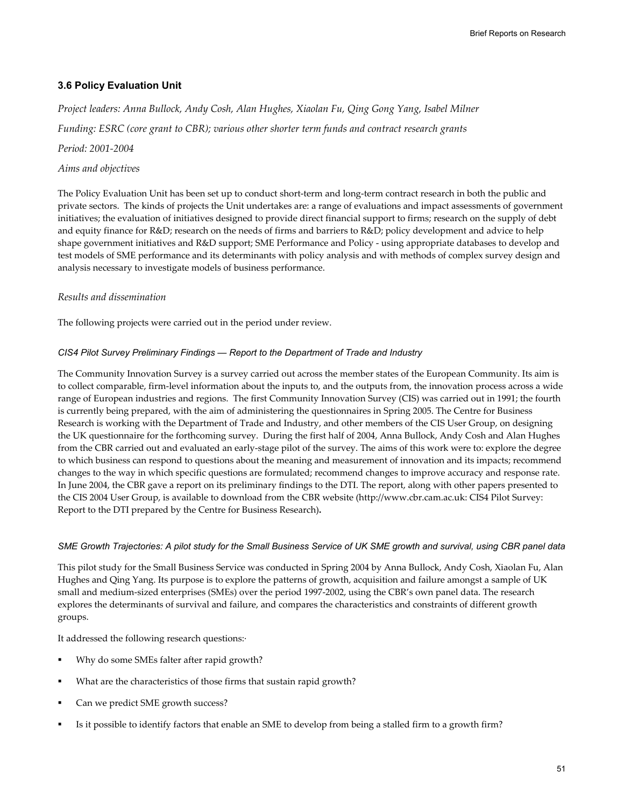# **3.6 Policy Evaluation Unit**

*Project leaders: Anna Bullock, Andy Cosh, Alan Hughes, Xiaolan Fu, Qing Gong Yang, Isabel Milner Funding: ESRC (core grant to CBR); various other shorter term funds and contract research grants* 

*Period: 2001-2004* 

### *Aims and objectives*

The Policy Evaluation Unit has been set up to conduct short-term and long-term contract research in both the public and private sectors. The kinds of projects the Unit undertakes are: a range of evaluations and impact assessments of government initiatives; the evaluation of initiatives designed to provide direct financial support to firms; research on the supply of debt and equity finance for R&D; research on the needs of firms and barriers to R&D; policy development and advice to help shape government initiatives and R&D support; SME Performance and Policy - using appropriate databases to develop and test models of SME performance and its determinants with policy analysis and with methods of complex survey design and analysis necessary to investigate models of business performance.

## *Results and dissemination*

The following projects were carried out in the period under review.

### *CIS4 Pilot Survey Preliminary Findings — Report to the Department of Trade and Industry*

The Community Innovation Survey is a survey carried out across the member states of the European Community. Its aim is to collect comparable, firm-level information about the inputs to, and the outputs from, the innovation process across a wide range of European industries and regions. The first Community Innovation Survey (CIS) was carried out in 1991; the fourth is currently being prepared, with the aim of administering the questionnaires in Spring 2005. The Centre for Business Research is working with the Department of Trade and Industry, and other members of the CIS User Group, on designing the UK questionnaire for the forthcoming survey. During the first half of 2004, Anna Bullock, Andy Cosh and Alan Hughes from the CBR carried out and evaluated an early-stage pilot of the survey. The aims of this work were to: explore the degree to which business can respond to questions about the meaning and measurement of innovation and its impacts; recommend changes to the way in which specific questions are formulated; recommend changes to improve accuracy and response rate. In June 2004, the CBR gave a report on its preliminary findings to the DTI. The report, along with other papers presented to the CIS 2004 User Group, is available to download from the CBR website (http://www.cbr.cam.ac.uk: CIS4 Pilot Survey: Report to the DTI prepared by the Centre for Business Research)**.**

### *SME Growth Trajectories: A pilot study for the Small Business Service of UK SME growth and survival, using CBR panel data*

This pilot study for the Small Business Service was conducted in Spring 2004 by Anna Bullock, Andy Cosh, Xiaolan Fu, Alan Hughes and Qing Yang. Its purpose is to explore the patterns of growth, acquisition and failure amongst a sample of UK small and medium-sized enterprises (SMEs) over the period 1997-2002, using the CBR's own panel data. The research explores the determinants of survival and failure, and compares the characteristics and constraints of different growth groups.

It addressed the following research questions:·

- Why do some SMEs falter after rapid growth?
- What are the characteristics of those firms that sustain rapid growth?
- Can we predict SME growth success?
- Is it possible to identify factors that enable an SME to develop from being a stalled firm to a growth firm?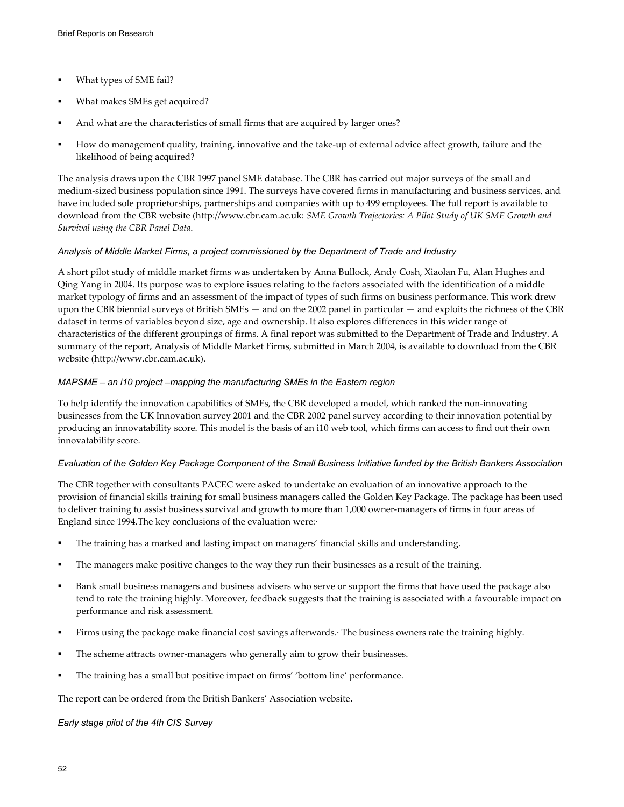- What types of SME fail?
- What makes SMEs get acquired?
- And what are the characteristics of small firms that are acquired by larger ones?
- How do management quality, training, innovative and the take-up of external advice affect growth, failure and the likelihood of being acquired?

The analysis draws upon the CBR 1997 panel SME database. The CBR has carried out major surveys of the small and medium-sized business population since 1991. The surveys have covered firms in manufacturing and business services, and have included sole proprietorships, partnerships and companies with up to 499 employees. The full report is available to download from the CBR website (http://www.cbr.cam.ac.uk: *SME Growth Trajectories: A Pilot Study of UK SME Growth and Survival using the CBR Panel Data*.

### *Analysis of Middle Market Firms, a project commissioned by the Department of Trade and Industry*

A short pilot study of middle market firms was undertaken by Anna Bullock, Andy Cosh, Xiaolan Fu, Alan Hughes and Qing Yang in 2004. Its purpose was to explore issues relating to the factors associated with the identification of a middle market typology of firms and an assessment of the impact of types of such firms on business performance. This work drew upon the CBR biennial surveys of British SMEs — and on the 2002 panel in particular — and exploits the richness of the CBR dataset in terms of variables beyond size, age and ownership. It also explores differences in this wider range of characteristics of the different groupings of firms. A final report was submitted to the Department of Trade and Industry. A summary of the report, Analysis of Middle Market Firms, submitted in March 2004, is available to download from the CBR website (http://www.cbr.cam.ac.uk).

### *MAPSME – an i10 project –mapping the manufacturing SMEs in the Eastern region*

To help identify the innovation capabilities of SMEs, the CBR developed a model, which ranked the non-innovating businesses from the UK Innovation survey 2001 and the CBR 2002 panel survey according to their innovation potential by producing an innovatability score. This model is the basis of an i10 web tool, which firms can access to find out their own innovatability score.

#### *Evaluation of the Golden Key Package Component of the Small Business Initiative funded by the British Bankers Association*

The CBR together with consultants PACEC were asked to undertake an evaluation of an innovative approach to the provision of financial skills training for small business managers called the Golden Key Package. The package has been used to deliver training to assist business survival and growth to more than 1,000 owner-managers of firms in four areas of England since 1994.The key conclusions of the evaluation were:·

- The training has a marked and lasting impact on managers' financial skills and understanding.
- The managers make positive changes to the way they run their businesses as a result of the training.
- Bank small business managers and business advisers who serve or support the firms that have used the package also tend to rate the training highly. Moreover, feedback suggests that the training is associated with a favourable impact on performance and risk assessment.
- Firms using the package make financial cost savings afterwards.· The business owners rate the training highly.
- The scheme attracts owner-managers who generally aim to grow their businesses.
- The training has a small but positive impact on firms' 'bottom line' performance.

The report can be ordered from the British Bankers' Association website.

*Early stage pilot of the 4th CIS Survey*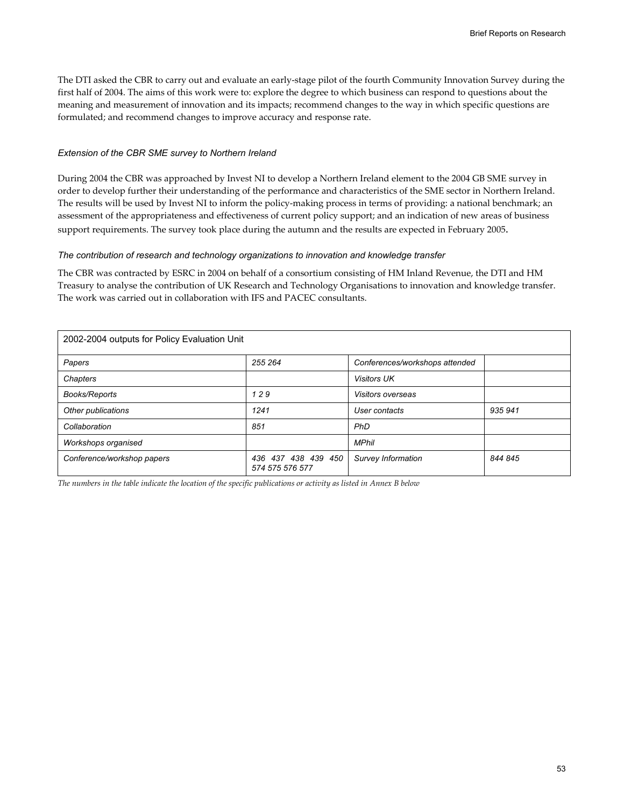The DTI asked the CBR to carry out and evaluate an early-stage pilot of the fourth Community Innovation Survey during the first half of 2004. The aims of this work were to: explore the degree to which business can respond to questions about the meaning and measurement of innovation and its impacts; recommend changes to the way in which specific questions are formulated; and recommend changes to improve accuracy and response rate.

#### *Extension of the CBR SME survey to Northern Ireland*

During 2004 the CBR was approached by Invest NI to develop a Northern Ireland element to the 2004 GB SME survey in order to develop further their understanding of the performance and characteristics of the SME sector in Northern Ireland. The results will be used by Invest NI to inform the policy-making process in terms of providing: a national benchmark; an assessment of the appropriateness and effectiveness of current policy support; and an indication of new areas of business support requirements. The survey took place during the autumn and the results are expected in February 2005.

#### *The contribution of research and technology organizations to innovation and knowledge transfer*

The CBR was contracted by ESRC in 2004 on behalf of a consortium consisting of HM Inland Revenue, the DTI and HM Treasury to analyse the contribution of UK Research and Technology Organisations to innovation and knowledge transfer. The work was carried out in collaboration with IFS and PACEC consultants.

| 2002-2004 outputs for Policy Evaluation Unit |                                        |                                |         |  |
|----------------------------------------------|----------------------------------------|--------------------------------|---------|--|
| Papers                                       | 255 264                                | Conferences/workshops attended |         |  |
| Chapters                                     |                                        | <b>Visitors UK</b>             |         |  |
| Books/Reports                                | 129                                    | <b>Visitors overseas</b>       |         |  |
| Other publications                           | 1241                                   | User contacts                  | 935 941 |  |
| Collaboration                                | 851                                    | PhD                            |         |  |
| Workshops organised                          |                                        | <b>MPhil</b>                   |         |  |
| Conference/workshop papers                   | 436 437 438 439 450<br>574 575 576 577 | Survey Information             | 844 845 |  |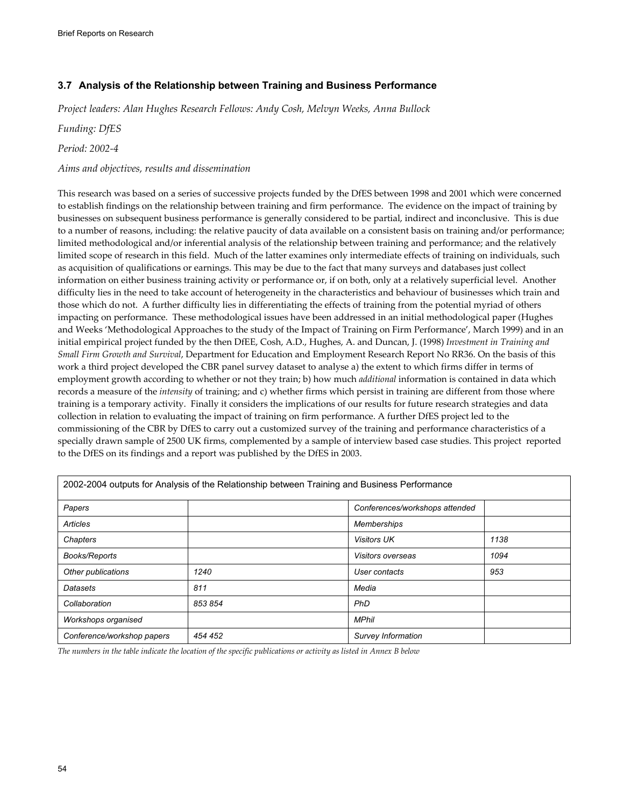# **3.7 Analysis of the Relationship between Training and Business Performance**

*Project leaders: Alan Hughes Research Fellows: Andy Cosh, Melvyn Weeks, Anna Bullock* 

*Funding: DfES* 

*Period: 2002-4* 

### *Aims and objectives, results and dissemination*

This research was based on a series of successive projects funded by the DfES between 1998 and 2001 which were concerned to establish findings on the relationship between training and firm performance. The evidence on the impact of training by businesses on subsequent business performance is generally considered to be partial, indirect and inconclusive. This is due to a number of reasons, including: the relative paucity of data available on a consistent basis on training and/or performance; limited methodological and/or inferential analysis of the relationship between training and performance; and the relatively limited scope of research in this field. Much of the latter examines only intermediate effects of training on individuals, such as acquisition of qualifications or earnings. This may be due to the fact that many surveys and databases just collect information on either business training activity or performance or, if on both, only at a relatively superficial level. Another difficulty lies in the need to take account of heterogeneity in the characteristics and behaviour of businesses which train and those which do not. A further difficulty lies in differentiating the effects of training from the potential myriad of others impacting on performance. These methodological issues have been addressed in an initial methodological paper (Hughes and Weeks 'Methodological Approaches to the study of the Impact of Training on Firm Performance', March 1999) and in an initial empirical project funded by the then DfEE, Cosh, A.D., Hughes, A. and Duncan, J. (1998) *Investment in Training and Small Firm Growth and Survival*, Department for Education and Employment Research Report No RR36. On the basis of this work a third project developed the CBR panel survey dataset to analyse a) the extent to which firms differ in terms of employment growth according to whether or not they train; b) how much *additional* information is contained in data which records a measure of the *intensity* of training; and c) whether firms which persist in training are different from those where training is a temporary activity. Finally it considers the implications of our results for future research strategies and data collection in relation to evaluating the impact of training on firm performance. A further DfES project led to the commissioning of the CBR by DfES to carry out a customized survey of the training and performance characteristics of a specially drawn sample of 2500 UK firms, complemented by a sample of interview based case studies. This project reported to the DfES on its findings and a report was published by the DfES in 2003.

|                            | 2002-2004 outputs for Analysis of the Relationship between Training and Business Performance |                    |      |
|----------------------------|----------------------------------------------------------------------------------------------|--------------------|------|
| Papers                     | Conferences/workshops attended                                                               |                    |      |
| Articles                   |                                                                                              | <b>Memberships</b> |      |
| Chapters                   |                                                                                              | <b>Visitors UK</b> | 1138 |
| <b>Books/Reports</b>       |                                                                                              | Visitors overseas  | 1094 |
| Other publications         | 1240                                                                                         | User contacts      | 953  |
| Datasets                   | 811                                                                                          | Media              |      |
| Collaboration              | 853 854                                                                                      | PhD                |      |
| Workshops organised        |                                                                                              | <b>MPhil</b>       |      |
| Conference/workshop papers | 454 452                                                                                      | Survey Information |      |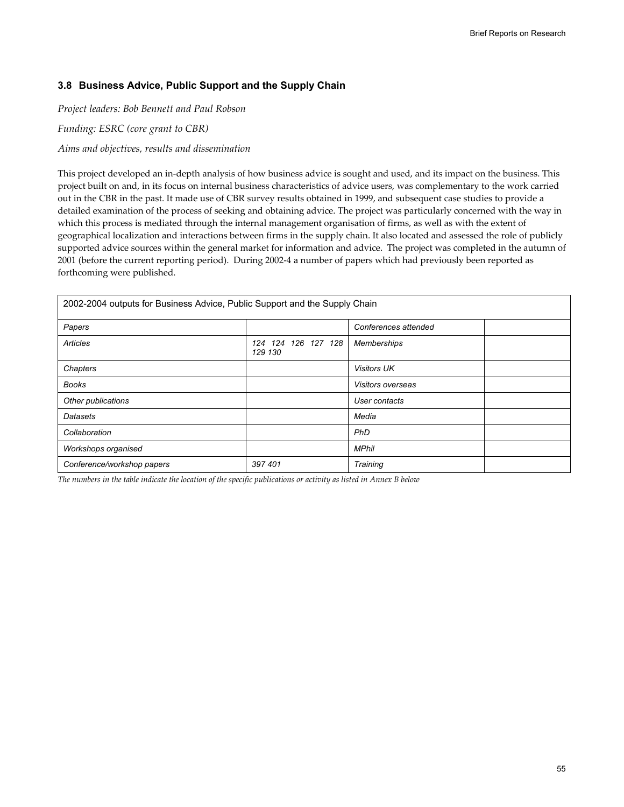### **3.8 Business Advice, Public Support and the Supply Chain**

*Project leaders: Bob Bennett and Paul Robson* 

*Funding: ESRC (core grant to CBR)* 

*Aims and objectives, results and dissemination* 

This project developed an in-depth analysis of how business advice is sought and used, and its impact on the business. This project built on and, in its focus on internal business characteristics of advice users, was complementary to the work carried out in the CBR in the past. It made use of CBR survey results obtained in 1999, and subsequent case studies to provide a detailed examination of the process of seeking and obtaining advice. The project was particularly concerned with the way in which this process is mediated through the internal management organisation of firms, as well as with the extent of geographical localization and interactions between firms in the supply chain. It also located and assessed the role of publicly supported advice sources within the general market for information and advice. The project was completed in the autumn of 2001 (before the current reporting period). During 2002-4 a number of papers which had previously been reported as forthcoming were published.

| 2002-2004 outputs for Business Advice, Public Support and the Supply Chain |                                |                          |  |
|----------------------------------------------------------------------------|--------------------------------|--------------------------|--|
| Papers                                                                     |                                | Conferences attended     |  |
| Articles                                                                   | 124 124 126 127 128<br>129 130 | <b>Memberships</b>       |  |
| Chapters                                                                   |                                | <b>Visitors UK</b>       |  |
| Books                                                                      |                                | <i>Visitors overseas</i> |  |
| Other publications                                                         |                                | User contacts            |  |
| Datasets                                                                   |                                | Media                    |  |
| Collaboration                                                              |                                | PhD                      |  |
| Workshops organised                                                        |                                | <b>MPhil</b>             |  |
| Conference/workshop papers                                                 | 397 401                        | Training                 |  |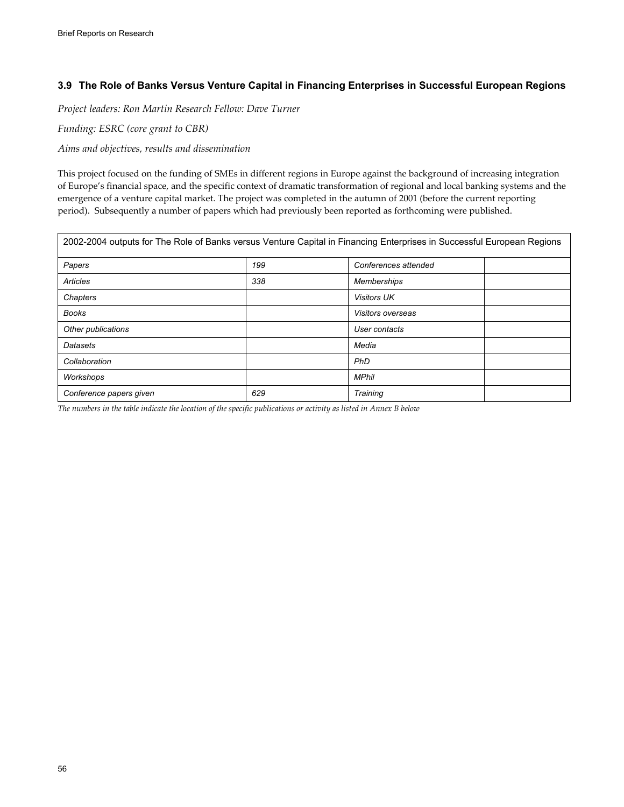# **3.9 The Role of Banks Versus Venture Capital in Financing Enterprises in Successful European Regions**

*Project leaders: Ron Martin Research Fellow: Dave Turner* 

*Funding: ESRC (core grant to CBR)* 

*Aims and objectives, results and dissemination* 

This project focused on the funding of SMEs in different regions in Europe against the background of increasing integration of Europe's financial space, and the specific context of dramatic transformation of regional and local banking systems and the emergence of a venture capital market. The project was completed in the autumn of 2001 (before the current reporting period). Subsequently a number of papers which had previously been reported as forthcoming were published.

| 2002-2004 outputs for The Role of Banks versus Venture Capital in Financing Enterprises in Successful European Regions |     |                      |  |
|------------------------------------------------------------------------------------------------------------------------|-----|----------------------|--|
| Papers                                                                                                                 | 199 | Conferences attended |  |
| Articles                                                                                                               | 338 | <b>Memberships</b>   |  |
| Chapters                                                                                                               |     | <b>Visitors UK</b>   |  |
| <b>Books</b>                                                                                                           |     | Visitors overseas    |  |
| Other publications                                                                                                     |     | User contacts        |  |
| Datasets                                                                                                               |     | Media                |  |
| Collaboration                                                                                                          |     | PhD                  |  |
| Workshops                                                                                                              |     | <b>MPhil</b>         |  |
| Conference papers given                                                                                                | 629 | Training             |  |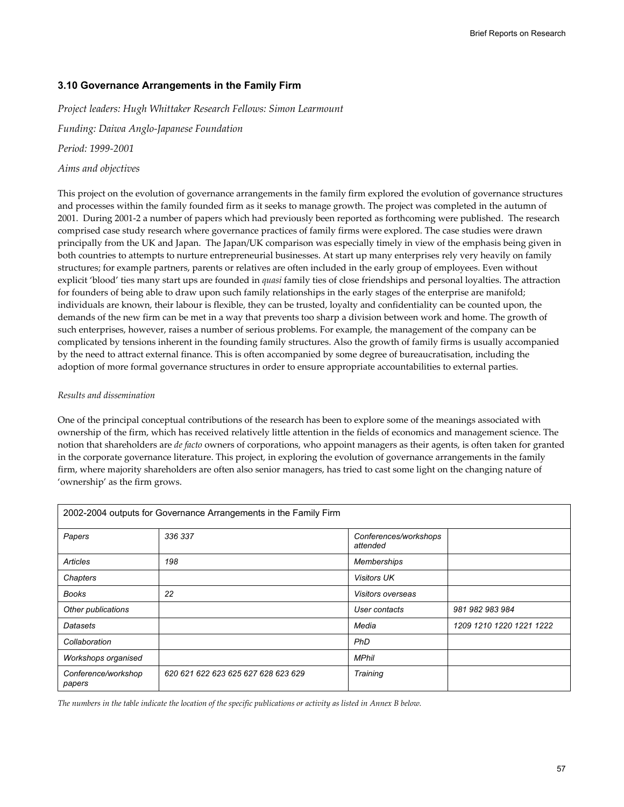### **3.10 Governance Arrangements in the Family Firm**

*Project leaders: Hugh Whittaker Research Fellows: Simon Learmount* 

*Funding: Daiwa Anglo-Japanese Foundation* 

*Period: 1999-2001* 

### *Aims and objectives*

This project on the evolution of governance arrangements in the family firm explored the evolution of governance structures and processes within the family founded firm as it seeks to manage growth. The project was completed in the autumn of 2001. During 2001-2 a number of papers which had previously been reported as forthcoming were published. The research comprised case study research where governance practices of family firms were explored. The case studies were drawn principally from the UK and Japan. The Japan/UK comparison was especially timely in view of the emphasis being given in both countries to attempts to nurture entrepreneurial businesses. At start up many enterprises rely very heavily on family structures; for example partners, parents or relatives are often included in the early group of employees. Even without explicit 'blood' ties many start ups are founded in *quasi* family ties of close friendships and personal loyalties. The attraction for founders of being able to draw upon such family relationships in the early stages of the enterprise are manifold; individuals are known, their labour is flexible, they can be trusted, loyalty and confidentiality can be counted upon, the demands of the new firm can be met in a way that prevents too sharp a division between work and home. The growth of such enterprises, however, raises a number of serious problems. For example, the management of the company can be complicated by tensions inherent in the founding family structures. Also the growth of family firms is usually accompanied by the need to attract external finance. This is often accompanied by some degree of bureaucratisation, including the adoption of more formal governance structures in order to ensure appropriate accountabilities to external parties.

### *Results and dissemination*

One of the principal conceptual contributions of the research has been to explore some of the meanings associated with ownership of the firm, which has received relatively little attention in the fields of economics and management science. The notion that shareholders are *de facto* owners of corporations, who appoint managers as their agents, is often taken for granted in the corporate governance literature. This project, in exploring the evolution of governance arrangements in the family firm, where majority shareholders are often also senior managers, has tried to cast some light on the changing nature of 'ownership' as the firm grows.

|                               | 2002-2004 outputs for Governance Arrangements in the Family Firm |                                   |                          |
|-------------------------------|------------------------------------------------------------------|-----------------------------------|--------------------------|
| Papers                        | 336 337                                                          | Conferences/workshops<br>attended |                          |
| Articles                      | 198                                                              | Memberships                       |                          |
| Chapters                      |                                                                  | <b>Visitors UK</b>                |                          |
| <b>Books</b>                  | 22                                                               | Visitors overseas                 |                          |
| Other publications            |                                                                  | User contacts                     | 981 982 983 984          |
| Datasets                      |                                                                  | Media                             | 1209 1210 1220 1221 1222 |
| Collaboration                 |                                                                  | <b>PhD</b>                        |                          |
| Workshops organised           |                                                                  | <b>MPhil</b>                      |                          |
| Conference/workshop<br>papers | 620 621 622 623 625 627 628 623 629                              | Training                          |                          |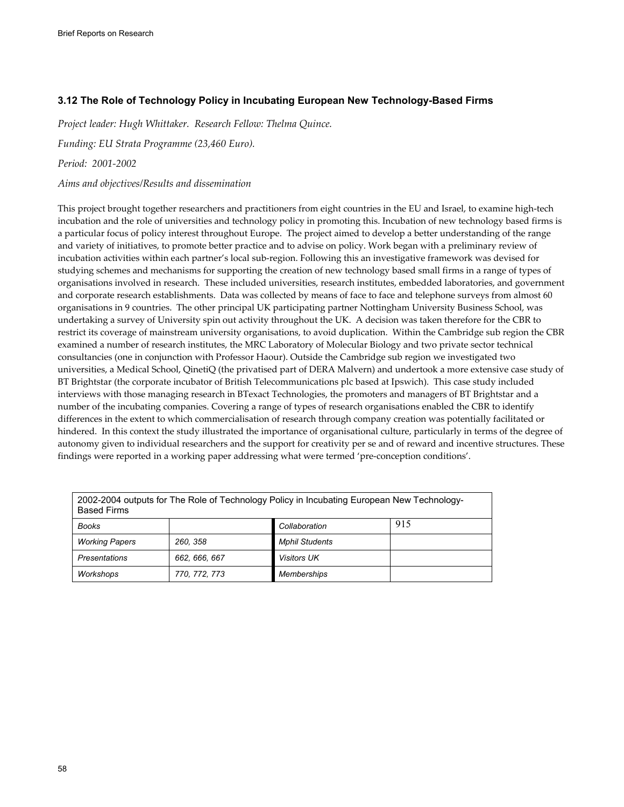# **3.12 The Role of Technology Policy in Incubating European New Technology-Based Firms**

*Project leader: Hugh Whittaker. Research Fellow: Thelma Quince.* 

*Funding: EU Strata Programme (23,460 Euro).* 

*Period: 2001-2002* 

*Aims and objectives/Results and dissemination* 

This project brought together researchers and practitioners from eight countries in the EU and Israel, to examine high-tech incubation and the role of universities and technology policy in promoting this. Incubation of new technology based firms is a particular focus of policy interest throughout Europe. The project aimed to develop a better understanding of the range and variety of initiatives, to promote better practice and to advise on policy. Work began with a preliminary review of incubation activities within each partner's local sub-region. Following this an investigative framework was devised for studying schemes and mechanisms for supporting the creation of new technology based small firms in a range of types of organisations involved in research. These included universities, research institutes, embedded laboratories, and government and corporate research establishments. Data was collected by means of face to face and telephone surveys from almost 60 organisations in 9 countries. The other principal UK participating partner Nottingham University Business School, was undertaking a survey of University spin out activity throughout the UK. A decision was taken therefore for the CBR to restrict its coverage of mainstream university organisations, to avoid duplication. Within the Cambridge sub region the CBR examined a number of research institutes, the MRC Laboratory of Molecular Biology and two private sector technical consultancies (one in conjunction with Professor Haour). Outside the Cambridge sub region we investigated two universities, a Medical School, QinetiQ (the privatised part of DERA Malvern) and undertook a more extensive case study of BT Brightstar (the corporate incubator of British Telecommunications plc based at Ipswich). This case study included interviews with those managing research in BTexact Technologies, the promoters and managers of BT Brightstar and a number of the incubating companies. Covering a range of types of research organisations enabled the CBR to identify differences in the extent to which commercialisation of research through company creation was potentially facilitated or hindered. In this context the study illustrated the importance of organisational culture, particularly in terms of the degree of autonomy given to individual researchers and the support for creativity per se and of reward and incentive structures. These findings were reported in a working paper addressing what were termed 'pre-conception conditions'.

| 2002-2004 outputs for The Role of Technology Policy in Incubating European New Technology-<br><b>Based Firms</b> |               |                       |     |
|------------------------------------------------------------------------------------------------------------------|---------------|-----------------------|-----|
| <b>Books</b>                                                                                                     |               | Collaboration         | 915 |
| <b>Working Papers</b>                                                                                            | 260, 358      | <b>Mphil Students</b> |     |
| Presentations                                                                                                    | 662, 666, 667 | <b>Visitors UK</b>    |     |
| Workshops                                                                                                        | 770, 772, 773 | Memberships           |     |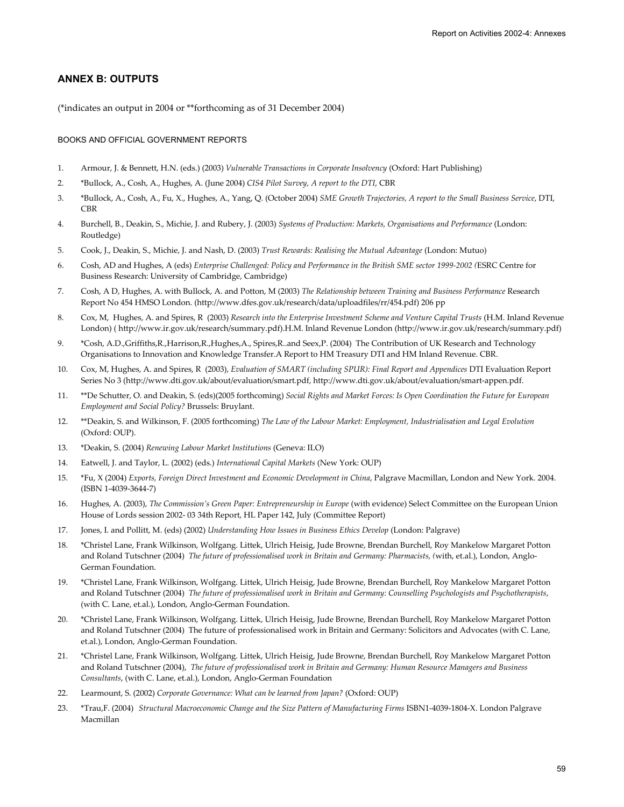### **ANNEX B: OUTPUTS**

(\*indicates an output in 2004 or \*\*forthcoming as of 31 December 2004)

#### BOOKS AND OFFICIAL GOVERNMENT REPORTS

- 1. Armour, J. & Bennett, H.N. (eds.) (2003) *Vulnerable Transactions in Corporate Insolvency* (Oxford: Hart Publishing)
- 2. \*Bullock, A., Cosh, A., Hughes, A. (June 2004) *CIS4 Pilot Survey, A report to the DTI*, CBR
- 3. \*Bullock, A., Cosh, A., Fu, X., Hughes, A., Yang, Q. (October 2004) *SME Growth Trajectories, A report to the Small Business Service*, DTI, **CBR**
- 4. Burchell, B., Deakin, S., Michie, J. and Rubery, J. (2003) *Systems of Production: Markets, Organisations and Performance* (London: Routledge)
- 5. Cook, J., Deakin, S., Michie, J. and Nash, D. (2003) *Trust Rewards: Realising the Mutual Advantage* (London: Mutuo)
- 6. Cosh, AD and Hughes, A (eds) *Enterprise Challenged: Policy and Performance in the British SME sector 1999-2002 (*ESRC Centre for Business Research: University of Cambridge, Cambridge)
- 7. Cosh, A D, Hughes, A. with Bullock, A. and Potton, M (2003) *The Relationship between Training and Business Performance* Research Report No 454 HMSO London. (http://www.dfes.gov.uk/research/data/uploadfiles/rr/454.pdf) 206 pp
- 8. Cox, M, Hughes, A. and Spires, R (2003) *Research into the Enterprise Investment Scheme and Venture Capital Trusts* (H.M. Inland Revenue London) ( http://www.ir.gov.uk/research/summary.pdf).H.M. Inland Revenue London (http://www.ir.gov.uk/research/summary.pdf)
- 9. \*Cosh, A.D.,Griffiths,R.,Harrison,R.,Hughes,A., Spires,R..and Seex,P. (2004) The Contribution of UK Research and Technology Organisations to Innovation and Knowledge Transfer.A Report to HM Treasury DTI and HM Inland Revenue. CBR.
- 10. Cox, M, Hughes, A. and Spires, R (2003), *Evaluation of SMART (including SPUR): Final Report and Appendices* DTI Evaluation Report Series No 3 (http://www.dti.gov.uk/about/evaluation/smart.pdf, http://www.dti.gov.uk/about/evaluation/smart-appen.pdf.
- 11. \*\*De Schutter, O. and Deakin, S. (eds)(2005 forthcoming) *Social Rights and Market Forces: Is Open Coordination the Future for European Employment and Social Policy?* Brussels: Bruylant.
- 12. \*\*Deakin, S. and Wilkinson, F. (2005 forthcoming) *The Law of the Labour Market: Employment, Industrialisation and Legal Evolution* (Oxford: OUP).
- 13. \*Deakin, S. (2004) *Renewing Labour Market Institutions* (Geneva: ILO)
- 14. Eatwell, J. and Taylor, L. (2002) (eds.) *International Capital Markets* (New York: OUP)
- 15. \*Fu, X (2004) *Exports, Foreign Direct Investment and Economic Development in China*, Palgrave Macmillan, London and New York. 2004. (ISBN 1-4039-3644-7)
- 16. Hughes, A. (2003), *The Commission's Green Paper: Entrepreneurship in Europe* (with evidence) Select Committee on the European Union House of Lords session 2002- 03 34th Report, HL Paper 142, July (Committee Report)
- 17. Jones, I. and Pollitt, M. (eds) (2002) *Understanding How Issues in Business Ethics Develop* (London: Palgrave)
- 18. \*Christel Lane, Frank Wilkinson, Wolfgang. Littek, Ulrich Heisig, Jude Browne, Brendan Burchell, Roy Mankelow Margaret Potton and Roland Tutschner (2004) *The future of professionalised work in Britain and Germany: Pharmacists, (*with, et.al.), London, Anglo-German Foundation.
- 19. \*Christel Lane, Frank Wilkinson, Wolfgang. Littek, Ulrich Heisig, Jude Browne, Brendan Burchell, Roy Mankelow Margaret Potton and Roland Tutschner (2004) *The future of professionalised work in Britain and Germany: Counselling Psychologists and Psychotherapists*, (with C. Lane, et.al.), London, Anglo-German Foundation.
- 20. \*Christel Lane, Frank Wilkinson, Wolfgang. Littek, Ulrich Heisig, Jude Browne, Brendan Burchell, Roy Mankelow Margaret Potton and Roland Tutschner (2004) The future of professionalised work in Britain and Germany: Solicitors and Advocates (with C. Lane, et.al.), London, Anglo-German Foundation.
- 21. \*Christel Lane, Frank Wilkinson, Wolfgang. Littek, Ulrich Heisig, Jude Browne, Brendan Burchell, Roy Mankelow Margaret Potton and Roland Tutschner (2004), *The future of professionalised work in Britain and Germany: Human Resource Managers and Business Consultants*, (with C. Lane, et.al.), London, Anglo-German Foundation
- 22. Learmount, S. (2002) *Corporate Governance: What can be learned from Japan?* (Oxford: OUP)
- 23. \*Trau,F. (2004) *Structural Macroeconomic Change and the Size Pattern of Manufacturing Firms* ISBN1-4039-1804-X. London Palgrave Macmillan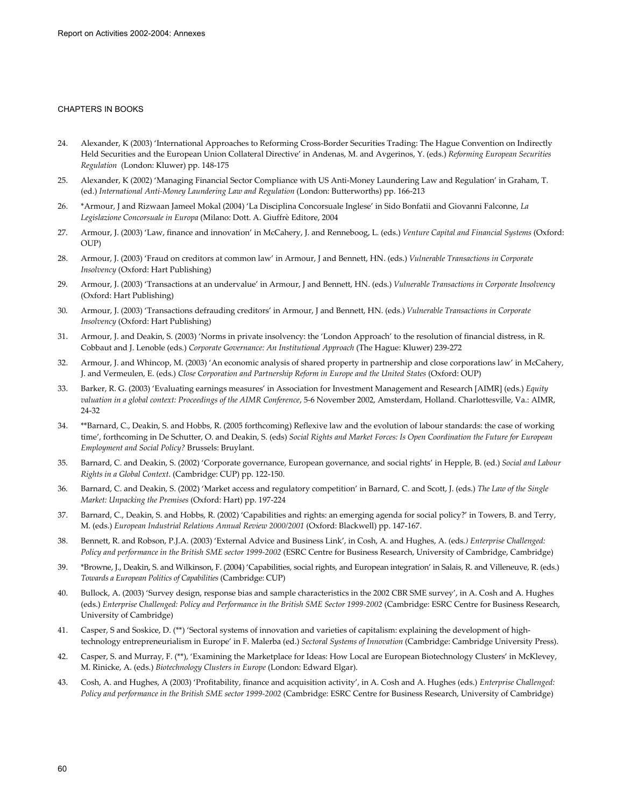#### CHAPTERS IN BOOKS

- 24. Alexander, K (2003) 'International Approaches to Reforming Cross-Border Securities Trading: The Hague Convention on Indirectly Held Securities and the European Union Collateral Directive' in Andenas, M. and Avgerinos, Y. (eds.) *Reforming European Securities Regulation* (London: Kluwer) pp. 148-175
- 25. Alexander, K (2002) 'Managing Financial Sector Compliance with US Anti-Money Laundering Law and Regulation' in Graham, T. (ed.) *International Anti-Money Laundering Law and Regulation* (London: Butterworths) pp. 166-213
- 26. \*Armour, J and Rizwaan Jameel Mokal (2004) 'La Disciplina Concorsuale Inglese' in Sido Bonfatii and Giovanni Falconne, *La Legislazione Concorsuale in Europa* (Milano: Dott. A. Giuffrè Editore, 2004
- 27. Armour, J. (2003) 'Law, finance and innovation' in McCahery, J. and Renneboog, L. (eds.) *Venture Capital and Financial Systems* (Oxford: OUP)
- 28. Armour, J. (2003) 'Fraud on creditors at common law' in Armour, J and Bennett, HN. (eds.) *Vulnerable Transactions in Corporate Insolvency* (Oxford: Hart Publishing)
- 29. Armour, J. (2003) 'Transactions at an undervalue' in Armour, J and Bennett, HN. (eds.) *Vulnerable Transactions in Corporate Insolvency* (Oxford: Hart Publishing)
- 30. Armour, J. (2003) 'Transactions defrauding creditors' in Armour, J and Bennett, HN. (eds.) *Vulnerable Transactions in Corporate Insolvency* (Oxford: Hart Publishing)
- 31. Armour, J. and Deakin, S. (2003) 'Norms in private insolvency: the 'London Approach' to the resolution of financial distress, in R. Cobbaut and J. Lenoble (eds.) *Corporate Governance: An Institutional Approach* (The Hague: Kluwer) 239-272
- 32. Armour, J. and Whincop, M. (2003) 'An economic analysis of shared property in partnership and close corporations law' in McCahery, J. and Vermeulen, E. (eds.) *Close Corporation and Partnership Reform in Europe and the United States* (Oxford: OUP)
- 33. Barker, R. G. (2003) 'Evaluating earnings measures' in Association for Investment Management and Research [AIMR] (eds.) *Equity valuation in a global context: Proceedings of the AIMR Conference*, 5-6 November 2002, Amsterdam, Holland. Charlottesville, Va.: AIMR, 24-32
- 34. \*\*Barnard, C., Deakin, S. and Hobbs, R. (2005 forthcoming) Reflexive law and the evolution of labour standards: the case of working time', forthcoming in De Schutter, O. and Deakin, S. (eds) *Social Rights and Market Forces: Is Open Coordination the Future for European Employment and Social Policy?* Brussels: Bruylant.
- 35. Barnard, C. and Deakin, S. (2002) 'Corporate governance, European governance, and social rights' in Hepple, B. (ed.) *Social and Labour Rights in a Global Context*. (Cambridge: CUP) pp. 122-150.
- 36. Barnard, C. and Deakin, S. (2002) 'Market access and regulatory competition' in Barnard, C. and Scott, J. (eds.) *The Law of the Single Market: Unpacking the Premises* (Oxford: Hart) pp. 197-224
- 37. Barnard, C., Deakin, S. and Hobbs, R. (2002) 'Capabilities and rights: an emerging agenda for social policy?' in Towers, B. and Terry, M. (eds.) *European Industrial Relations Annual Review 2000/2001* (Oxford: Blackwell) pp. 147-167.
- 38. Bennett, R. and Robson, P.J.A. (2003) 'External Advice and Business Link', in Cosh, A. and Hughes, A. (eds*.) Enterprise Challenged: Policy and performance in the British SME sector 1999-2002* (ESRC Centre for Business Research, University of Cambridge, Cambridge)
- 39. \*Browne, J., Deakin, S. and Wilkinson, F. (2004) 'Capabilities, social rights, and European integration' in Salais, R. and Villeneuve, R. (eds.) *Towards a European Politics of Capabilities* (Cambridge: CUP)
- 40. Bullock, A. (2003) 'Survey design, response bias and sample characteristics in the 2002 CBR SME survey', in A. Cosh and A. Hughes (eds.) *Enterprise Challenged: Policy and Performance in the British SME Sector 1999-2002* (Cambridge: ESRC Centre for Business Research, University of Cambridge)
- 41. Casper, S and Soskice, D. (\*\*) 'Sectoral systems of innovation and varieties of capitalism: explaining the development of hightechnology entrepreneurialism in Europe' in F. Malerba (ed.) *Sectoral Systems of Innovation* (Cambridge: Cambridge University Press).
- 42. Casper, S. and Murray, F. (\*\*), 'Examining the Marketplace for Ideas: How Local are European Biotechnology Clusters' in McKlevey, M. Rinicke, A. (eds.) *Biotechnology Clusters in Europe* (London: Edward Elgar).
- 43. Cosh, A. and Hughes, A (2003) 'Profitability, finance and acquisition activity', in A. Cosh and A. Hughes (eds.) *Enterprise Challenged: Policy and performance in the British SME sector 1999-2002* (Cambridge: ESRC Centre for Business Research, University of Cambridge)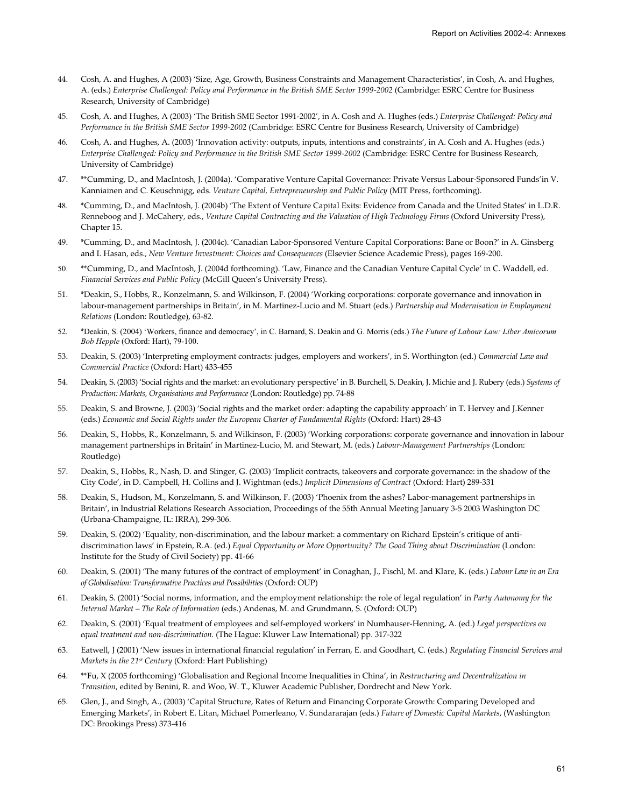- 44. Cosh, A. and Hughes, A (2003) 'Size, Age, Growth, Business Constraints and Management Characteristics', in Cosh, A. and Hughes, A. (eds.) *Enterprise Challenged: Policy and Performance in the British SME Sector 1999-2002* (Cambridge: ESRC Centre for Business Research, University of Cambridge)
- 45. Cosh, A. and Hughes, A (2003) 'The British SME Sector 1991-2002', in A. Cosh and A. Hughes (eds.) *Enterprise Challenged: Policy and Performance in the British SME Sector 1999-2002* (Cambridge: ESRC Centre for Business Research, University of Cambridge)
- 46. Cosh, A. and Hughes, A. (2003) 'Innovation activity: outputs, inputs, intentions and constraints', in A. Cosh and A. Hughes (eds.) *Enterprise Challenged: Policy and Performance in the British SME Sector 1999-2002* (Cambridge: ESRC Centre for Business Research, University of Cambridge)
- 47. \*\*Cumming, D., and MacIntosh, J. (2004a). 'Comparative Venture Capital Governance: Private Versus Labour-Sponsored Funds'in V. Kanniainen and C. Keuschnigg, eds. *Venture Capital, Entrepreneurship and Public Policy* (MIT Press, forthcoming).
- 48. \*Cumming, D., and MacIntosh, J. (2004b) 'The Extent of Venture Capital Exits: Evidence from Canada and the United States' in L.D.R. Renneboog and J. McCahery, eds., *Venture Capital Contracting and the Valuation of High Technology Firms* (Oxford University Press), Chapter 15.
- 49. \*Cumming, D., and MacIntosh, J. (2004c). 'Canadian Labor-Sponsored Venture Capital Corporations: Bane or Boon?' in A. Ginsberg and I. Hasan, eds., *New Venture Investment: Choices and Consequences* (Elsevier Science Academic Press), pages 169-200.
- 50. \*\*Cumming, D., and MacIntosh, J. (2004d forthcoming). 'Law, Finance and the Canadian Venture Capital Cycle' in C. Waddell, ed. *Financial Services and Public Policy* (McGill Queen's University Press).
- 51. \*Deakin, S., Hobbs, R., Konzelmann, S. and Wilkinson, F. (2004) 'Working corporations: corporate governance and innovation in labour-management partnerships in Britain', in M. Martinez-Lucio and M. Stuart (eds.) *Partnership and Modernisation in Employment Relations* (London: Routledge), 63-82.
- 52. \*Deakin, S. (2004) 'Workers, finance and democracy', in C. Barnard, S. Deakin and G. Morris (eds.) *The Future of Labour Law: Liber Amicorum Bob Hepple* (Oxford: Hart), 79-100.
- 53. Deakin, S. (2003) 'Interpreting employment contracts: judges, employers and workers', in S. Worthington (ed.) *Commercial Law and Commercial Practice* (Oxford: Hart) 433-455
- 54. Deakin, S. (2003) 'Social rights and the market: an evolutionary perspective' in B. Burchell, S. Deakin, J. Michie and J. Rubery (eds.) *Systems of Production: Markets, Organisations and Performance* (London: Routledge) pp. 74-88
- 55. Deakin, S. and Browne, J. (2003) 'Social rights and the market order: adapting the capability approach' in T. Hervey and J.Kenner (eds.) *Economic and Social Rights under the European Charter of Fundamental Rights* (Oxford: Hart) 28-43
- 56. Deakin, S., Hobbs, R., Konzelmann, S. and Wilkinson, F. (2003) 'Working corporations: corporate governance and innovation in labour management partnerships in Britain' in Martinez-Lucio, M. and Stewart, M. (eds.) *Labour-Management Partnerships* (London: Routledge)
- 57. Deakin, S., Hobbs, R., Nash, D. and Slinger, G. (2003) 'Implicit contracts, takeovers and corporate governance: in the shadow of the City Code', in D. Campbell, H. Collins and J. Wightman (eds.) *Implicit Dimensions of Contract* (Oxford: Hart) 289-331
- 58. Deakin, S., Hudson, M., Konzelmann, S. and Wilkinson, F. (2003) 'Phoenix from the ashes? Labor-management partnerships in Britain', in Industrial Relations Research Association, Proceedings of the 55th Annual Meeting January 3-5 2003 Washington DC (Urbana-Champaigne, IL: IRRA), 299-306.
- 59. Deakin, S. (2002) 'Equality, non-discrimination, and the labour market: a commentary on Richard Epstein's critique of antidiscrimination laws' in Epstein, R.A. (ed.) *Equal Opportunity or More Opportunity? The Good Thing about Discrimination* (London: Institute for the Study of Civil Society) pp. 41-66
- 60. Deakin, S. (2001) 'The many futures of the contract of employment' in Conaghan, J., Fischl, M. and Klare, K. (eds.) *Labour Law in an Era of Globalisation: Transformative Practices and Possibilities* (Oxford: OUP)
- 61. Deakin, S. (2001) 'Social norms, information, and the employment relationship: the role of legal regulation' in *Party Autonomy for the Internal Market – The Role of Information* (eds.) Andenas, M. and Grundmann, S. (Oxford: OUP)
- 62. Deakin, S. (2001) 'Equal treatment of employees and self-employed workers' in Numhauser-Henning, A. (ed.) *Legal perspectives on equal treatment and non-discrimination.* (The Hague: Kluwer Law International) pp. 317-322
- 63. Eatwell, J (2001) 'New issues in international financial regulation' in Ferran, E. and Goodhart, C. (eds.) *Regulating Financial Services and Markets in the 21st Century* (Oxford: Hart Publishing)
- 64. \*\*Fu, X (2005 forthcoming) 'Globalisation and Regional Income Inequalities in China', in *Restructuring and Decentralization in Transition*, edited by Benini, R. and Woo, W. T., Kluwer Academic Publisher, Dordrecht and New York.
- 65. Glen, J., and Singh, A., (2003) 'Capital Structure, Rates of Return and Financing Corporate Growth: Comparing Developed and Emerging Markets', in Robert E. Litan, Michael Pomerleano, V. Sundararajan (eds.) *Future of Domestic Capital Markets*, (Washington DC: Brookings Press) 373-416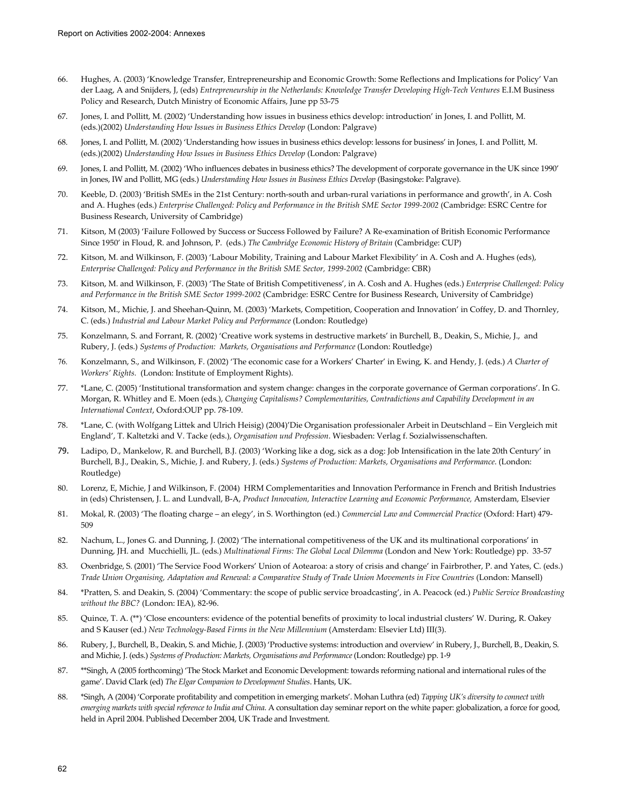- 66. Hughes, A. (2003) 'Knowledge Transfer, Entrepreneurship and Economic Growth: Some Reflections and Implications for Policy' Van der Laag, A and Snijders, J, (eds) *Entrepreneurship in the Netherlands: Knowledge Transfer Developing High-Tech Ventures* E.I.M Business Policy and Research, Dutch Ministry of Economic Affairs, June pp 53-75
- 67. Jones, I. and Pollitt, M. (2002) 'Understanding how issues in business ethics develop: introduction' in Jones, I. and Pollitt, M. (eds.)(2002) *Understanding How Issues in Business Ethics Develop* (London: Palgrave)
- 68. Jones, I. and Pollitt, M. (2002) 'Understanding how issues in business ethics develop: lessons for business' in Jones, I. and Pollitt, M. (eds.)(2002) *Understanding How Issues in Business Ethics Develop* (London: Palgrave)
- 69. Jones, I. and Pollitt, M. (2002) 'Who influences debates in business ethics? The development of corporate governance in the UK since 1990' in Jones, IW and Pollitt, MG (eds.) *Understanding How Issues in Business Ethics Develop* (Basingstoke: Palgrave).
- 70. Keeble, D. (2003) 'British SMEs in the 21st Century: north-south and urban-rural variations in performance and growth', in A. Cosh and A. Hughes (eds.) *Enterprise Challenged: Policy and Performance in the British SME Sector 1999-2002* (Cambridge: ESRC Centre for Business Research, University of Cambridge)
- 71. Kitson, M (2003) 'Failure Followed by Success or Success Followed by Failure? A Re-examination of British Economic Performance Since 1950' in Floud, R. and Johnson, P. (eds.) *The Cambridge Economic History of Britain* (Cambridge: CUP)
- 72. Kitson, M. and Wilkinson, F. (2003) 'Labour Mobility, Training and Labour Market Flexibility' in A. Cosh and A. Hughes (eds), *Enterprise Challenged: Policy and Performance in the British SME Sector, 1999-2002* (Cambridge: CBR)
- 73. Kitson, M. and Wilkinson, F. (2003) 'The State of British Competitiveness', in A. Cosh and A. Hughes (eds.) *Enterprise Challenged: Policy and Performance in the British SME Sector 1999-2002* (Cambridge: ESRC Centre for Business Research, University of Cambridge)
- 74. Kitson, M., Michie, J. and Sheehan-Quinn, M. (2003) 'Markets, Competition, Cooperation and Innovation' in Coffey, D. and Thornley, C. (eds.) *Industrial and Labour Market Policy and Performance* (London: Routledge)
- 75. Konzelmann, S. and Forrant, R. (2002) 'Creative work systems in destructive markets' in Burchell, B., Deakin, S., Michie, J., and Rubery, J. (eds.) *Systems of Production: Markets, Organisations and Performance* (London: Routledge)
- 76. Konzelmann, S., and Wilkinson, F. (2002) 'The economic case for a Workers' Charter' in Ewing, K. and Hendy, J. (eds.) *A Charter of Workers' Rights.* (London: Institute of Employment Rights).
- 77. \*Lane, C. (2005) 'Institutional transformation and system change: changes in the corporate governance of German corporations'. In G. Morgan, R. Whitley and E. Moen (eds.), *Changing Capitalisms? Complementarities, Contradictions and Capability Development in an International Context*, Oxford:OUP pp. 78-109.
- 78. \*Lane, C. (with Wolfgang Littek and Ulrich Heisig) (2004)'Die Organisation professionaler Arbeit in Deutschland Ein Vergleich mit England', T. Kaltetzki and V. Tacke (eds.), *Organisation und Profession*. Wiesbaden: Verlag f. Sozialwissenschaften.
- 79. Ladipo, D., Mankelow, R. and Burchell, B.J. (2003) 'Working like a dog, sick as a dog: Job Intensification in the late 20th Century' in Burchell, B.J., Deakin, S., Michie, J. and Rubery, J. (eds.) *Systems of Production: Markets, Organisations and Performance*. (London: Routledge)
- 80. Lorenz, E, Michie, J and Wilkinson, F. (2004) HRM Complementarities and Innovation Performance in French and British Industries in (eds) Christensen, J. L. and Lundvall, B-A, *Product Innovation, Interactive Learning and Economic Performance,* Amsterdam, Elsevier
- 81. Mokal, R. (2003) 'The floating charge an elegy', in S. Worthington (ed.) *Commercial Law and Commercial Practice* (Oxford: Hart) 479- 509
- 82. Nachum, L., Jones G. and Dunning, J. (2002) 'The international competitiveness of the UK and its multinational corporations' in Dunning, JH. and Mucchielli, JL. (eds.) *Multinational Firms: The Global Local Dilemma* (London and New York: Routledge) pp. 33-57
- 83. Oxenbridge, S. (2001) 'The Service Food Workers' Union of Aotearoa: a story of crisis and change' in Fairbrother, P. and Yates, C. (eds.) *Trade Union Organising, Adaptation and Renewal: a Comparative Study of Trade Union Movements in Five Countries* (London: Mansell)
- 84. \*Pratten, S. and Deakin, S. (2004) 'Commentary: the scope of public service broadcasting', in A. Peacock (ed.) *Public Service Broadcasting without the BBC?* (London: IEA), 82-96.
- 85. Quince, T. A. (\*\*) 'Close encounters: evidence of the potential benefits of proximity to local industrial clusters' W. During, R. Oakey and S Kauser (ed.) *New Technology-Based Firms in the New Millennium* (Amsterdam: Elsevier Ltd) III(3).
- 86. Rubery, J., Burchell, B., Deakin, S. and Michie, J. (2003) 'Productive systems: introduction and overview' in Rubery, J., Burchell, B., Deakin, S. and Michie, J. (eds.) *Systems of Production: Markets, Organisations and Performance* (London: Routledge) pp. 1-9
- 87. \*\*Singh, A (2005 forthcoming) 'The Stock Market and Economic Development: towards reforming national and international rules of the game'. David Clark (ed) *The Elgar Companion to Development Studies*. Hants, UK.
- 88. \*Singh, A (2004) 'Corporate profitability and competition in emerging markets'. Mohan Luthra (ed) *Tapping UK's diversity to connect with emerging markets with special reference to India and China*. A consultation day seminar report on the white paper: globalization, a force for good, held in April 2004. Published December 2004, UK Trade and Investment.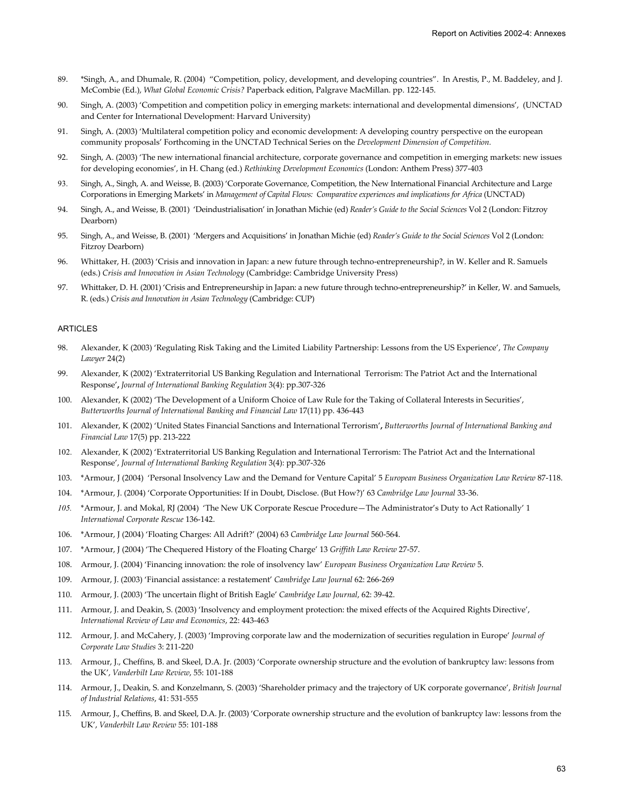- 89. \*Singh, A., and Dhumale, R. (2004) "Competition, policy, development, and developing countries". In Arestis, P., M. Baddeley, and J. McCombie (Ed.), *What Global Economic Crisis?* Paperback edition, Palgrave MacMillan. pp. 122-145.
- 90. Singh, A. (2003) 'Competition and competition policy in emerging markets: international and developmental dimensions', (UNCTAD and Center for International Development: Harvard University)
- 91. Singh, A. (2003) 'Multilateral competition policy and economic development: A developing country perspective on the european community proposals' Forthcoming in the UNCTAD Technical Series on the *Development Dimension of Competition.*
- 92. Singh, A. (2003) 'The new international financial architecture, corporate governance and competition in emerging markets: new issues for developing economies', in H. Chang (ed.) *Rethinking Development Economics* (London: Anthem Press) 377-403
- 93. Singh, A., Singh, A. and Weisse, B. (2003) 'Corporate Governance, Competition, the New International Financial Architecture and Large Corporations in Emerging Markets' in *Management of Capital Flows: Comparative experiences and implications for Africa* (UNCTAD)
- 94. Singh, A., and Weisse, B. (2001) 'Deindustrialisation' in Jonathan Michie (ed) *Reader's Guide to the Social Sciences* Vol 2 (London: Fitzroy Dearborn)
- 95. Singh, A., and Weisse, B. (2001) 'Mergers and Acquisitions' in Jonathan Michie (ed) *Reader's Guide to the Social Sciences* Vol 2 (London: Fitzroy Dearborn)
- 96. Whittaker, H. (2003) 'Crisis and innovation in Japan: a new future through techno-entrepreneurship?, in W. Keller and R. Samuels (eds.) *Crisis and Innovation in Asian Technology* (Cambridge: Cambridge University Press)
- 97. Whittaker, D. H. (2001) 'Crisis and Entrepreneurship in Japan: a new future through techno-entrepreneurship?' in Keller, W. and Samuels, R. (eds.) *Crisis and Innovation in Asian Technology* (Cambridge: CUP)

#### ARTICLES

- 98. Alexander, K (2003) 'Regulating Risk Taking and the Limited Liability Partnership: Lessons from the US Experience', *The Company Lawyer* 24(2)
- 99. Alexander, K (2002) 'Extraterritorial US Banking Regulation and International Terrorism: The Patriot Act and the International Response'**,** *Journal of International Banking Regulation* 3(4): pp.307-326
- 100. Alexander, K (2002) 'The Development of a Uniform Choice of Law Rule for the Taking of Collateral Interests in Securities', *Butterworths Journal of International Banking and Financial Law* 17(11) pp. 436-443
- 101. Alexander, K (2002) 'United States Financial Sanctions and International Terrorism'**,** *Butterworths Journal of International Banking and Financial Law* 17(5) pp. 213-222
- 102. Alexander, K (2002) 'Extraterritorial US Banking Regulation and International Terrorism: The Patriot Act and the International Response', *Journal of International Banking Regulation* 3(4): pp.307-326
- 103. \*Armour, J (2004) 'Personal Insolvency Law and the Demand for Venture Capital' 5 *European Business Organization Law Review* 87-118.
- 104. \*Armour, J. (2004) 'Corporate Opportunities: If in Doubt, Disclose. (But How?)' 63 *Cambridge Law Journal* 33-36.
- *105.* \*Armour, J. and Mokal, RJ (2004) 'The New UK Corporate Rescue Procedure—The Administrator's Duty to Act Rationally' 1 *International Corporate Rescue* 136-142.
- 106. \*Armour, J (2004) 'Floating Charges: All Adrift?' (2004) 63 *Cambridge Law Journal* 560-564.
- 107. \*Armour, J (2004) 'The Chequered History of the Floating Charge' 13 *Griffith Law Review* 27-57.
- 108. Armour, J. (2004) 'Financing innovation: the role of insolvency law' *European Business Organization Law Review* 5.
- 109. Armour, J. (2003) 'Financial assistance: a restatement' *Cambridge Law Journal* 62: 266-269
- 110. Armour, J. (2003) 'The uncertain flight of British Eagle' *Cambridge Law Journal*, 62: 39-42.
- 111. Armour, J. and Deakin, S. (2003) 'Insolvency and employment protection: the mixed effects of the Acquired Rights Directive', *International Review of Law and Economics*, 22: 443-463
- 112. Armour, J. and McCahery, J. (2003) 'Improving corporate law and the modernization of securities regulation in Europe' *Journal of Corporate Law Studies* 3: 211-220
- 113. Armour, J., Cheffins, B. and Skeel, D.A. Jr. (2003) 'Corporate ownership structure and the evolution of bankruptcy law: lessons from the UK', *Vanderbilt Law Review*, 55: 101-188
- 114. Armour, J., Deakin, S. and Konzelmann, S. (2003) 'Shareholder primacy and the trajectory of UK corporate governance', *British Journal of Industrial Relations*, 41: 531-555
- 115. Armour, J., Cheffins, B. and Skeel, D.A. Jr. (2003) 'Corporate ownership structure and the evolution of bankruptcy law: lessons from the UK', *Vanderbilt Law Review* 55: 101-188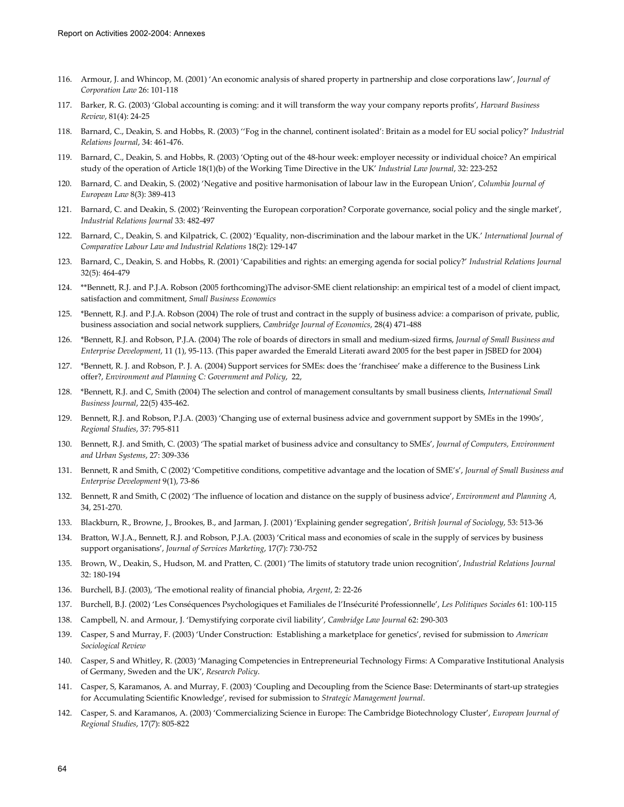- 116. Armour, J. and Whincop, M. (2001) 'An economic analysis of shared property in partnership and close corporations law', *Journal of Corporation Law* 26: 101-118
- 117. Barker, R. G. (2003) 'Global accounting is coming: and it will transform the way your company reports profits', *Harvard Business Review*, 81(4): 24-25
- 118. Barnard, C., Deakin, S. and Hobbs, R. (2003) ''Fog in the channel, continent isolated': Britain as a model for EU social policy?' *Industrial Relations Journal*, 34: 461-476.
- 119. Barnard, C., Deakin, S. and Hobbs, R. (2003) 'Opting out of the 48-hour week: employer necessity or individual choice? An empirical study of the operation of Article 18(1)(b) of the Working Time Directive in the UK' *Industrial Law Journal*, 32: 223-252
- 120. Barnard, C. and Deakin, S. (2002) 'Negative and positive harmonisation of labour law in the European Union', *Columbia Journal of European Law* 8(3): 389-413
- 121. Barnard, C. and Deakin, S. (2002) 'Reinventing the European corporation? Corporate governance, social policy and the single market', *Industrial Relations Journal* 33: 482-497
- 122. Barnard, C., Deakin, S. and Kilpatrick, C. (2002) 'Equality, non-discrimination and the labour market in the UK.' *International Journal of Comparative Labour Law and Industrial Relations* 18(2): 129-147
- 123. Barnard, C., Deakin, S. and Hobbs, R. (2001) 'Capabilities and rights: an emerging agenda for social policy?' *Industrial Relations Journal* 32(5): 464-479
- 124. \*\*Bennett, R.J. and P.J.A. Robson (2005 forthcoming)The advisor-SME client relationship: an empirical test of a model of client impact, satisfaction and commitment, *Small Business Economics*
- 125. \*Bennett, R.J. and P.J.A. Robson (2004) The role of trust and contract in the supply of business advice: a comparison of private, public, business association and social network suppliers, *Cambridge Journal of Economics*, 28(4) 471-488
- 126. \*Bennett, R.J. and Robson, P.J.A. (2004) The role of boards of directors in small and medium-sized firms, *Journal of Small Business and Enterprise Development*, 11 (1), 95-113. (This paper awarded the Emerald Literati award 2005 for the best paper in JSBED for 2004)
- 127. \*Bennett, R. J. and Robson, P. J. A. (2004) Support services for SMEs: does the 'franchisee' make a difference to the Business Link offer?, *Environment and Planning C: Government and Policy*, 22,
- 128. \*Bennett, R.J. and C, Smith (2004) The selection and control of management consultants by small business clients, *International Small Business Journal*, 22(5) 435-462.
- 129. Bennett, R.J. and Robson, P.J.A. (2003) 'Changing use of external business advice and government support by SMEs in the 1990s', *Regional Studies*, 37: 795-811
- 130. Bennett, R.J. and Smith, C. (2003) 'The spatial market of business advice and consultancy to SMEs', *Journal of Computers, Environment and Urban Systems*, 27: 309-336
- 131. Bennett, R and Smith, C (2002) 'Competitive conditions, competitive advantage and the location of SME's', *Journal of Small Business and Enterprise Development* 9(1), 73-86
- 132. Bennett, R and Smith, C (2002) 'The influence of location and distance on the supply of business advice', *Environment and Planning A,*  34, 251-270.
- 133. Blackburn, R., Browne, J., Brookes, B., and Jarman, J. (2001) 'Explaining gender segregation', *British Journal of Sociology*, 53: 513-36
- 134. Bratton, W.J.A., Bennett, R.J. and Robson, P.J.A. (2003) 'Critical mass and economies of scale in the supply of services by business support organisations', *Journal of Services Marketing*, 17(7): 730-752
- 135. Brown, W., Deakin, S., Hudson, M. and Pratten, C. (2001) 'The limits of statutory trade union recognition', *Industrial Relations Journal* 32: 180-194
- 136. Burchell, B.J. (2003), 'The emotional reality of financial phobia, *Argent*, 2: 22-26
- 137. Burchell, B.J. (2002) 'Les Conséquences Psychologiques et Familiales de l'Insécurité Professionnelle', *Les Politiques Sociales* 61: 100-115
- 138. Campbell, N. and Armour, J. 'Demystifying corporate civil liability', *Cambridge Law Journal* 62: 290-303
- 139. Casper, S and Murray, F. (2003) 'Under Construction: Establishing a marketplace for genetics', revised for submission to *American Sociological Review*
- 140. Casper, S and Whitley, R. (2003) 'Managing Competencies in Entrepreneurial Technology Firms: A Comparative Institutional Analysis of Germany, Sweden and the UK', *Research Policy*.
- 141. Casper, S, Karamanos, A. and Murray, F. (2003) 'Coupling and Decoupling from the Science Base: Determinants of start-up strategies for Accumulating Scientific Knowledge', revised for submission to *Strategic Management Journal*.
- 142. Casper, S. and Karamanos, A. (2003) 'Commercializing Science in Europe: The Cambridge Biotechnology Cluster', *European Journal of Regional Studies*, 17(7): 805-822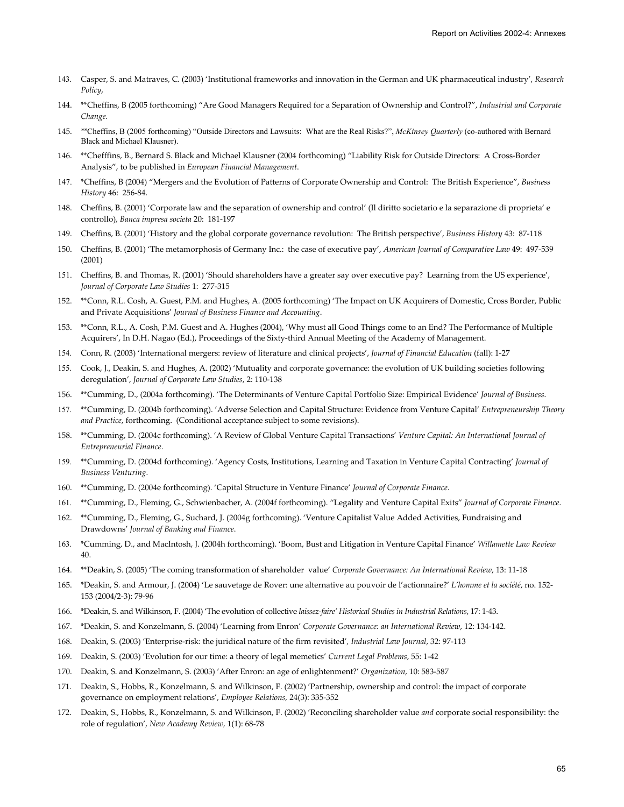- 143. Casper, S. and Matraves, C. (2003) 'Institutional frameworks and innovation in the German and UK pharmaceutical industry', *Research Policy*,
- 144. \*\*Cheffins, B (2005 forthcoming) "Are Good Managers Required for a Separation of Ownership and Control?", *Industrial and Corporate Change.*
- 145. *\*\**Cheffins, B (2005 forthcoming) "Outside Directors and Lawsuits: What are the Real Risks?", *McKinsey Quarterly* (co-authored with Bernard Black and Michael Klausner).
- 146. \*\*Chefffins, B., Bernard S. Black and Michael Klausner (2004 forthcoming) "Liability Risk for Outside Directors: A Cross-Border Analysis", to be published in *European Financial Management*.
- 147. \*Cheffins, B (2004) "Mergers and the Evolution of Patterns of Corporate Ownership and Control: The British Experience", *Business History* 46: 256-84.
- 148. Cheffins, B. (2001) 'Corporate law and the separation of ownership and control' (Il diritto societario e la separazione di proprieta' e controllo), *Banca impresa societa* 20: 181-197
- 149. Cheffins, B. (2001) 'History and the global corporate governance revolution: The British perspective', *Business History* 43: 87-118
- 150. Cheffins, B. (2001) 'The metamorphosis of Germany Inc.: the case of executive pay', *American Journal of Comparative Law* 49: 497-539 (2001)
- 151. Cheffins, B. and Thomas, R. (2001) 'Should shareholders have a greater say over executive pay? Learning from the US experience', *Journal of Corporate Law Studies* 1: 277-315
- 152. \*\*Conn, R.L. Cosh, A. Guest, P.M. and Hughes, A. (2005 forthcoming) 'The Impact on UK Acquirers of Domestic, Cross Border, Public and Private Acquisitions' *Journal of Business Finance and Accounting*.
- 153. \*\*Conn, R.L., A. Cosh, P.M. Guest and A. Hughes (2004), 'Why must all Good Things come to an End? The Performance of Multiple Acquirers', In D.H. Nagao (Ed.), Proceedings of the Sixty-third Annual Meeting of the Academy of Management.
- 154. Conn, R. (2003) 'International mergers: review of literature and clinical projects', *Journal of Financial Education* (fall): 1-27
- 155. Cook, J., Deakin, S. and Hughes, A. (2002) 'Mutuality and corporate governance: the evolution of UK building societies following deregulation', *Journal of Corporate Law Studies*, 2: 110-138
- 156. \*\*Cumming, D., (2004a forthcoming). 'The Determinants of Venture Capital Portfolio Size: Empirical Evidence' *Journal of Business*.
- 157. \*\*Cumming, D. (2004b forthcoming). 'Adverse Selection and Capital Structure: Evidence from Venture Capital' *Entrepreneurship Theory and Practice*, forthcoming. (Conditional acceptance subject to some revisions).
- 158. \*\*Cumming, D. (2004c forthcoming). 'A Review of Global Venture Capital Transactions' *Venture Capital: An International Journal of Entrepreneurial Finance*.
- 159. \*\*Cumming, D. (2004d forthcoming). 'Agency Costs, Institutions, Learning and Taxation in Venture Capital Contracting' *Journal of Business Venturing*.
- 160. \*\*Cumming, D. (2004e forthcoming). 'Capital Structure in Venture Finance' *Journal of Corporate Finance*.
- 161. \*\*Cumming, D., Fleming, G., Schwienbacher, A. (2004f forthcoming). "Legality and Venture Capital Exits" *Journal of Corporate Finance*.
- 162. \*\*Cumming, D., Fleming, G., Suchard, J. (2004g forthcoming). 'Venture Capitalist Value Added Activities, Fundraising and Drawdowns' *Journal of Banking and Finance*.
- 163. \*Cumming, D., and MacIntosh, J. (2004h forthcoming). 'Boom, Bust and Litigation in Venture Capital Finance' *Willamette Law Review* 40.
- 164. \*\*Deakin, S. (2005) 'The coming transformation of shareholder value' *Corporate Governance: An International Review*, 13: 11-18
- 165. \*Deakin, S. and Armour, J. (2004) 'Le sauvetage de Rover: une alternative au pouvoir de l'actionnaire?' *L'homme et la société*, no. 152- 153 (2004/2-3): 79-96
- 166. \*Deakin, S. and Wilkinson, F. (2004) 'The evolution of collective *laissez-faire' Historical Studies in Industrial Relations*, 17: 1-43.
- 167. \*Deakin, S. and Konzelmann, S. (2004) 'Learning from Enron' *Corporate Governance: an International Review*, 12: 134-142.
- 168. Deakin, S. (2003) 'Enterprise-risk: the juridical nature of the firm revisited'*, Industrial Law Journal*, 32: 97-113
- 169. Deakin, S. (2003) 'Evolution for our time: a theory of legal memetics' *Current Legal Problems*, 55: 1-42
- 170. Deakin, S. and Konzelmann, S. (2003) 'After Enron: an age of enlightenment?' *Organization*, 10: 583-587
- 171. Deakin, S., Hobbs, R., Konzelmann, S. and Wilkinson, F. (2002) 'Partnership, ownership and control: the impact of corporate governance on employment relations', *Employee Relations,* 24(3): 335-352
- 172. Deakin, S., Hobbs, R., Konzelmann, S. and Wilkinson, F. (2002) 'Reconciling shareholder value *and* corporate social responsibility: the role of regulation', *New Academy Review,* 1(1): 68-78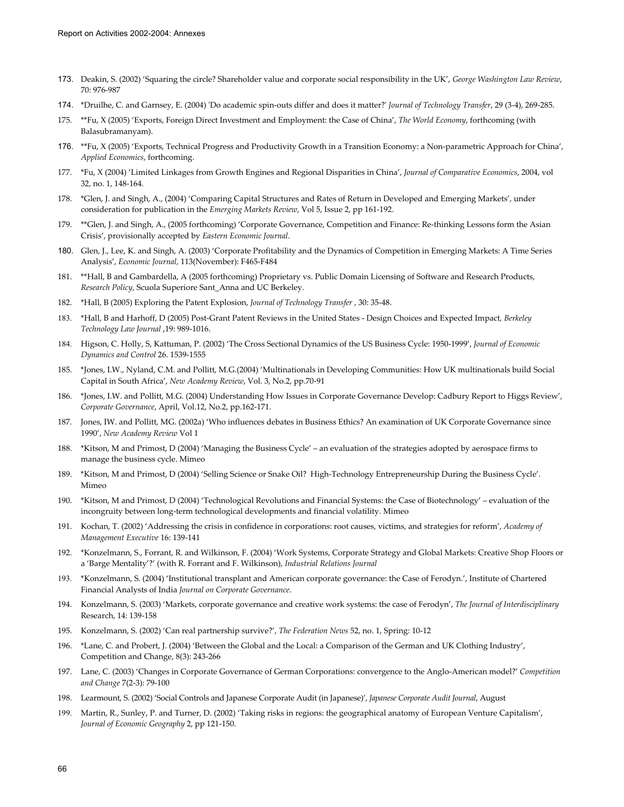- 173. Deakin, S. (2002) 'Squaring the circle? Shareholder value and corporate social responsibility in the UK', *George Washington Law Review*, 70: 976-987
- 174. \*Druilhe, C. and Garnsey, E. (2004) 'Do academic spin-outs differ and does it matter?' *Journal of Technology Transfer*, 29 (3-4), 269-285.
- 175. \*\*Fu, X (2005) 'Exports, Foreign Direct Investment and Employment: the Case of China', *The World Economy*, forthcoming (with Balasubramanyam).
- 176. \*\*Fu, X (2005) 'Exports, Technical Progress and Productivity Growth in a Transition Economy: a Non-parametric Approach for China', *Applied Economics*, forthcoming.
- 177. \*Fu, X (2004) 'Limited Linkages from Growth Engines and Regional Disparities in China', *Journal of Comparative Economics*, 2004, vol 32, no. 1, 148-164.
- 178. \*Glen, J. and Singh, A., (2004) 'Comparing Capital Structures and Rates of Return in Developed and Emerging Markets', under consideration for publication in the *Emerging Markets Review*, Vol 5, Issue 2, pp 161-192.
- 179. \*\*Glen, J. and Singh, A., (2005 forthcoming) 'Corporate Governance, Competition and Finance: Re-thinking Lessons form the Asian Crisis', provisionally accepted by *Eastern Economic Journal*.
- 180. Glen, J., Lee, K. and Singh, A. (2003) 'Corporate Profitability and the Dynamics of Competition in Emerging Markets: A Time Series Analysis', *Economic Journal*, 113(November): F465-F484
- 181. \*\*Hall, B and Gambardella, A (2005 forthcoming) Proprietary vs. Public Domain Licensing of Software and Research Products, *Research Policy*, Scuola Superiore Sant\_Anna and UC Berkeley.
- 182. \*Hall, B (2005) Exploring the Patent Explosion, *Journal of Technology Transfer* , 30: 35-48.
- 183. \*Hall, B and Harhoff, D (2005) Post-Grant Patent Reviews in the United States Design Choices and Expected Impact*, Berkeley Technology Law Journal* ,19: 989-1016.
- 184. Higson, C. Holly, S, Kattuman, P. (2002) 'The Cross Sectional Dynamics of the US Business Cycle: 1950-1999', *Journal of Economic Dynamics and Control* 26. 1539-1555
- 185. \*Jones, I.W., Nyland, C.M. and Pollitt, M.G.(2004) 'Multinationals in Developing Communities: How UK multinationals build Social Capital in South Africa', *New Academy Review*, Vol. 3, No.2, pp.70-91
- 186. \*Jones, I.W. and Pollitt, M.G. (2004) Understanding How Issues in Corporate Governance Develop: Cadbury Report to Higgs Review', *Corporate Governance*, April, Vol.12, No.2, pp.162-171.
- 187. Jones, IW. and Pollitt, MG. (2002a) 'Who influences debates in Business Ethics? An examination of UK Corporate Governance since 1990', *New Academy Review* Vol 1
- 188. \*Kitson, M and Primost, D (2004) 'Managing the Business Cycle' an evaluation of the strategies adopted by aerospace firms to manage the business cycle. Mimeo
- 189. \*Kitson, M and Primost, D (2004) 'Selling Science or Snake Oil? High-Technology Entrepreneurship During the Business Cycle'. Mimeo
- 190. \*Kitson, M and Primost, D (2004) 'Technological Revolutions and Financial Systems: the Case of Biotechnology' evaluation of the incongruity between long-term technological developments and financial volatility. Mimeo
- 191. Kochan, T. (2002) 'Addressing the crisis in confidence in corporations: root causes, victims, and strategies for reform', *Academy of Management Executive* 16: 139-141
- 192. \*Konzelmann, S., Forrant, R. and Wilkinson, F. (2004) 'Work Systems, Corporate Strategy and Global Markets: Creative Shop Floors or a 'Barge Mentality'?' (with R. Forrant and F. Wilkinson), *Industrial Relations Journal*
- 193. \*Konzelmann, S. (2004) 'Institutional transplant and American corporate governance: the Case of Ferodyn.', Institute of Chartered Financial Analysts of India *Journal on Corporate Governance*.
- 194. Konzelmann, S. (2003) 'Markets, corporate governance and creative work systems: the case of Ferodyn', *The Journal of Interdisciplinary*  Research, 14: 139-158
- 195. Konzelmann, S. (2002) 'Can real partnership survive?', *The Federation News* 52, no. 1, Spring: 10-12
- 196. \*Lane, C. and Probert, J. (2004) 'Between the Global and the Local: a Comparison of the German and UK Clothing Industry', Competition and Change, 8(3): 243-266
- 197. Lane, C. (2003) 'Changes in Corporate Governance of German Corporations: convergence to the Anglo-American model?' *Competition and Change* 7(2-3): 79-100
- 198. Learmount, S. (2002) 'Social Controls and Japanese Corporate Audit (in Japanese)', *Japanese Corporate Audit Journal*, August
- 199. Martin, R., Sunley, P. and Turner, D. (2002) 'Taking risks in regions: the geographical anatomy of European Venture Capitalism', *Journal of Economic Geography* 2, pp 121-150.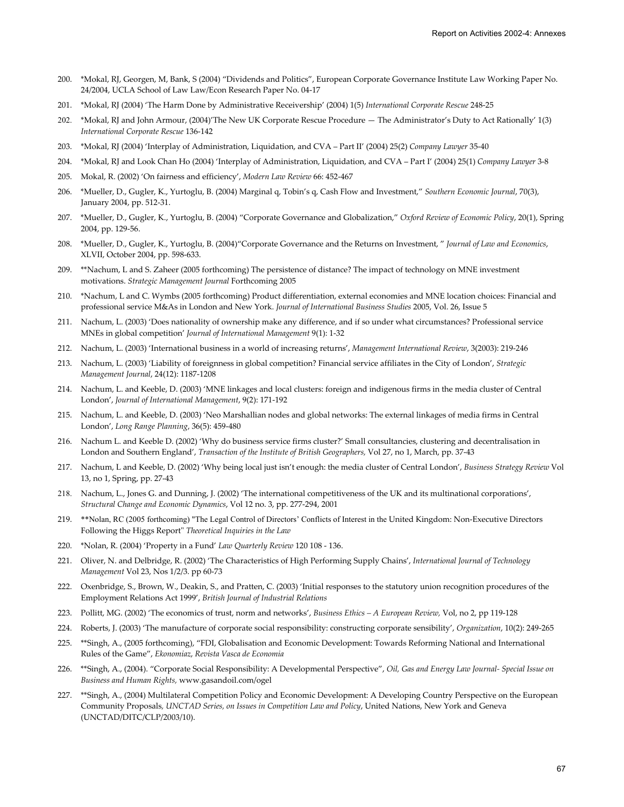- 200. \*Mokal, RJ, Georgen, M, Bank, S (2004) "Dividends and Politics", European Corporate Governance Institute Law Working Paper No. 24/2004, UCLA School of Law Law/Econ Research Paper No. 04-17
- 201. \*Mokal, RJ (2004) 'The Harm Done by Administrative Receivership' (2004) 1(5) *International Corporate Rescue* 248-25
- 202. \*Mokal, RJ and John Armour, (2004)'The New UK Corporate Rescue Procedure The Administrator's Duty to Act Rationally' 1(3) *International Corporate Rescue* 136-142
- 203. \*Mokal, RJ (2004) 'Interplay of Administration, Liquidation, and CVA Part II' (2004) 25(2) *Company Lawyer* 35-40
- 204. \*Mokal, RJ and Look Chan Ho (2004) 'Interplay of Administration, Liquidation, and CVA Part I' (2004) 25(1) *Company Lawyer* 3-8
- 205. Mokal, R. (2002) 'On fairness and efficiency', *Modern Law Review* 66: 452-467
- 206. \*Mueller, D., Gugler, K., Yurtoglu, B. (2004) Marginal q, Tobin's q, Cash Flow and Investment," *Southern Economic Journal*, 70(3), January 2004, pp. 512-31.
- 207. \*Mueller, D., Gugler, K., Yurtoglu, B. (2004) "Corporate Governance and Globalization," *Oxford Review of Economic Policy*, 20(1), Spring 2004, pp. 129-56.
- 208. \*Mueller, D., Gugler, K., Yurtoglu, B. (2004)"Corporate Governance and the Returns on Investment, " *Journal of Law and Economics*, XLVII, October 2004, pp. 598-633.
- 209. \*\*Nachum, L and S. Zaheer (2005 forthcoming) The persistence of distance? The impact of technology on MNE investment motivations. *Strategic Management Journal* Forthcoming 2005
- 210. \*Nachum, L and C. Wymbs (2005 forthcoming) Product differentiation, external economies and MNE location choices: Financial and professional service M&As in London and New York. *Journal of International Business Studies* 2005, Vol. 26, Issue 5
- 211. Nachum, L. (2003) 'Does nationality of ownership make any difference, and if so under what circumstances? Professional service MNEs in global competition' *Journal of International Management* 9(1): 1-32
- 212. Nachum, L. (2003) 'International business in a world of increasing returns', *Management International Review*, 3(2003): 219-246
- 213. Nachum, L. (2003) 'Liability of foreignness in global competition? Financial service affiliates in the City of London', *Strategic Management Journal*, 24(12): 1187-1208
- 214. Nachum, L. and Keeble, D. (2003) 'MNE linkages and local clusters: foreign and indigenous firms in the media cluster of Central London', *Journal of International Management*, 9(2): 171-192
- 215. Nachum, L. and Keeble, D. (2003) 'Neo Marshallian nodes and global networks: The external linkages of media firms in Central London', *Long Range Planning*, 36(5): 459-480
- 216. Nachum L. and Keeble D. (2002) 'Why do business service firms cluster?' Small consultancies, clustering and decentralisation in London and Southern England', *Transaction of the Institute of British Geographers,* Vol 27, no 1, March, pp. 37-43
- 217. Nachum, L and Keeble, D. (2002) 'Why being local just isn't enough: the media cluster of Central London', *Business Strategy Review* Vol 13, no 1, Spring, pp. 27-43
- 218. Nachum, L., Jones G. and Dunning, J. (2002) 'The international competitiveness of the UK and its multinational corporations', *Structural Change and Economic Dynamics*, Vol 12 no. 3, pp. 277-294, 2001
- 219. \*\*Nolan, RC (2005 forthcoming) "The Legal Control of Directors' Conflicts of Interest in the United Kingdom: Non-Executive Directors Following the Higgs Report" *Theoretical Inquiries in the Law*
- 220. \*Nolan, R. (2004) 'Property in a Fund' *Law Quarterly Review* 120 108 136.
- 221. Oliver, N. and Delbridge, R. (2002) 'The Characteristics of High Performing Supply Chains', *International Journal of Technology Management* Vol 23, Nos 1/2/3. pp 60-73
- 222. Oxenbridge, S., Brown, W., Deakin, S., and Pratten, C. (2003) 'Initial responses to the statutory union recognition procedures of the Employment Relations Act 1999', *British Journal of Industrial Relations*
- 223. Pollitt, MG. (2002) 'The economics of trust, norm and networks', *Business Ethics A European Review,* Vol, no 2, pp 119-128
- 224. Roberts, J. (2003) 'The manufacture of corporate social responsibility: constructing corporate sensibility', *Organization*, 10(2): 249-265
- 225. \*\*Singh, A., (2005 forthcoming), "FDI, Globalisation and Economic Development: Towards Reforming National and International Rules of the Game", *Ekonomiaz*, *Revista Vasca de Economia*
- 226. \*\*Singh, A., (2004). "Corporate Social Responsibility: A Developmental Perspective", *Oil, Gas and Energy Law Journal- Special Issue on Business and Human Rights,* www.gasandoil.com/ogel
- 227. \*\*Singh, A., (2004) Multilateral Competition Policy and Economic Development: A Developing Country Perspective on the European Community Proposals*, UNCTAD Series, on Issues in Competition Law and Policy*, United Nations, New York and Geneva (UNCTAD/DITC/CLP/2003/10).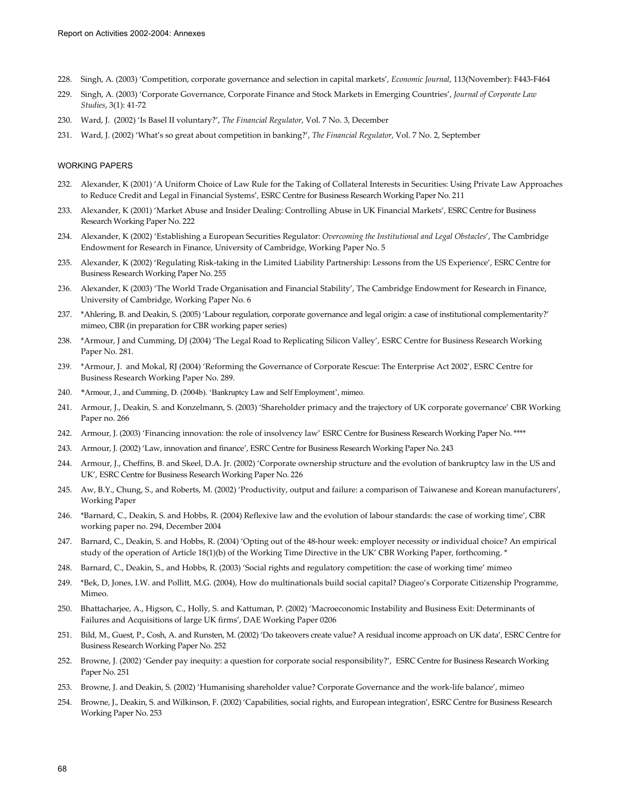- 228. Singh, A. (2003) 'Competition, corporate governance and selection in capital markets', *Economic Journal*, 113(November): F443-F464
- 229. Singh, A. (2003) 'Corporate Governance, Corporate Finance and Stock Markets in Emerging Countries', *Journal of Corporate Law Studies*, 3(1): 41-72
- 230. Ward, J. (2002) 'Is Basel II voluntary?', *The Financial Regulator*, Vol. 7 No. 3, December
- 231. Ward, J. (2002) 'What's so great about competition in banking?', *The Financial Regulator*, Vol. 7 No. 2, September

#### WORKING PAPERS

- 232. Alexander, K (2001) 'A Uniform Choice of Law Rule for the Taking of Collateral Interests in Securities: Using Private Law Approaches to Reduce Credit and Legal in Financial Systems', ESRC Centre for Business Research Working Paper No. 211
- 233. Alexander, K (2001) 'Market Abuse and Insider Dealing: Controlling Abuse in UK Financial Markets', ESRC Centre for Business Research Working Paper No. 222
- 234. Alexander, K (2002) 'Establishing a European Securities Regulator: *Overcoming the Institutional and Legal Obstacles*', The Cambridge Endowment for Research in Finance, University of Cambridge, Working Paper No. 5
- 235. Alexander, K (2002) 'Regulating Risk-taking in the Limited Liability Partnership: Lessons from the US Experience', ESRC Centre for Business Research Working Paper No. 255
- 236. Alexander, K (2003) 'The World Trade Organisation and Financial Stability', The Cambridge Endowment for Research in Finance, University of Cambridge, Working Paper No. 6
- 237. \*Ahlering, B. and Deakin, S. (2005) 'Labour regulation, corporate governance and legal origin: a case of institutional complementarity?' mimeo, CBR (in preparation for CBR working paper series)
- 238. \*Armour, J and Cumming, DJ (2004) 'The Legal Road to Replicating Silicon Valley', ESRC Centre for Business Research Working Paper No. 281.
- 239. \*Armour, J. and Mokal, RJ (2004) 'Reforming the Governance of Corporate Rescue: The Enterprise Act 2002', ESRC Centre for Business Research Working Paper No. 289.
- 240. \*Armour, J., and Cumming, D. (2004b). 'Bankruptcy Law and Self Employment', mimeo.
- 241. Armour, J., Deakin, S. and Konzelmann, S. (2003) 'Shareholder primacy and the trajectory of UK corporate governance' CBR Working Paper no. 266
- 242. Armour, J. (2003) 'Financing innovation: the role of insolvency law' ESRC Centre for Business Research Working Paper No. \*\*\*\*
- 243. Armour, J. (2002) 'Law, innovation and finance', ESRC Centre for Business Research Working Paper No. 243
- 244. Armour, J., Cheffins, B. and Skeel, D.A. Jr. (2002) 'Corporate ownership structure and the evolution of bankruptcy law in the US and UK', ESRC Centre for Business Research Working Paper No. 226
- 245. Aw, B.Y., Chung, S., and Roberts, M. (2002) 'Productivity, output and failure: a comparison of Taiwanese and Korean manufacturers', Working Paper
- 246. \*Barnard, C., Deakin, S. and Hobbs, R. (2004) Reflexive law and the evolution of labour standards: the case of working time', CBR working paper no. 294, December 2004
- 247. Barnard, C., Deakin, S. and Hobbs, R. (2004) 'Opting out of the 48-hour week: employer necessity or individual choice? An empirical study of the operation of Article 18(1)(b) of the Working Time Directive in the UK' CBR Working Paper, forthcoming. \*
- 248. Barnard, C., Deakin, S., and Hobbs, R. (2003) 'Social rights and regulatory competition: the case of working time' mimeo
- 249. \*Bek, D, Jones, I.W. and Pollitt, M.G. (2004), How do multinationals build social capital? Diageo's Corporate Citizenship Programme, Mimeo.
- 250. Bhattacharjee, A., Higson, C., Holly, S. and Kattuman, P. (2002) 'Macroeconomic Instability and Business Exit: Determinants of Failures and Acquisitions of large UK firms', DAE Working Paper 0206
- 251. Bild, M., Guest, P., Cosh, A. and Runsten, M. (2002) 'Do takeovers create value? A residual income approach on UK data', ESRC Centre for Business Research Working Paper No. 252
- 252. Browne, J. (2002) 'Gender pay inequity: a question for corporate social responsibility?', ESRC Centre for Business Research Working Paper No. 251
- 253. Browne, J. and Deakin, S. (2002) 'Humanising shareholder value? Corporate Governance and the work-life balance', mimeo
- 254. Browne, J., Deakin, S. and Wilkinson, F. (2002) 'Capabilities, social rights, and European integration', ESRC Centre for Business Research Working Paper No. 253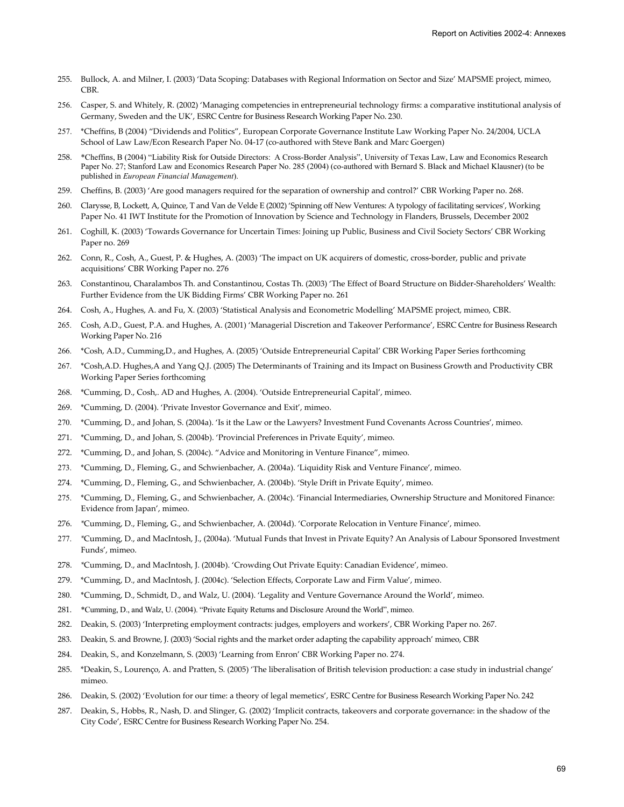- 255. Bullock, A. and Milner, I. (2003) 'Data Scoping: Databases with Regional Information on Sector and Size' MAPSME project, mimeo, CBR.
- 256. Casper, S. and Whitely, R. (2002) 'Managing competencies in entrepreneurial technology firms: a comparative institutional analysis of Germany, Sweden and the UK', ESRC Centre for Business Research Working Paper No. 230.
- 257. \*Cheffins, B (2004) "Dividends and Politics", European Corporate Governance Institute Law Working Paper No. 24/2004, UCLA School of Law Law/Econ Research Paper No. 04-17 (co-authored with Steve Bank and Marc Goergen)
- 258. \*Cheffins, B (2004) "Liability Risk for Outside Directors: A Cross-Border Analysis", University of Texas Law, Law and Economics Research Paper No. 27; Stanford Law and Economics Research Paper No. 285 (2004) (co-authored with Bernard S. Black and Michael Klausner) (to be published in *European Financial Management*).
- 259. Cheffins, B. (2003) 'Are good managers required for the separation of ownership and control?' CBR Working Paper no. 268.
- 260. Clarysse, B, Lockett, A, Quince, T and Van de Velde E (2002) 'Spinning off New Ventures: A typology of facilitating services', Working Paper No. 41 IWT Institute for the Promotion of Innovation by Science and Technology in Flanders, Brussels, December 2002
- 261. Coghill, K. (2003) 'Towards Governance for Uncertain Times: Joining up Public, Business and Civil Society Sectors' CBR Working Paper no. 269
- 262. Conn, R., Cosh, A., Guest, P. & Hughes, A. (2003) 'The impact on UK acquirers of domestic, cross-border, public and private acquisitions' CBR Working Paper no. 276
- 263. Constantinou, Charalambos Th. and Constantinou, Costas Th. (2003) 'The Effect of Board Structure on Bidder-Shareholders' Wealth: Further Evidence from the UK Bidding Firms' CBR Working Paper no. 261
- 264. Cosh, A., Hughes, A. and Fu, X. (2003) 'Statistical Analysis and Econometric Modelling' MAPSME project, mimeo, CBR.
- 265. Cosh, A.D., Guest, P.A. and Hughes, A. (2001) 'Managerial Discretion and Takeover Performance', ESRC Centre for Business Research Working Paper No. 216
- 266. \*Cosh, A.D., Cumming,D., and Hughes, A. (2005) 'Outside Entrepreneurial Capital' CBR Working Paper Series forthcoming
- 267. \*Cosh,A.D. Hughes,A and Yang Q.J. (2005) The Determinants of Training and its Impact on Business Growth and Productivity CBR Working Paper Series forthcoming
- 268. \*Cumming, D., Cosh,. AD and Hughes, A. (2004). 'Outside Entrepreneurial Capital', mimeo.
- 269. \*Cumming, D. (2004). 'Private Investor Governance and Exit', mimeo.
- 270. \*Cumming, D., and Johan, S. (2004a). 'Is it the Law or the Lawyers? Investment Fund Covenants Across Countries', mimeo.
- 271. \*Cumming, D., and Johan, S. (2004b). 'Provincial Preferences in Private Equity', mimeo.
- 272. \*Cumming, D., and Johan, S. (2004c). "Advice and Monitoring in Venture Finance", mimeo.
- 273. \*Cumming, D., Fleming, G., and Schwienbacher, A. (2004a). 'Liquidity Risk and Venture Finance', mimeo.
- 274. \*Cumming, D., Fleming, G., and Schwienbacher, A. (2004b). 'Style Drift in Private Equity', mimeo.
- 275. \*Cumming, D., Fleming, G., and Schwienbacher, A. (2004c). 'Financial Intermediaries, Ownership Structure and Monitored Finance: Evidence from Japan', mimeo.
- 276. *\**Cumming, D., Fleming, G., and Schwienbacher, A. (2004d). 'Corporate Relocation in Venture Finance', mimeo.
- 277. *\**Cumming, D., and MacIntosh, J., (2004a). 'Mutual Funds that Invest in Private Equity? An Analysis of Labour Sponsored Investment Funds', mimeo.
- 278. *\**Cumming, D., and MacIntosh, J. (2004b). 'Crowding Out Private Equity: Canadian Evidence', mimeo.
- 279. \*Cumming, D., and MacIntosh, J. (2004c). 'Selection Effects, Corporate Law and Firm Value', mimeo.
- 280. \*Cumming, D., Schmidt, D., and Walz, U. (2004). 'Legality and Venture Governance Around the World', mimeo.
- 281. \*Cumming, D., and Walz, U. (2004). "Private Equity Returns and Disclosure Around the World", mimeo.
- 282. Deakin, S. (2003) 'Interpreting employment contracts: judges, employers and workers', CBR Working Paper no. 267.
- 283. Deakin, S. and Browne, J. (2003) 'Social rights and the market order adapting the capability approach' mimeo, CBR
- 284. Deakin, S., and Konzelmann, S. (2003) 'Learning from Enron' CBR Working Paper no. 274.
- 285. \*Deakin, S., Lourenço, A. and Pratten, S. (2005) 'The liberalisation of British television production: a case study in industrial change' mimeo.
- 286. Deakin, S. (2002) 'Evolution for our time: a theory of legal memetics', ESRC Centre for Business Research Working Paper No. 242
- 287. Deakin, S., Hobbs, R., Nash, D. and Slinger, G. (2002) 'Implicit contracts, takeovers and corporate governance: in the shadow of the City Code', ESRC Centre for Business Research Working Paper No. 254.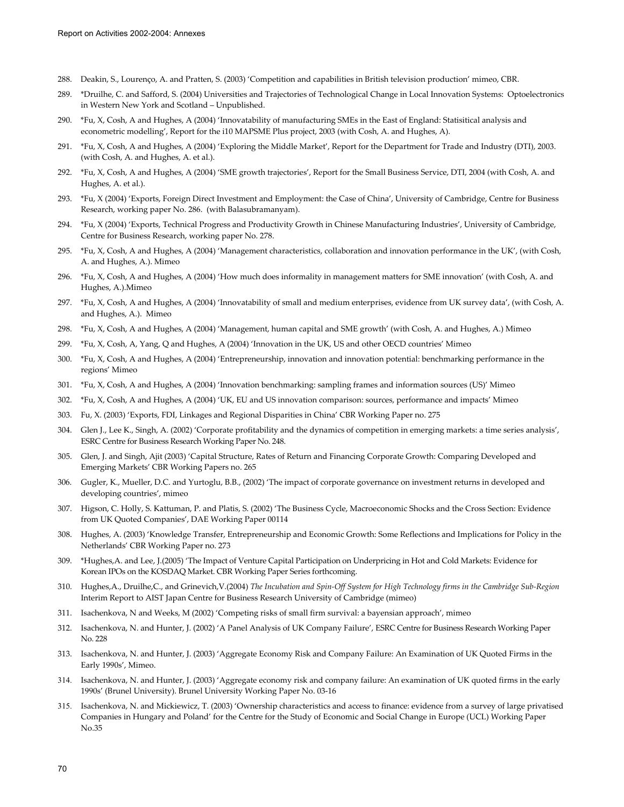- 288. Deakin, S., Lourenço, A. and Pratten, S. (2003) 'Competition and capabilities in British television production' mimeo, CBR.
- 289. \*Druilhe, C. and Safford, S. (2004) Universities and Trajectories of Technological Change in Local Innovation Systems: Optoelectronics in Western New York and Scotland – Unpublished.
- 290. \*Fu, X, Cosh, A and Hughes, A (2004) 'Innovatability of manufacturing SMEs in the East of England: Statisitical analysis and econometric modelling', Report for the i10 MAPSME Plus project, 2003 (with Cosh, A. and Hughes, A).
- 291. \*Fu, X, Cosh, A and Hughes, A (2004) 'Exploring the Middle Market', Report for the Department for Trade and Industry (DTI), 2003. (with Cosh, A. and Hughes, A. et al.).
- 292. \*Fu, X, Cosh, A and Hughes, A (2004) 'SME growth trajectories', Report for the Small Business Service, DTI, 2004 (with Cosh, A. and Hughes, A. et al.).
- 293. \*Fu, X (2004) 'Exports, Foreign Direct Investment and Employment: the Case of China', University of Cambridge, Centre for Business Research, working paper No. 286. (with Balasubramanyam).
- 294. \*Fu, X (2004) 'Exports, Technical Progress and Productivity Growth in Chinese Manufacturing Industries', University of Cambridge, Centre for Business Research, working paper No. 278.
- 295. \*Fu, X, Cosh, A and Hughes, A (2004) 'Management characteristics, collaboration and innovation performance in the UK', (with Cosh, A. and Hughes, A.). Mimeo
- 296. \*Fu, X, Cosh, A and Hughes, A (2004) 'How much does informality in management matters for SME innovation' (with Cosh, A. and Hughes, A.).Mimeo
- 297. \*Fu, X, Cosh, A and Hughes, A (2004) 'Innovatability of small and medium enterprises, evidence from UK survey data', (with Cosh, A. and Hughes, A.). Mimeo
- 298. \*Fu, X, Cosh, A and Hughes, A (2004) 'Management, human capital and SME growth' (with Cosh, A. and Hughes, A.) Mimeo
- 299. \*Fu, X, Cosh, A, Yang, Q and Hughes, A (2004) 'Innovation in the UK, US and other OECD countries' Mimeo
- 300. \*Fu, X, Cosh, A and Hughes, A (2004) 'Entrepreneurship, innovation and innovation potential: benchmarking performance in the regions' Mimeo
- 301. \*Fu, X, Cosh, A and Hughes, A (2004) 'Innovation benchmarking: sampling frames and information sources (US)' Mimeo
- 302. \*Fu, X, Cosh, A and Hughes, A (2004) 'UK, EU and US innovation comparison: sources, performance and impacts' Mimeo
- 303. Fu, X. (2003) 'Exports, FDI, Linkages and Regional Disparities in China' CBR Working Paper no. 275
- 304. Glen J., Lee K., Singh, A. (2002) 'Corporate profitability and the dynamics of competition in emerging markets: a time series analysis', ESRC Centre for Business Research Working Paper No. 248.
- 305. Glen, J. and Singh, Ajit (2003) 'Capital Structure, Rates of Return and Financing Corporate Growth: Comparing Developed and Emerging Markets' CBR Working Papers no. 265
- 306. Gugler, K., Mueller, D.C. and Yurtoglu, B.B., (2002) 'The impact of corporate governance on investment returns in developed and developing countries', mimeo
- 307. Higson, C. Holly, S. Kattuman, P. and Platis, S. (2002) 'The Business Cycle, Macroeconomic Shocks and the Cross Section: Evidence from UK Quoted Companies', DAE Working Paper 00114
- 308. Hughes, A. (2003) 'Knowledge Transfer, Entrepreneurship and Economic Growth: Some Reflections and Implications for Policy in the Netherlands' CBR Working Paper no. 273
- 309. \*Hughes,A. and Lee, J.(2005) 'The Impact of Venture Capital Participation on Underpricing in Hot and Cold Markets: Evidence for Korean IPOs on the KOSDAQ Market. CBR Working Paper Series forthcoming.
- 310. Hughes,A., Druilhe,C., and Grinevich,V.(2004) *The Incubation and Spin-Off System for High Technology firms in the Cambridge Sub-Region*  Interim Report to AIST Japan Centre for Business Research University of Cambridge (mimeo)
- 311. Isachenkova, N and Weeks, M (2002) 'Competing risks of small firm survival: a bayensian approach', mimeo
- 312. Isachenkova, N. and Hunter, J. (2002) 'A Panel Analysis of UK Company Failure', ESRC Centre for Business Research Working Paper No. 228
- 313. Isachenkova, N. and Hunter, J. (2003) 'Aggregate Economy Risk and Company Failure: An Examination of UK Quoted Firms in the Early 1990s', Mimeo.
- 314. Isachenkova, N. and Hunter, J. (2003) 'Aggregate economy risk and company failure: An examination of UK quoted firms in the early 1990s' (Brunel University). Brunel University Working Paper No. 03-16
- 315. Isachenkova, N. and Mickiewicz, T. (2003) 'Ownership characteristics and access to finance: evidence from a survey of large privatised Companies in Hungary and Poland' for the Centre for the Study of Economic and Social Change in Europe (UCL) Working Paper No.35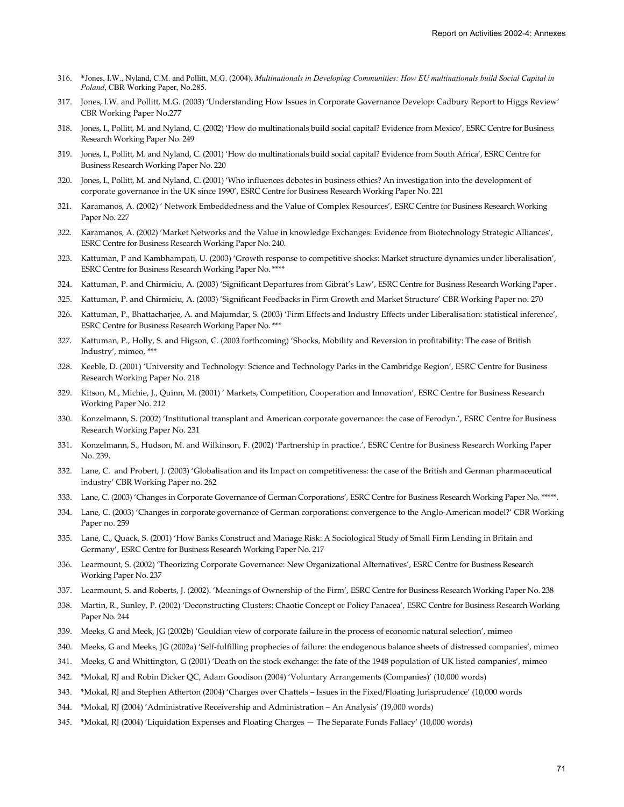- 316. \*Jones, I.W., Nyland, C.M. and Pollitt, M.G. (2004), *Multinationals in Developing Communities: How EU multinationals build Social Capital in Poland*, CBR Working Paper, No.285.
- 317. Jones, I.W. and Pollitt, M.G. (2003) 'Understanding How Issues in Corporate Governance Develop: Cadbury Report to Higgs Review' CBR Working Paper No.277
- 318. Jones, I., Pollitt, M. and Nyland, C. (2002) 'How do multinationals build social capital? Evidence from Mexico', ESRC Centre for Business Research Working Paper No. 249
- 319. Jones, I., Pollitt, M. and Nyland, C. (2001) 'How do multinationals build social capital? Evidence from South Africa', ESRC Centre for Business Research Working Paper No. 220
- 320. Jones, I., Pollitt, M. and Nyland, C. (2001) 'Who influences debates in business ethics? An investigation into the development of corporate governance in the UK since 1990', ESRC Centre for Business Research Working Paper No. 221
- 321. Karamanos, A. (2002) ' Network Embeddedness and the Value of Complex Resources', ESRC Centre for Business Research Working Paper No. 227
- 322. Karamanos, A. (2002) 'Market Networks and the Value in knowledge Exchanges: Evidence from Biotechnology Strategic Alliances', ESRC Centre for Business Research Working Paper No. 240.
- 323. Kattuman, P and Kambhampati, U. (2003) 'Growth response to competitive shocks: Market structure dynamics under liberalisation', ESRC Centre for Business Research Working Paper No. \*\*\*\*
- 324. Kattuman, P. and Chirmiciu, A. (2003) 'Significant Departures from Gibrat's Law', ESRC Centre for Business Research Working Paper .
- 325. Kattuman, P. and Chirmiciu, A. (2003) 'Significant Feedbacks in Firm Growth and Market Structure' CBR Working Paper no. 270
- 326. Kattuman, P., Bhattacharjee, A. and Majumdar, S. (2003) 'Firm Effects and Industry Effects under Liberalisation: statistical inference', ESRC Centre for Business Research Working Paper No. \*\*\*
- 327. Kattuman, P., Holly, S. and Higson, C. (2003 forthcoming) 'Shocks, Mobility and Reversion in profitability: The case of British Industry', mimeo, \*\*\*
- 328. Keeble, D. (2001) 'University and Technology: Science and Technology Parks in the Cambridge Region', ESRC Centre for Business Research Working Paper No. 218
- 329. Kitson, M., Michie, J., Quinn, M. (2001) ' Markets, Competition, Cooperation and Innovation', ESRC Centre for Business Research Working Paper No. 212
- 330. Konzelmann, S. (2002) 'Institutional transplant and American corporate governance: the case of Ferodyn.', ESRC Centre for Business Research Working Paper No. 231
- 331. Konzelmann, S., Hudson, M. and Wilkinson, F. (2002) 'Partnership in practice.', ESRC Centre for Business Research Working Paper No. 239.
- 332. Lane, C. and Probert, J. (2003) 'Globalisation and its Impact on competitiveness: the case of the British and German pharmaceutical industry' CBR Working Paper no. 262
- 333. Lane, C. (2003) 'Changes in Corporate Governance of German Corporations', ESRC Centre for Business Research Working Paper No. \*\*\*\*\*.
- 334. Lane, C. (2003) 'Changes in corporate governance of German corporations: convergence to the Anglo-American model?' CBR Working Paper no. 259
- 335. Lane, C., Quack, S. (2001) 'How Banks Construct and Manage Risk: A Sociological Study of Small Firm Lending in Britain and Germany', ESRC Centre for Business Research Working Paper No. 217
- 336. Learmount, S. (2002) 'Theorizing Corporate Governance: New Organizational Alternatives', ESRC Centre for Business Research Working Paper No. 237
- 337. Learmount, S. and Roberts, J. (2002). 'Meanings of Ownership of the Firm', ESRC Centre for Business Research Working Paper No. 238
- 338. Martin, R., Sunley, P. (2002) 'Deconstructing Clusters: Chaotic Concept or Policy Panacea', ESRC Centre for Business Research Working Paper No. 244
- 339. Meeks, G and Meek, JG (2002b) 'Gouldian view of corporate failure in the process of economic natural selection', mimeo
- 340. Meeks, G and Meeks, JG (2002a) 'Self-fulfilling prophecies of failure: the endogenous balance sheets of distressed companies', mimeo
- 341. Meeks, G and Whittington, G (2001) 'Death on the stock exchange: the fate of the 1948 population of UK listed companies', mimeo
- 342. \*Mokal, RJ and Robin Dicker QC, Adam Goodison (2004) 'Voluntary Arrangements (Companies)' (10,000 words)
- 343. \*Mokal, RJ and Stephen Atherton (2004) 'Charges over Chattels Issues in the Fixed/Floating Jurisprudence' (10,000 words
- 344. \*Mokal, RJ (2004) 'Administrative Receivership and Administration An Analysis' (19,000 words)
- 345. \*Mokal, RJ (2004) 'Liquidation Expenses and Floating Charges The Separate Funds Fallacy' (10,000 words)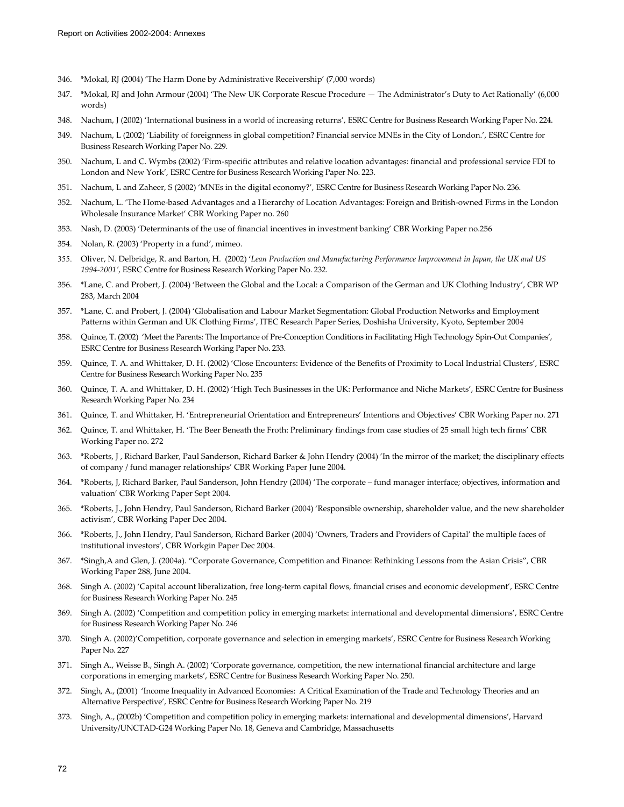- 346. \*Mokal, RJ (2004) 'The Harm Done by Administrative Receivership' (7,000 words)
- 347. \*Mokal, RJ and John Armour (2004) 'The New UK Corporate Rescue Procedure The Administrator's Duty to Act Rationally' (6,000 words)
- 348. Nachum, J (2002) 'International business in a world of increasing returns', ESRC Centre for Business Research Working Paper No. 224.
- 349. Nachum, L (2002) 'Liability of foreignness in global competition? Financial service MNEs in the City of London.', ESRC Centre for Business Research Working Paper No. 229.
- 350. Nachum, L and C. Wymbs (2002) 'Firm-specific attributes and relative location advantages: financial and professional service FDI to London and New York', ESRC Centre for Business Research Working Paper No. 223.
- 351. Nachum, L and Zaheer, S (2002) 'MNEs in the digital economy?', ESRC Centre for Business Research Working Paper No. 236.
- 352. Nachum, L. 'The Home-based Advantages and a Hierarchy of Location Advantages: Foreign and British-owned Firms in the London Wholesale Insurance Market' CBR Working Paper no. 260
- 353. Nash, D. (2003) 'Determinants of the use of financial incentives in investment banking' CBR Working Paper no.256
- 354. Nolan, R. (2003) 'Property in a fund', mimeo.
- 355. Oliver, N. Delbridge, R. and Barton, H. (2002) '*Lean Production and Manufacturing Performance Improvement in Japan, the UK and US 1994-2001'*, ESRC Centre for Business Research Working Paper No. 232.
- 356. \*Lane, C. and Probert, J. (2004) 'Between the Global and the Local: a Comparison of the German and UK Clothing Industry', CBR WP 283, March 2004
- 357. \*Lane, C. and Probert, J. (2004) 'Globalisation and Labour Market Segmentation: Global Production Networks and Employment Patterns within German and UK Clothing Firms', ITEC Research Paper Series, Doshisha University, Kyoto, September 2004
- 358. Quince, T. (2002) 'Meet the Parents: The Importance of Pre-Conception Conditions in Facilitating High Technology Spin-Out Companies', ESRC Centre for Business Research Working Paper No. 233.
- 359. Quince, T. A. and Whittaker, D. H. (2002) 'Close Encounters: Evidence of the Benefits of Proximity to Local Industrial Clusters', ESRC Centre for Business Research Working Paper No. 235
- 360. Quince, T. A. and Whittaker, D. H. (2002) 'High Tech Businesses in the UK: Performance and Niche Markets', ESRC Centre for Business Research Working Paper No. 234
- 361. Quince, T. and Whittaker, H. 'Entrepreneurial Orientation and Entrepreneurs' Intentions and Objectives' CBR Working Paper no. 271
- 362. Quince, T. and Whittaker, H. 'The Beer Beneath the Froth: Preliminary findings from case studies of 25 small high tech firms' CBR Working Paper no. 272
- 363. \*Roberts, J , Richard Barker, Paul Sanderson, Richard Barker & John Hendry (2004) 'In the mirror of the market; the disciplinary effects of company / fund manager relationships' CBR Working Paper June 2004.
- 364. \*Roberts, J, Richard Barker, Paul Sanderson, John Hendry (2004) 'The corporate fund manager interface; objectives, information and valuation' CBR Working Paper Sept 2004.
- 365. \*Roberts, J., John Hendry, Paul Sanderson, Richard Barker (2004) 'Responsible ownership, shareholder value, and the new shareholder activism', CBR Working Paper Dec 2004.
- 366. \*Roberts, J., John Hendry, Paul Sanderson, Richard Barker (2004) 'Owners, Traders and Providers of Capital' the multiple faces of institutional investors', CBR Workgin Paper Dec 2004.
- 367. \*Singh,A and Glen, J. (2004a). "Corporate Governance, Competition and Finance: Rethinking Lessons from the Asian Crisis", CBR Working Paper 288, June 2004.
- 368. Singh A. (2002) 'Capital account liberalization, free long-term capital flows, financial crises and economic development', ESRC Centre for Business Research Working Paper No. 245
- 369. Singh A. (2002) 'Competition and competition policy in emerging markets: international and developmental dimensions', ESRC Centre for Business Research Working Paper No. 246
- 370. Singh A. (2002)'Competition, corporate governance and selection in emerging markets', ESRC Centre for Business Research Working Paper No. 227
- 371. Singh A., Weisse B., Singh A. (2002) 'Corporate governance, competition, the new international financial architecture and large corporations in emerging markets', ESRC Centre for Business Research Working Paper No. 250.
- 372. Singh, A., (2001) 'Income Inequality in Advanced Economies: A Critical Examination of the Trade and Technology Theories and an Alternative Perspective', ESRC Centre for Business Research Working Paper No. 219
- 373. Singh, A., (2002b) 'Competition and competition policy in emerging markets: international and developmental dimensions', Harvard University/UNCTAD-G24 Working Paper No. 18, Geneva and Cambridge, Massachusetts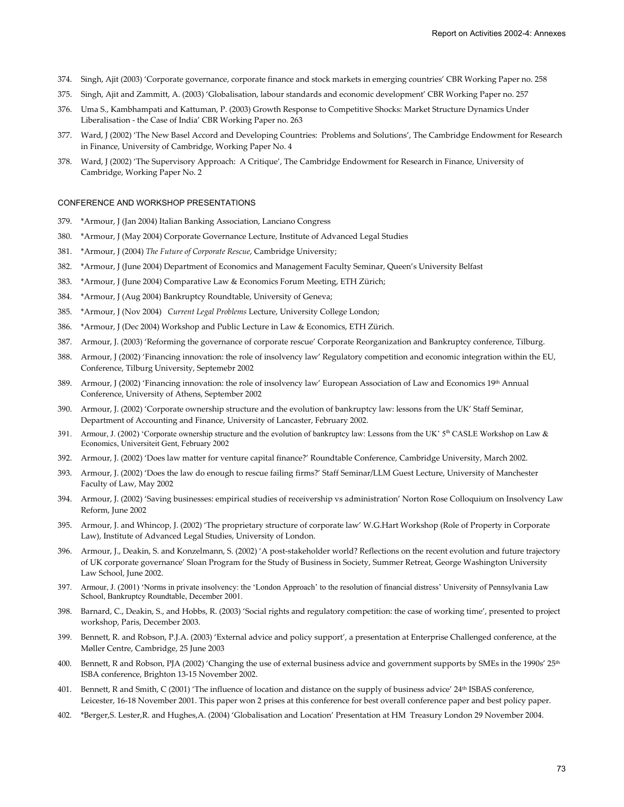- 374. Singh, Ajit (2003) 'Corporate governance, corporate finance and stock markets in emerging countries' CBR Working Paper no. 258
- 375. Singh, Ajit and Zammitt, A. (2003) 'Globalisation, labour standards and economic development' CBR Working Paper no. 257
- 376. Uma S., Kambhampati and Kattuman, P. (2003) Growth Response to Competitive Shocks: Market Structure Dynamics Under Liberalisation - the Case of India' CBR Working Paper no. 263
- 377. Ward, J (2002) 'The New Basel Accord and Developing Countries: Problems and Solutions', The Cambridge Endowment for Research in Finance, University of Cambridge, Working Paper No. 4
- 378. Ward, J (2002) 'The Supervisory Approach: A Critique', The Cambridge Endowment for Research in Finance, University of Cambridge, Working Paper No. 2

### CONFERENCE AND WORKSHOP PRESENTATIONS

- 379. \*Armour, J (Jan 2004) Italian Banking Association, Lanciano Congress
- 380. \*Armour, J (May 2004) Corporate Governance Lecture, Institute of Advanced Legal Studies
- 381. \*Armour, J (2004) *The Future of Corporate Rescue*, Cambridge University;
- 382. \*Armour, J (June 2004) Department of Economics and Management Faculty Seminar, Queen's University Belfast
- 383. \*Armour, J (June 2004) Comparative Law & Economics Forum Meeting, ETH Zürich;
- 384. \*Armour, J (Aug 2004) Bankruptcy Roundtable, University of Geneva;
- 385. \*Armour, J (Nov 2004) *Current Legal Problems* Lecture, University College London;
- 386. \*Armour, J (Dec 2004) Workshop and Public Lecture in Law & Economics, ETH Zürich.
- 387. Armour, J. (2003) 'Reforming the governance of corporate rescue' Corporate Reorganization and Bankruptcy conference, Tilburg.
- 388. Armour, J (2002) 'Financing innovation: the role of insolvency law' Regulatory competition and economic integration within the EU, Conference, Tilburg University, Septemebr 2002
- 389. Armour, J (2002) 'Financing innovation: the role of insolvency law' European Association of Law and Economics 19th Annual Conference, University of Athens, September 2002
- 390. Armour, J. (2002) 'Corporate ownership structure and the evolution of bankruptcy law: lessons from the UK' Staff Seminar, Department of Accounting and Finance, University of Lancaster, February 2002.
- 391. Armour, J. (2002) 'Corporate ownership structure and the evolution of bankruptcy law: Lessons from the UK'  $5<sup>th</sup>$  CASLE Workshop on Law & Economics, Universiteit Gent, February 2002
- 392. Armour, J. (2002) 'Does law matter for venture capital finance?' Roundtable Conference, Cambridge University, March 2002.
- 393. Armour, J. (2002) 'Does the law do enough to rescue failing firms?' Staff Seminar/LLM Guest Lecture, University of Manchester Faculty of Law, May 2002
- 394. Armour, J. (2002) 'Saving businesses: empirical studies of receivership vs administration' Norton Rose Colloquium on Insolvency Law Reform, June 2002
- 395. Armour, J. and Whincop, J. (2002) 'The proprietary structure of corporate law' W.G.Hart Workshop (Role of Property in Corporate Law), Institute of Advanced Legal Studies, University of London.
- 396. Armour, J., Deakin, S. and Konzelmann, S. (2002) 'A post-stakeholder world? Reflections on the recent evolution and future trajectory of UK corporate governance' Sloan Program for the Study of Business in Society, Summer Retreat, George Washington University Law School, June 2002.
- 397. Armour, J. (2001) 'Norms in private insolvency: the 'London Approach' to the resolution of financial distress' University of Pennsylvania Law School, Bankruptcy Roundtable, December 2001.
- 398. Barnard, C., Deakin, S., and Hobbs, R. (2003) 'Social rights and regulatory competition: the case of working time', presented to project workshop, Paris, December 2003.
- 399. Bennett, R. and Robson, P.J.A. (2003) 'External advice and policy support', a presentation at Enterprise Challenged conference, at the Møller Centre, Cambridge, 25 June 2003
- 400. Bennett, R and Robson, PJA (2002) 'Changing the use of external business advice and government supports by SMEs in the 1990s' 25th ISBA conference, Brighton 13-15 November 2002.
- 401. Bennett, R and Smith, C (2001) 'The influence of location and distance on the supply of business advice' 24<sup>th</sup> ISBAS conference, Leicester, 16-18 November 2001. This paper won 2 prises at this conference for best overall conference paper and best policy paper.
- 402. \*Berger,S. Lester,R. and Hughes,A. (2004) 'Globalisation and Location' Presentation at HM Treasury London 29 November 2004.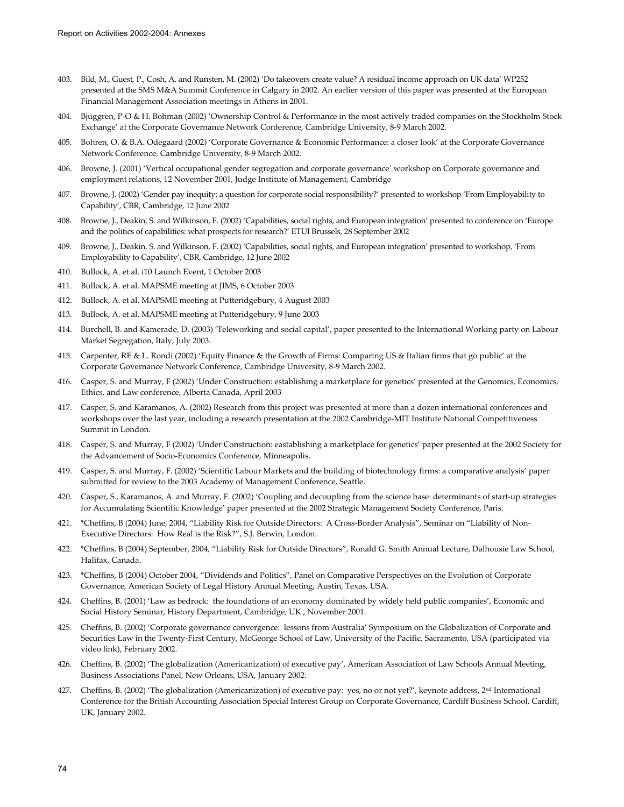- 403. Bild, M., Guest, P., Cosh, A. and Runsten, M. (2002) 'Do takeovers create value? A residual income approach on UK data' WP252 presented at the SMS M&A Summit Conference in Calgary in 2002. An earlier version of this paper was presented at the European Financial Management Association meetings in Athens in 2001.
- 404. Bjuggren, P-O & H. Bohman (2002) 'Ownership Control & Performance in the most actively traded companies on the Stockholm Stock Exchange' at the Corporate Governance Network Conference, Cambridge University, 8-9 March 2002.
- 405. Bohren, O. & B.A. Odegaard (2002) 'Corporate Governance & Economic Performance: a closer look' at the Corporate Governance Network Conference, Cambridge University, 8-9 March 2002.
- 406. Browne, J. (2001) 'Vertical occupational gender segregation and corporate governance' workshop on Corporate governance and employment relations, 12 November 2001, Judge Institute of Management, Cambridge
- 407. Browne, J. (2002) 'Gender pay inequity: a question for corporate social responsibility?' presented to workshop 'From Employability to Capability', CBR, Cambridge, 12 June 2002
- 408. Browne, J., Deakin, S. and Wilkinson, F. (2002) 'Capabilities, social rights, and European integration' presented to conference on 'Europe and the politics of capabilities: what prospects for research?' ETUI Brussels, 28 September 2002
- 409. Browne, J., Deakin, S. and Wilkinson, F. (2002) 'Capabilities, social rights, and European integration' presented to workshop, 'From Employability to Capability', CBR, Cambridge, 12 June 2002
- 410. Bullock, A. et al. i10 Launch Event, 1 October 2003
- 411. Bullock, A. et al. MAPSME meeting at JIMS, 6 October 2003
- 412. Bullock, A. et al. MAPSME meeting at Putteridgebury, 4 August 2003
- 413. Bullock, A. et al. MAPSME meeting at Putteridgebury, 9 June 2003
- 414. Burchell, B. and Kamerade, D. (2003) 'Teleworking and social capital', paper presented to the International Working party on Labour Market Segregation, Italy, July 2003.
- 415. Carpenter, RE & L. Rondi (2002) 'Equity Finance & the Growth of Firms: Comparing US & Italian firms that go public' at the Corporate Governance Network Conference, Cambridge University, 8-9 March 2002.
- 416. Casper, S. and Murray, F (2002) 'Under Construction: establishing a marketplace for genetics' presented at the Genomics, Economics, Ethics, and Law conference, Alberta Canada, April 2003
- 417. Casper, S. and Karamanos, A. (2002) Research from this project was presented at more than a dozen international conferences and workshops over the last year, including a research presentation at the 2002 Cambridge-MIT Institute National Competitiveness Summit in London.
- 418. Casper, S. and Murray, F (2002) 'Under Construction: eastablishing a marketplace for genetics' paper presented at the 2002 Society for the Advancement of Socio-Economics Conference, Minneapolis.
- 419. Casper, S. and Murray, F. (2002) 'Scientific Labour Markets and the building of biotechnology firms: a comparative analysis' paper submitted for review to the 2003 Academy of Management Conference, Seattle.
- 420. Casper, S., Karamanos, A. and Murray, F. (2002) 'Coupling and decoupling from the science base: determinants of start-up strategies for Accumulating Scientific Knowledge' paper presented at the 2002 Strategic Management Society Conference, Paris.
- 421. \*Cheffins, B (2004) June, 2004, "Liability Risk for Outside Directors: A Cross-Border Analysis", Seminar on "Liability of Non-Executive Directors: How Real is the Risk?", S.J. Berwin, London.
- 422. \*Cheffins, B (2004) September, 2004, "Liability Risk for Outside Directors", Ronald G. Smith Annual Lecture, Dalhousie Law School, Halifax, Canada.
- 423. \*Cheffins, B (2004) October 2004, "Dividends and Politics", Panel on Comparative Perspectives on the Evolution of Corporate Governance, American Society of Legal History Annual Meeting, Austin, Texas, USA.
- 424. Cheffins, B. (2001) 'Law as bedrock: the foundations of an economy dominated by widely held public companies', Economic and Social History Seminar, History Department, Cambridge, UK., November 2001.
- 425. Cheffins, B. (2002) 'Corporate governance convergence: lessons from Australia' Symposium on the Globalization of Corporate and Securities Law in the Twenty-First Century, McGeorge School of Law, University of the Pacific, Sacramento, USA (participated via video link), February 2002.
- 426. Cheffins, B. (2002) 'The globalization (Americanization) of executive pay', American Association of Law Schools Annual Meeting, Business Associations Panel, New Orleans, USA, January 2002.
- 427. Cheffins, B. (2002) 'The globalization (Americanization) of executive pay: yes, no or not yet?', keynote address, 2nd International Conference for the British Accounting Association Special Interest Group on Corporate Governance, Cardiff Business School, Cardiff, UK, January 2002.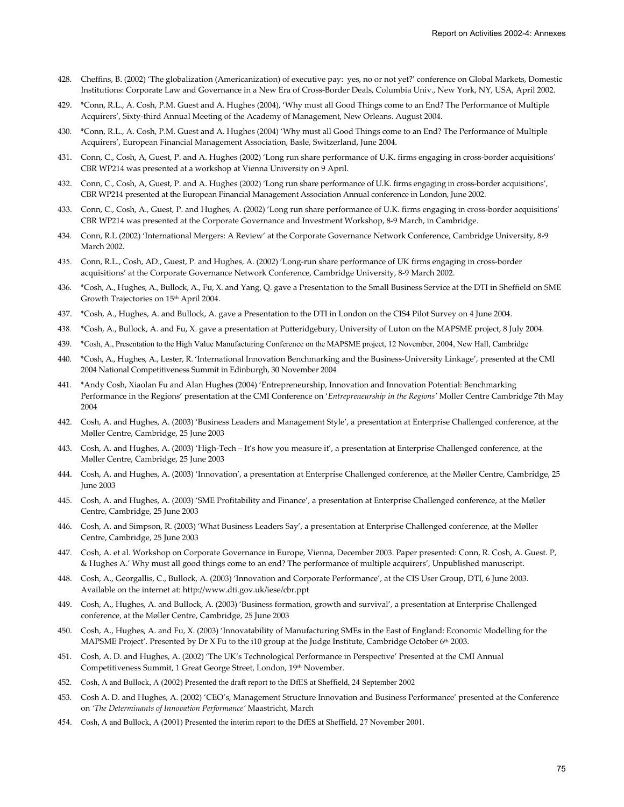- 428. Cheffins, B. (2002) 'The globalization (Americanization) of executive pay: yes, no or not yet?' conference on Global Markets, Domestic Institutions: Corporate Law and Governance in a New Era of Cross-Border Deals, Columbia Univ., New York, NY, USA, April 2002.
- 429. \*Conn, R.L., A. Cosh, P.M. Guest and A. Hughes (2004), 'Why must all Good Things come to an End? The Performance of Multiple Acquirers', Sixty-third Annual Meeting of the Academy of Management, New Orleans. August 2004.
- 430. \*Conn, R.L., A. Cosh, P.M. Guest and A. Hughes (2004) 'Why must all Good Things come to an End? The Performance of Multiple Acquirers', European Financial Management Association, Basle, Switzerland, June 2004.
- 431. Conn, C., Cosh, A, Guest, P. and A. Hughes (2002) 'Long run share performance of U.K. firms engaging in cross-border acquisitions' CBR WP214 was presented at a workshop at Vienna University on 9 April.
- 432. Conn, C., Cosh, A, Guest, P. and A. Hughes (2002) 'Long run share performance of U.K. firms engaging in cross-border acquisitions', CBR WP214 presented at the European Financial Management Association Annual conference in London, June 2002.
- 433. Conn, C., Cosh, A., Guest, P. and Hughes, A. (2002) 'Long run share performance of U.K. firms engaging in cross-border acquisitions' CBR WP214 was presented at the Corporate Governance and Investment Workshop, 8-9 March, in Cambridge.
- 434. Conn, R.L (2002) 'International Mergers: A Review' at the Corporate Governance Network Conference, Cambridge University, 8-9 March 2002.
- 435. Conn, R.L., Cosh, AD., Guest, P. and Hughes, A. (2002) 'Long-run share performance of UK firms engaging in cross-border acquisitions' at the Corporate Governance Network Conference, Cambridge University, 8-9 March 2002.
- 436. \*Cosh, A., Hughes, A., Bullock, A., Fu, X. and Yang, Q. gave a Presentation to the Small Business Service at the DTI in Sheffield on SME Growth Trajectories on 15th April 2004.
- 437. \*Cosh, A., Hughes, A. and Bullock, A. gave a Presentation to the DTI in London on the CIS4 Pilot Survey on 4 June 2004.
- 438. \*Cosh, A., Bullock, A. and Fu, X. gave a presentation at Putteridgebury, University of Luton on the MAPSME project, 8 July 2004.
- 439. \*Cosh, A., Presentation to the High Value Manufacturing Conference on the MAPSME project, 12 November, 2004, New Hall, Cambridge
- 440. \*Cosh, A., Hughes, A., Lester, R. 'International Innovation Benchmarking and the Business-University Linkage', presented at the CMI 2004 National Competitiveness Summit in Edinburgh, 30 November 2004
- 441. \*Andy Cosh, Xiaolan Fu and Alan Hughes (2004) 'Entrepreneurship, Innovation and Innovation Potential: Benchmarking Performance in the Regions' presentation at the CMI Conference on '*Entrepreneurship in the Regions'* Moller Centre Cambridge 7th May 2004
- 442. Cosh, A. and Hughes, A. (2003) 'Business Leaders and Management Style', a presentation at Enterprise Challenged conference, at the Møller Centre, Cambridge, 25 June 2003
- 443. Cosh, A. and Hughes, A. (2003) 'High-Tech It's how you measure it', a presentation at Enterprise Challenged conference, at the Møller Centre, Cambridge, 25 June 2003
- 444. Cosh, A. and Hughes, A. (2003) 'Innovation', a presentation at Enterprise Challenged conference, at the Møller Centre, Cambridge, 25 June 2003
- 445. Cosh, A. and Hughes, A. (2003) 'SME Profitability and Finance', a presentation at Enterprise Challenged conference, at the Møller Centre, Cambridge, 25 June 2003
- 446. Cosh, A. and Simpson, R. (2003) 'What Business Leaders Say', a presentation at Enterprise Challenged conference, at the Møller Centre, Cambridge, 25 June 2003
- 447. Cosh, A. et al. Workshop on Corporate Governance in Europe, Vienna, December 2003. Paper presented: Conn, R. Cosh, A. Guest. P, & Hughes A.' Why must all good things come to an end? The performance of multiple acquirers', Unpublished manuscript.
- 448. Cosh, A., Georgallis, C., Bullock, A. (2003) 'Innovation and Corporate Performance', at the CIS User Group, DTI, 6 June 2003. Available on the internet at: http://www.dti.gov.uk/iese/cbr.ppt
- 449. Cosh, A., Hughes, A. and Bullock, A. (2003) 'Business formation, growth and survival', a presentation at Enterprise Challenged conference, at the Møller Centre, Cambridge, 25 June 2003
- 450. Cosh, A., Hughes, A. and Fu, X. (2003) 'Innovatability of Manufacturing SMEs in the East of England: Economic Modelling for the MAPSME Project'. Presented by Dr X Fu to the i10 group at the Judge Institute, Cambridge October 6<sup>th</sup> 2003.
- 451. Cosh, A. D. and Hughes, A. (2002) 'The UK's Technological Performance in Perspective' Presented at the CMI Annual Competitiveness Summit, 1 Great George Street, London, 19th November.
- 452. Cosh, A and Bullock, A (2002) Presented the draft report to the DfES at Sheffield, 24 September 2002
- 453. Cosh A. D. and Hughes, A. (2002) 'CEO's, Management Structure Innovation and Business Performance' presented at the Conference on *'The Determinants of Innovation Performance'* Maastricht, March
- 454. Cosh, A and Bullock, A (2001) Presented the interim report to the DfES at Sheffield, 27 November 2001.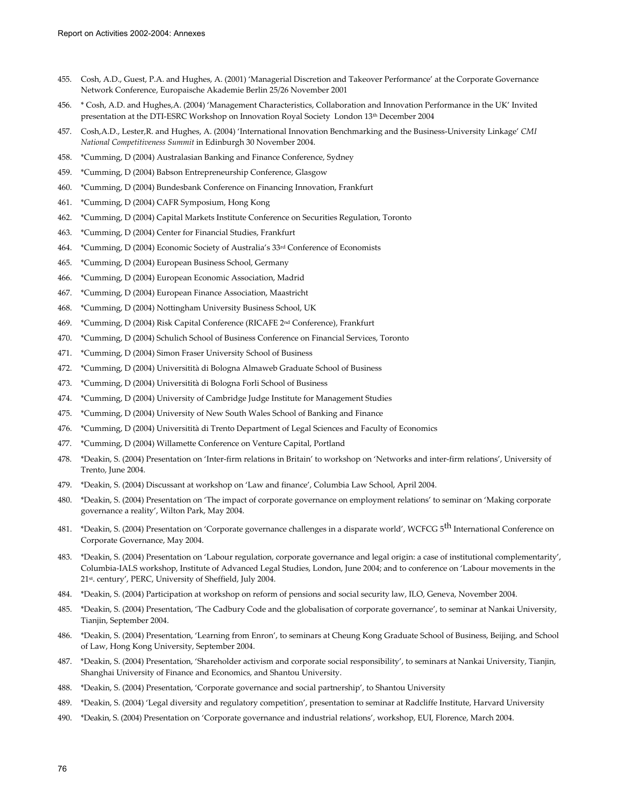- 455. Cosh, A.D., Guest, P.A. and Hughes, A. (2001) 'Managerial Discretion and Takeover Performance' at the Corporate Governance Network Conference, Europaische Akademie Berlin 25/26 November 2001
- 456. \* Cosh, A.D. and Hughes,A. (2004) 'Management Characteristics, Collaboration and Innovation Performance in the UK' Invited presentation at the DTI-ESRC Workshop on Innovation Royal Society London 13<sup>th</sup> December 2004
- 457. Cosh,A.D., Lester,R. and Hughes, A. (2004) 'International Innovation Benchmarking and the Business-University Linkage' *CMI National Competitiveness Summit* in Edinburgh 30 November 2004.
- 458. \*Cumming, D (2004) Australasian Banking and Finance Conference, Sydney
- 459. \*Cumming, D (2004) Babson Entrepreneurship Conference, Glasgow
- 460. \*Cumming, D (2004) Bundesbank Conference on Financing Innovation, Frankfurt
- 461. \*Cumming, D (2004) CAFR Symposium, Hong Kong
- 462. \*Cumming, D (2004) Capital Markets Institute Conference on Securities Regulation, Toronto
- 463. \*Cumming, D (2004) Center for Financial Studies, Frankfurt
- 464. \*Cumming, D (2004) Economic Society of Australia's 33rd Conference of Economists
- 465. \*Cumming, D (2004) European Business School, Germany
- 466. \*Cumming, D (2004) European Economic Association, Madrid
- 467. \*Cumming, D (2004) European Finance Association, Maastricht
- 468. \*Cumming, D (2004) Nottingham University Business School, UK
- 469. \*Cumming, D (2004) Risk Capital Conference (RICAFE 2nd Conference), Frankfurt
- 470. \*Cumming, D (2004) Schulich School of Business Conference on Financial Services, Toronto
- 471. \*Cumming, D (2004) Simon Fraser University School of Business
- 472. \*Cumming, D (2004) Universitità di Bologna Almaweb Graduate School of Business
- 473. \*Cumming, D (2004) Universitità di Bologna Forli School of Business
- 474. \*Cumming, D (2004) University of Cambridge Judge Institute for Management Studies
- 475. \*Cumming, D (2004) University of New South Wales School of Banking and Finance
- 476. \*Cumming, D (2004) Universitità di Trento Department of Legal Sciences and Faculty of Economics
- 477. \*Cumming, D (2004) Willamette Conference on Venture Capital, Portland
- 478. \*Deakin, S. (2004) Presentation on 'Inter-firm relations in Britain' to workshop on 'Networks and inter-firm relations', University of Trento, June 2004.
- 479. \*Deakin, S. (2004) Discussant at workshop on 'Law and finance', Columbia Law School, April 2004.
- 480. \*Deakin, S. (2004) Presentation on 'The impact of corporate governance on employment relations' to seminar on 'Making corporate governance a reality', Wilton Park, May 2004.
- 481. \*Deakin, S. (2004) Presentation on 'Corporate governance challenges in a disparate world', WCFCG 5<sup>th</sup> International Conference on Corporate Governance, May 2004.
- 483. \*Deakin, S. (2004) Presentation on 'Labour regulation, corporate governance and legal origin: a case of institutional complementarity', Columbia-IALS workshop, Institute of Advanced Legal Studies, London, June 2004; and to conference on 'Labour movements in the 21st. century', PERC, University of Sheffield, July 2004.
- 484. \*Deakin, S. (2004) Participation at workshop on reform of pensions and social security law, ILO, Geneva, November 2004.
- 485. \*Deakin, S. (2004) Presentation, 'The Cadbury Code and the globalisation of corporate governance', to seminar at Nankai University, Tianjin, September 2004.
- 486. \*Deakin, S. (2004) Presentation, 'Learning from Enron', to seminars at Cheung Kong Graduate School of Business, Beijing, and School of Law, Hong Kong University, September 2004.
- 487. \*Deakin, S. (2004) Presentation, 'Shareholder activism and corporate social responsibility', to seminars at Nankai University, Tianjin, Shanghai University of Finance and Economics, and Shantou University.
- 488. \*Deakin, S. (2004) Presentation, 'Corporate governance and social partnership', to Shantou University
- 489. \*Deakin, S. (2004) 'Legal diversity and regulatory competition', presentation to seminar at Radcliffe Institute, Harvard University
- 490. \*Deakin, S. (2004) Presentation on 'Corporate governance and industrial relations', workshop, EUI, Florence, March 2004.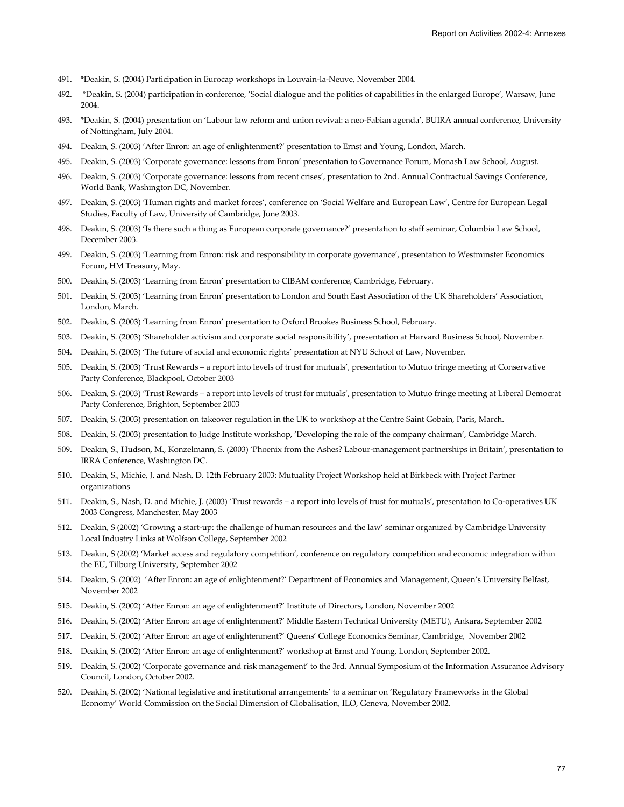- 491. \*Deakin, S. (2004) Participation in Eurocap workshops in Louvain-la-Neuve, November 2004.
- 492. \*Deakin, S. (2004) participation in conference, 'Social dialogue and the politics of capabilities in the enlarged Europe', Warsaw, June 2004.
- 493. \*Deakin, S. (2004) presentation on 'Labour law reform and union revival: a neo-Fabian agenda', BUIRA annual conference, University of Nottingham, July 2004.
- 494. Deakin, S. (2003) 'After Enron: an age of enlightenment?' presentation to Ernst and Young, London, March.
- 495. Deakin, S. (2003) 'Corporate governance: lessons from Enron' presentation to Governance Forum, Monash Law School, August.
- 496. Deakin, S. (2003) 'Corporate governance: lessons from recent crises', presentation to 2nd. Annual Contractual Savings Conference, World Bank, Washington DC, November.
- 497. Deakin, S. (2003) 'Human rights and market forces', conference on 'Social Welfare and European Law', Centre for European Legal Studies, Faculty of Law, University of Cambridge, June 2003.
- 498. Deakin, S. (2003) 'Is there such a thing as European corporate governance?' presentation to staff seminar, Columbia Law School, December 2003.
- 499. Deakin, S. (2003) 'Learning from Enron: risk and responsibility in corporate governance', presentation to Westminster Economics Forum, HM Treasury, May.
- 500. Deakin, S. (2003) 'Learning from Enron' presentation to CIBAM conference, Cambridge, February.
- 501. Deakin, S. (2003) 'Learning from Enron' presentation to London and South East Association of the UK Shareholders' Association, London, March.
- 502. Deakin, S. (2003) 'Learning from Enron' presentation to Oxford Brookes Business School, February.
- 503. Deakin, S. (2003) 'Shareholder activism and corporate social responsibility', presentation at Harvard Business School, November.
- 504. Deakin, S. (2003) 'The future of social and economic rights' presentation at NYU School of Law, November.
- 505. Deakin, S. (2003) 'Trust Rewards a report into levels of trust for mutuals', presentation to Mutuo fringe meeting at Conservative Party Conference, Blackpool, October 2003
- 506. Deakin, S. (2003) 'Trust Rewards a report into levels of trust for mutuals', presentation to Mutuo fringe meeting at Liberal Democrat Party Conference, Brighton, September 2003
- 507. Deakin, S. (2003) presentation on takeover regulation in the UK to workshop at the Centre Saint Gobain, Paris, March.
- 508. Deakin, S. (2003) presentation to Judge Institute workshop, 'Developing the role of the company chairman', Cambridge March.
- 509. Deakin, S., Hudson, M., Konzelmann, S. (2003) 'Phoenix from the Ashes? Labour-management partnerships in Britain', presentation to IRRA Conference, Washington DC.
- 510. Deakin, S., Michie, J. and Nash, D. 12th February 2003: Mutuality Project Workshop held at Birkbeck with Project Partner organizations
- 511. Deakin, S., Nash, D. and Michie, J. (2003) 'Trust rewards a report into levels of trust for mutuals', presentation to Co-operatives UK 2003 Congress, Manchester, May 2003
- 512. Deakin, S (2002) 'Growing a start-up: the challenge of human resources and the law' seminar organized by Cambridge University Local Industry Links at Wolfson College, September 2002
- 513. Deakin, S (2002) 'Market access and regulatory competition', conference on regulatory competition and economic integration within the EU, Tilburg University, September 2002
- 514. Deakin, S. (2002) 'After Enron: an age of enlightenment?' Department of Economics and Management, Queen's University Belfast, November 2002
- 515. Deakin, S. (2002) 'After Enron: an age of enlightenment?' Institute of Directors, London, November 2002
- 516. Deakin, S. (2002) 'After Enron: an age of enlightenment?' Middle Eastern Technical University (METU), Ankara, September 2002
- 517. Deakin, S. (2002) 'After Enron: an age of enlightenment?' Queens' College Economics Seminar, Cambridge, November 2002
- 518. Deakin, S. (2002) 'After Enron: an age of enlightenment?' workshop at Ernst and Young, London, September 2002.
- 519. Deakin, S. (2002) 'Corporate governance and risk management' to the 3rd. Annual Symposium of the Information Assurance Advisory Council, London, October 2002.
- 520. Deakin, S. (2002) 'National legislative and institutional arrangements' to a seminar on 'Regulatory Frameworks in the Global Economy' World Commission on the Social Dimension of Globalisation, ILO, Geneva, November 2002.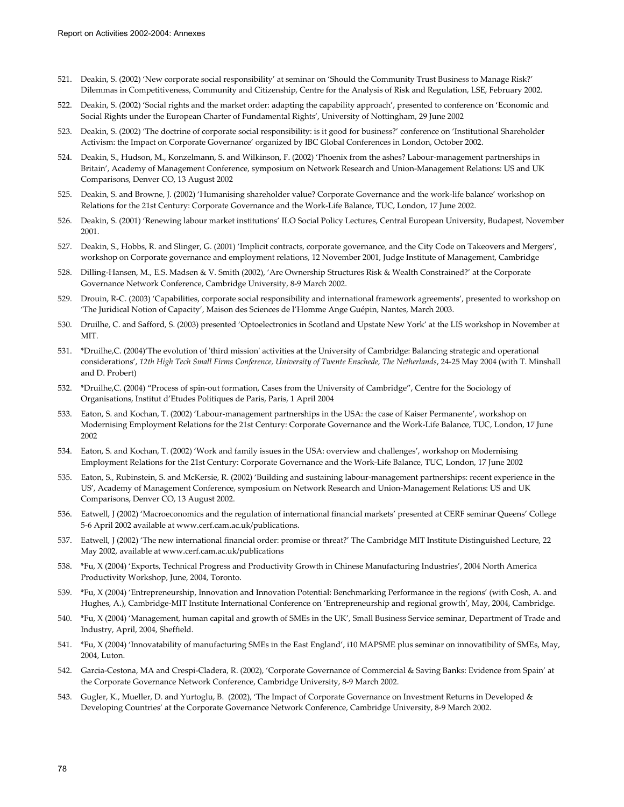- 521. Deakin, S. (2002) 'New corporate social responsibility' at seminar on 'Should the Community Trust Business to Manage Risk?' Dilemmas in Competitiveness, Community and Citizenship, Centre for the Analysis of Risk and Regulation, LSE, February 2002.
- 522. Deakin, S. (2002) 'Social rights and the market order: adapting the capability approach', presented to conference on 'Economic and Social Rights under the European Charter of Fundamental Rights', University of Nottingham, 29 June 2002
- 523. Deakin, S. (2002) 'The doctrine of corporate social responsibility: is it good for business?' conference on 'Institutional Shareholder Activism: the Impact on Corporate Governance' organized by IBC Global Conferences in London, October 2002.
- 524. Deakin, S., Hudson, M., Konzelmann, S. and Wilkinson, F. (2002) 'Phoenix from the ashes? Labour-management partnerships in Britain', Academy of Management Conference, symposium on Network Research and Union-Management Relations: US and UK Comparisons, Denver CO, 13 August 2002
- 525. Deakin, S. and Browne, J. (2002) 'Humanising shareholder value? Corporate Governance and the work-life balance' workshop on Relations for the 21st Century: Corporate Governance and the Work-Life Balance, TUC, London, 17 June 2002.
- 526. Deakin, S. (2001) 'Renewing labour market institutions' ILO Social Policy Lectures, Central European University, Budapest, November 2001.
- 527. Deakin, S., Hobbs, R. and Slinger, G. (2001) 'Implicit contracts, corporate governance, and the City Code on Takeovers and Mergers', workshop on Corporate governance and employment relations, 12 November 2001, Judge Institute of Management, Cambridge
- 528. Dilling-Hansen, M., E.S. Madsen & V. Smith (2002), 'Are Ownership Structures Risk & Wealth Constrained?' at the Corporate Governance Network Conference, Cambridge University, 8-9 March 2002.
- 529. Drouin, R-C. (2003) 'Capabilities, corporate social responsibility and international framework agreements', presented to workshop on 'The Juridical Notion of Capacity', Maison des Sciences de l'Homme Ange Guépin, Nantes, March 2003.
- 530. Druilhe, C. and Safford, S. (2003) presented 'Optoelectronics in Scotland and Upstate New York' at the LIS workshop in November at MIT.
- 531. \*Druilhe,C. (2004)'The evolution of 'third mission' activities at the University of Cambridge: Balancing strategic and operational considerations', *12th High Tech Small Firms Conference, University of Twente Enschede, The Netherlands*, 24-25 May 2004 (with T. Minshall and D. Probert)
- 532. \*Druilhe,C. (2004) "Process of spin-out formation, Cases from the University of Cambridge", Centre for the Sociology of Organisations, Institut d'Etudes Politiques de Paris, Paris, 1 April 2004
- 533. Eaton, S. and Kochan, T. (2002) 'Labour-management partnerships in the USA: the case of Kaiser Permanente', workshop on Modernising Employment Relations for the 21st Century: Corporate Governance and the Work-Life Balance, TUC, London, 17 June 2002
- 534. Eaton, S. and Kochan, T. (2002) 'Work and family issues in the USA: overview and challenges', workshop on Modernising Employment Relations for the 21st Century: Corporate Governance and the Work-Life Balance, TUC, London, 17 June 2002
- 535. Eaton, S., Rubinstein, S. and McKersie, R. (2002) 'Building and sustaining labour-management partnerships: recent experience in the US', Academy of Management Conference, symposium on Network Research and Union-Management Relations: US and UK Comparisons, Denver CO, 13 August 2002.
- 536. Eatwell, J (2002) 'Macroeconomics and the regulation of international financial markets' presented at CERF seminar Queens' College 5-6 April 2002 available at www.cerf.cam.ac.uk/publications.
- 537. Eatwell, J (2002) 'The new international financial order: promise or threat?' The Cambridge MIT Institute Distinguished Lecture, 22 May 2002, available at www.cerf.cam.ac.uk/publications
- 538. \*Fu, X (2004) 'Exports, Technical Progress and Productivity Growth in Chinese Manufacturing Industries', 2004 North America Productivity Workshop, June, 2004, Toronto.
- 539. \*Fu, X (2004) 'Entrepreneurship, Innovation and Innovation Potential: Benchmarking Performance in the regions' (with Cosh, A. and Hughes, A.), Cambridge-MIT Institute International Conference on 'Entrepreneurship and regional growth', May, 2004, Cambridge.
- 540. \*Fu, X (2004) 'Management, human capital and growth of SMEs in the UK', Small Business Service seminar, Department of Trade and Industry, April, 2004, Sheffield.
- 541. \*Fu, X (2004) 'Innovatability of manufacturing SMEs in the East England', i10 MAPSME plus seminar on innovatibility of SMEs, May, 2004, Luton.
- 542. Garcia-Cestona, MA and Crespi-Cladera, R. (2002), 'Corporate Governance of Commercial & Saving Banks: Evidence from Spain' at the Corporate Governance Network Conference, Cambridge University, 8-9 March 2002.
- 543. Gugler, K., Mueller, D. and Yurtoglu, B. (2002), 'The Impact of Corporate Governance on Investment Returns in Developed & Developing Countries' at the Corporate Governance Network Conference, Cambridge University, 8-9 March 2002.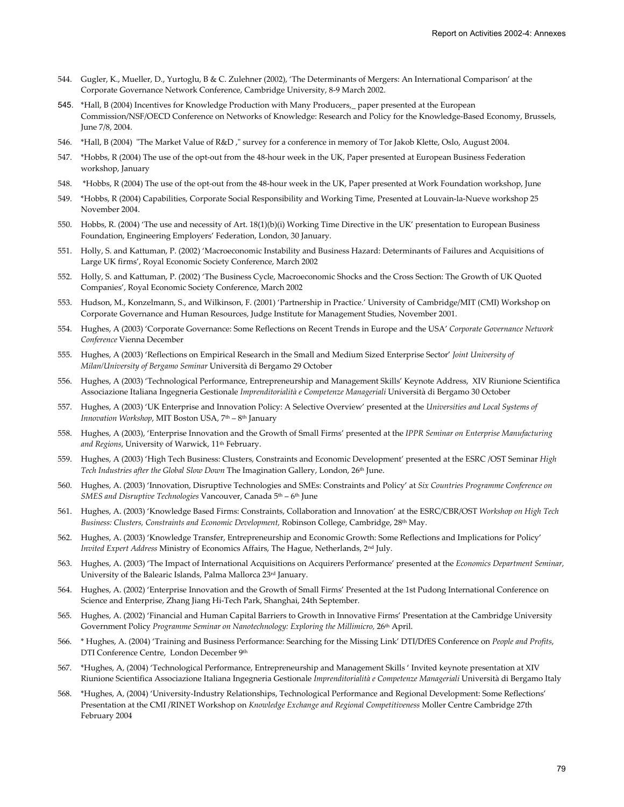- 544. Gugler, K., Mueller, D., Yurtoglu, B & C. Zulehner (2002), 'The Determinants of Mergers: An International Comparison' at the Corporate Governance Network Conference, Cambridge University, 8-9 March 2002.
- 545. \*Hall, B (2004) Incentives for Knowledge Production with Many Producers,\_ paper presented at the European Commission/NSF/OECD Conference on Networks of Knowledge: Research and Policy for the Knowledge-Based Economy, Brussels, June 7/8, 2004.
- 546. \*Hall, B (2004) "The Market Value of R&D ," survey for a conference in memory of Tor Jakob Klette, Oslo, August 2004.
- 547. \*Hobbs, R (2004) The use of the opt-out from the 48-hour week in the UK, Paper presented at European Business Federation workshop, January
- 548. \*Hobbs, R (2004) The use of the opt-out from the 48-hour week in the UK, Paper presented at Work Foundation workshop, June
- 549. \*Hobbs, R (2004) Capabilities, Corporate Social Responsibility and Working Time, Presented at Louvain-la-Nueve workshop 25 November 2004.
- 550. Hobbs, R. (2004) 'The use and necessity of Art. 18(1)(b)(i) Working Time Directive in the UK' presentation to European Business Foundation, Engineering Employers' Federation, London, 30 January.
- 551. Holly, S. and Kattuman, P. (2002) 'Macroeconomic Instability and Business Hazard: Determinants of Failures and Acquisitions of Large UK firms', Royal Economic Society Conference, March 2002
- 552. Holly, S. and Kattuman, P. (2002) 'The Business Cycle, Macroeconomic Shocks and the Cross Section: The Growth of UK Quoted Companies', Royal Economic Society Conference, March 2002
- 553. Hudson, M., Konzelmann, S., and Wilkinson, F. (2001) 'Partnership in Practice.' University of Cambridge/MIT (CMI) Workshop on Corporate Governance and Human Resources, Judge Institute for Management Studies, November 2001.
- 554. Hughes, A (2003) 'Corporate Governance: Some Reflections on Recent Trends in Europe and the USA' *Corporate Governance Network Conference* Vienna December
- 555. Hughes, A (2003) 'Reflections on Empirical Research in the Small and Medium Sized Enterprise Sector' *Joint University of Milan/University of Bergamo Seminar* Università di Bergamo 29 October
- 556. Hughes, A (2003) 'Technological Performance, Entrepreneurship and Management Skills' Keynote Address, XIV Riunione Scientifica Associazione Italiana Ingegneria Gestionale *Imprenditorialità e Competenze Manageriali* Università di Bergamo 30 October
- 557. Hughes, A (2003) 'UK Enterprise and Innovation Policy: A Selective Overview' presented at the *Universities and Local Systems of Innovation Workshop*, MIT Boston USA, 7th – 8th January
- 558. Hughes, A (2003), 'Enterprise Innovation and the Growth of Small Firms' presented at the *IPPR Seminar on Enterprise Manufacturing and Regions*, University of Warwick, 11th February.
- 559. Hughes, A (2003) 'High Tech Business: Clusters, Constraints and Economic Development' presented at the ESRC /OST Seminar *High Tech Industries after the Global Slow Down* The Imagination Gallery, London, 26th June.
- 560. Hughes, A. (2003) 'Innovation, Disruptive Technologies and SMEs: Constraints and Policy' at *Six Countries Programme Conference on SMES and Disruptive Technologies* Vancouver, Canada 5<sup>th</sup> – 6<sup>th</sup> June
- 561. Hughes, A. (2003) 'Knowledge Based Firms: Constraints, Collaboration and Innovation' at the ESRC/CBR/OST *Workshop on High Tech Business: Clusters, Constraints and Economic Development,* Robinson College, Cambridge, 28th May.
- 562. Hughes, A. (2003) 'Knowledge Transfer, Entrepreneurship and Economic Growth: Some Reflections and Implications for Policy' *Invited Expert Address* Ministry of Economics Affairs, The Hague, Netherlands, 2nd July.
- 563. Hughes, A. (2003) 'The Impact of International Acquisitions on Acquirers Performance' presented at the *Economics Department Seminar,* University of the Balearic Islands, Palma Mallorca 23rd January.
- 564. Hughes, A. (2002) 'Enterprise Innovation and the Growth of Small Firms' Presented at the 1st Pudong International Conference on Science and Enterprise, Zhang Jiang Hi-Tech Park, Shanghai, 24th September.
- 565. Hughes, A. (2002) 'Financial and Human Capital Barriers to Growth in Innovative Firms' Presentation at the Cambridge University Government Policy *Programme Seminar on Nanotechnology: Exploring the Millimicro,* 26th April.
- 566. \* Hughes, A. (2004) 'Training and Business Performance: Searching for the Missing Link' DTI/DfES Conference on *People and Profits*, DTI Conference Centre, London December 9th
- 567. \*Hughes, A, (2004) 'Technological Performance, Entrepreneurship and Management Skills ' Invited keynote presentation at XIV Riunione Scientifica Associazione Italiana Ingegneria Gestionale *Imprenditorialità e Competenze Manageriali* Università di Bergamo Italy
- 568. \*Hughes, A, (2004) 'University-Industry Relationships, Technological Performance and Regional Development: Some Reflections' Presentation at the CMI /RINET Workshop on *Knowledge Exchange and Regional Competitiveness* Moller Centre Cambridge 27th February 2004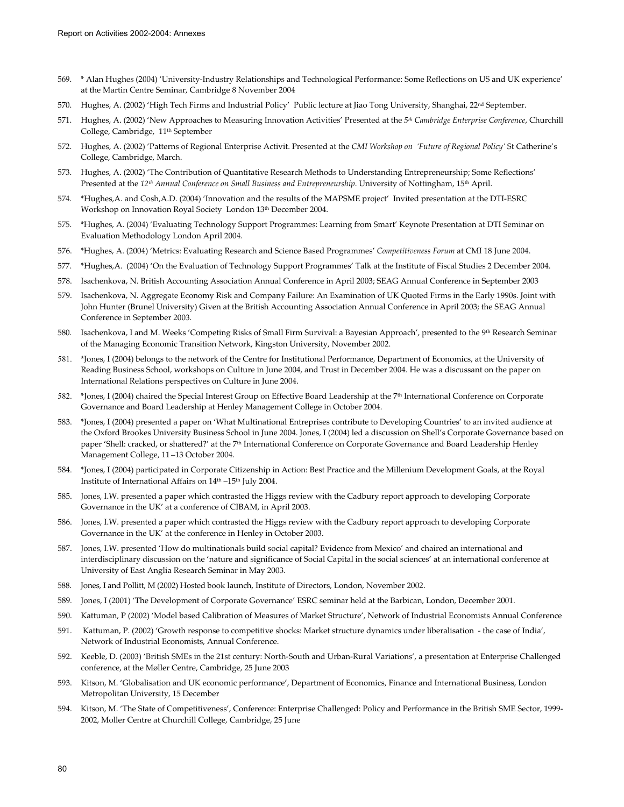- 569. \* Alan Hughes (2004) 'University-Industry Relationships and Technological Performance: Some Reflections on US and UK experience' at the Martin Centre Seminar, Cambridge 8 November 2004
- 570. Hughes, A. (2002) 'High Tech Firms and Industrial Policy' Public lecture at Jiao Tong University, Shanghai, 22nd September.
- 571. Hughes, A. (2002) 'New Approaches to Measuring Innovation Activities' Presented at the *5th Cambridge Enterprise Conference*, Churchill College, Cambridge, 11th September
- 572. Hughes, A. (2002) 'Patterns of Regional Enterprise Activit. Presented at the *CMI Workshop on 'Future of Regional Policy'* St Catherine's College, Cambridge, March.
- 573. Hughes, A. (2002) 'The Contribution of Quantitative Research Methods to Understanding Entrepreneurship; Some Reflections' Presented at the 12<sup>th</sup> Annual Conference on Small Business and Entrepreneurship. University of Nottingham, 15<sup>th</sup> April.
- 574. \*Hughes,A. and Cosh,A.D. (2004) 'Innovation and the results of the MAPSME project' Invited presentation at the DTI-ESRC Workshop on Innovation Royal Society London 13th December 2004.
- 575. \*Hughes, A. (2004) 'Evaluating Technology Support Programmes: Learning from Smart' Keynote Presentation at DTI Seminar on Evaluation Methodology London April 2004.
- 576. \*Hughes, A. (2004) 'Metrics: Evaluating Research and Science Based Programmes' *Competitiveness Forum* at CMI 18 June 2004.
- 577. \*Hughes,A. (2004) 'On the Evaluation of Technology Support Programmes' Talk at the Institute of Fiscal Studies 2 December 2004.
- 578. Isachenkova, N. British Accounting Association Annual Conference in April 2003; SEAG Annual Conference in September 2003
- 579. Isachenkova, N. Aggregate Economy Risk and Company Failure: An Examination of UK Quoted Firms in the Early 1990s. Joint with John Hunter (Brunel University) Given at the British Accounting Association Annual Conference in April 2003; the SEAG Annual Conference in September 2003.
- 580. Isachenkova, I and M. Weeks 'Competing Risks of Small Firm Survival: a Bayesian Approach', presented to the 9<sup>th</sup> Research Seminar of the Managing Economic Transition Network, Kingston University, November 2002.
- 581. \*Jones, I (2004) belongs to the network of the Centre for Institutional Performance, Department of Economics, at the University of Reading Business School, workshops on Culture in June 2004, and Trust in December 2004. He was a discussant on the paper on International Relations perspectives on Culture in June 2004.
- 582. \*Jones, I (2004) chaired the Special Interest Group on Effective Board Leadership at the 7th International Conference on Corporate Governance and Board Leadership at Henley Management College in October 2004.
- 583. \*Jones, I (2004) presented a paper on 'What Multinational Entreprises contribute to Developing Countries' to an invited audience at the Oxford Brookes University Business School in June 2004. Jones, I (2004) led a discussion on Shell's Corporate Governance based on paper 'Shell: cracked, or shattered?' at the 7<sup>th</sup> International Conference on Corporate Governance and Board Leadership Henley Management College, 11 –13 October 2004.
- 584. \*Jones, I (2004) participated in Corporate Citizenship in Action: Best Practice and the Millenium Development Goals, at the Royal Institute of International Affairs on 14th –15th July 2004.
- 585. Jones, I.W. presented a paper which contrasted the Higgs review with the Cadbury report approach to developing Corporate Governance in the UK' at a conference of CIBAM, in April 2003.
- 586. Jones, I.W. presented a paper which contrasted the Higgs review with the Cadbury report approach to developing Corporate Governance in the UK' at the conference in Henley in October 2003.
- 587. Jones, I.W. presented 'How do multinationals build social capital? Evidence from Mexico' and chaired an international and interdisciplinary discussion on the 'nature and significance of Social Capital in the social sciences' at an international conference at University of East Anglia Research Seminar in May 2003.
- 588. Jones, I and Pollitt, M (2002) Hosted book launch, Institute of Directors, London, November 2002.
- 589. Jones, I (2001) 'The Development of Corporate Governance' ESRC seminar held at the Barbican, London, December 2001.
- 590. Kattuman, P (2002) 'Model based Calibration of Measures of Market Structure', Network of Industrial Economists Annual Conference
- 591. Kattuman, P. (2002) 'Growth response to competitive shocks: Market structure dynamics under liberalisation the case of India', Network of Industrial Economists, Annual Conference.
- 592. Keeble, D. (2003) 'British SMEs in the 21st century: North-South and Urban-Rural Variations', a presentation at Enterprise Challenged conference, at the Møller Centre, Cambridge, 25 June 2003
- 593. Kitson, M. 'Globalisation and UK economic performance', Department of Economics, Finance and International Business, London Metropolitan University, 15 December
- 594. Kitson, M. 'The State of Competitiveness', Conference: Enterprise Challenged: Policy and Performance in the British SME Sector, 1999- 2002, Moller Centre at Churchill College, Cambridge, 25 June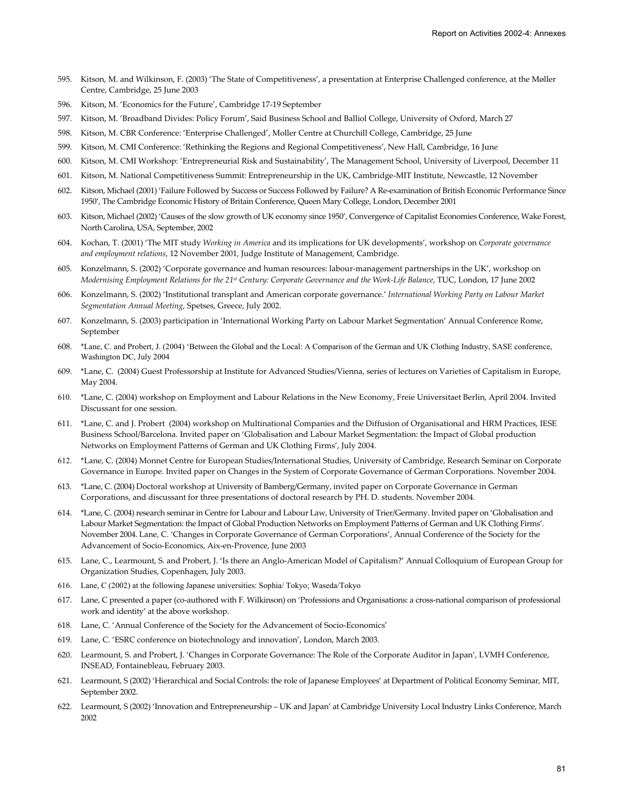- 595. Kitson, M. and Wilkinson, F. (2003) 'The State of Competitiveness', a presentation at Enterprise Challenged conference, at the Møller Centre, Cambridge, 25 June 2003
- 596. Kitson, M. 'Economics for the Future', Cambridge 17-19 September
- 597. Kitson, M. 'Broadband Divides: Policy Forum', Said Business School and Balliol College, University of Oxford, March 27
- 598. Kitson, M. CBR Conference: 'Enterprise Challenged', Moller Centre at Churchill College, Cambridge, 25 June
- 599. Kitson, M. CMI Conference: 'Rethinking the Regions and Regional Competitiveness', New Hall, Cambridge, 16 June
- 600. Kitson, M. CMI Workshop: 'Entrepreneurial Risk and Sustainability', The Management School, University of Liverpool, December 11
- 601. Kitson, M. National Competitiveness Summit: Entrepreneurship in the UK, Cambridge-MIT Institute, Newcastle, 12 November
- 602. Kitson, Michael (2001) 'Failure Followed by Success or Success Followed by Failure? A Re-examination of British Economic Performance Since 1950', The Cambridge Economic History of Britain Conference, Queen Mary College, London, December 2001
- 603. Kitson, Michael (2002) 'Causes of the slow growth of UK economy since 1950', Convergence of Capitalist Economies Conference, Wake Forest, North Carolina, USA, September, 2002
- 604. Kochan, T. (2001) 'The MIT study *Working in America* and its implications for UK developments', workshop on *Corporate governance and employment relations*, 12 November 2001, Judge Institute of Management, Cambridge.
- 605. Konzelmann, S. (2002) 'Corporate governance and human resources: labour-management partnerships in the UK', workshop on *Modernising Employment Relations for the 21st Century: Corporate Governance and the Work-Life Balance*, TUC, London, 17 June 2002
- 606. Konzelmann, S. (2002) 'Institutional transplant and American corporate governance.' *International Working Party on Labour Market Segmentation Annual Meeting*, Spetses, Greece, July 2002.
- 607. Konzelmann, S. (2003) participation in 'International Working Party on Labour Market Segmentation' Annual Conference Rome, September
- 608. \*Lane, C. and Probert, J. (2004) 'Between the Global and the Local: A Comparison of the German and UK Clothing Industry, SASE conference, Washington DC, July 2004
- 609. \*Lane, C. (2004) Guest Professorship at Institute for Advanced Studies/Vienna, series of lectures on Varieties of Capitalism in Europe, May 2004.
- 610. \*Lane, C. (2004) workshop on Employment and Labour Relations in the New Economy, Freie Universitaet Berlin, April 2004. Invited Discussant for one session.
- 611. \*Lane, C. and J. Probert (2004) workshop on Multinational Companies and the Diffusion of Organisational and HRM Practices, IESE Business School/Barcelona. Invited paper on 'Globalisation and Labour Market Segmentation: the Impact of Global production Networks on Employment Patterns of German and UK Clothing Firms', July 2004.
- 612. \*Lane, C. (2004) Monnet Centre for European Studies/International Studies, University of Cambridge, Research Seminar on Corporate Governance in Europe. Invited paper on Changes in the System of Corporate Governance of German Corporations. November 2004.
- 613. \*Lane, C. (2004) Doctoral workshop at University of Bamberg/Germany, invited paper on Corporate Governance in German Corporations, and discussant for three presentations of doctoral research by PH. D. students. November 2004.
- 614. \*Lane, C. (2004) research seminar in Centre for Labour and Labour Law, University of Trier/Germany. Invited paper on 'Globalisation and Labour Market Segmentation: the Impact of Global Production Networks on Employment Patterns of German and UK Clothing Firms'. November 2004. Lane, C. 'Changes in Corporate Governance of German Corporations', Annual Conference of the Society for the Advancement of Socio-Economics, Aix-en-Provence, June 2003
- 615. Lane, C., Learmount, S. and Probert, J. 'Is there an Anglo-American Model of Capitalism?' Annual Colloquium of European Group for Organization Studies, Copenhagen, July 2003.
- 616. Lane, C (2002) at the following Japanese universities: Sophia/ Tokyo; Waseda/Tokyo
- 617. Lane, C presented a paper (co-authored with F. Wilkinson) on 'Professions and Organisations: a cross-national comparison of professional work and identity' at the above workshop.
- 618. Lane, C. 'Annual Conference of the Society for the Advancement of Socio-Economics'
- 619. Lane, C. 'ESRC conference on biotechnology and innovation', London, March 2003.
- 620. Learmount, S. and Probert, J. 'Changes in Corporate Governance: The Role of the Corporate Auditor in Japan', LVMH Conference, INSEAD, Fontainebleau, February 2003.
- 621. Learmount, S (2002) 'Hierarchical and Social Controls: the role of Japanese Employees' at Department of Political Economy Seminar, MIT, September 2002.
- 622. Learmount, S (2002) 'Innovation and Entrepreneurship UK and Japan' at Cambridge University Local Industry Links Conference, March 2002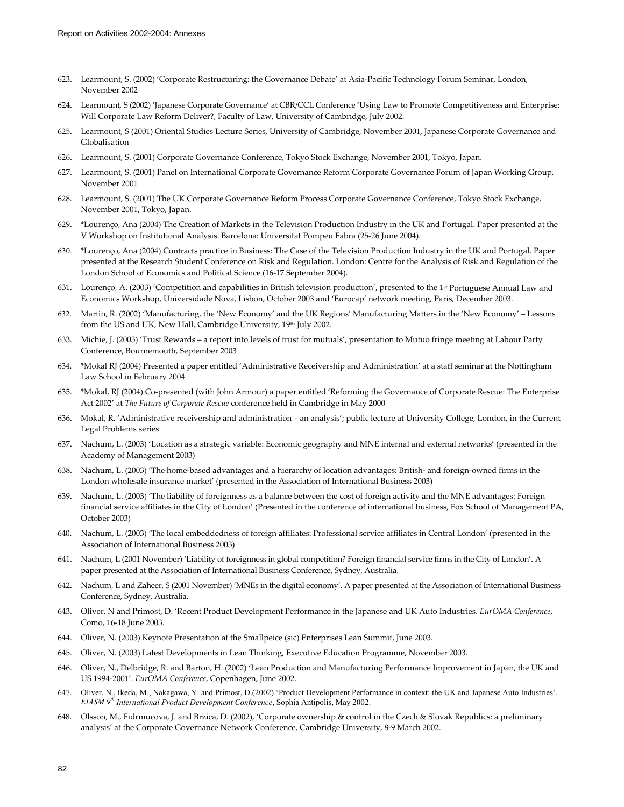- 623. Learmount, S. (2002) 'Corporate Restructuring: the Governance Debate' at Asia-Pacific Technology Forum Seminar, London, November 2002
- 624. Learmount, S (2002) 'Japanese Corporate Governance' at CBR/CCL Conference 'Using Law to Promote Competitiveness and Enterprise: Will Corporate Law Reform Deliver?, Faculty of Law, University of Cambridge, July 2002.
- 625. Learmount, S (2001) Oriental Studies Lecture Series, University of Cambridge, November 2001, Japanese Corporate Governance and Globalisation
- 626. Learmount, S. (2001) Corporate Governance Conference, Tokyo Stock Exchange, November 2001, Tokyo, Japan.
- 627. Learmount, S. (2001) Panel on International Corporate Governance Reform Corporate Governance Forum of Japan Working Group, November 2001
- 628. Learmount, S. (2001) The UK Corporate Governance Reform Process Corporate Governance Conference, Tokyo Stock Exchange, November 2001, Tokyo, Japan.
- 629. \*Lourenço, Ana (2004) The Creation of Markets in the Television Production Industry in the UK and Portugal. Paper presented at the V Workshop on Institutional Analysis. Barcelona: Universitat Pompeu Fabra (25-26 June 2004).
- 630. \*Lourenço, Ana (2004) Contracts practice in Business: The Case of the Television Production Industry in the UK and Portugal. Paper presented at the Research Student Conference on Risk and Regulation. London: Centre for the Analysis of Risk and Regulation of the London School of Economics and Political Science (16-17 September 2004).
- 631. Lourenço, A. (2003) 'Competition and capabilities in British television production', presented to the 1st Portuguese Annual Law and Economics Workshop, Universidade Nova, Lisbon, October 2003 and 'Eurocap' network meeting, Paris, December 2003.
- 632. Martin, R. (2002) 'Manufacturing, the 'New Economy' and the UK Regions' Manufacturing Matters in the 'New Economy' Lessons from the US and UK, New Hall, Cambridge University, 19<sup>th</sup> July 2002.
- 633. Michie, J. (2003) 'Trust Rewards a report into levels of trust for mutuals', presentation to Mutuo fringe meeting at Labour Party Conference, Bournemouth, September 2003
- 634. \*Mokal RJ (2004) Presented a paper entitled 'Administrative Receivership and Administration' at a staff seminar at the Nottingham Law School in February 2004
- 635. \*Mokal, RJ (2004) Co-presented (with John Armour) a paper entitled 'Reforming the Governance of Corporate Rescue: The Enterprise Act 2002' at *The Future of Corporate Rescue* conference held in Cambridge in May 2000
- 636. Mokal, R. 'Administrative receivership and administration an analysis'; public lecture at University College, London, in the Current Legal Problems series
- 637. Nachum, L. (2003) 'Location as a strategic variable: Economic geography and MNE internal and external networks' (presented in the Academy of Management 2003)
- 638. Nachum, L. (2003) 'The home-based advantages and a hierarchy of location advantages: British- and foreign-owned firms in the London wholesale insurance market' (presented in the Association of International Business 2003)
- 639. Nachum, L. (2003) 'The liability of foreignness as a balance between the cost of foreign activity and the MNE advantages: Foreign financial service affiliates in the City of London' (Presented in the conference of international business, Fox School of Management PA, October 2003)
- 640. Nachum, L. (2003) 'The local embeddedness of foreign affiliates: Professional service affiliates in Central London' (presented in the Association of International Business 2003)
- 641. Nachum, L (2001 November) 'Liability of foreignness in global competition? Foreign financial service firms in the City of London'. A paper presented at the Association of International Business Conference, Sydney, Australia.
- 642. Nachum, L and Zaheer, S (2001 November) 'MNEs in the digital economy'. A paper presented at the Association of International Business Conference, Sydney, Australia.
- 643. Oliver, N and Primost, D. 'Recent Product Development Performance in the Japanese and UK Auto Industries. *EurOMA Conference*, Como, 16-18 June 2003.
- 644. Oliver, N. (2003) Keynote Presentation at the Smallpeice (sic) Enterprises Lean Summit, June 2003.
- 645. Oliver, N. (2003) Latest Developments in Lean Thinking, Executive Education Programme, November 2003.
- 646. Oliver, N., Delbridge, R. and Barton, H. (2002) 'Lean Production and Manufacturing Performance Improvement in Japan, the UK and US 1994-2001'. *EurOMA Conference*, Copenhagen, June 2002.
- 647. Oliver, N., Ikeda, M., Nakagawa, Y. and Primost, D.(2002) 'Product Development Performance in context: the UK and Japanese Auto Industries'. *EIASM 9th International Product Development Conference*, Sophia Antipolis, May 2002.
- 648. Olsson, M., Fidrmucova, J. and Brzica, D. (2002), 'Corporate ownership & control in the Czech & Slovak Republics: a preliminary analysis' at the Corporate Governance Network Conference, Cambridge University, 8-9 March 2002.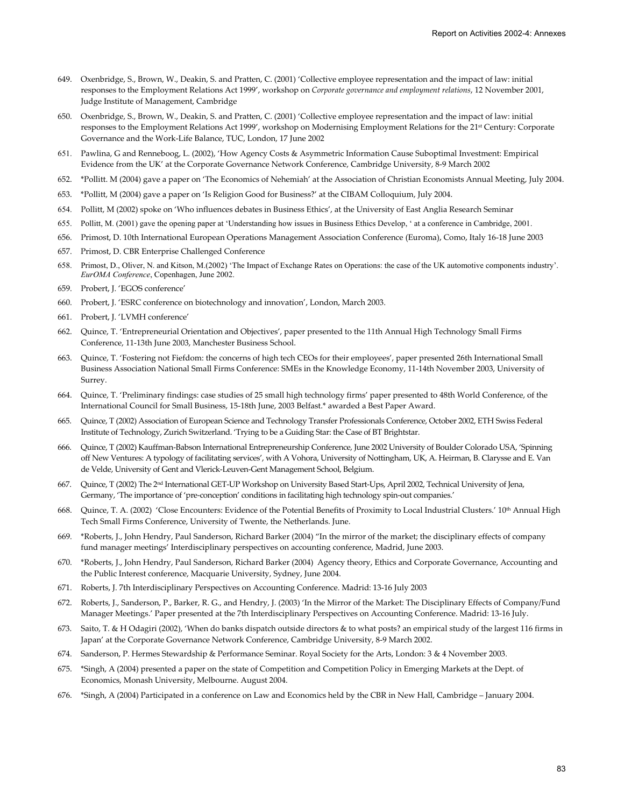- 649. Oxenbridge, S., Brown, W., Deakin, S. and Pratten, C. (2001) 'Collective employee representation and the impact of law: initial responses to the Employment Relations Act 1999', workshop on *Corporate governance and employment relations*, 12 November 2001, Judge Institute of Management, Cambridge
- 650. Oxenbridge, S., Brown, W., Deakin, S. and Pratten, C. (2001) 'Collective employee representation and the impact of law: initial responses to the Employment Relations Act 1999', workshop on Modernising Employment Relations for the 21<sup>st</sup> Century: Corporate Governance and the Work-Life Balance, TUC, London, 17 June 2002
- 651. Pawlina, G and Renneboog, L. (2002), 'How Agency Costs & Asymmetric Information Cause Suboptimal Investment: Empirical Evidence from the UK' at the Corporate Governance Network Conference, Cambridge University, 8-9 March 2002
- 652. \*Pollitt. M (2004) gave a paper on 'The Economics of Nehemiah' at the Association of Christian Economists Annual Meeting, July 2004.
- 653. \*Pollitt, M (2004) gave a paper on 'Is Religion Good for Business?' at the CIBAM Colloquium, July 2004.
- 654. Pollitt, M (2002) spoke on 'Who influences debates in Business Ethics', at the University of East Anglia Research Seminar
- 655. Pollitt, M. (2001) gave the opening paper at 'Understanding how issues in Business Ethics Develop, ' at a conference in Cambridge, 2001.
- 656. Primost, D. 10th International European Operations Management Association Conference (Euroma), Como, Italy 16-18 June 2003
- 657. Primost, D. CBR Enterprise Challenged Conference
- 658. Primost, D., Oliver, N. and Kitson, M.(2002) 'The Impact of Exchange Rates on Operations: the case of the UK automotive components industry'. *EurOMA Conference*, Copenhagen, June 2002.
- 659. Probert, J. 'EGOS conference'
- 660. Probert, J. 'ESRC conference on biotechnology and innovation', London, March 2003.
- 661. Probert, J. 'LVMH conference'
- 662. Quince, T. 'Entrepreneurial Orientation and Objectives', paper presented to the 11th Annual High Technology Small Firms Conference, 11-13th June 2003, Manchester Business School.
- 663. Quince, T. 'Fostering not Fiefdom: the concerns of high tech CEOs for their employees', paper presented 26th International Small Business Association National Small Firms Conference: SMEs in the Knowledge Economy, 11-14th November 2003, University of Surrey.
- 664. Quince, T. 'Preliminary findings: case studies of 25 small high technology firms' paper presented to 48th World Conference, of the International Council for Small Business, 15-18th June, 2003 Belfast.\* awarded a Best Paper Award.
- 665. Quince, T (2002) Association of European Science and Technology Transfer Professionals Conference, October 2002, ETH Swiss Federal Institute of Technology, Zurich Switzerland. 'Trying to be a Guiding Star: the Case of BT Brightstar.
- 666. Quince, T (2002) Kauffman-Babson International Entrepreneurship Conference, June 2002 University of Boulder Colorado USA, 'Spinning off New Ventures: A typology of facilitating services', with A Vohora, University of Nottingham, UK, A. Heirman, B. Clarysse and E. Van de Velde, University of Gent and Vlerick-Leuven-Gent Management School, Belgium.
- 667. Quince, T (2002) The 2nd International GET-UP Workshop on University Based Start-Ups, April 2002, Technical University of Jena, Germany, 'The importance of 'pre-conception' conditions in facilitating high technology spin-out companies.'
- 668. Quince, T. A. (2002) 'Close Encounters: Evidence of the Potential Benefits of Proximity to Local Industrial Clusters.' 10<sup>th</sup> Annual High Tech Small Firms Conference, University of Twente, the Netherlands. June.
- 669. \*Roberts, J., John Hendry, Paul Sanderson, Richard Barker (2004) "In the mirror of the market; the disciplinary effects of company fund manager meetings' Interdisciplinary perspectives on accounting conference, Madrid, June 2003.
- 670. \*Roberts, J., John Hendry, Paul Sanderson, Richard Barker (2004) Agency theory, Ethics and Corporate Governance, Accounting and the Public Interest conference, Macquarie University, Sydney, June 2004.
- 671. Roberts, J. 7th Interdisciplinary Perspectives on Accounting Conference. Madrid: 13-16 July 2003
- 672. Roberts, J., Sanderson, P., Barker, R. G., and Hendry, J. (2003) 'In the Mirror of the Market: The Disciplinary Effects of Company/Fund Manager Meetings.' Paper presented at the 7th Interdisciplinary Perspectives on Accounting Conference. Madrid: 13-16 July.
- 673. Saito, T. & H Odagiri (2002), 'When do banks dispatch outside directors & to what posts? an empirical study of the largest 116 firms in Japan' at the Corporate Governance Network Conference, Cambridge University, 8-9 March 2002.
- 674. Sanderson, P. Hermes Stewardship & Performance Seminar. Royal Society for the Arts, London: 3 & 4 November 2003.
- 675. \*Singh, A (2004) presented a paper on the state of Competition and Competition Policy in Emerging Markets at the Dept. of Economics, Monash University, Melbourne. August 2004.
- 676. \*Singh, A (2004) Participated in a conference on Law and Economics held by the CBR in New Hall, Cambridge January 2004.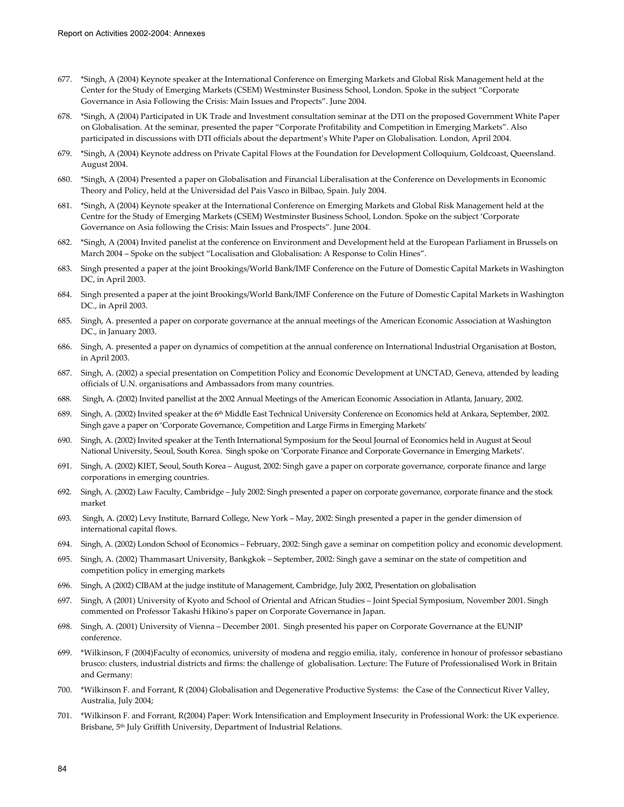- 677. \*Singh, A (2004) Keynote speaker at the International Conference on Emerging Markets and Global Risk Management held at the Center for the Study of Emerging Markets (CSEM) Westminster Business School, London. Spoke in the subject "Corporate Governance in Asia Following the Crisis: Main Issues and Propects". June 2004.
- 678. \*Singh, A (2004) Participated in UK Trade and Investment consultation seminar at the DTI on the proposed Government White Paper on Globalisation. At the seminar, presented the paper "Corporate Profitability and Competition in Emerging Markets". Also participated in discussions with DTI officials about the department's White Paper on Globalisation. London, April 2004.
- 679. \*Singh, A (2004) Keynote address on Private Capital Flows at the Foundation for Development Colloquium, Goldcoast, Queensland. August 2004.
- 680. \*Singh, A (2004) Presented a paper on Globalisation and Financial Liberalisation at the Conference on Developments in Economic Theory and Policy, held at the Universidad del Pais Vasco in Bilbao, Spain. July 2004.
- 681. \*Singh, A (2004) Keynote speaker at the International Conference on Emerging Markets and Global Risk Management held at the Centre for the Study of Emerging Markets (CSEM) Westminster Business School, London. Spoke on the subject 'Corporate Governance on Asia following the Crisis: Main Issues and Prospects". June 2004.
- 682. \*Singh, A (2004) Invited panelist at the conference on Environment and Development held at the European Parliament in Brussels on March 2004 – Spoke on the subject "Localisation and Globalisation: A Response to Colin Hines".
- 683. Singh presented a paper at the joint Brookings/World Bank/IMF Conference on the Future of Domestic Capital Markets in Washington DC, in April 2003.
- 684. Singh presented a paper at the joint Brookings/World Bank/IMF Conference on the Future of Domestic Capital Markets in Washington DC., in April 2003.
- 685. Singh, A. presented a paper on corporate governance at the annual meetings of the American Economic Association at Washington DC., in January 2003.
- 686. Singh, A. presented a paper on dynamics of competition at the annual conference on International Industrial Organisation at Boston, in April 2003.
- 687. Singh, A. (2002) a special presentation on Competition Policy and Economic Development at UNCTAD, Geneva, attended by leading officials of U.N. organisations and Ambassadors from many countries.
- 688. Singh, A. (2002) Invited panellist at the 2002 Annual Meetings of the American Economic Association in Atlanta, January, 2002.
- 689. Singh, A. (2002) Invited speaker at the 6<sup>th</sup> Middle East Technical University Conference on Economics held at Ankara, September, 2002. Singh gave a paper on 'Corporate Governance, Competition and Large Firms in Emerging Markets'
- 690. Singh, A. (2002) Invited speaker at the Tenth International Symposium for the Seoul Journal of Economics held in August at Seoul National University, Seoul, South Korea. Singh spoke on 'Corporate Finance and Corporate Governance in Emerging Markets'.
- 691. Singh, A. (2002) KIET, Seoul, South Korea August, 2002: Singh gave a paper on corporate governance, corporate finance and large corporations in emerging countries.
- 692. Singh, A. (2002) Law Faculty, Cambridge July 2002: Singh presented a paper on corporate governance, corporate finance and the stock market
- 693. Singh, A. (2002) Levy Institute, Barnard College, New York May, 2002: Singh presented a paper in the gender dimension of international capital flows.
- 694. Singh, A. (2002) London School of Economics February, 2002: Singh gave a seminar on competition policy and economic development.
- 695. Singh, A. (2002) Thammasart University, Bankgkok September, 2002: Singh gave a seminar on the state of competition and competition policy in emerging markets
- 696. Singh, A (2002) CIBAM at the judge institute of Management, Cambridge, July 2002, Presentation on globalisation
- 697. Singh, A (2001) University of Kyoto and School of Oriental and African Studies Joint Special Symposium, November 2001. Singh commented on Professor Takashi Hikino's paper on Corporate Governance in Japan.
- 698. Singh, A. (2001) University of Vienna December 2001. Singh presented his paper on Corporate Governance at the EUNIP conference.
- 699. \*Wilkinson, F (2004)Faculty of economics, university of modena and reggio emilia, italy, conference in honour of professor sebastiano brusco: clusters, industrial districts and firms: the challenge of globalisation. Lecture: The Future of Professionalised Work in Britain and Germany:
- 700. \*Wilkinson F. and Forrant, R (2004) Globalisation and Degenerative Productive Systems: the Case of the Connecticut River Valley, Australia, July 2004;
- 701. \*Wilkinson F. and Forrant, R(2004) Paper: Work Intensification and Employment Insecurity in Professional Work: the UK experience. Brisbane, 5th July Griffith University, Department of Industrial Relations.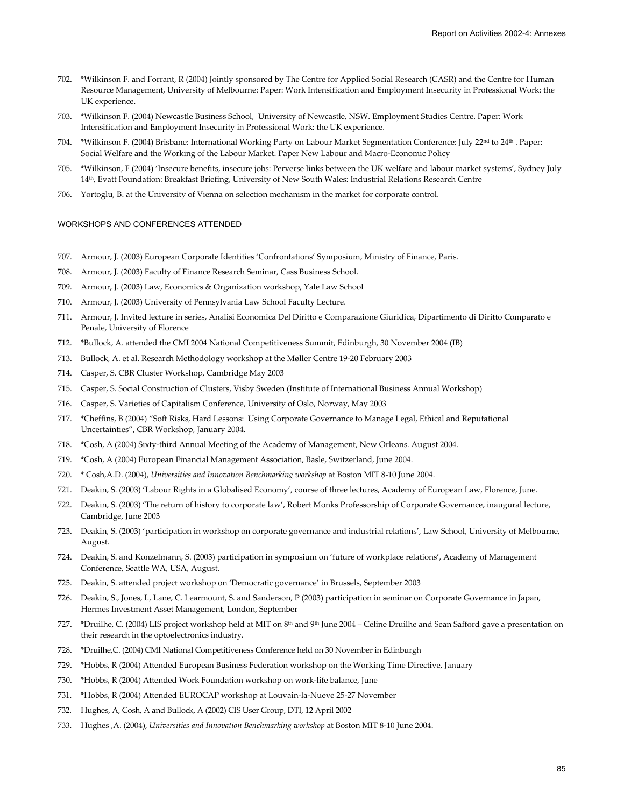- 702. \*Wilkinson F. and Forrant, R (2004) Jointly sponsored by The Centre for Applied Social Research (CASR) and the Centre for Human Resource Management, University of Melbourne: Paper: Work Intensification and Employment Insecurity in Professional Work: the UK experience.
- 703. \*Wilkinson F. (2004) Newcastle Business School, University of Newcastle, NSW. Employment Studies Centre. Paper: Work Intensification and Employment Insecurity in Professional Work: the UK experience.
- 704. \*Wilkinson F. (2004) Brisbane: International Working Party on Labour Market Segmentation Conference: July 22nd to 24th . Paper: Social Welfare and the Working of the Labour Market. Paper New Labour and Macro-Economic Policy
- 705. \*Wilkinson, F (2004) 'Insecure benefits, insecure jobs: Perverse links between the UK welfare and labour market systems', Sydney July 14th, Evatt Foundation: Breakfast Briefing, University of New South Wales: Industrial Relations Research Centre
- 706. Yortoglu, B. at the University of Vienna on selection mechanism in the market for corporate control.

# WORKSHOPS AND CONFERENCES ATTENDED

- 707. Armour, J. (2003) European Corporate Identities 'Confrontations' Symposium, Ministry of Finance, Paris.
- 708. Armour, J. (2003) Faculty of Finance Research Seminar, Cass Business School.
- 709. Armour, J. (2003) Law, Economics & Organization workshop, Yale Law School
- 710. Armour, J. (2003) University of Pennsylvania Law School Faculty Lecture.
- 711. Armour, J. Invited lecture in series, Analisi Economica Del Diritto e Comparazione Giuridica, Dipartimento di Diritto Comparato e Penale, University of Florence
- 712. \*Bullock, A. attended the CMI 2004 National Competitiveness Summit, Edinburgh, 30 November 2004 (IB)
- 713. Bullock, A. et al. Research Methodology workshop at the Møller Centre 19-20 February 2003
- 714. Casper, S. CBR Cluster Workshop, Cambridge May 2003
- 715. Casper, S. Social Construction of Clusters, Visby Sweden (Institute of International Business Annual Workshop)
- 716. Casper, S. Varieties of Capitalism Conference, University of Oslo, Norway, May 2003
- 717. \*Cheffins, B (2004) "Soft Risks, Hard Lessons: Using Corporate Governance to Manage Legal, Ethical and Reputational Uncertainties", CBR Workshop, January 2004.
- 718. \*Cosh, A (2004) Sixty-third Annual Meeting of the Academy of Management, New Orleans. August 2004.
- 719. \*Cosh, A (2004) European Financial Management Association, Basle, Switzerland, June 2004.
- 720. \* Cosh,A.D. (2004), *Universities and Innovation Benchmarking workshop* at Boston MIT 8-10 June 2004.
- 721. Deakin, S. (2003) 'Labour Rights in a Globalised Economy', course of three lectures, Academy of European Law, Florence, June.
- 722. Deakin, S. (2003) 'The return of history to corporate law', Robert Monks Professorship of Corporate Governance, inaugural lecture, Cambridge, June 2003
- 723. Deakin, S. (2003) 'participation in workshop on corporate governance and industrial relations', Law School, University of Melbourne, August.
- 724. Deakin, S. and Konzelmann, S. (2003) participation in symposium on 'future of workplace relations', Academy of Management Conference, Seattle WA, USA, August.
- 725. Deakin, S. attended project workshop on 'Democratic governance' in Brussels, September 2003
- 726. Deakin, S., Jones, I., Lane, C. Learmount, S. and Sanderson, P (2003) participation in seminar on Corporate Governance in Japan, Hermes Investment Asset Management, London, September
- 727. \*Druilhe, C. (2004) LIS project workshop held at MIT on 8th and 9th June 2004 Céline Druilhe and Sean Safford gave a presentation on their research in the optoelectronics industry.
- 728. \*Druilhe,C. (2004) CMI National Competitiveness Conference held on 30 November in Edinburgh
- 729. \*Hobbs, R (2004) Attended European Business Federation workshop on the Working Time Directive, January
- 730. \*Hobbs, R (2004) Attended Work Foundation workshop on work-life balance, June
- 731. \*Hobbs, R (2004) Attended EUROCAP workshop at Louvain-la-Nueve 25-27 November
- 732. Hughes, A, Cosh, A and Bullock, A (2002) CIS User Group, DTI, 12 April 2002
- 733. Hughes ,A. (2004), *Universities and Innovation Benchmarking workshop* at Boston MIT 8-10 June 2004.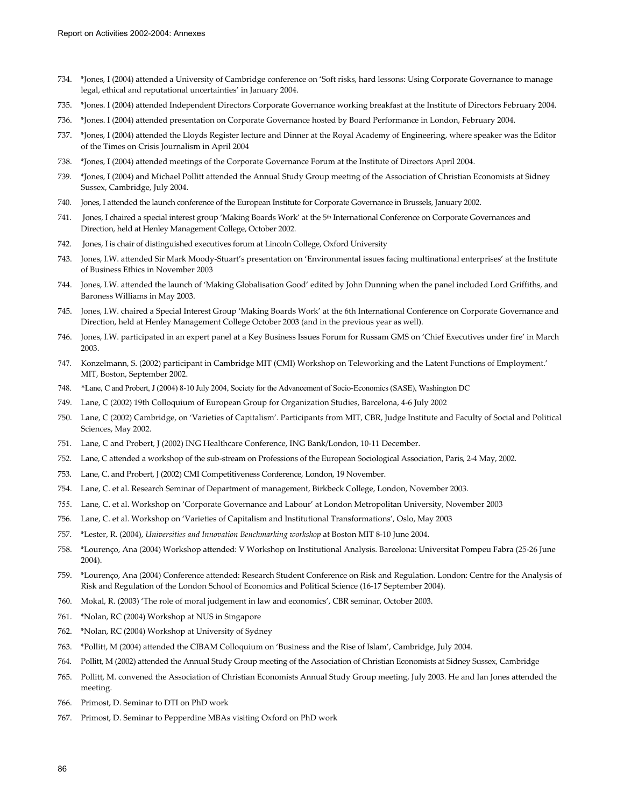- 734. \*Jones, I (2004) attended a University of Cambridge conference on 'Soft risks, hard lessons: Using Corporate Governance to manage legal, ethical and reputational uncertainties' in January 2004.
- 735. \*Jones. I (2004) attended Independent Directors Corporate Governance working breakfast at the Institute of Directors February 2004.
- 736. \*Jones. I (2004) attended presentation on Corporate Governance hosted by Board Performance in London, February 2004.
- 737. \*Jones, I (2004) attended the Lloyds Register lecture and Dinner at the Royal Academy of Engineering, where speaker was the Editor of the Times on Crisis Journalism in April 2004
- 738. \*Jones, I (2004) attended meetings of the Corporate Governance Forum at the Institute of Directors April 2004.
- 739. \*Jones, I (2004) and Michael Pollitt attended the Annual Study Group meeting of the Association of Christian Economists at Sidney Sussex, Cambridge, July 2004.
- 740. Jones, I attended the launch conference of the European Institute for Corporate Governance in Brussels, January 2002.
- 741. Jones, I chaired a special interest group 'Making Boards Work' at the 5th International Conference on Corporate Governances and Direction, held at Henley Management College, October 2002.
- 742. Jones, I is chair of distinguished executives forum at Lincoln College, Oxford University
- 743. Jones, I.W. attended Sir Mark Moody-Stuart's presentation on 'Environmental issues facing multinational enterprises' at the Institute of Business Ethics in November 2003
- 744. Jones, I.W. attended the launch of 'Making Globalisation Good' edited by John Dunning when the panel included Lord Griffiths, and Baroness Williams in May 2003.
- 745. Jones, I.W. chaired a Special Interest Group 'Making Boards Work' at the 6th International Conference on Corporate Governance and Direction, held at Henley Management College October 2003 (and in the previous year as well).
- 746. Jones, I.W. participated in an expert panel at a Key Business Issues Forum for Russam GMS on 'Chief Executives under fire' in March 2003.
- 747. Konzelmann, S. (2002) participant in Cambridge MIT (CMI) Workshop on Teleworking and the Latent Functions of Employment.' MIT, Boston, September 2002.
- 748. \*Lane, C and Probert, J (2004) 8-10 July 2004, Society for the Advancement of Socio-Economics (SASE), Washington DC
- 749. Lane, C (2002) 19th Colloquium of European Group for Organization Studies, Barcelona, 4-6 July 2002
- 750. Lane, C (2002) Cambridge, on 'Varieties of Capitalism'. Participants from MIT, CBR, Judge Institute and Faculty of Social and Political Sciences, May 2002.
- 751. Lane, C and Probert, J (2002) ING Healthcare Conference, ING Bank/London, 10-11 December.
- 752. Lane, C attended a workshop of the sub-stream on Professions of the European Sociological Association, Paris, 2-4 May, 2002.
- 753. Lane, C. and Probert, J (2002) CMI Competitiveness Conference, London, 19 November.
- 754. Lane, C. et al. Research Seminar of Department of management, Birkbeck College, London, November 2003.
- 755. Lane, C. et al. Workshop on 'Corporate Governance and Labour' at London Metropolitan University, November 2003
- 756. Lane, C. et al. Workshop on 'Varieties of Capitalism and Institutional Transformations', Oslo, May 2003
- 757. \*Lester, R. (2004), *Universities and Innovation Benchmarking workshop* at Boston MIT 8-10 June 2004.
- 758. \*Lourenço, Ana (2004) Workshop attended: V Workshop on Institutional Analysis. Barcelona: Universitat Pompeu Fabra (25-26 June 2004).
- 759. \*Lourenço, Ana (2004) Conference attended: Research Student Conference on Risk and Regulation. London: Centre for the Analysis of Risk and Regulation of the London School of Economics and Political Science (16-17 September 2004).
- 760. Mokal, R. (2003) 'The role of moral judgement in law and economics', CBR seminar, October 2003.
- 761. \*Nolan, RC (2004) Workshop at NUS in Singapore
- 762. \*Nolan, RC (2004) Workshop at University of Sydney
- 763. \*Pollitt, M (2004) attended the CIBAM Colloquium on 'Business and the Rise of Islam', Cambridge, July 2004.
- 764. Pollitt, M (2002) attended the Annual Study Group meeting of the Association of Christian Economists at Sidney Sussex, Cambridge
- 765. Pollitt, M. convened the Association of Christian Economists Annual Study Group meeting, July 2003. He and Ian Jones attended the meeting.
- 766. Primost, D. Seminar to DTI on PhD work
- 767. Primost, D. Seminar to Pepperdine MBAs visiting Oxford on PhD work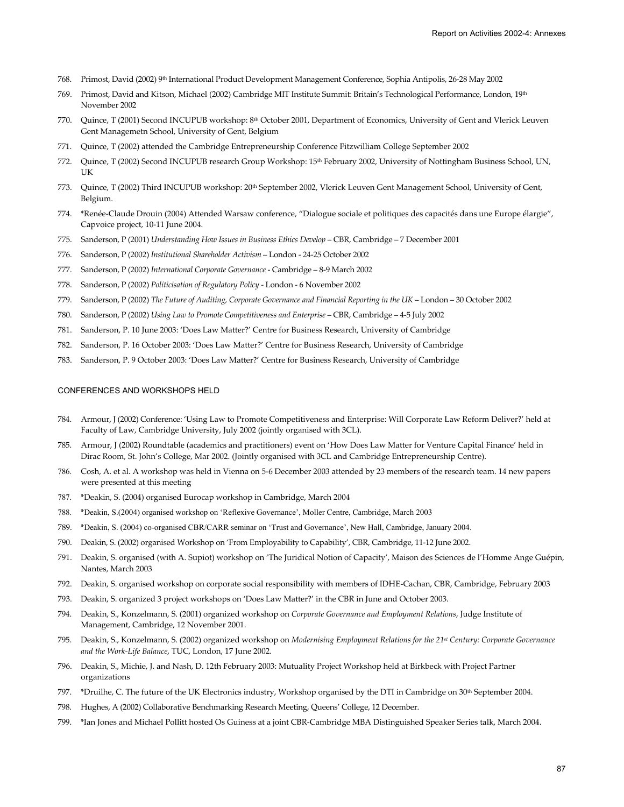- 768. Primost, David (2002) 9th International Product Development Management Conference, Sophia Antipolis, 26-28 May 2002
- 769. Primost, David and Kitson, Michael (2002) Cambridge MIT Institute Summit: Britain's Technological Performance, London, 19th November 2002
- 770. Quince, T (2001) Second INCUPUB workshop: 8th October 2001, Department of Economics, University of Gent and Vlerick Leuven Gent Managemetn School, University of Gent, Belgium
- 771. Quince, T (2002) attended the Cambridge Entrepreneurship Conference Fitzwilliam College September 2002
- 772. Quince, T (2002) Second INCUPUB research Group Workshop: 15th February 2002, University of Nottingham Business School, UN, UK
- 773. Quince, T (2002) Third INCUPUB workshop: 20th September 2002, Vlerick Leuven Gent Management School, University of Gent, Belgium.
- 774. \*Renée-Claude Drouin (2004) Attended Warsaw conference, "Dialogue sociale et politiques des capacités dans une Europe élargie", Capvoice project, 10-11 June 2004.
- 775. Sanderson, P (2001) *Understanding How Issues in Business Ethics Develop* CBR, Cambridge 7 December 2001
- 776. Sanderson, P (2002) *Institutional Shareholder Activism* London 24-25 October 2002
- 777. Sanderson, P (2002) *International Corporate Governance* Cambridge 8-9 March 2002
- 778. Sanderson, P (2002) *Politicisation of Regulatory Policy* London 6 November 2002
- 779. Sanderson, P (2002) *The Future of Auditing, Corporate Governance and Financial Reporting in the UK* London 30 October 2002
- 780. Sanderson, P (2002) *Using Law to Promote Competitiveness and Enterprise* CBR, Cambridge 4-5 July 2002
- 781. Sanderson, P. 10 June 2003: 'Does Law Matter?' Centre for Business Research, University of Cambridge
- 782. Sanderson, P. 16 October 2003: 'Does Law Matter?' Centre for Business Research, University of Cambridge
- 783. Sanderson, P. 9 October 2003: 'Does Law Matter?' Centre for Business Research, University of Cambridge

## CONFERENCES AND WORKSHOPS HELD

- 784. Armour, J (2002) Conference: 'Using Law to Promote Competitiveness and Enterprise: Will Corporate Law Reform Deliver?' held at Faculty of Law, Cambridge University, July 2002 (jointly organised with 3CL).
- 785. Armour, J (2002) Roundtable (academics and practitioners) event on 'How Does Law Matter for Venture Capital Finance' held in Dirac Room, St. John's College, Mar 2002. (Jointly organised with 3CL and Cambridge Entrepreneurship Centre).
- 786. Cosh, A. et al. A workshop was held in Vienna on 5-6 December 2003 attended by 23 members of the research team. 14 new papers were presented at this meeting
- 787. \*Deakin, S. (2004) organised Eurocap workshop in Cambridge, March 2004
- 788. \*Deakin, S.(2004) organised workshop on 'Reflexive Governance', Moller Centre, Cambridge, March 2003
- 789. \*Deakin, S. (2004) co-organised CBR/CARR seminar on 'Trust and Governance', New Hall, Cambridge, January 2004.
- 790. Deakin, S. (2002) organised Workshop on 'From Employability to Capability', CBR, Cambridge, 11-12 June 2002.
- 791. Deakin, S. organised (with A. Supiot) workshop on 'The Juridical Notion of Capacity', Maison des Sciences de l'Homme Ange Guépin, Nantes, March 2003
- 792. Deakin, S. organised workshop on corporate social responsibility with members of IDHE-Cachan, CBR, Cambridge, February 2003
- 793. Deakin, S. organized 3 project workshops on 'Does Law Matter?' in the CBR in June and October 2003.
- 794. Deakin, S., Konzelmann, S. (2001) organized workshop on *Corporate Governance and Employment Relations*, Judge Institute of Management, Cambridge, 12 November 2001.
- 795. Deakin, S., Konzelmann, S. (2002) organized workshop on *Modernising Employment Relations for the 21st Century: Corporate Governance and the Work-Life Balance*, TUC, London, 17 June 2002.
- 796. Deakin, S., Michie, J. and Nash, D. 12th February 2003: Mutuality Project Workshop held at Birkbeck with Project Partner organizations
- 797. \*Druilhe, C. The future of the UK Electronics industry, Workshop organised by the DTI in Cambridge on  $30<sup>th</sup>$  September 2004.
- 798. Hughes, A (2002) Collaborative Benchmarking Research Meeting, Queens' College, 12 December.
- 799. \*Ian Jones and Michael Pollitt hosted Os Guiness at a joint CBR-Cambridge MBA Distinguished Speaker Series talk, March 2004.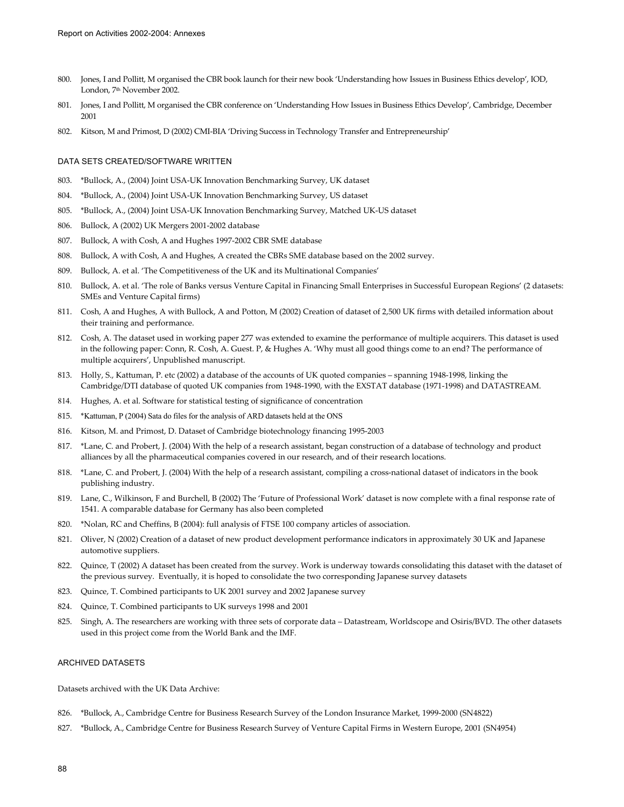- 800. Jones, I and Pollitt, M organised the CBR book launch for their new book 'Understanding how Issues in Business Ethics develop', IOD, London, 7<sup>th</sup> November 2002.
- 801. Jones, I and Pollitt, M organised the CBR conference on 'Understanding How Issues in Business Ethics Develop', Cambridge, December 2001
- 802. Kitson, M and Primost, D (2002) CMI-BIA 'Driving Success in Technology Transfer and Entrepreneurship'

## DATA SETS CREATED/SOFTWARE WRITTEN

- 803. \*Bullock, A., (2004) Joint USA-UK Innovation Benchmarking Survey, UK dataset
- 804. \*Bullock, A., (2004) Joint USA-UK Innovation Benchmarking Survey, US dataset
- 805. \*Bullock, A., (2004) Joint USA-UK Innovation Benchmarking Survey, Matched UK-US dataset
- 806. Bullock, A (2002) UK Mergers 2001-2002 database
- 807. Bullock, A with Cosh, A and Hughes 1997-2002 CBR SME database
- 808. Bullock, A with Cosh, A and Hughes, A created the CBRs SME database based on the 2002 survey.
- 809. Bullock, A. et al. 'The Competitiveness of the UK and its Multinational Companies'
- 810. Bullock, A. et al. 'The role of Banks versus Venture Capital in Financing Small Enterprises in Successful European Regions' (2 datasets: SMEs and Venture Capital firms)
- 811. Cosh, A and Hughes, A with Bullock, A and Potton, M (2002) Creation of dataset of 2,500 UK firms with detailed information about their training and performance.
- 812. Cosh, A. The dataset used in working paper 277 was extended to examine the performance of multiple acquirers. This dataset is used in the following paper: Conn, R. Cosh, A. Guest. P, & Hughes A. 'Why must all good things come to an end? The performance of multiple acquirers', Unpublished manuscript.
- 813. Holly, S., Kattuman, P. etc (2002) a database of the accounts of UK quoted companies spanning 1948-1998, linking the Cambridge/DTI database of quoted UK companies from 1948-1990, with the EXSTAT database (1971-1998) and DATASTREAM.
- 814. Hughes, A. et al. Software for statistical testing of significance of concentration
- 815. \*Kattuman, P (2004) Sata do files for the analysis of ARD datasets held at the ONS
- 816. Kitson, M. and Primost, D. Dataset of Cambridge biotechnology financing 1995-2003
- 817. \*Lane, C. and Probert, J. (2004) With the help of a research assistant, began construction of a database of technology and product alliances by all the pharmaceutical companies covered in our research, and of their research locations.
- 818. \*Lane, C. and Probert, J. (2004) With the help of a research assistant, compiling a cross-national dataset of indicators in the book publishing industry.
- 819. Lane, C., Wilkinson, F and Burchell, B (2002) The 'Future of Professional Work' dataset is now complete with a final response rate of 1541. A comparable database for Germany has also been completed
- 820. \*Nolan, RC and Cheffins, B (2004): full analysis of FTSE 100 company articles of association.
- 821. Oliver, N (2002) Creation of a dataset of new product development performance indicators in approximately 30 UK and Japanese automotive suppliers.
- 822. Quince, T (2002) A dataset has been created from the survey. Work is underway towards consolidating this dataset with the dataset of the previous survey. Eventually, it is hoped to consolidate the two corresponding Japanese survey datasets
- 823. Quince, T. Combined participants to UK 2001 survey and 2002 Japanese survey
- 824. Quince, T. Combined participants to UK surveys 1998 and 2001
- 825. Singh, A. The researchers are working with three sets of corporate data Datastream, Worldscope and Osiris/BVD. The other datasets used in this project come from the World Bank and the IMF.

## ARCHIVED DATASETS

Datasets archived with the UK Data Archive:

- 826. \*Bullock, A., Cambridge Centre for Business Research Survey of the London Insurance Market, 1999-2000 (SN4822)
- 827. \*Bullock, A., Cambridge Centre for Business Research Survey of Venture Capital Firms in Western Europe, 2001 (SN4954)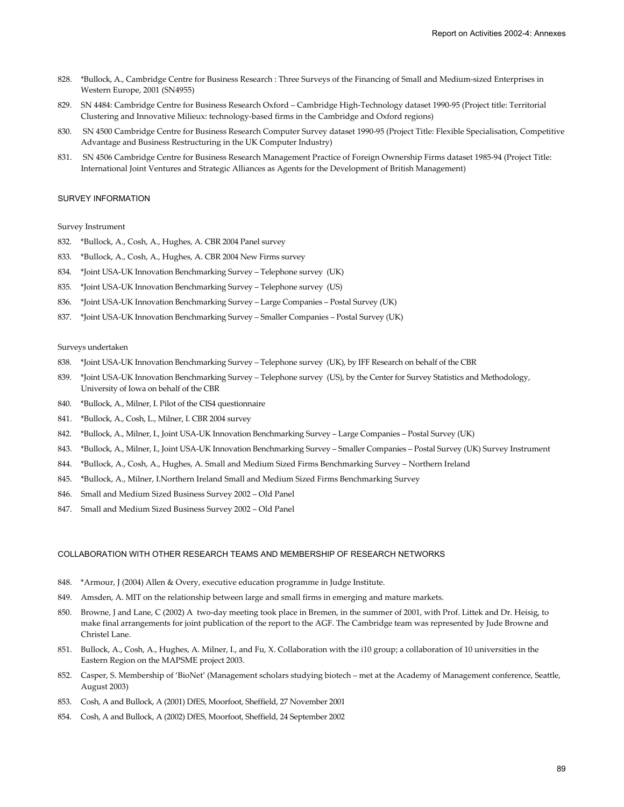- 828. \*Bullock, A., Cambridge Centre for Business Research : Three Surveys of the Financing of Small and Medium-sized Enterprises in Western Europe, 2001 (SN4955)
- 829. SN 4484: Cambridge Centre for Business Research Oxford Cambridge High-Technology dataset 1990-95 (Project title: Territorial Clustering and Innovative Milieux: technology-based firms in the Cambridge and Oxford regions)
- 830. SN 4500 Cambridge Centre for Business Research Computer Survey dataset 1990-95 (Project Title: Flexible Specialisation, Competitive Advantage and Business Restructuring in the UK Computer Industry)
- 831. SN 4506 Cambridge Centre for Business Research Management Practice of Foreign Ownership Firms dataset 1985-94 (Project Title: International Joint Ventures and Strategic Alliances as Agents for the Development of British Management)

#### SURVEY INFORMATION

#### Survey Instrument

- 832. \*Bullock, A., Cosh, A., Hughes, A. CBR 2004 Panel survey
- 833. \*Bullock, A., Cosh, A., Hughes, A. CBR 2004 New Firms survey
- 834. \*Joint USA-UK Innovation Benchmarking Survey Telephone survey (UK)
- 835. \*Joint USA-UK Innovation Benchmarking Survey Telephone survey (US)
- 836. \*Joint USA-UK Innovation Benchmarking Survey Large Companies Postal Survey (UK)
- 837. \*Joint USA-UK Innovation Benchmarking Survey Smaller Companies Postal Survey (UK)

#### Surveys undertaken

- 838. \*Joint USA-UK Innovation Benchmarking Survey Telephone survey (UK), by IFF Research on behalf of the CBR
- 839. \*Joint USA-UK Innovation Benchmarking Survey Telephone survey (US), by the Center for Survey Statistics and Methodology, University of Iowa on behalf of the CBR
- 840. \*Bullock, A., Milner, I. Pilot of the CIS4 questionnaire
- 841. \*Bullock, A., Cosh, L., Milner, I. CBR 2004 survey
- 842. \*Bullock, A., Milner, I., Joint USA-UK Innovation Benchmarking Survey Large Companies Postal Survey (UK)
- 843. \*Bullock, A., Milner, I., Joint USA-UK Innovation Benchmarking Survey Smaller Companies Postal Survey (UK) Survey Instrument
- 844. \*Bullock, A., Cosh, A., Hughes, A. Small and Medium Sized Firms Benchmarking Survey Northern Ireland
- 845. \*Bullock, A., Milner, I.Northern Ireland Small and Medium Sized Firms Benchmarking Survey
- 846. Small and Medium Sized Business Survey 2002 Old Panel
- 847. Small and Medium Sized Business Survey 2002 Old Panel

## COLLABORATION WITH OTHER RESEARCH TEAMS AND MEMBERSHIP OF RESEARCH NETWORKS

- 848. \*Armour, J (2004) Allen & Overy, executive education programme in Judge Institute.
- 849. Amsden, A. MIT on the relationship between large and small firms in emerging and mature markets.
- 850. Browne, J and Lane, C (2002) A two-day meeting took place in Bremen, in the summer of 2001, with Prof. Littek and Dr. Heisig, to make final arrangements for joint publication of the report to the AGF. The Cambridge team was represented by Jude Browne and Christel Lane.
- 851. Bullock, A., Cosh, A., Hughes, A. Milner, I., and Fu, X. Collaboration with the i10 group; a collaboration of 10 universities in the Eastern Region on the MAPSME project 2003.
- 852. Casper, S. Membership of 'BioNet' (Management scholars studying biotech met at the Academy of Management conference, Seattle, August 2003)
- 853. Cosh, A and Bullock, A (2001) DfES, Moorfoot, Sheffield, 27 November 2001
- 854. Cosh, A and Bullock, A (2002) DfES, Moorfoot, Sheffield, 24 September 2002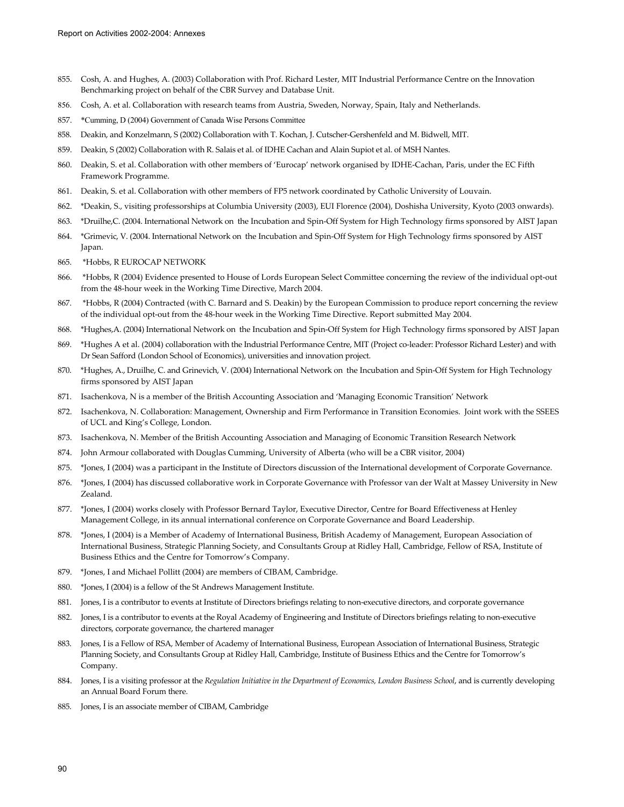- 855. Cosh, A. and Hughes, A. (2003) Collaboration with Prof. Richard Lester, MIT Industrial Performance Centre on the Innovation Benchmarking project on behalf of the CBR Survey and Database Unit.
- 856. Cosh, A. et al. Collaboration with research teams from Austria, Sweden, Norway, Spain, Italy and Netherlands.
- 857. \*Cumming, D (2004) Government of Canada Wise Persons Committee
- 858. Deakin, and Konzelmann, S (2002) Collaboration with T. Kochan, J. Cutscher-Gershenfeld and M. Bidwell, MIT.
- 859. Deakin, S (2002) Collaboration with R. Salais et al. of IDHE Cachan and Alain Supiot et al. of MSH Nantes.
- 860. Deakin, S. et al. Collaboration with other members of 'Eurocap' network organised by IDHE-Cachan, Paris, under the EC Fifth Framework Programme.
- 861. Deakin, S. et al. Collaboration with other members of FP5 network coordinated by Catholic University of Louvain.
- 862. \*Deakin, S., visiting professorships at Columbia University (2003), EUI Florence (2004), Doshisha University, Kyoto (2003 onwards).
- 863. \*Druilhe,C. (2004. International Network on the Incubation and Spin-Off System for High Technology firms sponsored by AIST Japan
- 864. \*Grimevic, V. (2004. International Network on the Incubation and Spin-Off System for High Technology firms sponsored by AIST Japan.
- 865. \*Hobbs, R EUROCAP NETWORK
- 866. \*Hobbs, R (2004) Evidence presented to House of Lords European Select Committee concerning the review of the individual opt-out from the 48-hour week in the Working Time Directive, March 2004.
- 867. \*Hobbs, R (2004) Contracted (with C. Barnard and S. Deakin) by the European Commission to produce report concerning the review of the individual opt-out from the 48-hour week in the Working Time Directive. Report submitted May 2004.
- 868. \*Hughes,A. (2004) International Network on the Incubation and Spin-Off System for High Technology firms sponsored by AIST Japan
- 869. \*Hughes A et al. (2004) collaboration with the Industrial Performance Centre, MIT (Project co-leader: Professor Richard Lester) and with Dr Sean Safford (London School of Economics), universities and innovation project.
- 870. \*Hughes, A., Druilhe, C. and Grinevich, V. (2004) International Network on the Incubation and Spin-Off System for High Technology firms sponsored by AIST Japan
- 871. Isachenkova, N is a member of the British Accounting Association and 'Managing Economic Transition' Network
- 872. Isachenkova, N. Collaboration: Management, Ownership and Firm Performance in Transition Economies. Joint work with the SSEES of UCL and King's College, London.
- 873. Isachenkova, N. Member of the British Accounting Association and Managing of Economic Transition Research Network
- 874. John Armour collaborated with Douglas Cumming, University of Alberta (who will be a CBR visitor, 2004)
- 875. \*Jones, I (2004) was a participant in the Institute of Directors discussion of the International development of Corporate Governance.
- 876. \*Jones, I (2004) has discussed collaborative work in Corporate Governance with Professor van der Walt at Massey University in New Zealand.
- 877. \*Jones, I (2004) works closely with Professor Bernard Taylor, Executive Director, Centre for Board Effectiveness at Henley Management College, in its annual international conference on Corporate Governance and Board Leadership.
- 878. \*Jones, I (2004) is a Member of Academy of International Business, British Academy of Management, European Association of International Business, Strategic Planning Society, and Consultants Group at Ridley Hall, Cambridge, Fellow of RSA, Institute of Business Ethics and the Centre for Tomorrow's Company.
- 879. \*Jones, I and Michael Pollitt (2004) are members of CIBAM, Cambridge.
- 880. \*Jones, I (2004) is a fellow of the St Andrews Management Institute.
- 881. Jones, I is a contributor to events at Institute of Directors briefings relating to non-executive directors, and corporate governance
- 882. Jones, I is a contributor to events at the Royal Academy of Engineering and Institute of Directors briefings relating to non-executive directors, corporate governance, the chartered manager
- 883. Jones, I is a Fellow of RSA, Member of Academy of International Business, European Association of International Business, Strategic Planning Society, and Consultants Group at Ridley Hall, Cambridge, Institute of Business Ethics and the Centre for Tomorrow's Company.
- 884. Jones, I is a visiting professor at the *Regulation Initiative in the Department of Economics, London Business School*, and is currently developing an Annual Board Forum there.
- 885. Jones, I is an associate member of CIBAM, Cambridge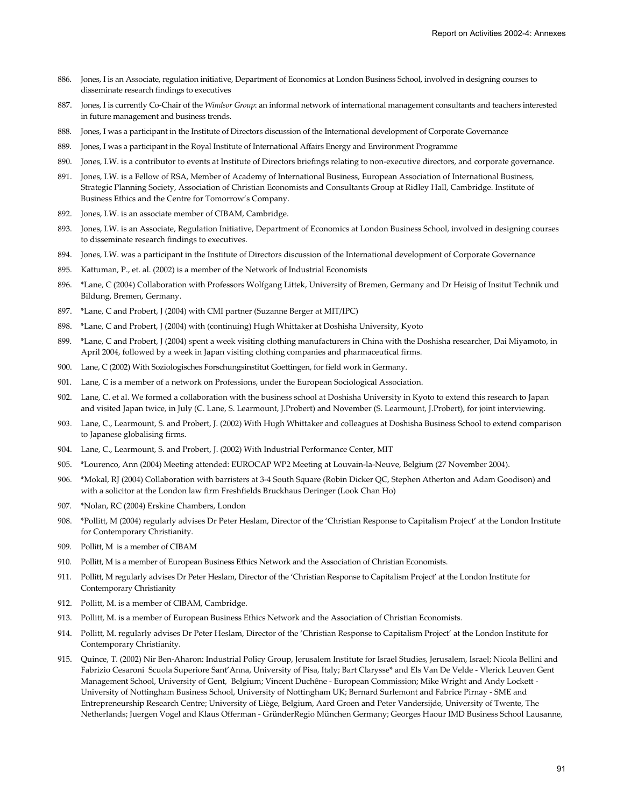- 886. Jones, I is an Associate, regulation initiative, Department of Economics at London Business School, involved in designing courses to disseminate research findings to executives
- 887. Jones, I is currently Co-Chair of the *Windsor Group*: an informal network of international management consultants and teachers interested in future management and business trends.
- 888. Jones, I was a participant in the Institute of Directors discussion of the International development of Corporate Governance
- 889. Jones, I was a participant in the Royal Institute of International Affairs Energy and Environment Programme
- 890. Jones, I.W. is a contributor to events at Institute of Directors briefings relating to non-executive directors, and corporate governance.
- 891. Jones, I.W. is a Fellow of RSA, Member of Academy of International Business, European Association of International Business, Strategic Planning Society, Association of Christian Economists and Consultants Group at Ridley Hall, Cambridge. Institute of Business Ethics and the Centre for Tomorrow's Company.
- 892. Jones, I.W. is an associate member of CIBAM, Cambridge.
- 893. Jones, I.W. is an Associate, Regulation Initiative, Department of Economics at London Business School, involved in designing courses to disseminate research findings to executives.
- 894. Jones, I.W. was a participant in the Institute of Directors discussion of the International development of Corporate Governance
- 895. Kattuman, P., et. al. (2002) is a member of the Network of Industrial Economists
- 896. \*Lane, C (2004) Collaboration with Professors Wolfgang Littek, University of Bremen, Germany and Dr Heisig of Insitut Technik und Bildung, Bremen, Germany.
- 897. \*Lane, C and Probert, J (2004) with CMI partner (Suzanne Berger at MIT/IPC)
- 898. \*Lane, C and Probert, J (2004) with (continuing) Hugh Whittaker at Doshisha University, Kyoto
- 899. \*Lane, C and Probert, J (2004) spent a week visiting clothing manufacturers in China with the Doshisha researcher, Dai Miyamoto, in April 2004, followed by a week in Japan visiting clothing companies and pharmaceutical firms.
- 900. Lane, C (2002) With Soziologisches Forschungsinstitut Goettingen, for field work in Germany.
- 901. Lane, C is a member of a network on Professions, under the European Sociological Association.
- 902. Lane, C. et al. We formed a collaboration with the business school at Doshisha University in Kyoto to extend this research to Japan and visited Japan twice, in July (C. Lane, S. Learmount, J.Probert) and November (S. Learmount, J.Probert), for joint interviewing.
- 903. Lane, C., Learmount, S. and Probert, J. (2002) With Hugh Whittaker and colleagues at Doshisha Business School to extend comparison to Japanese globalising firms.
- 904. Lane, C., Learmount, S. and Probert, J. (2002) With Industrial Performance Center, MIT
- 905. \*Lourenco, Ann (2004) Meeting attended: EUROCAP WP2 Meeting at Louvain-la-Neuve, Belgium (27 November 2004).
- 906. \*Mokal, RJ (2004) Collaboration with barristers at 3-4 South Square (Robin Dicker QC, Stephen Atherton and Adam Goodison) and with a solicitor at the London law firm Freshfields Bruckhaus Deringer (Look Chan Ho)
- 907. \*Nolan, RC (2004) Erskine Chambers, London
- 908. \*Pollitt, M (2004) regularly advises Dr Peter Heslam, Director of the 'Christian Response to Capitalism Project' at the London Institute for Contemporary Christianity.
- 909. Pollitt, M is a member of CIBAM
- 910. Pollitt, M is a member of European Business Ethics Network and the Association of Christian Economists.
- 911. Pollitt, M regularly advises Dr Peter Heslam, Director of the 'Christian Response to Capitalism Project' at the London Institute for Contemporary Christianity
- 912. Pollitt, M. is a member of CIBAM, Cambridge.
- 913. Pollitt, M. is a member of European Business Ethics Network and the Association of Christian Economists.
- 914. Pollitt, M. regularly advises Dr Peter Heslam, Director of the 'Christian Response to Capitalism Project' at the London Institute for Contemporary Christianity.
- 915. Quince, T. (2002) Nir Ben-Aharon: Industrial Policy Group, Jerusalem Institute for Israel Studies, Jerusalem, Israel; Nicola Bellini and Fabrizio Cesaroni Scuola Superiore Sant'Anna, University of Pisa, Italy; Bart Clarysse\* and Els Van De Velde - Vlerick Leuven Gent Management School, University of Gent, Belgium; Vincent Duchêne - European Commission; Mike Wright and Andy Lockett - University of Nottingham Business School, University of Nottingham UK; Bernard Surlemont and Fabrice Pirnay - SME and Entrepreneurship Research Centre; University of Liège, Belgium, Aard Groen and Peter Vandersijde, University of Twente, The Netherlands; Juergen Vogel and Klaus Offerman - GründerRegio München Germany; Georges Haour IMD Business School Lausanne,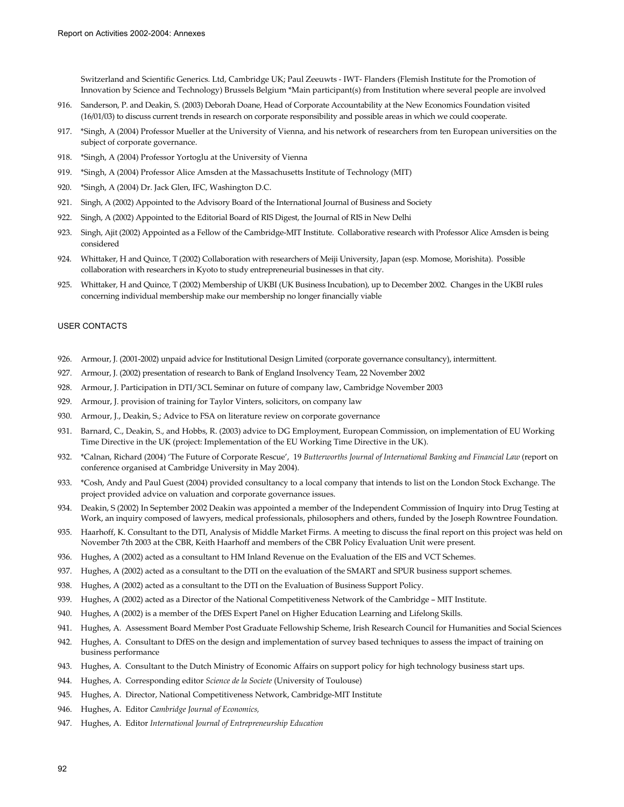Switzerland and Scientific Generics. Ltd, Cambridge UK; Paul Zeeuwts - IWT- Flanders (Flemish Institute for the Promotion of Innovation by Science and Technology) Brussels Belgium \*Main participant(s) from Institution where several people are involved

- 916. Sanderson, P. and Deakin, S. (2003) Deborah Doane, Head of Corporate Accountability at the New Economics Foundation visited (16/01/03) to discuss current trends in research on corporate responsibility and possible areas in which we could cooperate.
- 917. \*Singh, A (2004) Professor Mueller at the University of Vienna, and his network of researchers from ten European universities on the subject of corporate governance.
- 918. \*Singh, A (2004) Professor Yortoglu at the University of Vienna
- 919. \*Singh, A (2004) Professor Alice Amsden at the Massachusetts Institute of Technology (MIT)
- 920. \*Singh, A (2004) Dr. Jack Glen, IFC, Washington D.C.
- 921. Singh, A (2002) Appointed to the Advisory Board of the International Journal of Business and Society
- 922. Singh, A (2002) Appointed to the Editorial Board of RIS Digest, the Journal of RIS in New Delhi
- 923. Singh, Ajit (2002) Appointed as a Fellow of the Cambridge-MIT Institute. Collaborative research with Professor Alice Amsden is being considered
- 924. Whittaker, H and Quince, T (2002) Collaboration with researchers of Meiji University, Japan (esp. Momose, Morishita). Possible collaboration with researchers in Kyoto to study entrepreneurial businesses in that city.
- 925. Whittaker, H and Quince, T (2002) Membership of UKBI (UK Business Incubation), up to December 2002. Changes in the UKBI rules concerning individual membership make our membership no longer financially viable

## USER CONTACTS

- 926. Armour, J. (2001-2002) unpaid advice for Institutional Design Limited (corporate governance consultancy), intermittent.
- 927. Armour, J. (2002) presentation of research to Bank of England Insolvency Team, 22 November 2002
- 928. Armour, J. Participation in DTI/3CL Seminar on future of company law, Cambridge November 2003
- 929. Armour, J. provision of training for Taylor Vinters, solicitors, on company law
- 930. Armour, J., Deakin, S.; Advice to FSA on literature review on corporate governance
- 931. Barnard, C., Deakin, S., and Hobbs, R. (2003) advice to DG Employment, European Commission, on implementation of EU Working Time Directive in the UK (project: Implementation of the EU Working Time Directive in the UK).
- 932. \*Calnan, Richard (2004) 'The Future of Corporate Rescue', 19 *Butterworths Journal of International Banking and Financial Law* (report on conference organised at Cambridge University in May 2004).
- 933. \*Cosh, Andy and Paul Guest (2004) provided consultancy to a local company that intends to list on the London Stock Exchange. The project provided advice on valuation and corporate governance issues.
- 934. Deakin, S (2002) In September 2002 Deakin was appointed a member of the Independent Commission of Inquiry into Drug Testing at Work, an inquiry composed of lawyers, medical professionals, philosophers and others, funded by the Joseph Rowntree Foundation.
- 935. Haarhoff, K. Consultant to the DTI, Analysis of Middle Market Firms. A meeting to discuss the final report on this project was held on November 7th 2003 at the CBR, Keith Haarhoff and members of the CBR Policy Evaluation Unit were present.
- 936. Hughes, A (2002) acted as a consultant to HM Inland Revenue on the Evaluation of the EIS and VCT Schemes.
- 937. Hughes, A (2002) acted as a consultant to the DTI on the evaluation of the SMART and SPUR business support schemes.
- 938. Hughes, A (2002) acted as a consultant to the DTI on the Evaluation of Business Support Policy.
- 939. Hughes, A (2002) acted as a Director of the National Competitiveness Network of the Cambridge MIT Institute.
- 940. Hughes, A (2002) is a member of the DfES Expert Panel on Higher Education Learning and Lifelong Skills.
- 941. Hughes, A. Assessment Board Member Post Graduate Fellowship Scheme, Irish Research Council for Humanities and Social Sciences
- 942. Hughes, A. Consultant to DfES on the design and implementation of survey based techniques to assess the impact of training on business performance
- 943. Hughes, A. Consultant to the Dutch Ministry of Economic Affairs on support policy for high technology business start ups.
- 944. Hughes, A. Corresponding editor *Science de la Societe* (University of Toulouse)
- 945. Hughes, A. Director, National Competitiveness Network, Cambridge-MIT Institute
- 946. Hughes, A. Editor *Cambridge Journal of Economics,*
- 947. Hughes, A. Editor *International Journal of Entrepreneurship Education*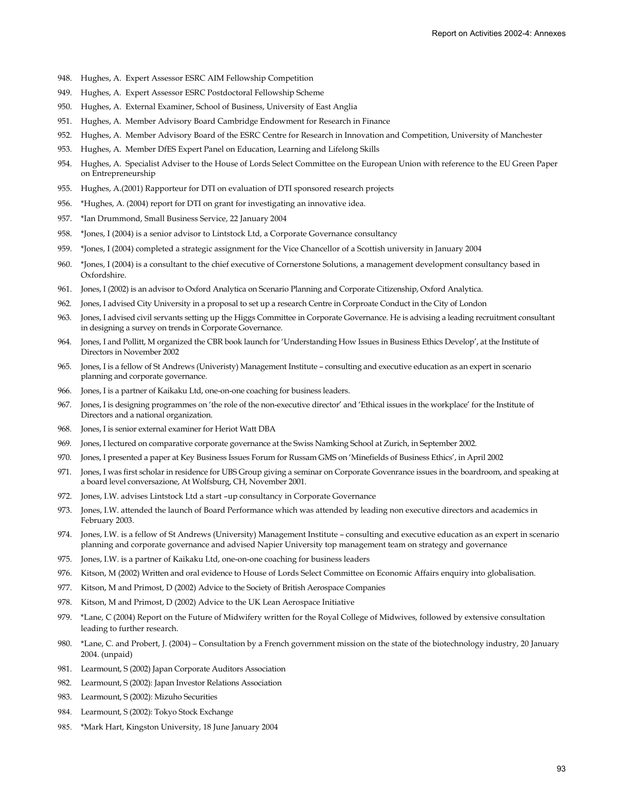- 948. Hughes, A. Expert Assessor ESRC AIM Fellowship Competition
- 949. Hughes, A. Expert Assessor ESRC Postdoctoral Fellowship Scheme
- 950. Hughes, A. External Examiner, School of Business, University of East Anglia
- 951. Hughes, A. Member Advisory Board Cambridge Endowment for Research in Finance
- 952. Hughes, A. Member Advisory Board of the ESRC Centre for Research in Innovation and Competition, University of Manchester
- 953. Hughes, A. Member DfES Expert Panel on Education, Learning and Lifelong Skills
- 954. Hughes, A. Specialist Adviser to the House of Lords Select Committee on the European Union with reference to the EU Green Paper on Entrepreneurship
- 955. Hughes, A.(2001) Rapporteur for DTI on evaluation of DTI sponsored research projects
- 956. \*Hughes, A. (2004) report for DTI on grant for investigating an innovative idea.
- 957. \*Ian Drummond, Small Business Service, 22 January 2004
- 958. \*Jones, I (2004) is a senior advisor to Lintstock Ltd, a Corporate Governance consultancy
- 959. \*Jones, I (2004) completed a strategic assignment for the Vice Chancellor of a Scottish university in January 2004
- 960. \*Jones, I (2004) is a consultant to the chief executive of Cornerstone Solutions, a management development consultancy based in Oxfordshire.
- 961. Jones, I (2002) is an advisor to Oxford Analytica on Scenario Planning and Corporate Citizenship, Oxford Analytica.
- 962. Jones, I advised City University in a proposal to set up a research Centre in Corproate Conduct in the City of London
- 963. Jones, I advised civil servants setting up the Higgs Committee in Corporate Governance. He is advising a leading recruitment consultant in designing a survey on trends in Corporate Governance.
- 964. Jones, I and Pollitt, M organized the CBR book launch for 'Understanding How Issues in Business Ethics Develop', at the Institute of Directors in November 2002
- 965. Jones, I is a fellow of St Andrews (Univeristy) Management Institute consulting and executive education as an expert in scenario planning and corporate governance.
- 966. Jones, I is a partner of Kaikaku Ltd, one-on-one coaching for business leaders.
- 967. Jones, I is designing programmes on 'the role of the non-executive director' and 'Ethical issues in the workplace' for the Institute of Directors and a national organization.
- 968. Jones, I is senior external examiner for Heriot Watt DBA
- 969. Jones, I lectured on comparative corporate governance at the Swiss Namking School at Zurich, in September 2002.
- 970. Jones, I presented a paper at Key Business Issues Forum for Russam GMS on 'Minefields of Business Ethics', in April 2002
- 971. Jones, I was first scholar in residence for UBS Group giving a seminar on Corporate Govenrance issues in the boardroom, and speaking at a board level conversazione, At Wolfsburg, CH, November 2001.
- 972. Jones, I.W. advises Lintstock Ltd a start –up consultancy in Corporate Governance
- 973. Jones, I.W. attended the launch of Board Performance which was attended by leading non executive directors and academics in February 2003.
- 974. Jones, I.W. is a fellow of St Andrews (University) Management Institute consulting and executive education as an expert in scenario planning and corporate governance and advised Napier University top management team on strategy and governance
- 975. Jones, I.W. is a partner of Kaikaku Ltd, one-on-one coaching for business leaders
- 976. Kitson, M (2002) Written and oral evidence to House of Lords Select Committee on Economic Affairs enquiry into globalisation.
- 977. Kitson, M and Primost, D (2002) Advice to the Society of British Aerospace Companies
- 978. Kitson, M and Primost, D (2002) Advice to the UK Lean Aerospace Initiative
- 979. \*Lane, C (2004) Report on the Future of Midwifery written for the Royal College of Midwives, followed by extensive consultation leading to further research.
- 980. \*Lane, C. and Probert, J. (2004) Consultation by a French government mission on the state of the biotechnology industry, 20 January 2004. (unpaid)
- 981. Learmount, S (2002) Japan Corporate Auditors Association
- 982. Learmount, S (2002): Japan Investor Relations Association
- 983. Learmount, S (2002): Mizuho Securities
- 984. Learmount, S (2002): Tokyo Stock Exchange
- 985. \*Mark Hart, Kingston University, 18 June January 2004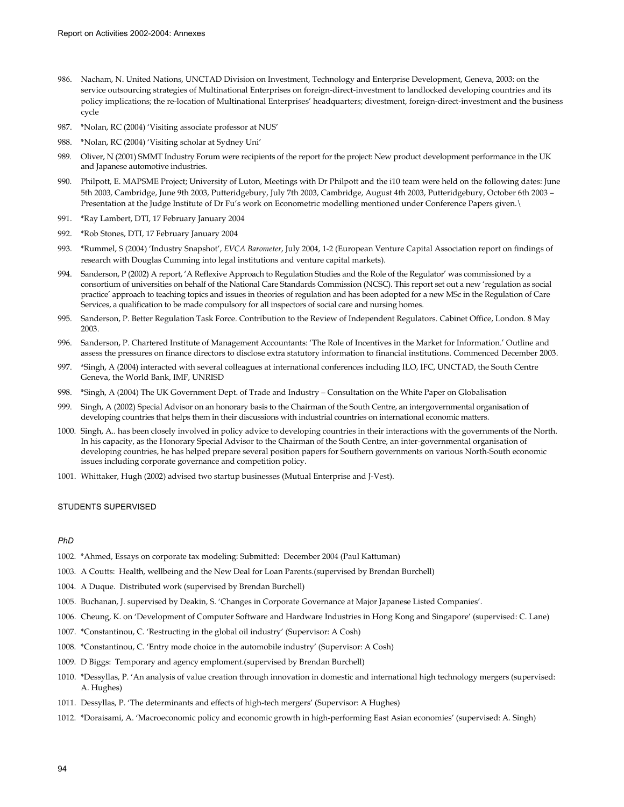- 986. Nacham, N. United Nations, UNCTAD Division on Investment, Technology and Enterprise Development, Geneva, 2003: on the service outsourcing strategies of Multinational Enterprises on foreign-direct-investment to landlocked developing countries and its policy implications; the re-location of Multinational Enterprises' headquarters; divestment, foreign-direct-investment and the business cycle
- 987. \*Nolan, RC (2004) 'Visiting associate professor at NUS'
- 988. \*Nolan, RC (2004) 'Visiting scholar at Sydney Uni'
- 989. Oliver, N (2001) SMMT Industry Forum were recipients of the report for the project: New product development performance in the UK and Japanese automotive industries.
- 990. Philpott, E. MAPSME Project; University of Luton, Meetings with Dr Philpott and the i10 team were held on the following dates: June 5th 2003, Cambridge, June 9th 2003, Putteridgebury, July 7th 2003, Cambridge, August 4th 2003, Putteridgebury, October 6th 2003 – Presentation at the Judge Institute of Dr Fu's work on Econometric modelling mentioned under Conference Papers given.\
- 991. \*Ray Lambert, DTI, 17 February January 2004
- 992. \*Rob Stones, DTI, 17 February January 2004
- 993. \*Rummel, S (2004) 'Industry Snapshot', *EVCA Barometer*, July 2004, 1-2 (European Venture Capital Association report on findings of research with Douglas Cumming into legal institutions and venture capital markets).
- 994. Sanderson, P (2002) A report, 'A Reflexive Approach to Regulation Studies and the Role of the Regulator' was commissioned by a consortium of universities on behalf of the National Care Standards Commission (NCSC). This report set out a new 'regulation as social practice' approach to teaching topics and issues in theories of regulation and has been adopted for a new MSc in the Regulation of Care Services, a qualification to be made compulsory for all inspectors of social care and nursing homes.
- 995. Sanderson, P. Better Regulation Task Force. Contribution to the Review of Independent Regulators. Cabinet Office, London. 8 May 2003.
- 996. Sanderson, P. Chartered Institute of Management Accountants: 'The Role of Incentives in the Market for Information.' Outline and assess the pressures on finance directors to disclose extra statutory information to financial institutions. Commenced December 2003.
- 997. \*Singh, A (2004) interacted with several colleagues at international conferences including ILO, IFC, UNCTAD, the South Centre Geneva, the World Bank, IMF, UNRISD
- 998. \*Singh, A (2004) The UK Government Dept. of Trade and Industry Consultation on the White Paper on Globalisation
- 999. Singh, A (2002) Special Advisor on an honorary basis to the Chairman of the South Centre, an intergovernmental organisation of developing countries that helps them in their discussions with industrial countries on international economic matters.
- 1000. Singh, A.. has been closely involved in policy advice to developing countries in their interactions with the governments of the North. In his capacity, as the Honorary Special Advisor to the Chairman of the South Centre, an inter-governmental organisation of developing countries, he has helped prepare several position papers for Southern governments on various North-South economic issues including corporate governance and competition policy.
- 1001. Whittaker, Hugh (2002) advised two startup businesses (Mutual Enterprise and J-Vest).

## STUDENTS SUPERVISED

#### *PhD*

- 1002. \*Ahmed, Essays on corporate tax modeling: Submitted: December 2004 (Paul Kattuman)
- 1003. A Coutts: Health, wellbeing and the New Deal for Loan Parents.(supervised by Brendan Burchell)
- 1004. A Duque. Distributed work (supervised by Brendan Burchell)
- 1005. Buchanan, J. supervised by Deakin, S. 'Changes in Corporate Governance at Major Japanese Listed Companies'.
- 1006. Cheung, K. on 'Development of Computer Software and Hardware Industries in Hong Kong and Singapore' (supervised: C. Lane)
- 1007. \*Constantinou, C. 'Restructing in the global oil industry' (Supervisor: A Cosh)
- 1008. \*Constantinou, C. 'Entry mode choice in the automobile industry' (Supervisor: A Cosh)
- 1009. D Biggs: Temporary and agency emploment.(supervised by Brendan Burchell)
- 1010. \*Dessyllas, P. 'An analysis of value creation through innovation in domestic and international high technology mergers (supervised: A. Hughes)
- 1011. Dessyllas, P. 'The determinants and effects of high-tech mergers' (Supervisor: A Hughes)
- 1012. \*Doraisami, A. 'Macroeconomic policy and economic growth in high-performing East Asian economies' (supervised: A. Singh)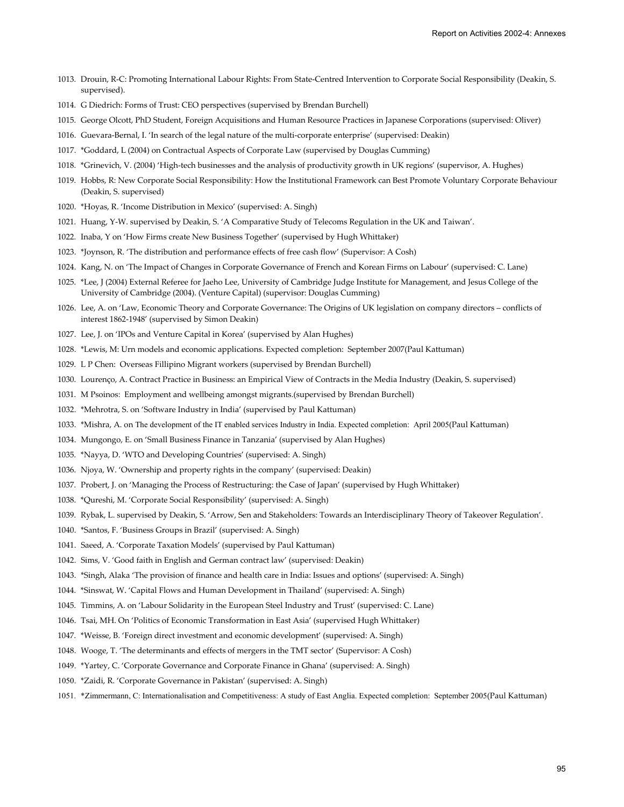- 1013. Drouin, R-C: Promoting International Labour Rights: From State-Centred Intervention to Corporate Social Responsibility (Deakin, S. supervised).
- 1014. G Diedrich: Forms of Trust: CEO perspectives (supervised by Brendan Burchell)
- 1015. George Olcott, PhD Student, Foreign Acquisitions and Human Resource Practices in Japanese Corporations (supervised: Oliver)
- 1016. Guevara-Bernal, I. 'In search of the legal nature of the multi-corporate enterprise' (supervised: Deakin)
- 1017. \*Goddard, L (2004) on Contractual Aspects of Corporate Law (supervised by Douglas Cumming)
- 1018. \*Grinevich, V. (2004) 'High-tech businesses and the analysis of productivity growth in UK regions' (supervisor, A. Hughes)
- 1019. Hobbs, R: New Corporate Social Responsibility: How the Institutional Framework can Best Promote Voluntary Corporate Behaviour (Deakin, S. supervised)
- 1020. \*Hoyas, R. 'Income Distribution in Mexico' (supervised: A. Singh)
- 1021. Huang, Y-W. supervised by Deakin, S. 'A Comparative Study of Telecoms Regulation in the UK and Taiwan'.
- 1022. Inaba, Y on 'How Firms create New Business Together' (supervised by Hugh Whittaker)
- 1023. \*Joynson, R. 'The distribution and performance effects of free cash flow' (Supervisor: A Cosh)
- 1024. Kang, N. on 'The Impact of Changes in Corporate Governance of French and Korean Firms on Labour' (supervised: C. Lane)
- 1025. \*Lee, J (2004) External Referee for Jaeho Lee, University of Cambridge Judge Institute for Management, and Jesus College of the University of Cambridge (2004). (Venture Capital) (supervisor: Douglas Cumming)
- 1026. Lee, A. on 'Law, Economic Theory and Corporate Governance: The Origins of UK legislation on company directors conflicts of interest 1862-1948' (supervised by Simon Deakin)
- 1027. Lee, J. on 'IPOs and Venture Capital in Korea' (supervised by Alan Hughes)
- 1028. \*Lewis, M: Urn models and economic applications. Expected completion: September 2007(Paul Kattuman)
- 1029. L P Chen: Overseas Fillipino Migrant workers (supervised by Brendan Burchell)
- 1030. Lourenço, A. Contract Practice in Business: an Empirical View of Contracts in the Media Industry (Deakin, S. supervised)
- 1031. M Psoinos: Employment and wellbeing amongst migrants.(supervised by Brendan Burchell)
- 1032. \*Mehrotra, S. on 'Software Industry in India' (supervised by Paul Kattuman)
- 1033. \*Mishra, A. on The development of the IT enabled services Industry in India. Expected completion: April 2005(Paul Kattuman)
- 1034. Mungongo, E. on 'Small Business Finance in Tanzania' (supervised by Alan Hughes)
- 1035. \*Nayya, D. 'WTO and Developing Countries' (supervised: A. Singh)
- 1036. Njoya, W. 'Ownership and property rights in the company' (supervised: Deakin)
- 1037. Probert, J. on 'Managing the Process of Restructuring: the Case of Japan' (supervised by Hugh Whittaker)
- 1038. \*Qureshi, M. 'Corporate Social Responsibility' (supervised: A. Singh)
- 1039. Rybak, L. supervised by Deakin, S. 'Arrow, Sen and Stakeholders: Towards an Interdisciplinary Theory of Takeover Regulation'.
- 1040. \*Santos, F. 'Business Groups in Brazil' (supervised: A. Singh)
- 1041. Saeed, A. 'Corporate Taxation Models' (supervised by Paul Kattuman)
- 1042. Sims, V. 'Good faith in English and German contract law' (supervised: Deakin)
- 1043. \*Singh, Alaka 'The provision of finance and health care in India: Issues and options' (supervised: A. Singh)
- 1044. \*Sinswat, W. 'Capital Flows and Human Development in Thailand' (supervised: A. Singh)
- 1045. Timmins, A. on 'Labour Solidarity in the European Steel Industry and Trust' (supervised: C. Lane)
- 1046. Tsai, MH. On 'Politics of Economic Transformation in East Asia' (supervised Hugh Whittaker)
- 1047. \*Weisse, B. 'Foreign direct investment and economic development' (supervised: A. Singh)
- 1048. Wooge, T. 'The determinants and effects of mergers in the TMT sector' (Supervisor: A Cosh)
- 1049. \*Yartey, C. 'Corporate Governance and Corporate Finance in Ghana' (supervised: A. Singh)
- 1050. \*Zaidi, R. 'Corporate Governance in Pakistan' (supervised: A. Singh)
- 1051. \*Zimmermann, C: Internationalisation and Competitiveness: A study of East Anglia. Expected completion: September 2005(Paul Kattuman)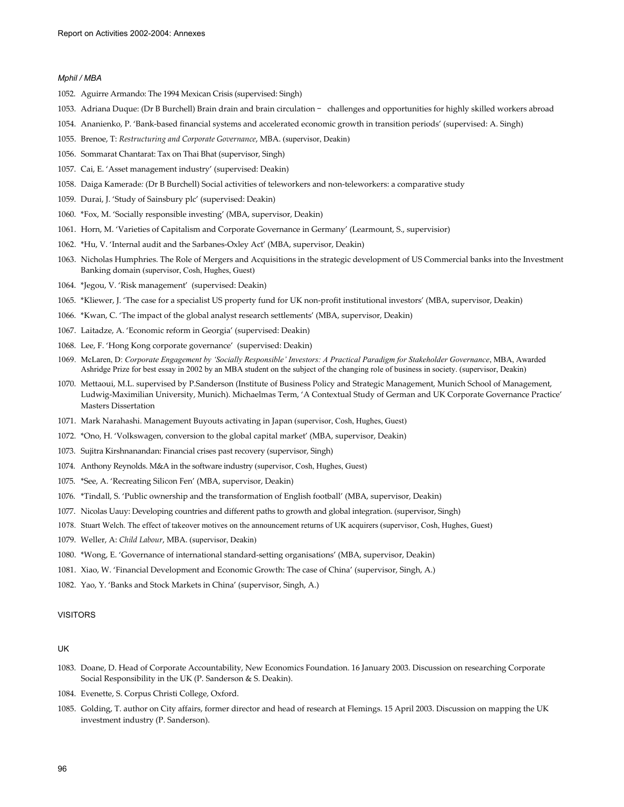## *Mphil / MBA*

- 1052. Aguirre Armando: The 1994 Mexican Crisis (supervised: Singh)
- 1053. Adriana Duque: (Dr B Burchell) Brain drain and brain circulation challenges and opportunities for highly skilled workers abroad
- 1054. Ananienko, P. 'Bank-based financial systems and accelerated economic growth in transition periods' (supervised: A. Singh)
- 1055. Brenoe, T: *Restructuring and Corporate Governance*, MBA. (supervisor, Deakin)
- 1056. Sommarat Chantarat: Tax on Thai Bhat (supervisor, Singh)
- 1057. Cai, E. 'Asset management industry' (supervised: Deakin)
- 1058. Daiga Kamerade*:* (Dr B Burchell) Social activities of teleworkers and non-teleworkers: a comparative study
- 1059. Durai, J. 'Study of Sainsbury plc' (supervised: Deakin)
- 1060. \*Fox, M. 'Socially responsible investing' (MBA, supervisor, Deakin)
- 1061. Horn, M. 'Varieties of Capitalism and Corporate Governance in Germany' (Learmount, S., supervisior)
- 1062. \*Hu, V. 'Internal audit and the Sarbanes-Oxley Act' (MBA, supervisor, Deakin)
- 1063. Nicholas Humphries. The Role of Mergers and Acquisitions in the strategic development of US Commercial banks into the Investment Banking domain (supervisor, Cosh, Hughes, Guest)
- 1064. \*Jegou, V. 'Risk management' (supervised: Deakin)
- 1065. \*Kliewer, J. 'The case for a specialist US property fund for UK non-profit institutional investors' (MBA, supervisor, Deakin)
- 1066. \*Kwan, C. 'The impact of the global analyst research settlements' (MBA, supervisor, Deakin)
- 1067. Laitadze, A. 'Economic reform in Georgia' (supervised: Deakin)
- 1068. Lee, F. 'Hong Kong corporate governance' (supervised: Deakin)
- 1069. McLaren, D: *Corporate Engagement by 'Socially Responsible' Investors: A Practical Paradigm for Stakeholder Governance*, MBA, Awarded Ashridge Prize for best essay in 2002 by an MBA student on the subject of the changing role of business in society. (supervisor, Deakin)
- 1070. Mettaoui, M.L. supervised by P.Sanderson (Institute of Business Policy and Strategic Management, Munich School of Management, Ludwig-Maximilian University, Munich). Michaelmas Term, 'A Contextual Study of German and UK Corporate Governance Practice' Masters Dissertation
- 1071. Mark Narahashi. Management Buyouts activating in Japan (supervisor, Cosh, Hughes, Guest)
- 1072. \*Ono, H. 'Volkswagen, conversion to the global capital market' (MBA, supervisor, Deakin)
- 1073. Sujitra Kirshnanandan: Financial crises past recovery (supervisor, Singh)
- 1074. Anthony Reynolds. M&A in the software industry (supervisor, Cosh, Hughes, Guest)
- 1075. \*See, A. 'Recreating Silicon Fen' (MBA, supervisor, Deakin)
- 1076. \*Tindall, S. 'Public ownership and the transformation of English football' (MBA, supervisor, Deakin)
- 1077. Nicolas Uauy: Developing countries and different paths to growth and global integration. (supervisor, Singh)
- 1078. Stuart Welch. The effect of takeover motives on the announcement returns of UK acquirers (supervisor, Cosh, Hughes, Guest)
- 1079. Weller, A: *Child Labour*, MBA. (supervisor, Deakin)
- 1080. \*Wong, E. 'Governance of international standard-setting organisations' (MBA, supervisor, Deakin)
- 1081. Xiao, W. 'Financial Development and Economic Growth: The case of China' (supervisor, Singh, A.)
- 1082. Yao, Y. 'Banks and Stock Markets in China' (supervisor, Singh, A.)

#### VISITORS

### UK

- 1083. Doane, D. Head of Corporate Accountability, New Economics Foundation. 16 January 2003. Discussion on researching Corporate Social Responsibility in the UK (P. Sanderson & S. Deakin).
- 1084. Evenette, S. Corpus Christi College, Oxford.
- 1085. Golding, T. author on City affairs, former director and head of research at Flemings. 15 April 2003. Discussion on mapping the UK investment industry (P. Sanderson).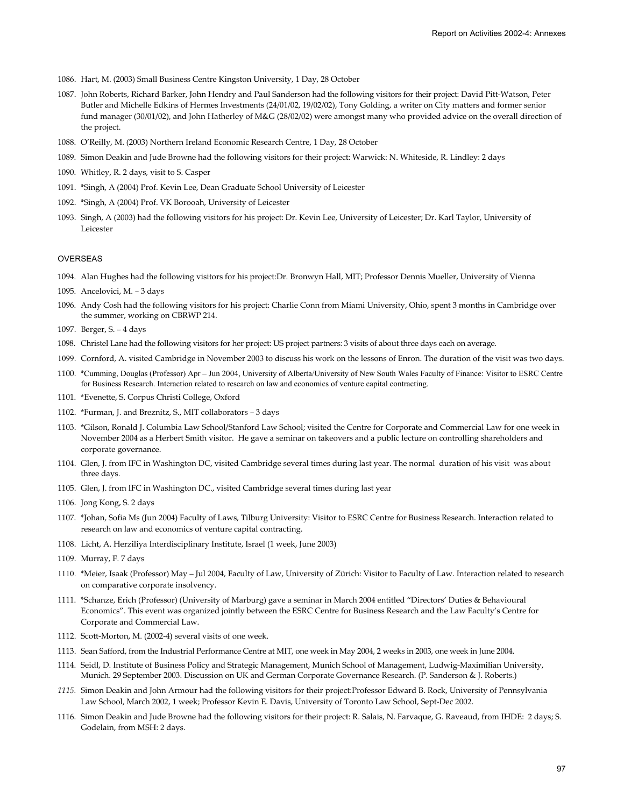- 1086. Hart, M. (2003) Small Business Centre Kingston University, 1 Day, 28 October
- 1087. John Roberts, Richard Barker, John Hendry and Paul Sanderson had the following visitors for their project: David Pitt-Watson, Peter Butler and Michelle Edkins of Hermes Investments (24/01/02, 19/02/02), Tony Golding, a writer on City matters and former senior fund manager (30/01/02), and John Hatherley of M&G (28/02/02) were amongst many who provided advice on the overall direction of the project.
- 1088. O'Reilly, M. (2003) Northern Ireland Economic Research Centre, 1 Day, 28 October
- 1089. Simon Deakin and Jude Browne had the following visitors for their project: Warwick: N. Whiteside, R. Lindley: 2 days
- 1090. Whitley, R. 2 days, visit to S. Casper
- 1091. \*Singh, A (2004) Prof. Kevin Lee, Dean Graduate School University of Leicester
- 1092. \*Singh, A (2004) Prof. VK Borooah, University of Leicester
- 1093. Singh, A (2003) had the following visitors for his project: Dr. Kevin Lee, University of Leicester; Dr. Karl Taylor, University of Leicester

#### OVERSEAS

- 1094. Alan Hughes had the following visitors for his project:Dr. Bronwyn Hall, MIT; Professor Dennis Mueller, University of Vienna
- 1095. Ancelovici, M. 3 days
- 1096. Andy Cosh had the following visitors for his project: Charlie Conn from Miami University, Ohio, spent 3 months in Cambridge over the summer, working on CBRWP 214.
- 1097. Berger, S. 4 days
- 1098. Christel Lane had the following visitors for her project: US project partners: 3 visits of about three days each on average.
- 1099. Cornford, A. visited Cambridge in November 2003 to discuss his work on the lessons of Enron. The duration of the visit was two days.
- 1100. \*Cumming, Douglas (Professor) Apr Jun 2004, University of Alberta/University of New South Wales Faculty of Finance: Visitor to ESRC Centre for Business Research. Interaction related to research on law and economics of venture capital contracting.
- 1101. \*Evenette, S. Corpus Christi College, Oxford
- 1102. \*Furman, J. and Breznitz, S., MIT collaborators 3 days
- 1103. \*Gilson, Ronald J. Columbia Law School/Stanford Law School; visited the Centre for Corporate and Commercial Law for one week in November 2004 as a Herbert Smith visitor. He gave a seminar on takeovers and a public lecture on controlling shareholders and corporate governance.
- 1104. Glen, J. from IFC in Washington DC, visited Cambridge several times during last year. The normal duration of his visit was about three days.
- 1105. Glen, J. from IFC in Washington DC., visited Cambridge several times during last year
- 1106. Jong Kong, S. 2 days
- 1107. \*Johan, Sofia Ms (Jun 2004) Faculty of Laws, Tilburg University: Visitor to ESRC Centre for Business Research. Interaction related to research on law and economics of venture capital contracting.
- 1108. Licht, A. Herziliya Interdisciplinary Institute, Israel (1 week, June 2003)
- 1109. Murray, F. 7 days
- 1110. \*Meier, Isaak (Professor) May Jul 2004, Faculty of Law, University of Zürich: Visitor to Faculty of Law. Interaction related to research on comparative corporate insolvency.
- 1111. \*Schanze, Erich (Professor) (University of Marburg) gave a seminar in March 2004 entitled "Directors' Duties & Behavioural Economics". This event was organized jointly between the ESRC Centre for Business Research and the Law Faculty's Centre for Corporate and Commercial Law.
- 1112. Scott-Morton, M. (2002-4) several visits of one week.
- 1113. Sean Safford, from the Industrial Performance Centre at MIT, one week in May 2004, 2 weeks in 2003, one week in June 2004.
- 1114. Seidl, D. Institute of Business Policy and Strategic Management, Munich School of Management, Ludwig-Maximilian University, Munich. 29 September 2003. Discussion on UK and German Corporate Governance Research. (P. Sanderson & J. Roberts.)
- *1115.* Simon Deakin and John Armour had the following visitors for their project:Professor Edward B. Rock, University of Pennsylvania Law School, March 2002, 1 week; Professor Kevin E. Davis, University of Toronto Law School, Sept-Dec 2002.
- 1116. Simon Deakin and Jude Browne had the following visitors for their project: R. Salais, N. Farvaque, G. Raveaud, from IHDE: 2 days; S. Godelain, from MSH: 2 days.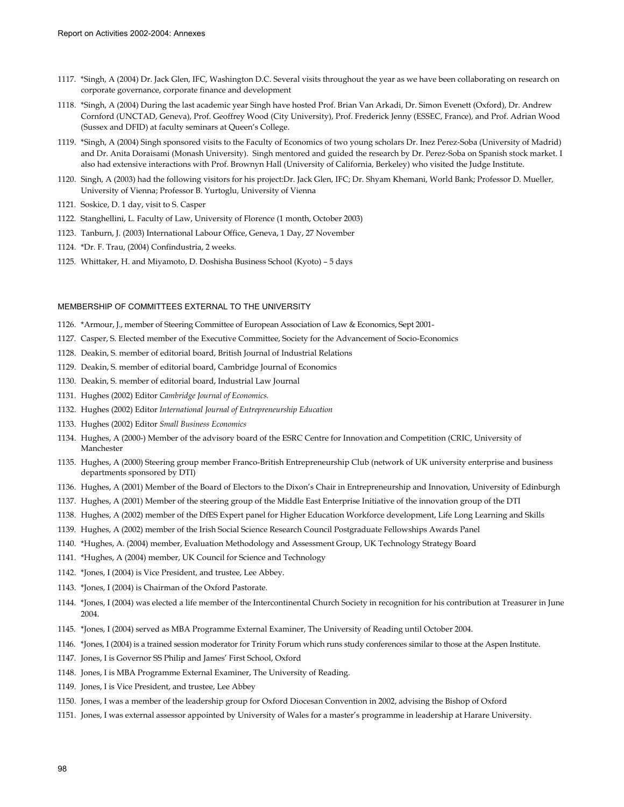- 1117. \*Singh, A (2004) Dr. Jack Glen, IFC, Washington D.C. Several visits throughout the year as we have been collaborating on research on corporate governance, corporate finance and development
- 1118. \*Singh, A (2004) During the last academic year Singh have hosted Prof. Brian Van Arkadi, Dr. Simon Evenett (Oxford), Dr. Andrew Cornford (UNCTAD, Geneva), Prof. Geoffrey Wood (City University), Prof. Frederick Jenny (ESSEC, France), and Prof. Adrian Wood (Sussex and DFID) at faculty seminars at Queen's College.
- 1119. \*Singh, A (2004) Singh sponsored visits to the Faculty of Economics of two young scholars Dr. Inez Perez-Soba (University of Madrid) and Dr. Anita Doraisami (Monash University). Singh mentored and guided the research by Dr. Perez-Soba on Spanish stock market. I also had extensive interactions with Prof. Brownyn Hall (University of California, Berkeley) who visited the Judge Institute.
- 1120. Singh, A (2003) had the following visitors for his project:Dr. Jack Glen, IFC; Dr. Shyam Khemani, World Bank; Professor D. Mueller, University of Vienna; Professor B. Yurtoglu, University of Vienna
- 1121. Soskice, D. 1 day, visit to S. Casper
- 1122. Stanghellini, L. Faculty of Law, University of Florence (1 month, October 2003)
- 1123. Tanburn, J. (2003) International Labour Office, Geneva, 1 Day, 27 November
- 1124. \*Dr. F. Trau, (2004) Confindustria, 2 weeks.
- 1125. Whittaker, H. and Miyamoto, D. Doshisha Business School (Kyoto) 5 days

#### MEMBERSHIP OF COMMITTEES EXTERNAL TO THE UNIVERSITY

- 1126. \*Armour, J., member of Steering Committee of European Association of Law & Economics, Sept 2001-
- 1127. Casper, S. Elected member of the Executive Committee, Society for the Advancement of Socio-Economics
- 1128. Deakin, S. member of editorial board, British Journal of Industrial Relations
- 1129. Deakin, S. member of editorial board, Cambridge Journal of Economics
- 1130. Deakin, S. member of editorial board, Industrial Law Journal
- 1131. Hughes (2002) Editor *Cambridge Journal of Economics.*
- 1132. Hughes (2002) Editor *International Journal of Entrepreneurship Education*
- 1133. Hughes (2002) Editor *Small Business Economics*
- 1134. Hughes, A (2000-) Member of the advisory board of the ESRC Centre for Innovation and Competition (CRIC, University of Manchester
- 1135. Hughes, A (2000) Steering group member Franco-British Entrepreneurship Club (network of UK university enterprise and business departments sponsored by DTI)
- 1136. Hughes, A (2001) Member of the Board of Electors to the Dixon's Chair in Entrepreneurship and Innovation, University of Edinburgh
- 1137. Hughes, A (2001) Member of the steering group of the Middle East Enterprise Initiative of the innovation group of the DTI
- 1138. Hughes, A (2002) member of the DfES Expert panel for Higher Education Workforce development, Life Long Learning and Skills
- 1139. Hughes, A (2002) member of the Irish Social Science Research Council Postgraduate Fellowships Awards Panel
- 1140. \*Hughes, A. (2004) member, Evaluation Methodology and Assessment Group, UK Technology Strategy Board
- 1141. \*Hughes, A (2004) member, UK Council for Science and Technology
- 1142. \*Jones, I (2004) is Vice President, and trustee, Lee Abbey.
- 1143. \*Jones, I (2004) is Chairman of the Oxford Pastorate.
- 1144. \*Jones, I (2004) was elected a life member of the Intercontinental Church Society in recognition for his contribution at Treasurer in June 2004.
- 1145. \*Jones, I (2004) served as MBA Programme External Examiner, The University of Reading until October 2004.
- 1146. \*Jones, I (2004) is a trained session moderator for Trinity Forum which runs study conferences similar to those at the Aspen Institute.
- 1147. Jones, I is Governor SS Philip and James' First School, Oxford
- 1148. Jones, I is MBA Programme External Examiner, The University of Reading.
- 1149. Jones, I is Vice President, and trustee, Lee Abbey
- 1150. Jones, I was a member of the leadership group for Oxford Diocesan Convention in 2002, advising the Bishop of Oxford
- 1151. Jones, I was external assessor appointed by University of Wales for a master's programme in leadership at Harare University.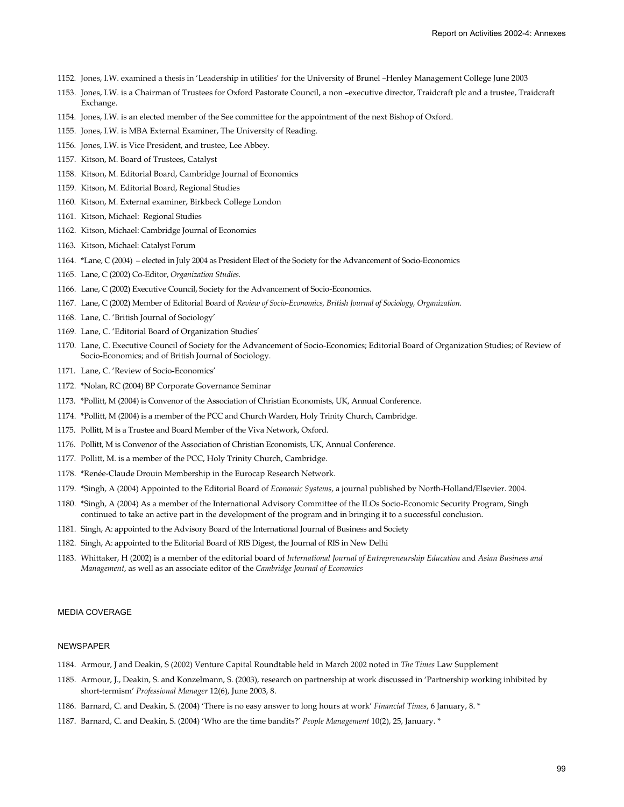- 1152. Jones, I.W. examined a thesis in 'Leadership in utilities' for the University of Brunel –Henley Management College June 2003
- 1153. Jones, I.W. is a Chairman of Trustees for Oxford Pastorate Council, a non –executive director, Traidcraft plc and a trustee, Traidcraft Exchange.
- 1154. Jones, I.W. is an elected member of the See committee for the appointment of the next Bishop of Oxford.
- 1155. Jones, I.W. is MBA External Examiner, The University of Reading.
- 1156. Jones, I.W. is Vice President, and trustee, Lee Abbey.
- 1157. Kitson, M. Board of Trustees, Catalyst
- 1158. Kitson, M. Editorial Board, Cambridge Journal of Economics
- 1159. Kitson, M. Editorial Board, Regional Studies
- 1160. Kitson, M. External examiner, Birkbeck College London
- 1161. Kitson, Michael: Regional Studies
- 1162. Kitson, Michael: Cambridge Journal of Economics
- 1163. Kitson, Michael: Catalyst Forum
- 1164. \*Lane, C (2004) elected in July 2004 as President Elect of the Society for the Advancement of Socio-Economics
- 1165. Lane, C (2002) Co-Editor, *Organization Studies.*
- 1166. Lane, C (2002) Executive Council, Society for the Advancement of Socio-Economics.
- 1167. Lane, C (2002) Member of Editorial Board of *Review of Socio-Economics, British Journal of Sociology, Organization.*
- 1168. Lane, C. 'British Journal of Sociology'
- 1169. Lane, C. 'Editorial Board of Organization Studies'
- 1170. Lane, C. Executive Council of Society for the Advancement of Socio-Economics; Editorial Board of Organization Studies; of Review of Socio-Economics; and of British Journal of Sociology.
- 1171. Lane, C. 'Review of Socio-Economics'
- 1172. \*Nolan, RC (2004) BP Corporate Governance Seminar
- 1173. \*Pollitt, M (2004) is Convenor of the Association of Christian Economists, UK, Annual Conference.
- 1174. \*Pollitt, M (2004) is a member of the PCC and Church Warden, Holy Trinity Church, Cambridge.
- 1175. Pollitt, M is a Trustee and Board Member of the Viva Network, Oxford.
- 1176. Pollitt, M is Convenor of the Association of Christian Economists, UK, Annual Conference.
- 1177. Pollitt, M. is a member of the PCC, Holy Trinity Church, Cambridge.
- 1178. \*Renée-Claude Drouin Membership in the Eurocap Research Network.
- 1179. \*Singh, A (2004) Appointed to the Editorial Board of *Economic Systems*, a journal published by North-Holland/Elsevier. 2004.
- 1180. \*Singh, A (2004) As a member of the International Advisory Committee of the ILOs Socio-Economic Security Program, Singh continued to take an active part in the development of the program and in bringing it to a successful conclusion.
- 1181. Singh, A: appointed to the Advisory Board of the International Journal of Business and Society
- 1182. Singh, A: appointed to the Editorial Board of RIS Digest, the Journal of RIS in New Delhi
- 1183. Whittaker, H (2002) is a member of the editorial board of *International Journal of Entrepreneurship Education* and *Asian Business and Management*, as well as an associate editor of the *Cambridge Journal of Economics*

### MEDIA COVERAGE

### NEWSPAPER

- 1184. Armour, J and Deakin, S (2002) Venture Capital Roundtable held in March 2002 noted in *The Times* Law Supplement
- 1185. Armour, J., Deakin, S. and Konzelmann, S. (2003), research on partnership at work discussed in 'Partnership working inhibited by short-termism' *Professional Manager* 12(6), June 2003, 8.
- 1186. Barnard, C. and Deakin, S. (2004) 'There is no easy answer to long hours at work' *Financial Times*, 6 January, 8. \*
- 1187. Barnard, C. and Deakin, S. (2004) 'Who are the time bandits?' *People Management* 10(2), 25, January. \*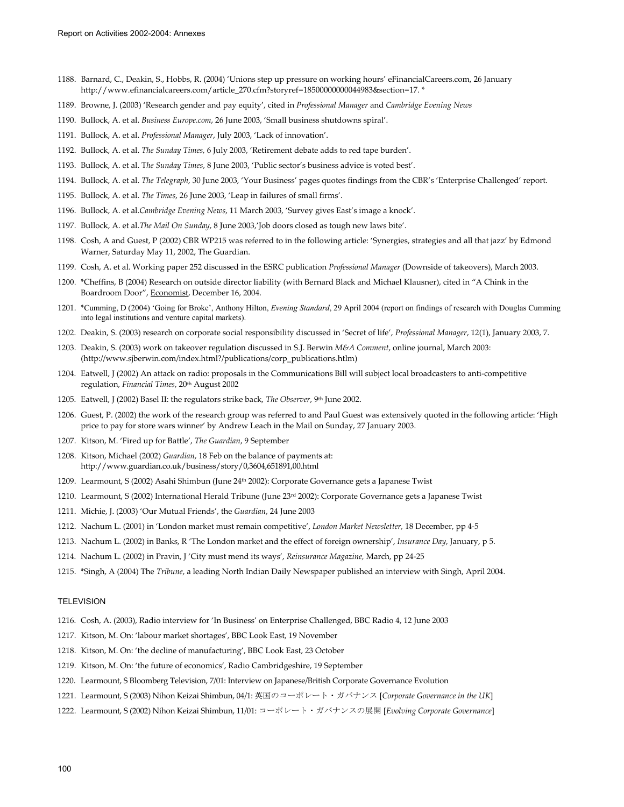- 1188. Barnard, C., Deakin, S., Hobbs, R. (2004) 'Unions step up pressure on working hours' eFinancialCareers.com, 26 January http://www.efinancialcareers.com/article\_270.cfm?storyref=18500000000044983&section=17. \*
- 1189. Browne, J. (2003) 'Research gender and pay equity', cited in *Professional Manager* and *Cambridge Evening News*
- 1190. Bullock, A. et al. *Business Europe.com*, 26 June 2003, 'Small business shutdowns spiral'.
- 1191. Bullock, A. et al. *Professional Manager*, July 2003, 'Lack of innovation'.
- 1192. Bullock, A. et al. *The Sunday Times,* 6 July 2003, 'Retirement debate adds to red tape burden'.
- 1193. Bullock, A. et al. T*he Sunday Times*, 8 June 2003, 'Public sector's business advice is voted best'.
- 1194. Bullock, A. et al. *The Telegraph*, 30 June 2003, 'Your Business' pages quotes findings from the CBR's 'Enterprise Challenged' report.
- 1195. Bullock, A. et al. *The Times*, 26 June 2003, 'Leap in failures of small firms'.
- 1196. Bullock, A. et al.*Cambridge Evening News*, 11 March 2003, 'Survey gives East's image a knock'.
- 1197. Bullock, A. et al.*The Mail On Sunday*, 8 June 2003,'Job doors closed as tough new laws bite'.
- 1198. Cosh, A and Guest, P (2002) CBR WP215 was referred to in the following article: 'Synergies, strategies and all that jazz' by Edmond Warner, Saturday May 11, 2002, The Guardian.
- 1199. Cosh, A. et al. Working paper 252 discussed in the ESRC publication *Professional Manager* (Downside of takeovers), March 2003.
- 1200. \*Cheffins, B (2004) Research on outside director liability (with Bernard Black and Michael Klausner), cited in "A Chink in the Boardroom Door", Economist, December 16, 2004.
- 1201. \*Cumming, D (2004) 'Going for Broke', Anthony Hilton, *Evening Standard*, 29 April 2004 (report on findings of research with Douglas Cumming into legal institutions and venture capital markets).
- 1202. Deakin, S. (2003) research on corporate social responsibility discussed in 'Secret of life', *Professional Manager*, 12(1), January 2003, 7.
- 1203. Deakin, S. (2003) work on takeover regulation discussed in S.J. Berwin *M&A Comment*, online journal, March 2003: (http://www.sjberwin.com/index.html?/publications/corp\_publications.htlm)
- 1204. Eatwell, J (2002) An attack on radio: proposals in the Communications Bill will subject local broadcasters to anti-competitive regulation, *Financial Times*, 20th August 2002
- 1205. Eatwell, J (2002) Basel II: the regulators strike back, *The Observer*, 9<sup>th</sup> June 2002.
- 1206. Guest, P. (2002) the work of the research group was referred to and Paul Guest was extensively quoted in the following article: 'High price to pay for store wars winner' by Andrew Leach in the Mail on Sunday, 27 January 2003.
- 1207. Kitson, M. 'Fired up for Battle', *The Guardian*, 9 September
- 1208. Kitson, Michael (2002) *Guardian*, 18 Feb on the balance of payments at: http://www.guardian.co.uk/business/story/0,3604,651891,00.html
- 1209. Learmount, S (2002) Asahi Shimbun (June 24th 2002): Corporate Governance gets a Japanese Twist
- 1210. Learmount, S (2002) International Herald Tribune (June 23rd 2002): Corporate Governance gets a Japanese Twist
- 1211. Michie, J. (2003) 'Our Mutual Friends', the *Guardian*, 24 June 2003
- 1212. Nachum L. (2001) in 'London market must remain competitive', *London Market Newsletter,* 18 December, pp 4-5
- 1213. Nachum L. (2002) in Banks, R 'The London market and the effect of foreign ownership', *Insurance Day*, January, p 5.
- 1214. Nachum L. (2002) in Pravin, J 'City must mend its ways', *Reinsurance Magazine,* March, pp 24-25
- 1215. \*Singh, A (2004) The *Tribune*, a leading North Indian Daily Newspaper published an interview with Singh, April 2004.

#### **TELEVISION**

- 1216. Cosh, A. (2003), Radio interview for 'In Business' on Enterprise Challenged, BBC Radio 4, 12 June 2003
- 1217. Kitson, M. On: 'labour market shortages', BBC Look East, 19 November
- 1218. Kitson, M. On: 'the decline of manufacturing', BBC Look East, 23 October
- 1219. Kitson, M. On: 'the future of economics', Radio Cambridgeshire, 19 September
- 1220. Learmount, S Bloomberg Television, 7/01: Interview on Japanese/British Corporate Governance Evolution
- 1221. Learmount, S (2003) Nihon Keizai Shimbun, 04/1: 英国のコーポレート・ガバナンス [*Corporate Governance in the UK*]
- 1222. Learmount, S (2002) Nihon Keizai Shimbun, 11/01: コーポレート・ガバナンスの展開 [*Evolving Corporate Governance*]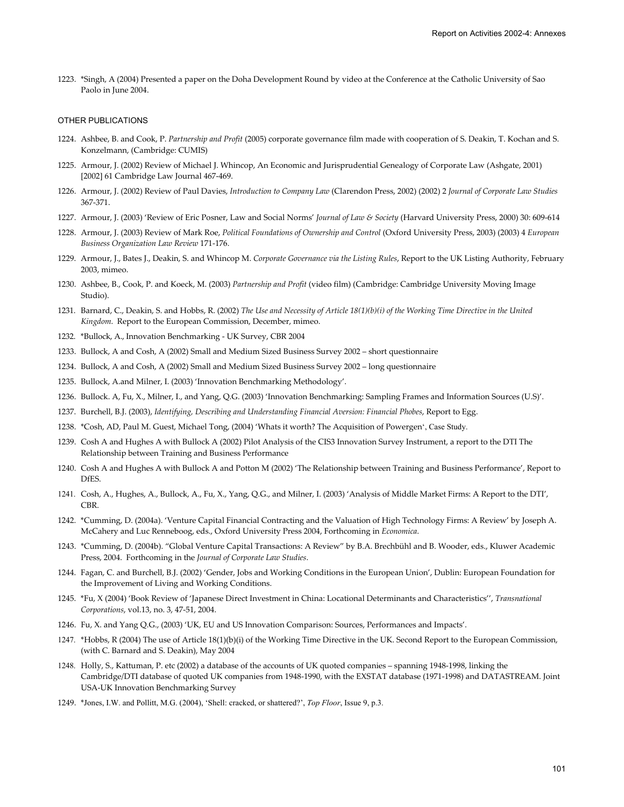1223. \*Singh, A (2004) Presented a paper on the Doha Development Round by video at the Conference at the Catholic University of Sao Paolo in June 2004.

#### OTHER PUBLICATIONS

- 1224. Ashbee, B. and Cook, P. *Partnership and Profit* (2005) corporate governance film made with cooperation of S. Deakin, T. Kochan and S. Konzelmann, (Cambridge: CUMIS)
- 1225. Armour, J. (2002) Review of Michael J. Whincop, An Economic and Jurisprudential Genealogy of Corporate Law (Ashgate, 2001) [2002] 61 Cambridge Law Journal 467-469.
- 1226. Armour, J. (2002) Review of Paul Davies, *Introduction to Company Law* (Clarendon Press, 2002) (2002) 2 *Journal of Corporate Law Studies* 367-371.
- 1227. Armour, J. (2003) 'Review of Eric Posner, Law and Social Norms' *Journal of Law & Society* (Harvard University Press, 2000) 30: 609-614
- 1228. Armour, J. (2003) Review of Mark Roe, *Political Foundations of Ownership and Control* (Oxford University Press, 2003) (2003) 4 *European Business Organization Law Review* 171-176.
- 1229. Armour, J., Bates J., Deakin, S. and Whincop M. *Corporate Governance via the Listing Rules*, Report to the UK Listing Authority, February 2003, mimeo.
- 1230. Ashbee, B., Cook, P. and Koeck, M. (2003) *Partnership and Profit* (video film) (Cambridge: Cambridge University Moving Image Studio).
- 1231. Barnard, C., Deakin, S. and Hobbs, R. (2002) *The Use and Necessity of Article 18(1)(b)(i) of the Working Time Directive in the United Kingdom*. Report to the European Commission, December, mimeo.
- 1232. \*Bullock, A., Innovation Benchmarking UK Survey, CBR 2004
- 1233. Bullock, A and Cosh, A (2002) Small and Medium Sized Business Survey 2002 short questionnaire
- 1234. Bullock, A and Cosh, A (2002) Small and Medium Sized Business Survey 2002 long questionnaire
- 1235. Bullock, A.and Milner, I. (2003) 'Innovation Benchmarking Methodology'.
- 1236. Bullock. A, Fu, X., Milner, I., and Yang, Q.G. (2003) 'Innovation Benchmarking: Sampling Frames and Information Sources (U.S)'.
- 1237. Burchell, B.J. (2003), *Identifying, Describing and Understanding Financial Aversion: Financial Phobes*, Report to Egg.
- 1238. \*Cosh, AD, Paul M. Guest, Michael Tong, (2004) 'Whats it worth? The Acquisition of Powergen', Case Study.
- 1239. Cosh A and Hughes A with Bullock A (2002) Pilot Analysis of the CIS3 Innovation Survey Instrument, a report to the DTI The Relationship between Training and Business Performance
- 1240. Cosh A and Hughes A with Bullock A and Potton M (2002) 'The Relationship between Training and Business Performance', Report to DfES.
- 1241. Cosh, A., Hughes, A., Bullock, A., Fu, X., Yang, Q.G., and Milner, I. (2003) 'Analysis of Middle Market Firms: A Report to the DTI', CBR.
- 1242. \*Cumming, D. (2004a). 'Venture Capital Financial Contracting and the Valuation of High Technology Firms: A Review' by Joseph A. McCahery and Luc Renneboog, eds., Oxford University Press 2004, Forthcoming in *Economica*.
- 1243. \*Cumming, D. (2004b). "Global Venture Capital Transactions: A Review" by B.A. Brechbühl and B. Wooder, eds., Kluwer Academic Press, 2004. Forthcoming in the *Journal of Corporate Law Studies*.
- 1244. Fagan, C. and Burchell, B.J. (2002) 'Gender, Jobs and Working Conditions in the European Union', Dublin: European Foundation for the Improvement of Living and Working Conditions.
- 1245. \*Fu, X (2004) 'Book Review of 'Japanese Direct Investment in China: Locational Determinants and Characteristics'', *Transnational Corporations*, vol.13, no. 3, 47-51, 2004.
- 1246. Fu, X. and Yang Q.G., (2003) 'UK, EU and US Innovation Comparison: Sources, Performances and Impacts'.
- 1247. \*Hobbs, R (2004) The use of Article 18(1)(b)(i) of the Working Time Directive in the UK. Second Report to the European Commission, (with C. Barnard and S. Deakin), May 2004
- 1248. Holly, S., Kattuman, P. etc (2002) a database of the accounts of UK quoted companies spanning 1948-1998, linking the Cambridge/DTI database of quoted UK companies from 1948-1990, with the EXSTAT database (1971-1998) and DATASTREAM. Joint USA-UK Innovation Benchmarking Survey
- 1249. \*Jones, I.W. and Pollitt, M.G. (2004), 'Shell: cracked, or shattered?', *Top Floor*, Issue 9, p.3.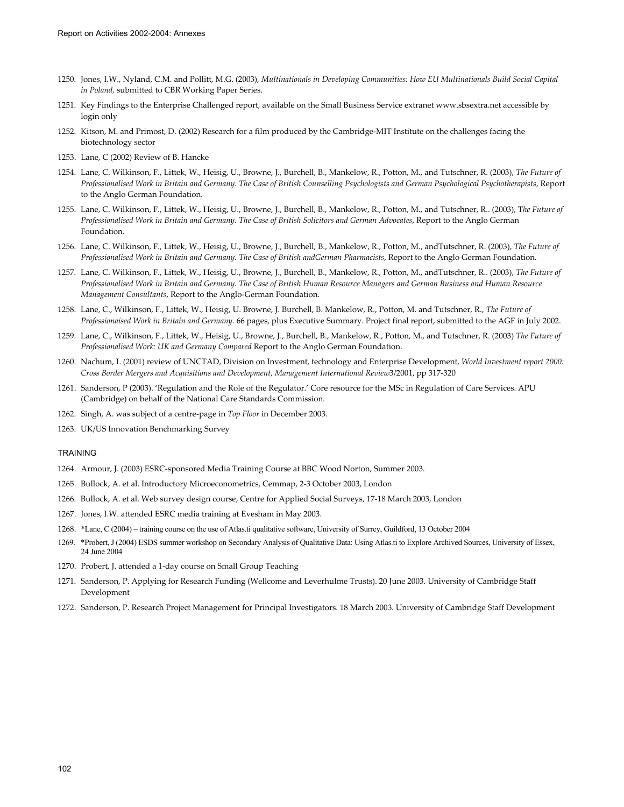- 1250. Jones, I.W., Nyland, C.M. and Pollitt, M.G. (2003), *Multinationals in Developing Communities: How EU Multinationals Build Social Capital in Poland,* submitted to CBR Working Paper Series.
- 1251. Key Findings to the Enterprise Challenged report, available on the Small Business Service extranet www.sbsextra.net accessible by login only
- 1252. Kitson, M. and Primost, D. (2002) Research for a film produced by the Cambridge-MIT Institute on the challenges facing the biotechnology sector
- 1253. Lane, C (2002) Review of B. Hancke
- 1254. Lane, C. Wilkinson, F., Littek, W., Heisig, U., Browne, J., Burchell, B., Mankelow, R., Potton, M., and Tutschner, R. (2003), *The Future of Professionalised Work in Britain and Germany. The Case of British Counselling Psychologists and German Psychological Psychotherapists*, Report to the Anglo German Foundation.
- 1255. Lane, C. Wilkinson, F., Littek, W., Heisig, U., Browne, J., Burchell, B., Mankelow, R., Potton, M., and Tutschner, R.. (2003), T*he Future of Professionalised Work in Britain and Germany. The Case of British Solicitors and German Advocates*, Report to the Anglo German Foundation.
- 1256. Lane, C. Wilkinson, F., Littek, W., Heisig, U., Browne, J., Burchell, B., Mankelow, R., Potton, M., andTutschner, R. (2003), *The Future of Professionalised Work in Britain and Germany. The Case of British andGerman Pharmacists*, Report to the Anglo German Foundation.
- 1257. Lane, C. Wilkinson, F., Littek, W., Heisig, U., Browne, J., Burchell, B., Mankelow, R., Potton, M., andTutschner, R.. (2003), *The Future of Professionalised Work in Britain and Germany. The Case of British Human Resource Managers and German Business and Human Resource Management Consultants*, Report to the Anglo-German Foundation.
- 1258. Lane, C., Wilkinson, F., Littek, W., Heisig, U. Browne, J. Burchell, B. Mankelow, R., Potton, M. and Tutschner, R., *The Future of Professionaised Work in Britain and Germany.* 66 pages, plus Executive Summary. Project final report, submitted to the AGF in July 2002.
- 1259. Lane, C., Wilkinson, F., Littek, W., Heisig, U., Browne, J., Burchell, B., Mankelow, R., Potton, M., and Tutschner, R. (2003) *The Future of Professionalised Work: UK and Germany Compared* Report to the Anglo German Foundation.
- 1260. Nachum, L (2001) review of UNCTAD, Division on Investment, technology and Enterprise Development, *World Investment report 2000: Cross Border Mergers and Acquisitions and Development, Management International Review*3/2001, pp 317-320
- 1261. Sanderson, P (2003). 'Regulation and the Role of the Regulator.' Core resource for the MSc in Regulation of Care Services. APU (Cambridge) on behalf of the National Care Standards Commission.
- 1262. Singh, A. was subject of a centre-page in *Top Floor* in December 2003.
- 1263. UK/US Innovation Benchmarking Survey

#### TRAINING

- 1264. Armour, J. (2003) ESRC-sponsored Media Training Course at BBC Wood Norton, Summer 2003.
- 1265. Bullock, A. et al. Introductory Microeconometrics, Cemmap, 2-3 October 2003, London
- 1266. Bullock, A. et al. Web survey design course, Centre for Applied Social Surveys, 17-18 March 2003, London
- 1267. Jones, I.W. attended ESRC media training at Evesham in May 2003.
- 1268. \*Lane, C (2004) training course on the use of Atlas.ti qualitative software, University of Surrey, Guildford, 13 October 2004
- 1269. \*Probert, J (2004) ESDS summer workshop on Secondary Analysis of Qualitative Data: Using Atlas.ti to Explore Archived Sources, University of Essex, 24 June 2004
- 1270. Probert, J. attended a 1-day course on Small Group Teaching
- 1271. Sanderson, P. Applying for Research Funding (Wellcome and Leverhulme Trusts). 20 June 2003. University of Cambridge Staff Development
- 1272. Sanderson, P. Research Project Management for Principal Investigators. 18 March 2003. University of Cambridge Staff Development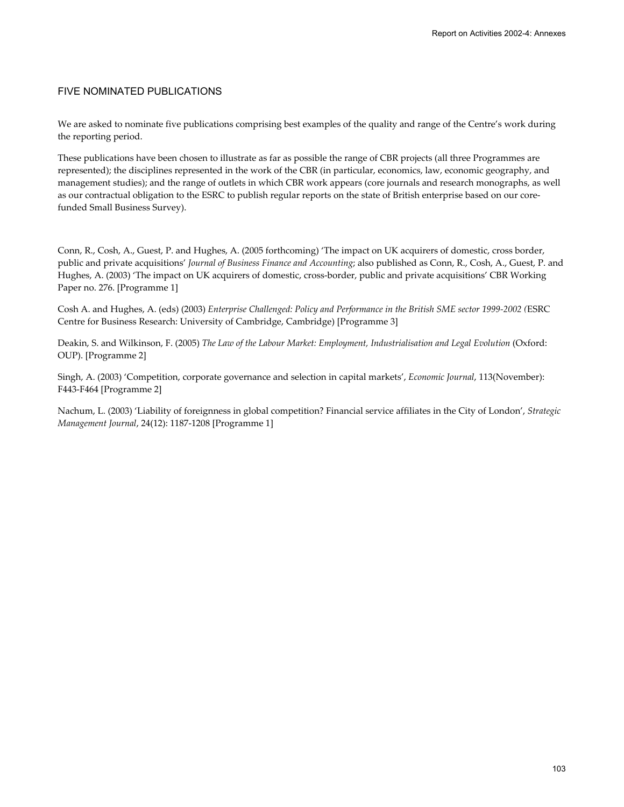# FIVE NOMINATED PUBLICATIONS

We are asked to nominate five publications comprising best examples of the quality and range of the Centre's work during the reporting period.

These publications have been chosen to illustrate as far as possible the range of CBR projects (all three Programmes are represented); the disciplines represented in the work of the CBR (in particular, economics, law, economic geography, and management studies); and the range of outlets in which CBR work appears (core journals and research monographs, as well as our contractual obligation to the ESRC to publish regular reports on the state of British enterprise based on our corefunded Small Business Survey).

Conn, R., Cosh, A., Guest, P. and Hughes, A. (2005 forthcoming) 'The impact on UK acquirers of domestic, cross border, public and private acquisitions' *Journal of Business Finance and Accounting*; also published as Conn, R., Cosh, A., Guest, P. and Hughes, A. (2003) 'The impact on UK acquirers of domestic, cross-border, public and private acquisitions' CBR Working Paper no. 276. [Programme 1]

Cosh A. and Hughes, A. (eds) (2003) *Enterprise Challenged: Policy and Performance in the British SME sector 1999-2002 (*ESRC Centre for Business Research: University of Cambridge, Cambridge) [Programme 3]

Deakin, S. and Wilkinson, F. (2005) *The Law of the Labour Market: Employment, Industrialisation and Legal Evolution* (Oxford: OUP). [Programme 2]

Singh, A. (2003) 'Competition, corporate governance and selection in capital markets', *Economic Journal*, 113(November): F443-F464 [Programme 2]

Nachum, L. (2003) 'Liability of foreignness in global competition? Financial service affiliates in the City of London', *Strategic Management Journal*, 24(12): 1187-1208 [Programme 1]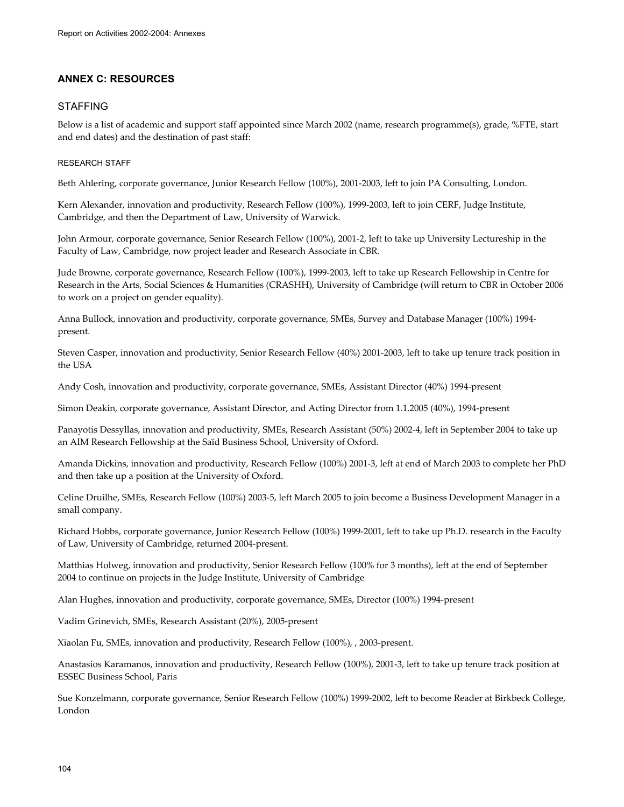# **ANNEX C: RESOURCES**

# STAFFING

Below is a list of academic and support staff appointed since March 2002 (name, research programme(s), grade, %FTE, start and end dates) and the destination of past staff:

# RESEARCH STAFF

Beth Ahlering, corporate governance, Junior Research Fellow (100%), 2001-2003, left to join PA Consulting, London.

Kern Alexander, innovation and productivity, Research Fellow (100%), 1999-2003, left to join CERF, Judge Institute, Cambridge, and then the Department of Law, University of Warwick.

John Armour, corporate governance, Senior Research Fellow (100%), 2001-2, left to take up University Lectureship in the Faculty of Law, Cambridge, now project leader and Research Associate in CBR.

Jude Browne, corporate governance, Research Fellow (100%), 1999-2003, left to take up Research Fellowship in Centre for Research in the Arts, Social Sciences & Humanities (CRASHH), University of Cambridge (will return to CBR in October 2006 to work on a project on gender equality).

Anna Bullock, innovation and productivity, corporate governance, SMEs, Survey and Database Manager (100%) 1994 present.

Steven Casper, innovation and productivity, Senior Research Fellow (40%) 2001-2003, left to take up tenure track position in the USA

Andy Cosh, innovation and productivity, corporate governance, SMEs, Assistant Director (40%) 1994-present

Simon Deakin, corporate governance, Assistant Director, and Acting Director from 1.1.2005 (40%), 1994-present

Panayotis Dessyllas, innovation and productivity, SMEs, Research Assistant (50%) 2002-4, left in September 2004 to take up an AIM Research Fellowship at the Saïd Business School, University of Oxford.

Amanda Dickins, innovation and productivity, Research Fellow (100%) 2001-3, left at end of March 2003 to complete her PhD and then take up a position at the University of Oxford.

Celine Druilhe, SMEs, Research Fellow (100%) 2003-5, left March 2005 to join become a Business Development Manager in a small company.

Richard Hobbs, corporate governance, Junior Research Fellow (100%) 1999-2001, left to take up Ph.D. research in the Faculty of Law, University of Cambridge, returned 2004-present.

Matthias Holweg, innovation and productivity, Senior Research Fellow (100% for 3 months), left at the end of September 2004 to continue on projects in the Judge Institute, University of Cambridge

Alan Hughes, innovation and productivity, corporate governance, SMEs, Director (100%) 1994-present

Vadim Grinevich, SMEs, Research Assistant (20%), 2005-present

Xiaolan Fu, SMEs, innovation and productivity, Research Fellow (100%), , 2003-present.

Anastasios Karamanos, innovation and productivity, Research Fellow (100%), 2001-3, left to take up tenure track position at ESSEC Business School, Paris

Sue Konzelmann, corporate governance, Senior Research Fellow (100%) 1999-2002, left to become Reader at Birkbeck College, London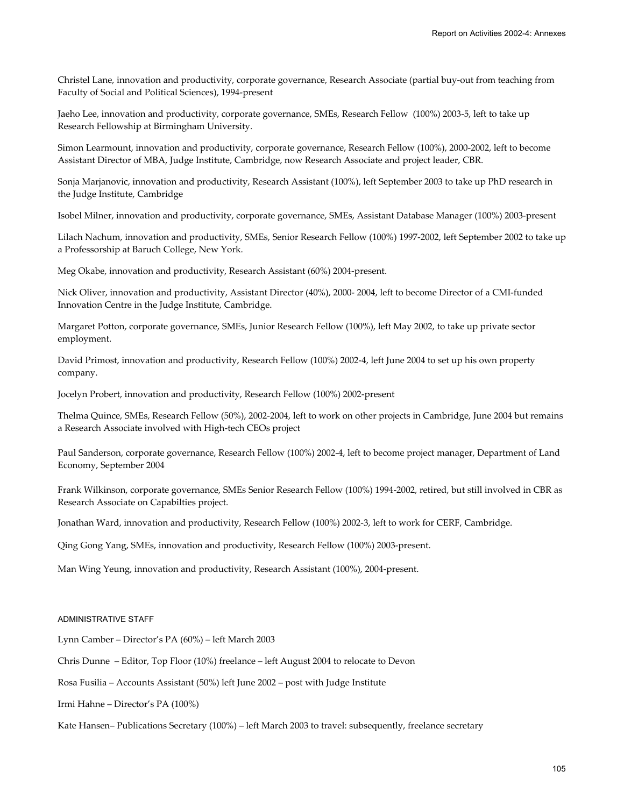Christel Lane, innovation and productivity, corporate governance, Research Associate (partial buy-out from teaching from Faculty of Social and Political Sciences), 1994-present

Jaeho Lee, innovation and productivity, corporate governance, SMEs, Research Fellow (100%) 2003-5, left to take up Research Fellowship at Birmingham University.

Simon Learmount, innovation and productivity, corporate governance, Research Fellow (100%), 2000-2002, left to become Assistant Director of MBA, Judge Institute, Cambridge, now Research Associate and project leader, CBR.

Sonja Marjanovic, innovation and productivity, Research Assistant (100%), left September 2003 to take up PhD research in the Judge Institute, Cambridge

Isobel Milner, innovation and productivity, corporate governance, SMEs, Assistant Database Manager (100%) 2003-present

Lilach Nachum, innovation and productivity, SMEs, Senior Research Fellow (100%) 1997-2002, left September 2002 to take up a Professorship at Baruch College, New York.

Meg Okabe, innovation and productivity, Research Assistant (60%) 2004-present.

Nick Oliver, innovation and productivity, Assistant Director (40%), 2000- 2004, left to become Director of a CMI-funded Innovation Centre in the Judge Institute, Cambridge.

Margaret Potton, corporate governance, SMEs, Junior Research Fellow (100%), left May 2002, to take up private sector employment.

David Primost, innovation and productivity, Research Fellow (100%) 2002-4, left June 2004 to set up his own property company.

Jocelyn Probert, innovation and productivity, Research Fellow (100%) 2002-present

Thelma Quince, SMEs, Research Fellow (50%), 2002-2004, left to work on other projects in Cambridge, June 2004 but remains a Research Associate involved with High-tech CEOs project

Paul Sanderson, corporate governance, Research Fellow (100%) 2002-4, left to become project manager, Department of Land Economy, September 2004

Frank Wilkinson, corporate governance, SMEs Senior Research Fellow (100%) 1994-2002, retired, but still involved in CBR as Research Associate on Capabilties project.

Jonathan Ward, innovation and productivity, Research Fellow (100%) 2002-3, left to work for CERF, Cambridge.

Qing Gong Yang, SMEs, innovation and productivity, Research Fellow (100%) 2003-present.

Man Wing Yeung, innovation and productivity, Research Assistant (100%), 2004-present.

## ADMINISTRATIVE STAFF

Lynn Camber – Director's PA (60%) – left March 2003

Chris Dunne – Editor, Top Floor (10%) freelance – left August 2004 to relocate to Devon

Rosa Fusilia – Accounts Assistant (50%) left June 2002 – post with Judge Institute

Irmi Hahne – Director's PA (100%)

Kate Hansen– Publications Secretary (100%) – left March 2003 to travel: subsequently, freelance secretary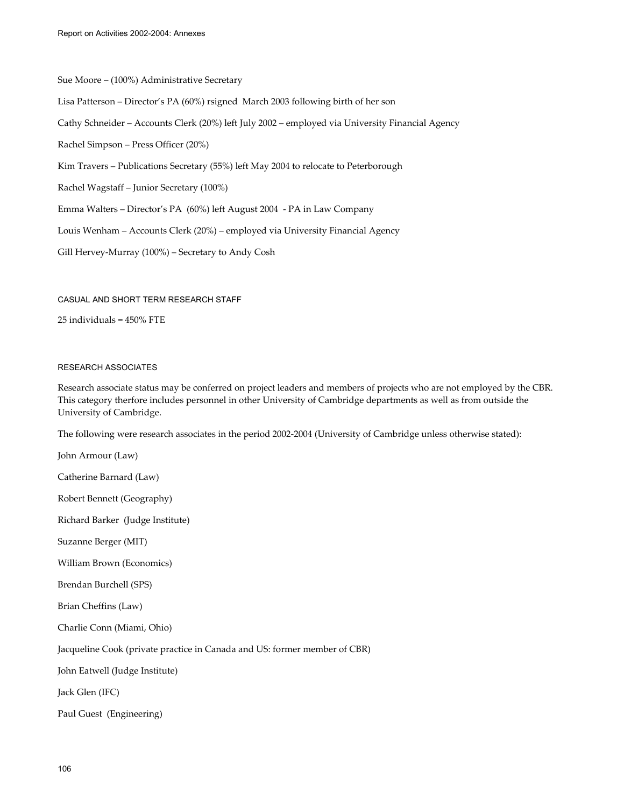Sue Moore – (100%) Administrative Secretary Lisa Patterson – Director's PA (60%) rsigned March 2003 following birth of her son Cathy Schneider – Accounts Clerk (20%) left July 2002 – employed via University Financial Agency Rachel Simpson – Press Officer (20%) Kim Travers – Publications Secretary (55%) left May 2004 to relocate to Peterborough Rachel Wagstaff – Junior Secretary (100%) Emma Walters – Director's PA (60%) left August 2004 - PA in Law Company Louis Wenham – Accounts Clerk (20%) – employed via University Financial Agency Gill Hervey-Murray (100%) – Secretary to Andy Cosh

#### CASUAL AND SHORT TERM RESEARCH STAFF

25 individuals = 450% FTE

#### RESEARCH ASSOCIATES

Research associate status may be conferred on project leaders and members of projects who are not employed by the CBR. This category therfore includes personnel in other University of Cambridge departments as well as from outside the University of Cambridge.

The following were research associates in the period 2002-2004 (University of Cambridge unless otherwise stated):

John Armour (Law)

Catherine Barnard (Law)

Robert Bennett (Geography)

Richard Barker (Judge Institute)

Suzanne Berger (MIT)

William Brown (Economics)

Brendan Burchell (SPS)

Brian Cheffins (Law)

Charlie Conn (Miami, Ohio)

Jacqueline Cook (private practice in Canada and US: former member of CBR)

John Eatwell (Judge Institute)

Jack Glen (IFC)

Paul Guest (Engineering)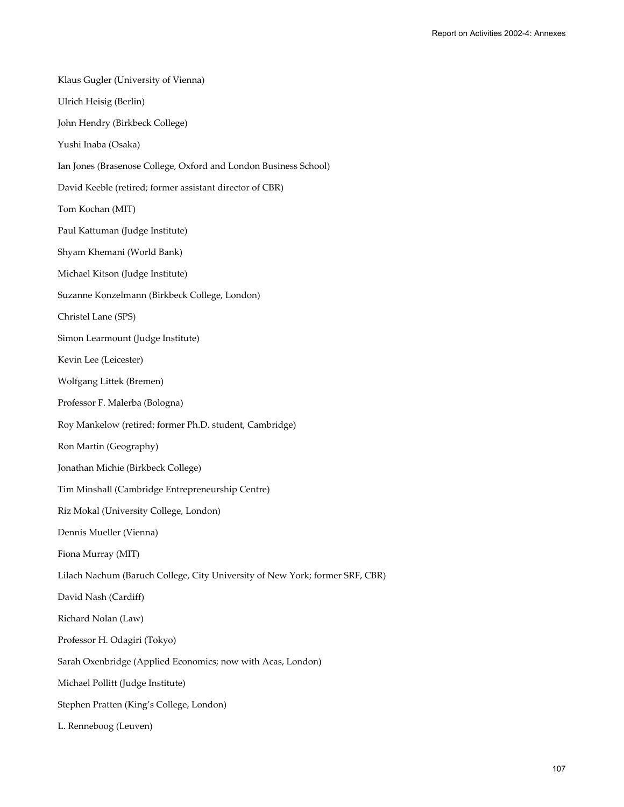Klaus Gugler (University of Vienna) Ulrich Heisig (Berlin) John Hendry (Birkbeck College) Yushi Inaba (Osaka) Ian Jones (Brasenose College, Oxford and London Business School) David Keeble (retired; former assistant director of CBR) Tom Kochan (MIT) Paul Kattuman (Judge Institute) Shyam Khemani (World Bank) Michael Kitson (Judge Institute) Suzanne Konzelmann (Birkbeck College, London) Christel Lane (SPS) Simon Learmount (Judge Institute) Kevin Lee (Leicester) Wolfgang Littek (Bremen) Professor F. Malerba (Bologna) Roy Mankelow (retired; former Ph.D. student, Cambridge) Ron Martin (Geography) Jonathan Michie (Birkbeck College) Tim Minshall (Cambridge Entrepreneurship Centre) Riz Mokal (University College, London) Dennis Mueller (Vienna) Fiona Murray (MIT) Lilach Nachum (Baruch College, City University of New York; former SRF, CBR) David Nash (Cardiff) Richard Nolan (Law) Professor H. Odagiri (Tokyo) Sarah Oxenbridge (Applied Economics; now with Acas, London) Michael Pollitt (Judge Institute) Stephen Pratten (King's College, London) L. Renneboog (Leuven)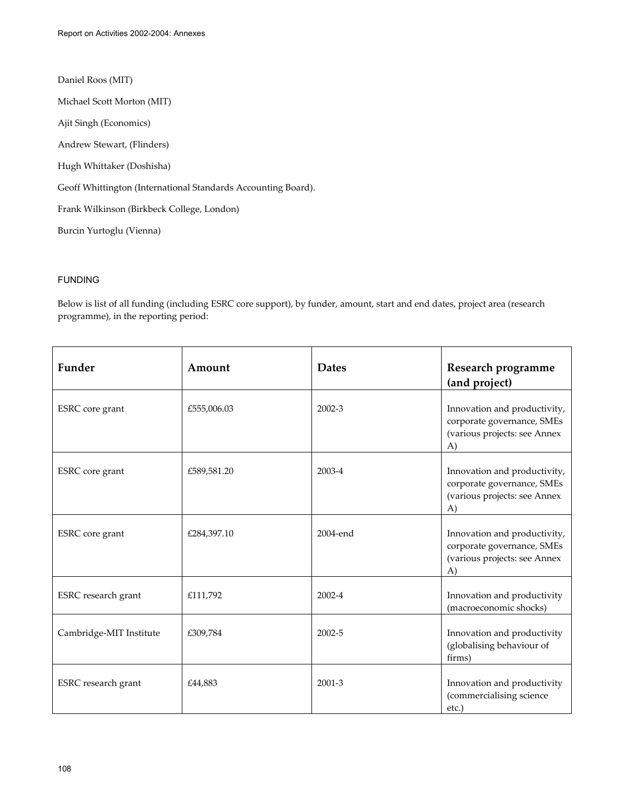Daniel Roos (MIT)

Michael Scott Morton (MIT)

Ajit Singh (Economics)

Andrew Stewart, (Flinders)

Hugh Whittaker (Doshisha)

Geoff Whittington (International Standards Accounting Board).

Frank Wilkinson (Birkbeck College, London)

Burcin Yurtoglu (Vienna)

## FUNDING

Below is list of all funding (including ESRC core support), by funder, amount, start and end dates, project area (research programme), in the reporting period:

| Funder                  | Amount      | <b>Dates</b> | Research programme<br>(and project)                                                              |
|-------------------------|-------------|--------------|--------------------------------------------------------------------------------------------------|
| ESRC core grant         | £555,006.03 | 2002-3       | Innovation and productivity,<br>corporate governance, SMEs<br>(various projects: see Annex<br>A) |
| ESRC core grant         | £589,581.20 | 2003-4       | Innovation and productivity,<br>corporate governance, SMEs<br>(various projects: see Annex<br>A) |
| <b>ESRC</b> core grant  | £284,397.10 | 2004-end     | Innovation and productivity,<br>corporate governance, SMEs<br>(various projects: see Annex<br>A) |
| ESRC research grant     | £111,792    | 2002-4       | Innovation and productivity<br>(macroeconomic shocks)                                            |
| Cambridge-MIT Institute | £309,784    | 2002-5       | Innovation and productivity<br>(globalising behaviour of<br>firms)                               |
| ESRC research grant     | £44,883     | 2001-3       | Innovation and productivity<br>(commercialising science<br>$etc.$ )                              |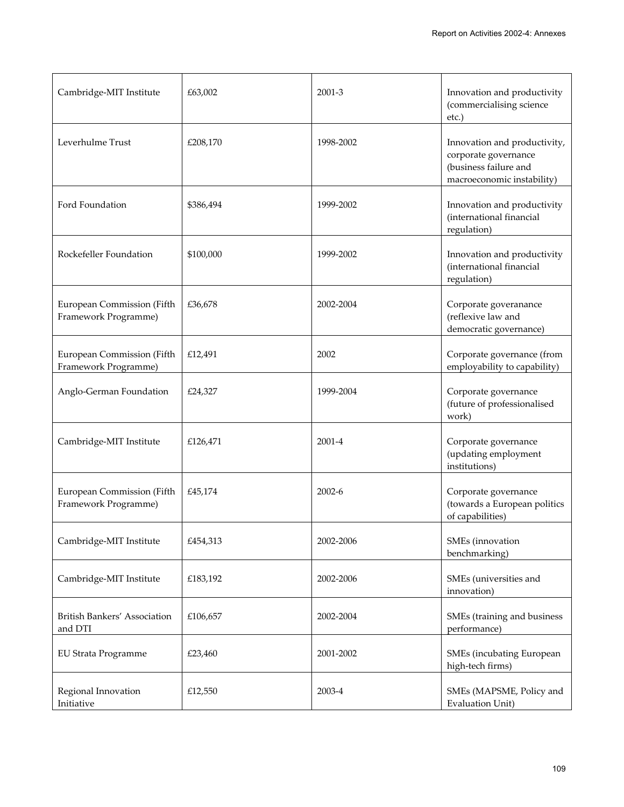| Cambridge-MIT Institute                            | £63,002   | 2001-3     | Innovation and productivity<br>(commercialising science<br>etc.)                                            |
|----------------------------------------------------|-----------|------------|-------------------------------------------------------------------------------------------------------------|
| Leverhulme Trust                                   | £208,170  | 1998-2002  | Innovation and productivity,<br>corporate governance<br>(business failure and<br>macroeconomic instability) |
| Ford Foundation                                    | \$386,494 | 1999-2002  | Innovation and productivity<br>(international financial<br>regulation)                                      |
| Rockefeller Foundation                             | \$100,000 | 1999-2002  | Innovation and productivity<br>(international financial<br>regulation)                                      |
| European Commission (Fifth<br>Framework Programme) | £36,678   | 2002-2004  | Corporate goveranance<br>(reflexive law and<br>democratic governance)                                       |
| European Commission (Fifth<br>Framework Programme) | £12,491   | 2002       | Corporate governance (from<br>employability to capability)                                                  |
| Anglo-German Foundation                            | £24,327   | 1999-2004  | Corporate governance<br>(future of professionalised<br>work)                                                |
| Cambridge-MIT Institute                            | £126,471  | 2001-4     | Corporate governance<br>(updating employment<br>institutions)                                               |
| European Commission (Fifth<br>Framework Programme) | £45,174   | $2002 - 6$ | Corporate governance<br>(towards a European politics<br>of capabilities)                                    |
| Cambridge-MIT Institute                            | £454,313  | 2002-2006  | SMEs (innovation<br>benchmarking)                                                                           |
| Cambridge-MIT Institute                            | £183,192  | 2002-2006  | SMEs (universities and<br>innovation)                                                                       |
| British Bankers' Association<br>and DTI            | £106,657  | 2002-2004  | SMEs (training and business<br>performance)                                                                 |
| <b>EU Strata Programme</b>                         | £23,460   | 2001-2002  | SMEs (incubating European<br>high-tech firms)                                                               |
| Regional Innovation<br>Initiative                  | £12,550   | 2003-4     | SMEs (MAPSME, Policy and<br><b>Evaluation Unit)</b>                                                         |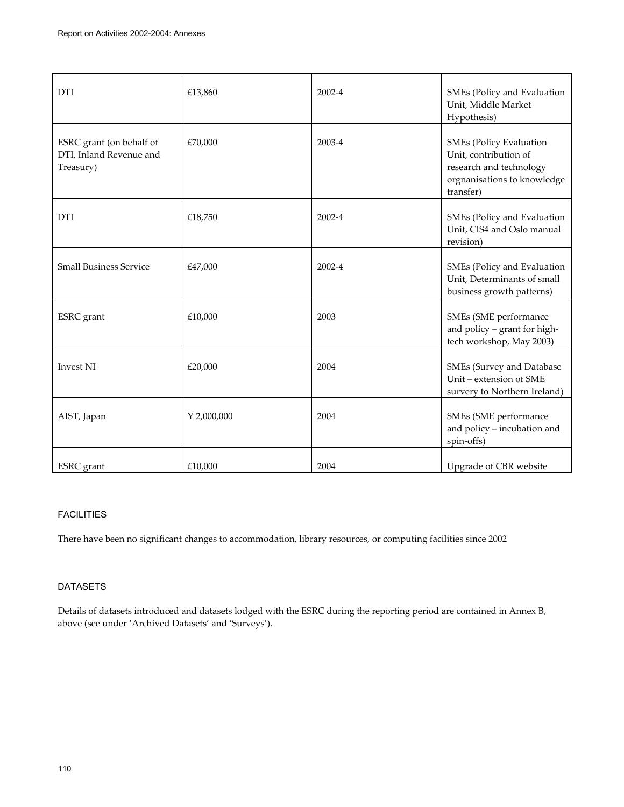| <b>DTI</b>                                                       | £13,860     | 2002-4 | SMEs (Policy and Evaluation<br>Unit, Middle Market                                                                             |
|------------------------------------------------------------------|-------------|--------|--------------------------------------------------------------------------------------------------------------------------------|
|                                                                  |             |        | Hypothesis)                                                                                                                    |
| ESRC grant (on behalf of<br>DTI, Inland Revenue and<br>Treasury) | £70,000     | 2003-4 | <b>SMEs (Policy Evaluation</b><br>Unit, contribution of<br>research and technology<br>orgnanisations to knowledge<br>transfer) |
| <b>DTI</b>                                                       | £18,750     | 2002-4 | SMEs (Policy and Evaluation<br>Unit, CIS4 and Oslo manual<br>revision)                                                         |
| <b>Small Business Service</b>                                    | £47,000     | 2002-4 | SMEs (Policy and Evaluation<br>Unit, Determinants of small<br>business growth patterns)                                        |
| ESRC grant                                                       | £10,000     | 2003   | SMEs (SME performance<br>and policy - grant for high-<br>tech workshop, May 2003)                                              |
| <b>Invest NI</b>                                                 | £20,000     | 2004   | SMEs (Survey and Database<br>Unit - extension of SME<br>survery to Northern Ireland)                                           |
| AIST, Japan                                                      | Y 2,000,000 | 2004   | SMEs (SME performance<br>and policy - incubation and<br>spin-offs)                                                             |
| <b>ESRC</b> grant                                                | £10,000     | 2004   | Upgrade of CBR website                                                                                                         |

## FACILITIES

There have been no significant changes to accommodation, library resources, or computing facilities since 2002

## DATASETS

Details of datasets introduced and datasets lodged with the ESRC during the reporting period are contained in Annex B, above (see under 'Archived Datasets' and 'Surveys').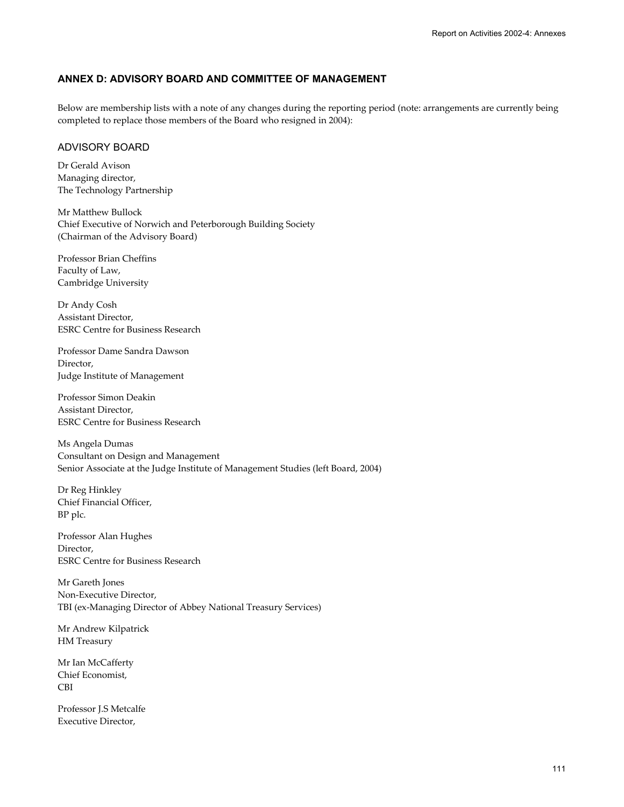## **ANNEX D: ADVISORY BOARD AND COMMITTEE OF MANAGEMENT**

Below are membership lists with a note of any changes during the reporting period (note: arrangements are currently being completed to replace those members of the Board who resigned in 2004):

## ADVISORY BOARD

Dr Gerald Avison Managing director, The Technology Partnership

Mr Matthew Bullock Chief Executive of Norwich and Peterborough Building Society (Chairman of the Advisory Board)

Professor Brian Cheffins Faculty of Law, Cambridge University

Dr Andy Cosh Assistant Director, ESRC Centre for Business Research

Professor Dame Sandra Dawson Director, Judge Institute of Management

Professor Simon Deakin Assistant Director, ESRC Centre for Business Research

Ms Angela Dumas Consultant on Design and Management Senior Associate at the Judge Institute of Management Studies (left Board, 2004)

Dr Reg Hinkley Chief Financial Officer, BP plc.

Professor Alan Hughes Director, ESRC Centre for Business Research

Mr Gareth Jones Non-Executive Director, TBI (ex-Managing Director of Abbey National Treasury Services)

Mr Andrew Kilpatrick HM Treasury

Mr Ian McCafferty Chief Economist, CBI

Professor J.S Metcalfe Executive Director,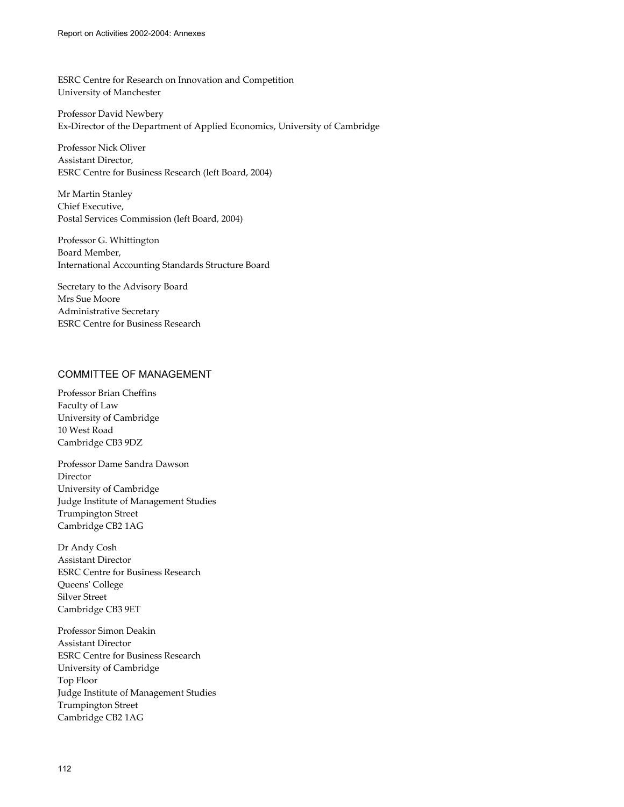ESRC Centre for Research on Innovation and Competition University of Manchester

Professor David Newbery Ex-Director of the Department of Applied Economics, University of Cambridge

Professor Nick Oliver Assistant Director, ESRC Centre for Business Research (left Board, 2004)

Mr Martin Stanley Chief Executive, Postal Services Commission (left Board, 2004)

Professor G. Whittington Board Member, International Accounting Standards Structure Board

Secretary to the Advisory Board Mrs Sue Moore Administrative Secretary ESRC Centre for Business Research

## COMMITTEE OF MANAGEMENT

Professor Brian Cheffins Faculty of Law University of Cambridge 10 West Road Cambridge CB3 9DZ

Professor Dame Sandra Dawson Director University of Cambridge Judge Institute of Management Studies Trumpington Street Cambridge CB2 1AG

Dr Andy Cosh Assistant Director ESRC Centre for Business Research Queens' College Silver Street Cambridge CB3 9ET

Professor Simon Deakin Assistant Director ESRC Centre for Business Research University of Cambridge Top Floor Judge Institute of Management Studies Trumpington Street Cambridge CB2 1AG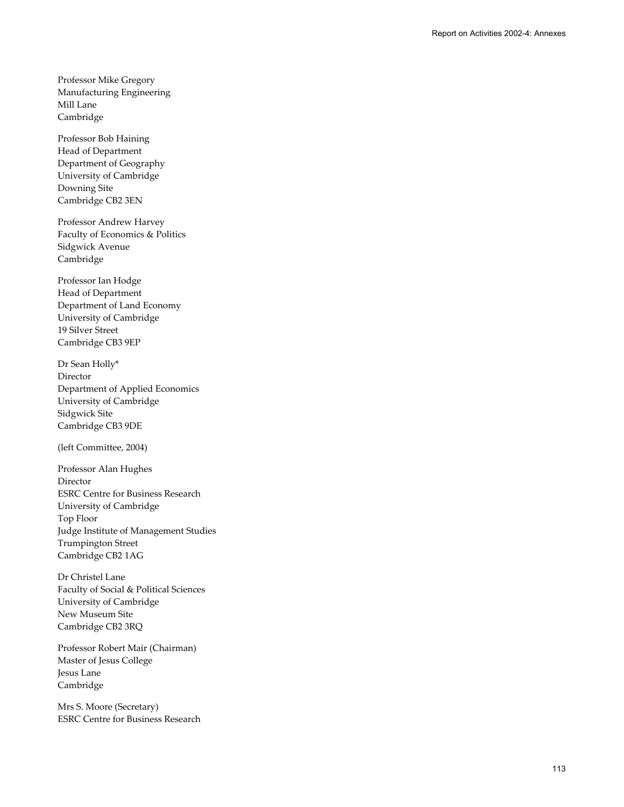Professor Mike Gregory Manufacturing Engineering Mill Lane Cambridge

Professor Bob Haining Head of Department Department of Geography University of Cambridge Downing Site Cambridge CB2 3EN

Professor Andrew Harvey Faculty of Economics & Politics Sidgwick Avenue Cambridge

Professor Ian Hodge Head of Department Department of Land Economy University of Cambridge 19 Silver Street Cambridge CB3 9EP

Dr Sean Holly\* Director Department of Applied Economics University of Cambridge Sidgwick Site Cambridge CB3 9DE

(left Committee, 2004)

Professor Alan Hughes Director ESRC Centre for Business Research University of Cambridge Top Floor Judge Institute of Management Studies Trumpington Street Cambridge CB2 1AG

Dr Christel Lane Faculty of Social & Political Sciences University of Cambridge New Museum Site Cambridge CB2 3RQ

Professor Robert Mair (Chairman) Master of Jesus College Jesus Lane Cambridge

Mrs S. Moore (Secretary) ESRC Centre for Business Research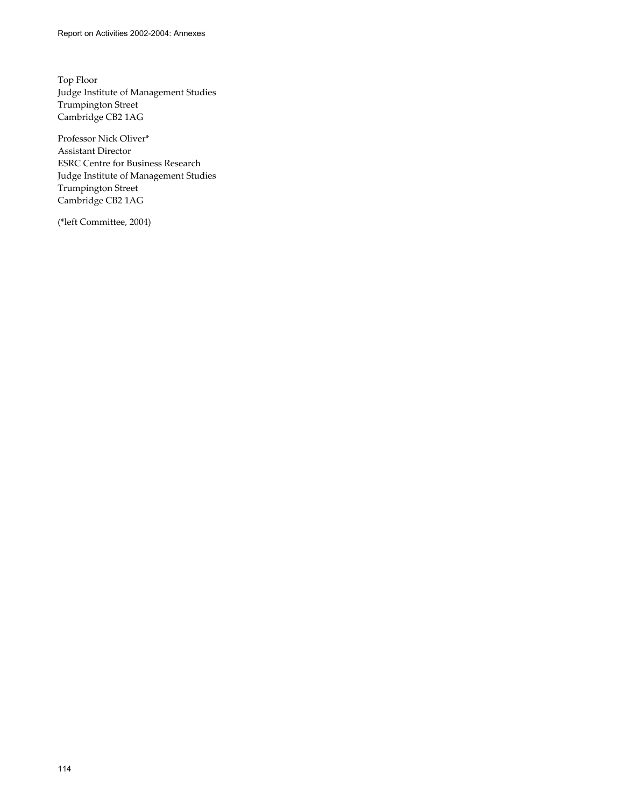Top Floor Judge Institute of Management Studies Trumpington Street Cambridge CB2 1AG

Professor Nick Oliver\* Assistant Director ESRC Centre for Business Research Judge Institute of Management Studies Trumpington Street Cambridge CB2 1AG

(\*left Committee, 2004)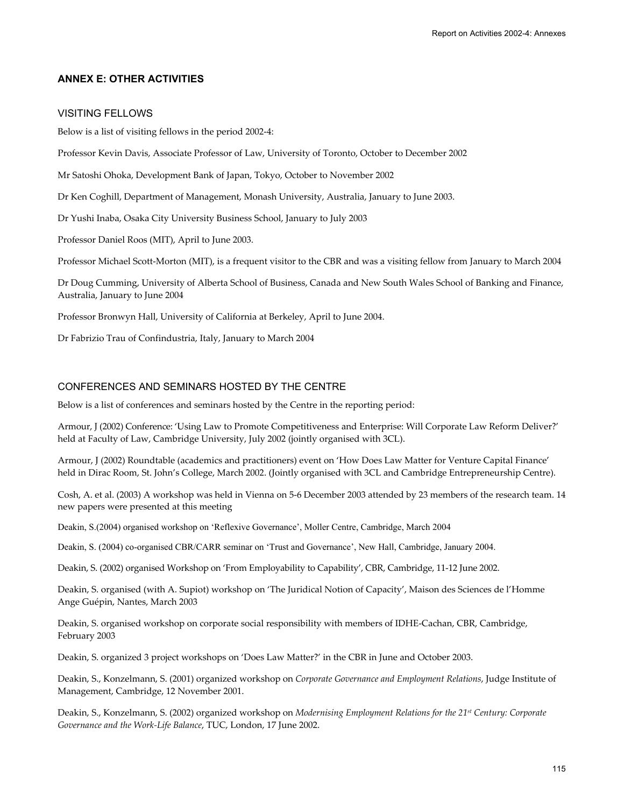## **ANNEX E: OTHER ACTIVITIES**

## VISITING FELLOWS

Below is a list of visiting fellows in the period 2002-4:

Professor Kevin Davis, Associate Professor of Law, University of Toronto, October to December 2002

Mr Satoshi Ohoka, Development Bank of Japan, Tokyo, October to November 2002

Dr Ken Coghill, Department of Management, Monash University, Australia, January to June 2003.

Dr Yushi Inaba, Osaka City University Business School, January to July 2003

Professor Daniel Roos (MIT), April to June 2003.

Professor Michael Scott-Morton (MIT), is a frequent visitor to the CBR and was a visiting fellow from January to March 2004

Dr Doug Cumming, University of Alberta School of Business, Canada and New South Wales School of Banking and Finance, Australia, January to June 2004

Professor Bronwyn Hall, University of California at Berkeley, April to June 2004.

Dr Fabrizio Trau of Confindustria, Italy, January to March 2004

## CONFERENCES AND SEMINARS HOSTED BY THE CENTRE

Below is a list of conferences and seminars hosted by the Centre in the reporting period:

Armour, J (2002) Conference: 'Using Law to Promote Competitiveness and Enterprise: Will Corporate Law Reform Deliver?' held at Faculty of Law, Cambridge University, July 2002 (jointly organised with 3CL).

Armour, J (2002) Roundtable (academics and practitioners) event on 'How Does Law Matter for Venture Capital Finance' held in Dirac Room, St. John's College, March 2002. (Jointly organised with 3CL and Cambridge Entrepreneurship Centre).

Cosh, A. et al. (2003) A workshop was held in Vienna on 5-6 December 2003 attended by 23 members of the research team. 14 new papers were presented at this meeting

Deakin, S.(2004) organised workshop on 'Reflexive Governance', Moller Centre, Cambridge, March 2004

Deakin, S. (2004) co-organised CBR/CARR seminar on 'Trust and Governance', New Hall, Cambridge, January 2004.

Deakin, S. (2002) organised Workshop on 'From Employability to Capability', CBR, Cambridge, 11-12 June 2002.

Deakin, S. organised (with A. Supiot) workshop on 'The Juridical Notion of Capacity', Maison des Sciences de l'Homme Ange Guépin, Nantes, March 2003

Deakin, S. organised workshop on corporate social responsibility with members of IDHE-Cachan, CBR, Cambridge, February 2003

Deakin, S. organized 3 project workshops on 'Does Law Matter?' in the CBR in June and October 2003.

Deakin, S., Konzelmann, S. (2001) organized workshop on *Corporate Governance and Employment Relations*, Judge Institute of Management, Cambridge, 12 November 2001.

Deakin, S., Konzelmann, S. (2002) organized workshop on *Modernising Employment Relations for the 21st Century: Corporate Governance and the Work-Life Balance*, TUC, London, 17 June 2002.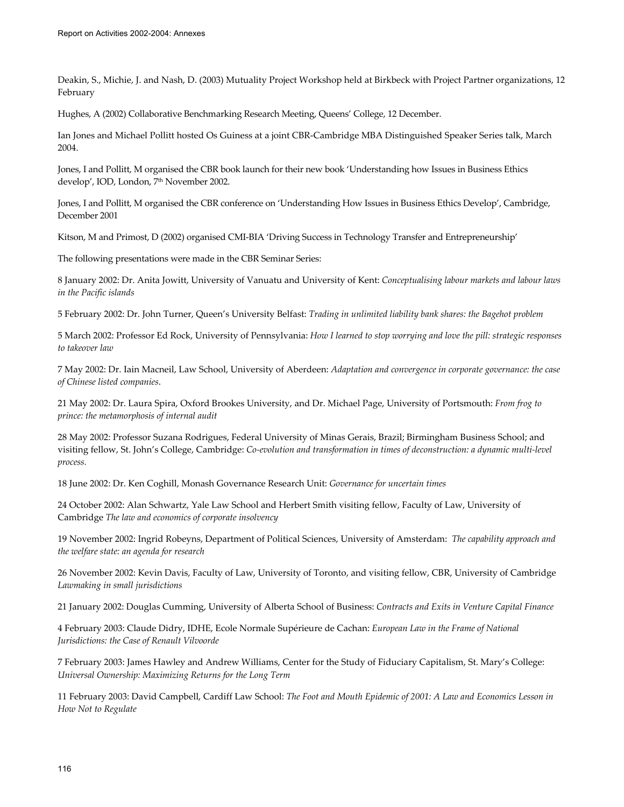Deakin, S., Michie, J. and Nash, D. (2003) Mutuality Project Workshop held at Birkbeck with Project Partner organizations, 12 February

Hughes, A (2002) Collaborative Benchmarking Research Meeting, Queens' College, 12 December.

Ian Jones and Michael Pollitt hosted Os Guiness at a joint CBR-Cambridge MBA Distinguished Speaker Series talk, March 2004.

Jones, I and Pollitt, M organised the CBR book launch for their new book 'Understanding how Issues in Business Ethics develop', IOD, London, 7<sup>th</sup> November 2002.

Jones, I and Pollitt, M organised the CBR conference on 'Understanding How Issues in Business Ethics Develop', Cambridge, December 2001

Kitson, M and Primost, D (2002) organised CMI-BIA 'Driving Success in Technology Transfer and Entrepreneurship'

The following presentations were made in the CBR Seminar Series:

8 January 2002: Dr. Anita Jowitt, University of Vanuatu and University of Kent: *Conceptualising labour markets and labour laws in the Pacific islands* 

5 February 2002: Dr. John Turner, Queen's University Belfast: *Trading in unlimited liability bank shares: the Bagehot problem*

5 March 2002: Professor Ed Rock, University of Pennsylvania: *How I learned to stop worrying and love the pill: strategic responses to takeover law* 

7 May 2002: Dr. Iain Macneil, Law School, University of Aberdeen: *Adaptation and convergence in corporate governance: the case of Chinese listed companies*.

21 May 2002: Dr. Laura Spira, Oxford Brookes University, and Dr. Michael Page, University of Portsmouth: *From frog to prince: the metamorphosis of internal audit*

28 May 2002: Professor Suzana Rodrigues, Federal University of Minas Gerais, Brazil; Birmingham Business School; and visiting fellow, St. John's College, Cambridge: *Co-evolution and transformation in times of deconstruction: a dynamic multi-level process.* 

18 June 2002: Dr. Ken Coghill, Monash Governance Research Unit: *Governance for uncertain times* 

24 October 2002: Alan Schwartz, Yale Law School and Herbert Smith visiting fellow, Faculty of Law, University of Cambridge *The law and economics of corporate insolvency* 

19 November 2002: Ingrid Robeyns, Department of Political Sciences, University of Amsterdam: *The capability approach and the welfare state: an agenda for research*

26 November 2002: Kevin Davis, Faculty of Law, University of Toronto, and visiting fellow, CBR, University of Cambridge *Lawmaking in small jurisdictions* 

21 January 2002: Douglas Cumming, University of Alberta School of Business: *Contracts and Exits in Venture Capital Finance*

4 February 2003: Claude Didry, IDHE, Ecole Normale Supérieure de Cachan: *European Law in the Frame of National Jurisdictions: the Case of Renault Vilvoorde* 

7 February 2003: James Hawley and Andrew Williams, Center for the Study of Fiduciary Capitalism, St. Mary's College: *Universal Ownership: Maximizing Returns for the Long Term* 

11 February 2003: David Campbell, Cardiff Law School: *The Foot and Mouth Epidemic of 2001: A Law and Economics Lesson in How Not to Regulate*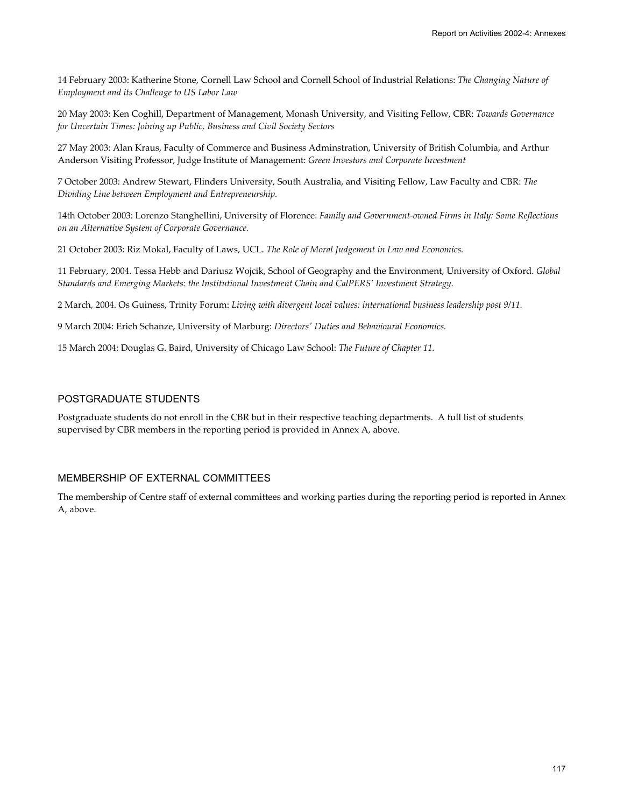14 February 2003: Katherine Stone, Cornell Law School and Cornell School of Industrial Relations: *The Changing Nature of Employment and its Challenge to US Labor Law*

20 May 2003: Ken Coghill, Department of Management, Monash University, and Visiting Fellow, CBR: *Towards Governance for Uncertain Times: Joining up Public, Business and Civil Society Sectors*

27 May 2003: Alan Kraus, Faculty of Commerce and Business Adminstration, University of British Columbia, and Arthur Anderson Visiting Professor, Judge Institute of Management: *Green Investors and Corporate Investment*

7 October 2003: Andrew Stewart, Flinders University, South Australia, and Visiting Fellow, Law Faculty and CBR: *The Dividing Line between Employment and Entrepreneurship.*

14th October 2003: Lorenzo Stanghellini, University of Florence: *Family and Government-owned Firms in Italy: Some Reflections on an Alternative System of Corporate Governance.* 

21 October 2003: Riz Mokal, Faculty of Laws, UCL. *The Role of Moral Judgement in Law and Economics.* 

11 February, 2004. Tessa Hebb and Dariusz Wojcik, School of Geography and the Environment, University of Oxford. *Global Standards and Emerging Markets: the Institutional Investment Chain and CalPERS' Investment Strategy.* 

2 March, 2004. Os Guiness, Trinity Forum: *Living with divergent local values: international business leadership post 9/11.* 

9 March 2004: Erich Schanze, University of Marburg: *Directors' Duties and Behavioural Economics.* 

15 March 2004: Douglas G. Baird, University of Chicago Law School: *The Future of Chapter 11.*

## POSTGRADUATE STUDENTS

Postgraduate students do not enroll in the CBR but in their respective teaching departments. A full list of students supervised by CBR members in the reporting period is provided in Annex A, above.

### MEMBERSHIP OF EXTERNAL COMMITTEES

The membership of Centre staff of external committees and working parties during the reporting period is reported in Annex A, above.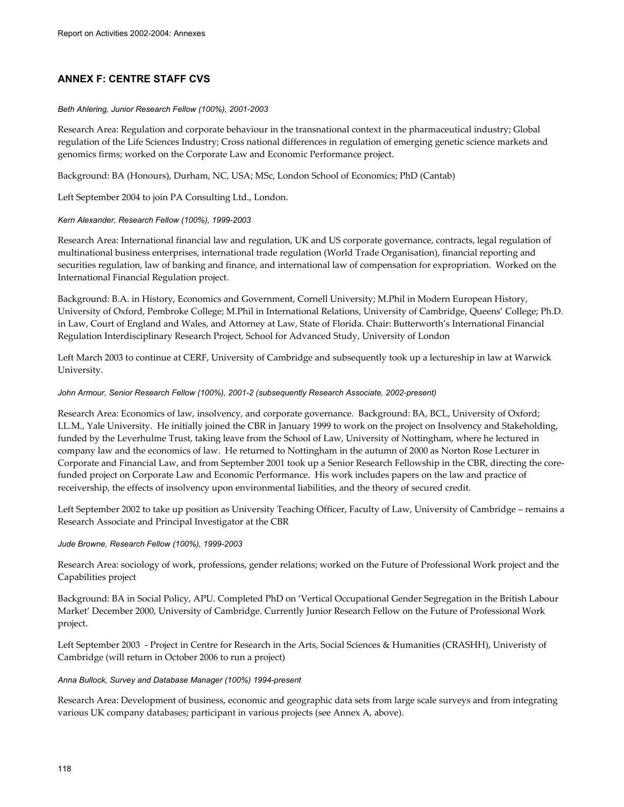# **ANNEX F: CENTRE STAFF CVS**

#### *Beth Ahlering, Junior Research Fellow (100%), 2001-2003*

Research Area: Regulation and corporate behaviour in the transnational context in the pharmaceutical industry; Global regulation of the Life Sciences Industry; Cross national differences in regulation of emerging genetic science markets and genomics firms; worked on the Corporate Law and Economic Performance project.

Background: BA (Honours), Durham, NC, USA; MSc, London School of Economics; PhD (Cantab)

Left September 2004 to join PA Consulting Ltd., London.

#### *Kern Alexander, Research Fellow (100%), 1999-2003*

Research Area: International financial law and regulation, UK and US corporate governance, contracts, legal regulation of multinational business enterprises, international trade regulation (World Trade Organisation), financial reporting and securities regulation, law of banking and finance, and international law of compensation for expropriation. Worked on the International Financial Regulation project.

Background: B.A. in History, Economics and Government, Cornell University; M.Phil in Modern European History, University of Oxford, Pembroke College; M.Phil in International Relations, University of Cambridge, Queens' College; Ph.D. in Law, Court of England and Wales, and Attorney at Law, State of Florida. Chair: Butterworth's International Financial Regulation Interdisciplinary Research Project, School for Advanced Study, University of London

Left March 2003 to continue at CERF, University of Cambridge and subsequently took up a lectureship in law at Warwick University.

#### John Armour, Senior Research Fellow (100%), 2001-2 (subsequently Research Associate, 2002-present)

Research Area: Economics of law, insolvency, and corporate governance. Background: BA, BCL, University of Oxford; LL.M., Yale University. He initially joined the CBR in January 1999 to work on the project on Insolvency and Stakeholding, funded by the Leverhulme Trust, taking leave from the School of Law, University of Nottingham, where he lectured in company law and the economics of law. He returned to Nottingham in the autumn of 2000 as Norton Rose Lecturer in Corporate and Financial Law, and from September 2001 took up a Senior Research Fellowship in the CBR, directing the corefunded project on Corporate Law and Economic Performance. His work includes papers on the law and practice of receivership, the effects of insolvency upon environmental liabilities, and the theory of secured credit.

Left September 2002 to take up position as University Teaching Officer, Faculty of Law, University of Cambridge – remains a Research Associate and Principal Investigator at the CBR

#### *Jude Browne, Research Fellow (100%), 1999-2003*

Research Area: sociology of work, professions, gender relations; worked on the Future of Professional Work project and the Capabilities project

Background: BA in Social Policy, APU. Completed PhD on 'Vertical Occupational Gender Segregation in the British Labour Market' December 2000, University of Cambridge. Currently Junior Research Fellow on the Future of Professional Work project.

Left September 2003 - Project in Centre for Research in the Arts, Social Sciences & Humanities (CRASHH), Univeristy of Cambridge (will return in October 2006 to run a project)

#### *Anna Bullock, Survey and Database Manager (100%) 1994-present*

Research Area: Development of business, economic and geographic data sets from large scale surveys and from integrating various UK company databases; participant in various projects (see Annex A, above).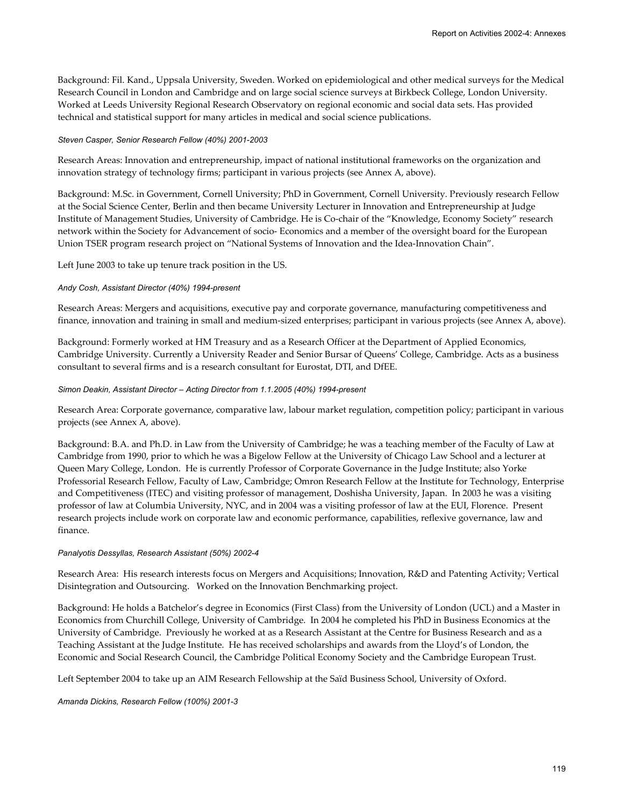Background: Fil. Kand., Uppsala University, Sweden. Worked on epidemiological and other medical surveys for the Medical Research Council in London and Cambridge and on large social science surveys at Birkbeck College, London University. Worked at Leeds University Regional Research Observatory on regional economic and social data sets. Has provided technical and statistical support for many articles in medical and social science publications.

#### *Steven Casper, Senior Research Fellow (40%) 2001-2003*

Research Areas: Innovation and entrepreneurship, impact of national institutional frameworks on the organization and innovation strategy of technology firms; participant in various projects (see Annex A, above).

Background: M.Sc. in Government, Cornell University; PhD in Government, Cornell University. Previously research Fellow at the Social Science Center, Berlin and then became University Lecturer in Innovation and Entrepreneurship at Judge Institute of Management Studies, University of Cambridge. He is Co-chair of the "Knowledge, Economy Society" research network within the Society for Advancement of socio- Economics and a member of the oversight board for the European Union TSER program research project on "National Systems of Innovation and the Idea-Innovation Chain".

Left June 2003 to take up tenure track position in the US.

#### *Andy Cosh, Assistant Director (40%) 1994-present*

Research Areas: Mergers and acquisitions, executive pay and corporate governance, manufacturing competitiveness and finance, innovation and training in small and medium-sized enterprises; participant in various projects (see Annex A, above).

Background: Formerly worked at HM Treasury and as a Research Officer at the Department of Applied Economics, Cambridge University. Currently a University Reader and Senior Bursar of Queens' College, Cambridge. Acts as a business consultant to several firms and is a research consultant for Eurostat, DTI, and DfEE.

#### *Simon Deakin, Assistant Director – Acting Director from 1.1.2005 (40%) 1994-present*

Research Area: Corporate governance, comparative law, labour market regulation, competition policy; participant in various projects (see Annex A, above).

Background: B.A. and Ph.D. in Law from the University of Cambridge; he was a teaching member of the Faculty of Law at Cambridge from 1990, prior to which he was a Bigelow Fellow at the University of Chicago Law School and a lecturer at Queen Mary College, London. He is currently Professor of Corporate Governance in the Judge Institute; also Yorke Professorial Research Fellow, Faculty of Law, Cambridge; Omron Research Fellow at the Institute for Technology, Enterprise and Competitiveness (ITEC) and visiting professor of management, Doshisha University, Japan. In 2003 he was a visiting professor of law at Columbia University, NYC, and in 2004 was a visiting professor of law at the EUI, Florence. Present research projects include work on corporate law and economic performance, capabilities, reflexive governance, law and finance.

#### *Panalyotis Dessyllas, Research Assistant (50%) 2002-4*

Research Area: His research interests focus on Mergers and Acquisitions; Innovation, R&D and Patenting Activity; Vertical Disintegration and Outsourcing. Worked on the Innovation Benchmarking project.

Background: He holds a Batchelor's degree in Economics (First Class) from the University of London (UCL) and a Master in Economics from Churchill College, University of Cambridge. In 2004 he completed his PhD in Business Economics at the University of Cambridge. Previously he worked at as a Research Assistant at the Centre for Business Research and as a Teaching Assistant at the Judge Institute. He has received scholarships and awards from the Lloyd's of London, the Economic and Social Research Council, the Cambridge Political Economy Society and the Cambridge European Trust.

Left September 2004 to take up an AIM Research Fellowship at the Saïd Business School, University of Oxford.

#### *Amanda Dickins, Research Fellow (100%) 2001-3*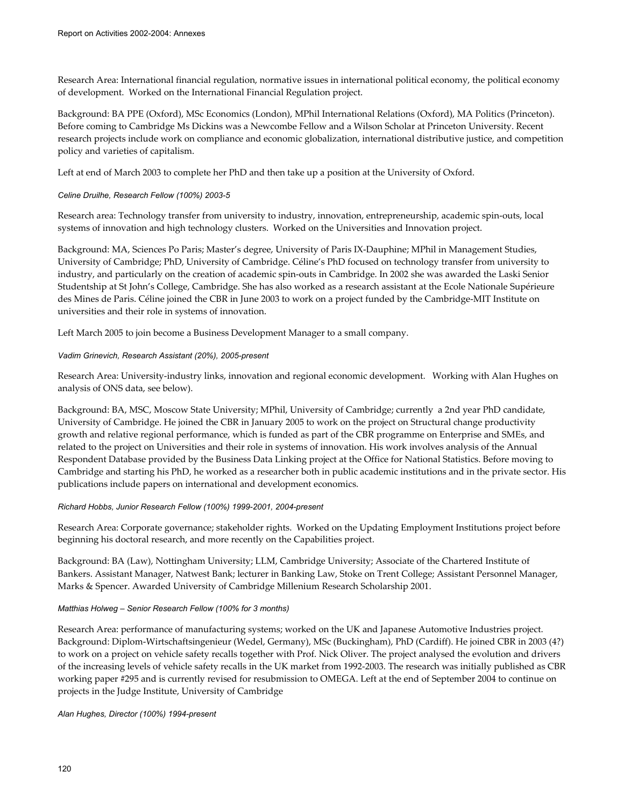Research Area: International financial regulation, normative issues in international political economy, the political economy of development. Worked on the International Financial Regulation project.

Background: BA PPE (Oxford), MSc Economics (London), MPhil International Relations (Oxford), MA Politics (Princeton). Before coming to Cambridge Ms Dickins was a Newcombe Fellow and a Wilson Scholar at Princeton University. Recent research projects include work on compliance and economic globalization, international distributive justice, and competition policy and varieties of capitalism.

Left at end of March 2003 to complete her PhD and then take up a position at the University of Oxford.

## *Celine Druilhe, Research Fellow (100%) 2003-5*

Research area: Technology transfer from university to industry, innovation, entrepreneurship, academic spin-outs, local systems of innovation and high technology clusters. Worked on the Universities and Innovation project.

Background: MA, Sciences Po Paris; Master's degree, University of Paris IX-Dauphine; MPhil in Management Studies, University of Cambridge; PhD, University of Cambridge. Céline's PhD focused on technology transfer from university to industry, and particularly on the creation of academic spin-outs in Cambridge. In 2002 she was awarded the Laski Senior Studentship at St John's College, Cambridge. She has also worked as a research assistant at the Ecole Nationale Supérieure des Mines de Paris. Céline joined the CBR in June 2003 to work on a project funded by the Cambridge-MIT Institute on universities and their role in systems of innovation.

Left March 2005 to join become a Business Development Manager to a small company.

## *Vadim Grinevich, Research Assistant (20%), 2005-present*

Research Area: University-industry links, innovation and regional economic development. Working with Alan Hughes on analysis of ONS data, see below).

Background: BA, MSC, Moscow State University; MPhil, University of Cambridge; currently a 2nd year PhD candidate, University of Cambridge. He joined the CBR in January 2005 to work on the project on Structural change productivity growth and relative regional performance, which is funded as part of the CBR programme on Enterprise and SMEs, and related to the project on Universities and their role in systems of innovation. His work involves analysis of the Annual Respondent Database provided by the Business Data Linking project at the Office for National Statistics. Before moving to Cambridge and starting his PhD, he worked as a researcher both in public academic institutions and in the private sector. His publications include papers on international and development economics.

### *Richard Hobbs, Junior Research Fellow (100%) 1999-2001, 2004-present*

Research Area: Corporate governance; stakeholder rights. Worked on the Updating Employment Institutions project before beginning his doctoral research, and more recently on the Capabilities project.

Background: BA (Law), Nottingham University; LLM, Cambridge University; Associate of the Chartered Institute of Bankers. Assistant Manager, Natwest Bank; lecturer in Banking Law, Stoke on Trent College; Assistant Personnel Manager, Marks & Spencer. Awarded University of Cambridge Millenium Research Scholarship 2001.

### *Matthias Holweg – Senior Research Fellow (100% for 3 months)*

Research Area: performance of manufacturing systems; worked on the UK and Japanese Automotive Industries project. Background: Diplom-Wirtschaftsingenieur (Wedel, Germany), MSc (Buckingham), PhD (Cardiff). He joined CBR in 2003 (4?) to work on a project on vehicle safety recalls together with Prof. Nick Oliver. The project analysed the evolution and drivers of the increasing levels of vehicle safety recalls in the UK market from 1992-2003. The research was initially published as CBR working paper #295 and is currently revised for resubmission to OMEGA. Left at the end of September 2004 to continue on projects in the Judge Institute, University of Cambridge

### *Alan Hughes, Director (100%) 1994-present*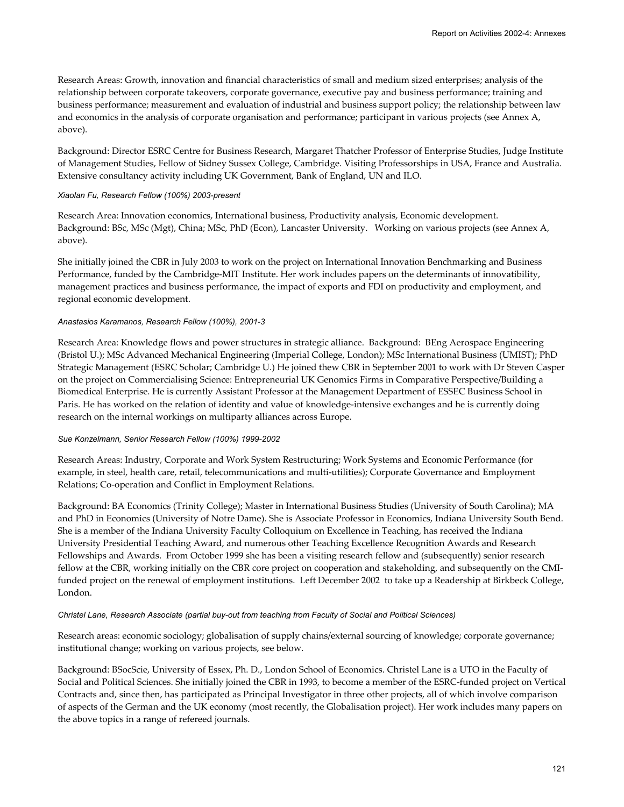Research Areas: Growth, innovation and financial characteristics of small and medium sized enterprises; analysis of the relationship between corporate takeovers, corporate governance, executive pay and business performance; training and business performance; measurement and evaluation of industrial and business support policy; the relationship between law and economics in the analysis of corporate organisation and performance; participant in various projects (see Annex A, above).

Background: Director ESRC Centre for Business Research, Margaret Thatcher Professor of Enterprise Studies, Judge Institute of Management Studies, Fellow of Sidney Sussex College, Cambridge. Visiting Professorships in USA, France and Australia. Extensive consultancy activity including UK Government, Bank of England, UN and ILO.

#### *Xiaolan Fu, Research Fellow (100%) 2003-present*

Research Area: Innovation economics, International business, Productivity analysis, Economic development. Background: BSc, MSc (Mgt), China; MSc, PhD (Econ), Lancaster University. Working on various projects (see Annex A, above).

She initially joined the CBR in July 2003 to work on the project on International Innovation Benchmarking and Business Performance, funded by the Cambridge-MIT Institute. Her work includes papers on the determinants of innovatibility, management practices and business performance, the impact of exports and FDI on productivity and employment, and regional economic development.

#### *Anastasios Karamanos, Research Fellow (100%), 2001-3*

Research Area: Knowledge flows and power structures in strategic alliance. Background: BEng Aerospace Engineering (Bristol U.); MSc Advanced Mechanical Engineering (Imperial College, London); MSc International Business (UMIST); PhD Strategic Management (ESRC Scholar; Cambridge U.) He joined thew CBR in September 2001 to work with Dr Steven Casper on the project on Commercialising Science: Entrepreneurial UK Genomics Firms in Comparative Perspective/Building a Biomedical Enterprise. He is currently Assistant Professor at the Management Department of ESSEC Business School in Paris. He has worked on the relation of identity and value of knowledge-intensive exchanges and he is currently doing research on the internal workings on multiparty alliances across Europe.

### *Sue Konzelmann, Senior Research Fellow (100%) 1999-2002*

Research Areas: Industry, Corporate and Work System Restructuring; Work Systems and Economic Performance (for example, in steel, health care, retail, telecommunications and multi-utilities); Corporate Governance and Employment Relations; Co-operation and Conflict in Employment Relations.

Background: BA Economics (Trinity College); Master in International Business Studies (University of South Carolina); MA and PhD in Economics (University of Notre Dame). She is Associate Professor in Economics, Indiana University South Bend. She is a member of the Indiana University Faculty Colloquium on Excellence in Teaching, has received the Indiana University Presidential Teaching Award, and numerous other Teaching Excellence Recognition Awards and Research Fellowships and Awards. From October 1999 she has been a visiting research fellow and (subsequently) senior research fellow at the CBR, working initially on the CBR core project on cooperation and stakeholding, and subsequently on the CMIfunded project on the renewal of employment institutions. Left December 2002 to take up a Readership at Birkbeck College, London.

#### *Christel Lane, Research Associate (partial buy-out from teaching from Faculty of Social and Political Sciences)*

Research areas: economic sociology; globalisation of supply chains/external sourcing of knowledge; corporate governance; institutional change; working on various projects, see below.

Background: BSocScie, University of Essex, Ph. D., London School of Economics. Christel Lane is a UTO in the Faculty of Social and Political Sciences. She initially joined the CBR in 1993, to become a member of the ESRC-funded project on Vertical Contracts and, since then, has participated as Principal Investigator in three other projects, all of which involve comparison of aspects of the German and the UK economy (most recently, the Globalisation project). Her work includes many papers on the above topics in a range of refereed journals.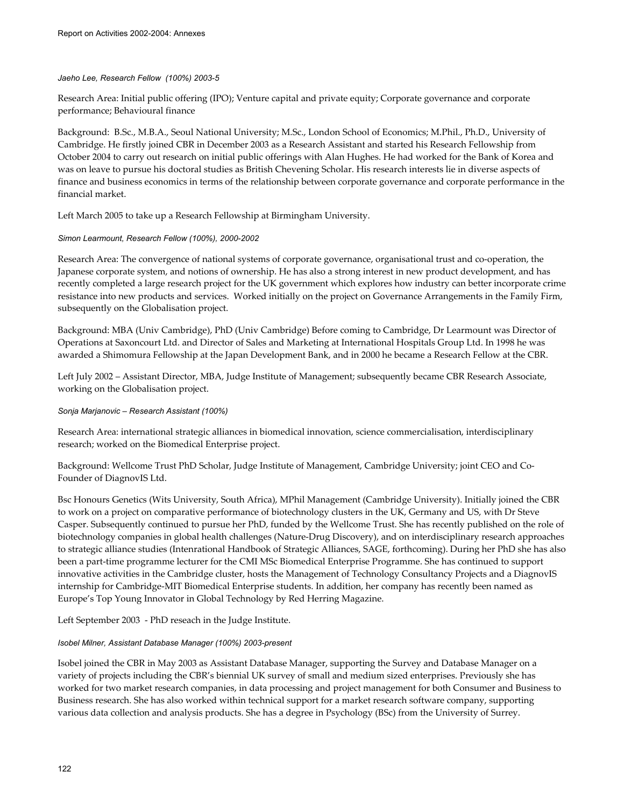### *Jaeho Lee, Research Fellow (100%) 2003-5*

Research Area: Initial public offering (IPO); Venture capital and private equity; Corporate governance and corporate performance; Behavioural finance

Background: B.Sc., M.B.A., Seoul National University; M.Sc., London School of Economics; M.Phil., Ph.D., University of Cambridge. He firstly joined CBR in December 2003 as a Research Assistant and started his Research Fellowship from October 2004 to carry out research on initial public offerings with Alan Hughes. He had worked for the Bank of Korea and was on leave to pursue his doctoral studies as British Chevening Scholar. His research interests lie in diverse aspects of finance and business economics in terms of the relationship between corporate governance and corporate performance in the financial market.

Left March 2005 to take up a Research Fellowship at Birmingham University.

### *Simon Learmount, Research Fellow (100%), 2000-2002*

Research Area: The convergence of national systems of corporate governance, organisational trust and co-operation, the Japanese corporate system, and notions of ownership. He has also a strong interest in new product development, and has recently completed a large research project for the UK government which explores how industry can better incorporate crime resistance into new products and services. Worked initially on the project on Governance Arrangements in the Family Firm, subsequently on the Globalisation project.

Background: MBA (Univ Cambridge), PhD (Univ Cambridge) Before coming to Cambridge, Dr Learmount was Director of Operations at Saxoncourt Ltd. and Director of Sales and Marketing at International Hospitals Group Ltd. In 1998 he was awarded a Shimomura Fellowship at the Japan Development Bank, and in 2000 he became a Research Fellow at the CBR.

Left July 2002 – Assistant Director, MBA, Judge Institute of Management; subsequently became CBR Research Associate, working on the Globalisation project.

### *Sonja Marjanovic – Research Assistant (100%)*

Research Area: international strategic alliances in biomedical innovation, science commercialisation, interdisciplinary research; worked on the Biomedical Enterprise project.

Background: Wellcome Trust PhD Scholar, Judge Institute of Management, Cambridge University; joint CEO and Co-Founder of DiagnovIS Ltd.

Bsc Honours Genetics (Wits University, South Africa), MPhil Management (Cambridge University). Initially joined the CBR to work on a project on comparative performance of biotechnology clusters in the UK, Germany and US, with Dr Steve Casper. Subsequently continued to pursue her PhD, funded by the Wellcome Trust. She has recently published on the role of biotechnology companies in global health challenges (Nature-Drug Discovery), and on interdisciplinary research approaches to strategic alliance studies (Intenrational Handbook of Strategic Alliances, SAGE, forthcoming). During her PhD she has also been a part-time programme lecturer for the CMI MSc Biomedical Enterprise Programme. She has continued to support innovative activities in the Cambridge cluster, hosts the Management of Technology Consultancy Projects and a DiagnovIS internship for Cambridge-MIT Biomedical Enterprise students. In addition, her company has recently been named as Europe's Top Young Innovator in Global Technology by Red Herring Magazine.

Left September 2003 - PhD reseach in the Judge Institute.

### *Isobel Milner, Assistant Database Manager (100%) 2003-present*

Isobel joined the CBR in May 2003 as Assistant Database Manager, supporting the Survey and Database Manager on a variety of projects including the CBR's biennial UK survey of small and medium sized enterprises. Previously she has worked for two market research companies, in data processing and project management for both Consumer and Business to Business research. She has also worked within technical support for a market research software company, supporting various data collection and analysis products. She has a degree in Psychology (BSc) from the University of Surrey.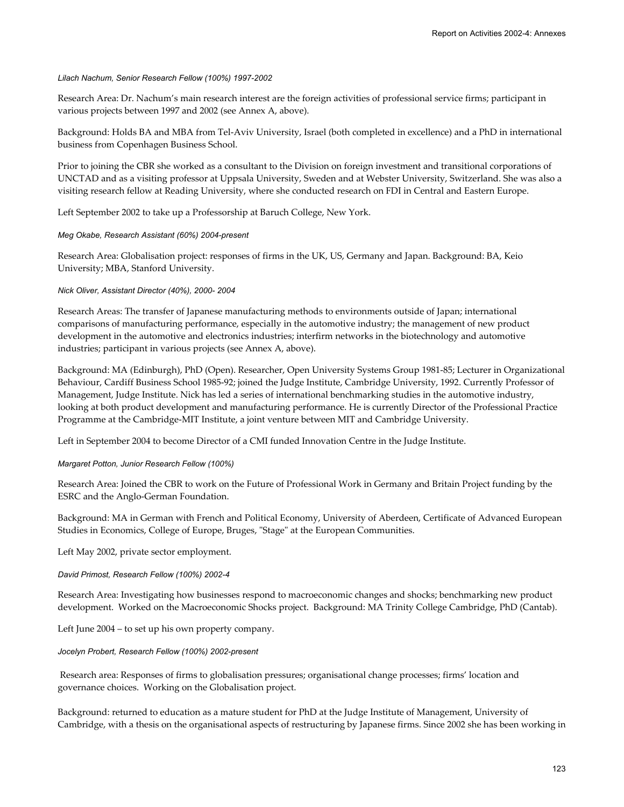#### *Lilach Nachum, Senior Research Fellow (100%) 1997-2002*

Research Area: Dr. Nachum's main research interest are the foreign activities of professional service firms; participant in various projects between 1997 and 2002 (see Annex A, above).

Background: Holds BA and MBA from Tel-Aviv University, Israel (both completed in excellence) and a PhD in international business from Copenhagen Business School.

Prior to joining the CBR she worked as a consultant to the Division on foreign investment and transitional corporations of UNCTAD and as a visiting professor at Uppsala University, Sweden and at Webster University, Switzerland. She was also a visiting research fellow at Reading University, where she conducted research on FDI in Central and Eastern Europe.

Left September 2002 to take up a Professorship at Baruch College, New York.

#### *Meg Okabe, Research Assistant (60%) 2004-present*

Research Area: Globalisation project: responses of firms in the UK, US, Germany and Japan. Background: BA, Keio University; MBA, Stanford University.

#### *Nick Oliver, Assistant Director (40%), 2000- 2004*

Research Areas: The transfer of Japanese manufacturing methods to environments outside of Japan; international comparisons of manufacturing performance, especially in the automotive industry; the management of new product development in the automotive and electronics industries; interfirm networks in the biotechnology and automotive industries; participant in various projects (see Annex A, above).

Background: MA (Edinburgh), PhD (Open). Researcher, Open University Systems Group 1981-85; Lecturer in Organizational Behaviour, Cardiff Business School 1985-92; joined the Judge Institute, Cambridge University, 1992. Currently Professor of Management, Judge Institute. Nick has led a series of international benchmarking studies in the automotive industry, looking at both product development and manufacturing performance. He is currently Director of the Professional Practice Programme at the Cambridge-MIT Institute, a joint venture between MIT and Cambridge University.

Left in September 2004 to become Director of a CMI funded Innovation Centre in the Judge Institute.

#### *Margaret Potton, Junior Research Fellow (100%)*

Research Area: Joined the CBR to work on the Future of Professional Work in Germany and Britain Project funding by the ESRC and the Anglo-German Foundation.

Background: MA in German with French and Political Economy, University of Aberdeen, Certificate of Advanced European Studies in Economics, College of Europe, Bruges, "Stage" at the European Communities.

Left May 2002, private sector employment.

#### *David Primost, Research Fellow (100%) 2002-4*

Research Area: Investigating how businesses respond to macroeconomic changes and shocks; benchmarking new product development. Worked on the Macroeconomic Shocks project. Background: MA Trinity College Cambridge, PhD (Cantab).

Left June 2004 – to set up his own property company.

#### *Jocelyn Probert, Research Fellow (100%) 2002-present*

 Research area: Responses of firms to globalisation pressures; organisational change processes; firms' location and governance choices. Working on the Globalisation project.

Background: returned to education as a mature student for PhD at the Judge Institute of Management, University of Cambridge, with a thesis on the organisational aspects of restructuring by Japanese firms. Since 2002 she has been working in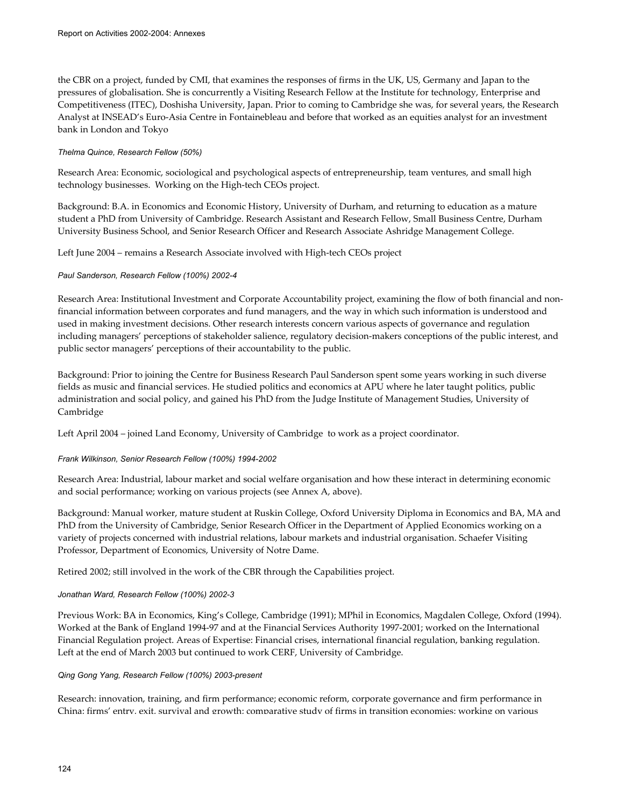the CBR on a project, funded by CMI, that examines the responses of firms in the UK, US, Germany and Japan to the pressures of globalisation. She is concurrently a Visiting Research Fellow at the Institute for technology, Enterprise and Competitiveness (ITEC), Doshisha University, Japan. Prior to coming to Cambridge she was, for several years, the Research Analyst at INSEAD's Euro-Asia Centre in Fontainebleau and before that worked as an equities analyst for an investment bank in London and Tokyo

## *Thelma Quince, Research Fellow (50%)*

Research Area: Economic, sociological and psychological aspects of entrepreneurship, team ventures, and small high technology businesses. Working on the High-tech CEOs project.

Background: B.A. in Economics and Economic History, University of Durham, and returning to education as a mature student a PhD from University of Cambridge. Research Assistant and Research Fellow, Small Business Centre, Durham University Business School, and Senior Research Officer and Research Associate Ashridge Management College.

Left June 2004 – remains a Research Associate involved with High-tech CEOs project

## *Paul Sanderson, Research Fellow (100%) 2002-4*

Research Area: Institutional Investment and Corporate Accountability project, examining the flow of both financial and nonfinancial information between corporates and fund managers, and the way in which such information is understood and used in making investment decisions. Other research interests concern various aspects of governance and regulation including managers' perceptions of stakeholder salience, regulatory decision-makers conceptions of the public interest, and public sector managers' perceptions of their accountability to the public.

Background: Prior to joining the Centre for Business Research Paul Sanderson spent some years working in such diverse fields as music and financial services. He studied politics and economics at APU where he later taught politics, public administration and social policy, and gained his PhD from the Judge Institute of Management Studies, University of Cambridge

Left April 2004 – joined Land Economy, University of Cambridge to work as a project coordinator.

### *Frank Wilkinson, Senior Research Fellow (100%) 1994-2002*

Research Area: Industrial, labour market and social welfare organisation and how these interact in determining economic and social performance; working on various projects (see Annex A, above).

Background: Manual worker, mature student at Ruskin College, Oxford University Diploma in Economics and BA, MA and PhD from the University of Cambridge, Senior Research Officer in the Department of Applied Economics working on a variety of projects concerned with industrial relations, labour markets and industrial organisation. Schaefer Visiting Professor, Department of Economics, University of Notre Dame.

Retired 2002; still involved in the work of the CBR through the Capabilities project.

### *Jonathan Ward, Research Fellow (100%) 2002-3*

Previous Work: BA in Economics, King's College, Cambridge (1991); MPhil in Economics, Magdalen College, Oxford (1994). Worked at the Bank of England 1994-97 and at the Financial Services Authority 1997-2001; worked on the International Financial Regulation project. Areas of Expertise: Financial crises, international financial regulation, banking regulation. Left at the end of March 2003 but continued to work CERF, University of Cambridge.

### *Qing Gong Yang, Research Fellow (100%) 2003-present*

Research: innovation, training, and firm performance; economic reform, corporate governance and firm performance in China; firms' entry, exit, survival and growth; comparative study of firms in transition economies; working on various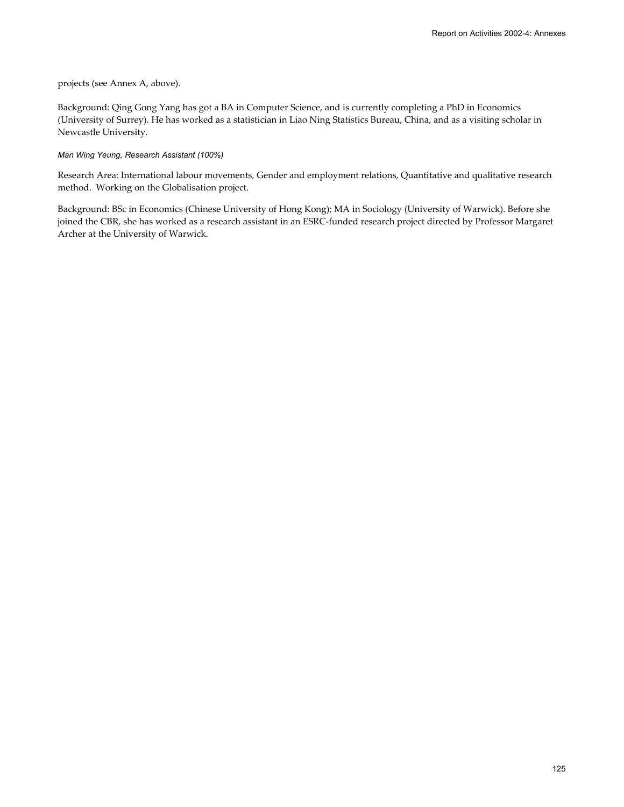#### projects (see Annex A, above).

Background: Qing Gong Yang has got a BA in Computer Science, and is currently completing a PhD in Economics (University of Surrey). He has worked as a statistician in Liao Ning Statistics Bureau, China, and as a visiting scholar in Newcastle University.

#### *Man Wing Yeung, Research Assistant (100%)*

Research Area: International labour movements, Gender and employment relations, Quantitative and qualitative research method. Working on the Globalisation project.

Background: BSc in Economics (Chinese University of Hong Kong); MA in Sociology (University of Warwick). Before she joined the CBR, she has worked as a research assistant in an ESRC-funded research project directed by Professor Margaret Archer at the University of Warwick.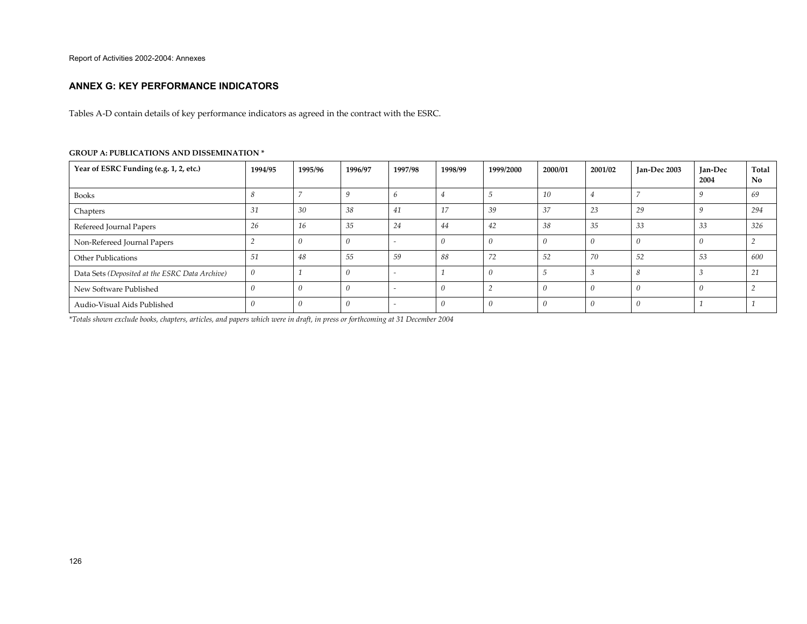#### **ANNEX G: KEY PERFORMANCE INDICATORS**

Tables A-D contain details of key performance indicators as agreed in the contract with the ESRC.

| Year of ESRC Funding (e.g. 1, 2, etc.)         | 1994/95 | 1995/96 | 1996/97 | 1997/98 | 1998/99 | 1999/2000 | 2000/01 | 2001/02 | Jan-Dec 2003 | Jan-Dec<br>2004 | Total<br>N <sub>o</sub> |
|------------------------------------------------|---------|---------|---------|---------|---------|-----------|---------|---------|--------------|-----------------|-------------------------|
| Books                                          |         |         |         |         |         |           | 10      |         |              |                 | 69                      |
| Chapters                                       | 31      | 30      | 38      | 41      | 17      | 39        | 37      | 23      | 29           |                 | 294                     |
| Refereed Journal Papers                        | 26      | 16      | 35      | 24      | 44      | 42        | 38      | 35      | 33           | -33             | 326                     |
| Non-Refereed Journal Papers                    |         |         |         |         |         |           |         |         |              |                 |                         |
| <b>Other Publications</b>                      | 51      | 48      | 55      | 59      | 88      | 72        | 52      | 70      | 52           | -53             | 600                     |
| Data Sets (Deposited at the ESRC Data Archive) |         |         |         |         |         | - 17      |         |         |              |                 | 21                      |
| New Software Published                         |         |         |         |         |         |           |         |         |              |                 |                         |
| Audio-Visual Aids Published                    |         |         |         |         |         |           |         |         |              |                 |                         |

#### **GROUP A: PUBLICATIONS AND DISSEMINATION \***

*\*Totals shown exclude books, chapters, articles, and papers which were in draft, in press or forthcoming at 31 December 2004*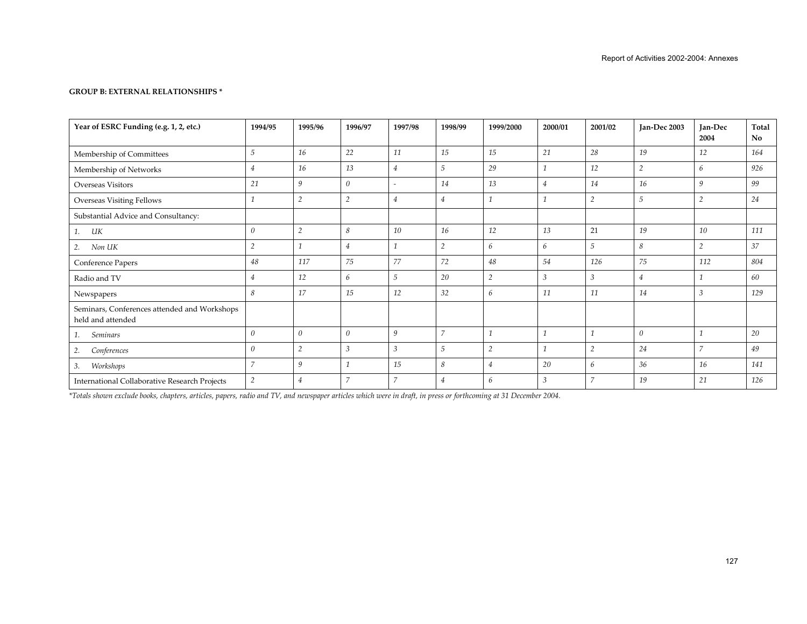## **GROUP B: EXTERNAL RELATIONSHIPS \***

| Year of ESRC Funding (e.g. 1, 2, etc.)                            | 1994/95        | 1995/96        | 1996/97        | 1997/98                  | 1998/99        | 1999/2000      | 2000/01        | 2001/02        | Jan-Dec 2003   | Jan-Dec<br>2004 | Total<br>No |
|-------------------------------------------------------------------|----------------|----------------|----------------|--------------------------|----------------|----------------|----------------|----------------|----------------|-----------------|-------------|
| Membership of Committees                                          | 5              | 16             | 22             | 11                       | 15             | 15             | 21             | 28             | 19             | 12              | 164         |
| Membership of Networks                                            | $\overline{4}$ | 16             | 13             | $\overline{4}$           | 5              | 29             | $\overline{1}$ | 12             | $\overline{2}$ | 6               | 926         |
| Overseas Visitors                                                 | 21             | 9              | $\Omega$       | $\overline{\phantom{a}}$ | 14             | 13             | $\overline{4}$ | 14             | 16             | 9               | 99          |
| <b>Overseas Visiting Fellows</b>                                  |                | $\overline{2}$ | $\overline{2}$ | $\overline{4}$           | $\overline{4}$ |                |                | $\overline{2}$ | 5              | $\overline{2}$  | 24          |
| Substantial Advice and Consultancy:                               |                |                |                |                          |                |                |                |                |                |                 |             |
| UК<br>1.                                                          | $\theta$       | $\overline{2}$ | 8              | 10                       | 16             | 12             | 13             | 21             | 19             | 10              | 111         |
| Non UK<br>2.                                                      | $\overline{2}$ |                | $\overline{4}$ |                          | $\overline{2}$ | 6              | 6              | 5              | 8              | $\overline{2}$  | 37          |
| Conference Papers                                                 | 48             | 117            | 75             | 77                       | 72             | 48             | 54             | 126            | 75             | 112             | 804         |
| Radio and TV                                                      | $\overline{4}$ | 12             | 6              | 5                        | 20             | $\overline{c}$ | $\mathfrak{Z}$ | $\mathcal{E}$  | $\overline{4}$ |                 | 60          |
| Newspapers                                                        | 8              | 17             | 15             | 12                       | 32             | 6              | 11             | 11             | 14             | $\mathcal{E}$   | 129         |
| Seminars, Conferences attended and Workshops<br>held and attended |                |                |                |                          |                |                |                |                |                |                 |             |
| <b>Seminars</b><br>1.                                             | $\theta$       | $\theta$       | 0              | 9                        | $\overline{7}$ |                | 1              | h              | $\theta$       |                 | 20          |
| Conferences<br>2.                                                 | $\theta$       | $\overline{2}$ | 3              | $\mathfrak{Z}$           | 5              | $\overline{2}$ |                | $\overline{2}$ | 24             | $\overline{z}$  | 49          |
| Workshops<br>3.                                                   | $\overline{7}$ | 9              |                | 15                       | 8              | $\overline{4}$ | 20             | 6              | 36             | 16              | 141         |
| <b>International Collaborative Research Projects</b>              | $\overline{2}$ | $\overline{4}$ |                | $\overline{ }$           | $\overline{4}$ | 6              | 3              | п,             | 19             | 21              | 126         |

*\*Totals shown exclude books, chapters, articles, papers, radio and TV, and newspaper articles which were in draft, in press or forthcoming at 31 December 2004.*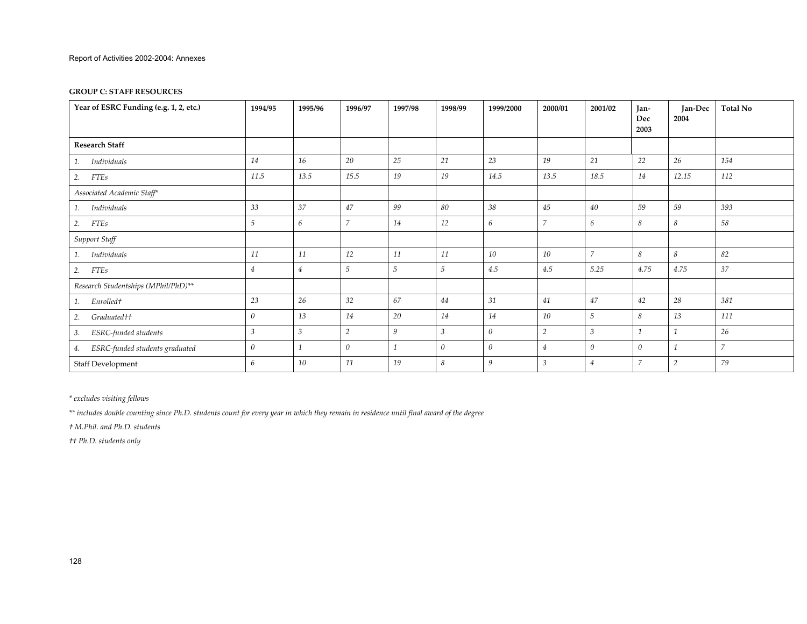#### **GROUP C: STAFF RESOURCES**

| Year of ESRC Funding (e.g. 1, 2, etc.) | 1994/95        | 1995/96        | 1996/97          | 1997/98 | 1998/99          | 1999/2000 | 2000/01        | 2001/02        | Jan-<br>Dec<br>2003 | Jan-Dec<br>2004 | <b>Total No</b> |
|----------------------------------------|----------------|----------------|------------------|---------|------------------|-----------|----------------|----------------|---------------------|-----------------|-----------------|
| <b>Research Staff</b>                  |                |                |                  |         |                  |           |                |                |                     |                 |                 |
| Individuals<br>1.                      | 14             | 16             | 20               | 25      | 21               | 23        | 19             | 21             | 22                  | 26              | 154             |
| <b>FTEs</b><br>2.                      | 11.5           | 13.5           | 15.5             | 19      | 19               | 14.5      | 13.5           | 18.5           | 14                  | 12.15           | 112             |
| Associated Academic Staff*             |                |                |                  |         |                  |           |                |                |                     |                 |                 |
| Individuals<br>1.                      | 33             | 37             | 47               | 99      | 80               | 38        | 45             | 40             | 59                  | 59              | 393             |
| 2.<br><b>FTEs</b>                      | 5              | 6              | $\overline{7}$   | 14      | 12               | 6         | $\overline{7}$ | 6              | 8                   | 8               | 58              |
| Support Staff                          |                |                |                  |         |                  |           |                |                |                     |                 |                 |
| Individuals<br>1.                      | 11             | 11             | 12               | 11      | 11               | 10        | 10             | $\overline{7}$ | 8                   | 8               | 82              |
| <b>FTEs</b><br>2.                      | 4              | $\overline{4}$ | 5                | 5       | 5                | 4.5       | 4.5            | 5.25           | 4.75                | 4.75            | 37              |
| Research Studentships (MPhil/PhD)**    |                |                |                  |         |                  |           |                |                |                     |                 |                 |
| Enrolledt<br>1.                        | 23             | $26\,$         | 32               | 67      | 44               | 31        | 41             | 47             | 42                  | 28              | 381             |
| Graduated††<br>2.                      | 0              | 13             | 14               | 20      | 14               | 14        | 10             | 5              | 8                   | 13              | 111             |
| ESRC-funded students<br>3.             | $\mathfrak{Z}$ | $\mathfrak{Z}$ | $\overline{2}$   | 9       | 3                | $\theta$  | $\overline{2}$ | 3              |                     |                 | 26              |
| ESRC-funded students graduated<br>4.   | 0              |                | $\boldsymbol{0}$ |         | $\boldsymbol{0}$ | $\theta$  | $\overline{4}$ | 0              | $\boldsymbol{0}$    |                 | $\overline{7}$  |
| Staff Development                      | 6              | 10             | 11               | 19      | 8                | 9         | 3              | 4              | $\overline{7}$      | $\overline{2}$  | 79              |

*\* excludes visiting fellows* 

*\*\* includes double counting since Ph.D. students count for every year in which they remain in residence until final award of the degree* 

*† M.Phil. and Ph.D. students* 

*†† Ph.D. students only*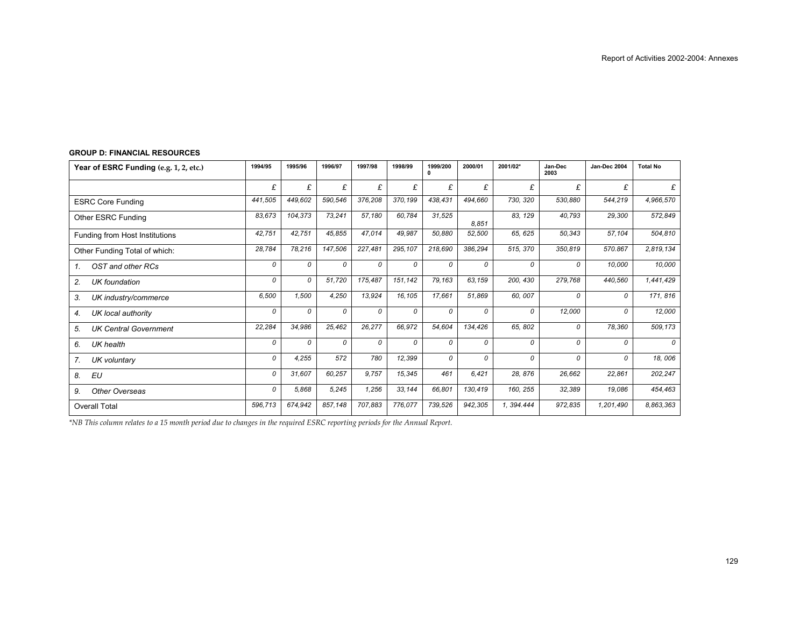| Year of ESRC Funding (e.g. 1, 2, etc.) | 1994/95 | 1995/96 | 1996/97 | 1997/98 | 1998/99 | 1999/200<br>0 | 2000/01 | 2001/02*   | Jan-Dec<br>2003 | Jan-Dec 2004 | <b>Total No</b> |
|----------------------------------------|---------|---------|---------|---------|---------|---------------|---------|------------|-----------------|--------------|-----------------|
|                                        | £       | £       | £       | £       | £       | £             | £       | £          | £               | £            | £               |
| <b>ESRC Core Funding</b>               | 441,505 | 449.602 | 590,546 | 376,208 | 370,199 | 438,431       | 494,660 | 730, 320   | 530,880         | 544,219      | 4,966,570       |
| Other ESRC Funding                     | 83,673  | 104,373 | 73,241  | 57,180  | 60,784  | 31,525        | 8.851   | 83, 129    | 40,793          | 29,300       | 572,849         |
| Funding from Host Institutions         | 42,751  | 42,751  | 45,855  | 47,014  | 49,987  | 50,880        | 52,500  | 65, 625    | 50,343          | 57,104       | 504,810         |
| Other Funding Total of which:          | 28.784  | 78,216  | 147,506 | 227.481 | 295,107 | 218,690       | 386.294 | 515, 370   | 350,819         | 570.867      | 2,819,134       |
| 1.<br>OST and other RCs                | 0       | 0       | 0       | 0       | 0       | 0             | 0       | 0          | 0               | 10,000       | 10,000          |
| 2.<br><b>UK</b> foundation             | 0       | 0       | 51,720  | 175,487 | 151,142 | 79,163        | 63,159  | 200, 430   | 279,768         | 440,560      | 1,441,429       |
| 3.<br>UK industry/commerce             | 6,500   | 1,500   | 4,250   | 13,924  | 16,105  | 17,661        | 51,869  | 60, 007    | 0               | 0            | 171, 816        |
| 4.<br>UK local authority               | 0       | 0       | 0       | 0       | 0       | 0             | 0       | 0          | 12,000          | 0            | 12,000          |
| 5.<br><b>UK Central Government</b>     | 22,284  | 34,986  | 25,462  | 26,277  | 66,972  | 54,604        | 134,426 | 65, 802    | 0               | 78,360       | 509,173         |
| 6.<br>UK health                        | 0       | 0       | 0       | 0       | 0       | 0             | 0       | 0          | 0               | 0            | 0               |
| 7.<br>UK voluntary                     | 0       | 4,255   | 572     | 780     | 12,399  | 0             | 0       | 0          | 0               | 0            | 18,006          |
| 8.<br>EU                               | 0       | 31,607  | 60,257  | 9.757   | 15.345  | 461           | 6.421   | 28, 876    | 26,662          | 22,861       | 202,247         |
| 9.<br>Other Overseas                   | 0       | 5,868   | 5,245   | 1,256   | 33,144  | 66,801        | 130,419 | 160, 255   | 32,389          | 19,086       | 454,463         |
| <b>Overall Total</b>                   | 596,713 | 674,942 | 857,148 | 707,883 | 776,077 | 739,526       | 942,305 | 1, 394.444 | 972,835         | 1,201,490    | 8.863.363       |

#### **GROUP D: FINANCIAL RESOURCES**

*\*NB This column relates to a 15 month period due to changes in the required ESRC reporting periods for the Annual Report.*